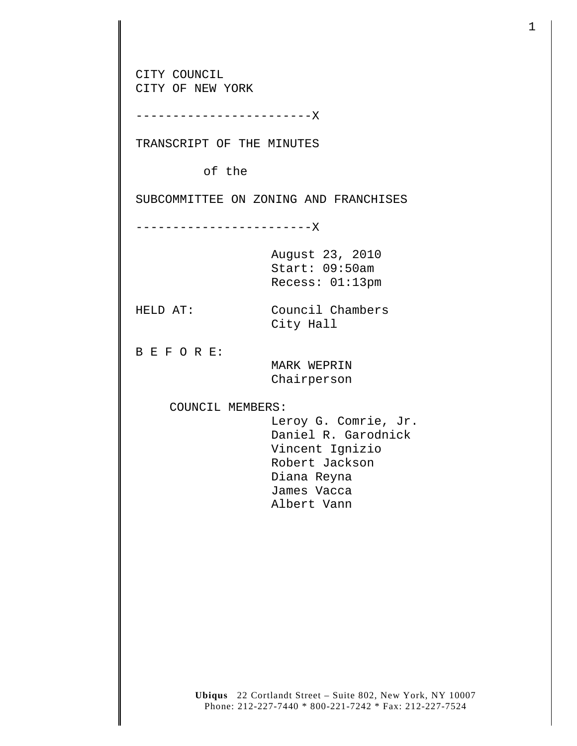**Ubiqus** 22 Cortlandt Street – Suite 802, New York, NY 10007 CITY COUNCIL CITY OF NEW YORK ------------------------X TRANSCRIPT OF THE MINUTES of the SUBCOMMITTEE ON ZONING AND FRANCHISES ------------------------X August 23, 2010 Start: 09:50am Recess: 01:13pm HELD AT: Council Chambers City Hall B E F O R E: MARK WEPRIN Chairperson COUNCIL MEMBERS: Leroy G. Comrie, Jr. Daniel R. Garodnick Vincent Ignizio Robert Jackson Diana Reyna James Vacca Albert Vann

1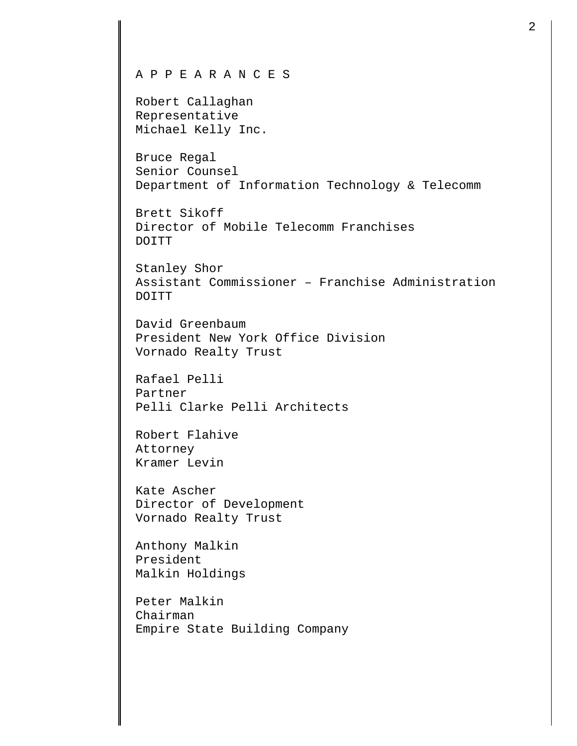A P P E A R A N C E S

Robert Callaghan Representative Michael Kelly Inc.

Bruce Regal Senior Counsel Department of Information Technology & Telecomm

Brett Sikoff Director of Mobile Telecomm Franchises DOITT

Stanley Shor Assistant Commissioner – Franchise Administration DOITT

David Greenbaum President New York Office Division Vornado Realty Trust

Rafael Pelli Partner Pelli Clarke Pelli Architects

Robert Flahive Attorney Kramer Levin

Kate Ascher Director of Development Vornado Realty Trust

Anthony Malkin President Malkin Holdings

Peter Malkin Chairman Empire State Building Company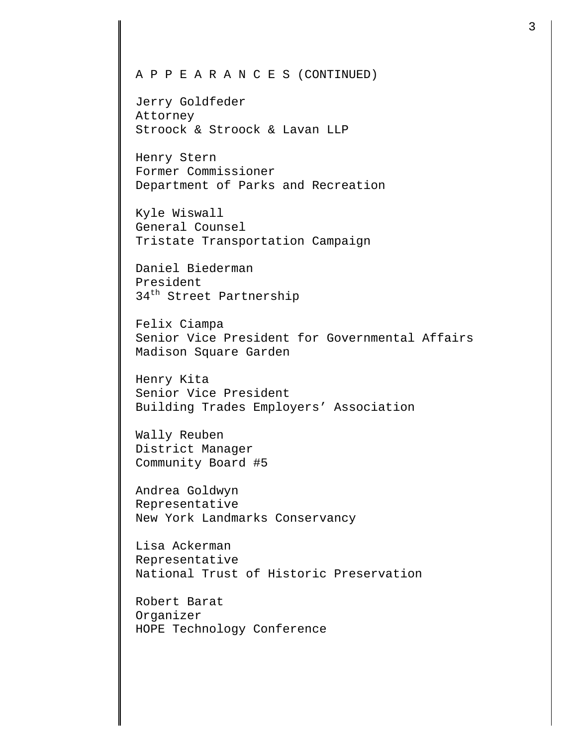## A P P E A R A N C E S (CONTINUED)

Jerry Goldfeder Attorney Stroock & Stroock & Lavan LLP

Henry Stern Former Commissioner Department of Parks and Recreation

Kyle Wiswall General Counsel Tristate Transportation Campaign

Daniel Biederman President 34<sup>th</sup> Street Partnership

Felix Ciampa Senior Vice President for Governmental Affairs Madison Square Garden

Henry Kita Senior Vice President Building Trades Employers' Association

Wally Reuben District Manager Community Board #5

Andrea Goldwyn Representative New York Landmarks Conservancy

Lisa Ackerman Representative National Trust of Historic Preservation

Robert Barat Organizer HOPE Technology Conference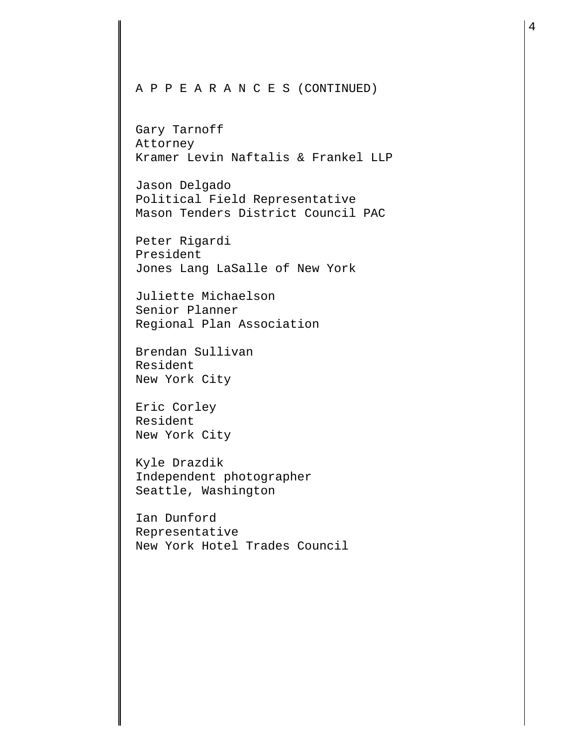## A P P E A R A N C E S (CONTINUED)

Gary Tarnoff Attorney Kramer Levin Naftalis & Frankel LLP

Jason Delgado Political Field Representative Mason Tenders District Council PAC

Peter Rigardi President Jones Lang LaSalle of New York

Juliette Michaelson Senior Planner Regional Plan Association

Brendan Sullivan Resident New York City

Eric Corley Resident New York City

Kyle Drazdik Independent photographer Seattle, Washington

Ian Dunford Representative New York Hotel Trades Council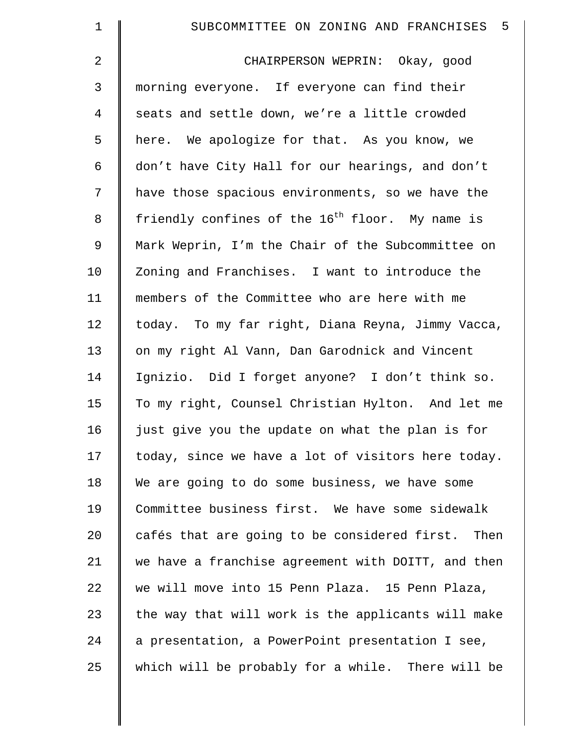| $\mathbf 1$    | - 5<br>SUBCOMMITTEE ON ZONING AND FRANCHISES                |
|----------------|-------------------------------------------------------------|
| $\overline{2}$ | CHAIRPERSON WEPRIN: Okay, good                              |
| 3              | morning everyone. If everyone can find their                |
| $\overline{4}$ | seats and settle down, we're a little crowded               |
| 5              | here. We apologize for that. As you know, we                |
| 6              | don't have City Hall for our hearings, and don't            |
| 7              | have those spacious environments, so we have the            |
| 8              | friendly confines of the 16 <sup>th</sup> floor. My name is |
| $\mathsf 9$    | Mark Weprin, I'm the Chair of the Subcommittee on           |
| 10             | Zoning and Franchises. I want to introduce the              |
| 11             | members of the Committee who are here with me               |
| 12             | today. To my far right, Diana Reyna, Jimmy Vacca,           |
| 13             | on my right Al Vann, Dan Garodnick and Vincent              |
| 14             | Ignizio. Did I forget anyone? I don't think so.             |
| 15             | To my right, Counsel Christian Hylton. And let me           |
| 16             | just give you the update on what the plan is for            |
| 17             | today, since we have a lot of visitors here today.          |
| 18             | We are going to do some business, we have some              |
| 19             | Committee business first. We have some sidewalk             |
| 20             | cafés that are going to be considered first. Then           |
| 21             | we have a franchise agreement with DOITT, and then          |
| 22             | we will move into 15 Penn Plaza. 15 Penn Plaza,             |
| 23             | the way that will work is the applicants will make          |
| 24             | a presentation, a PowerPoint presentation I see,            |
| 25             | which will be probably for a while. There will be           |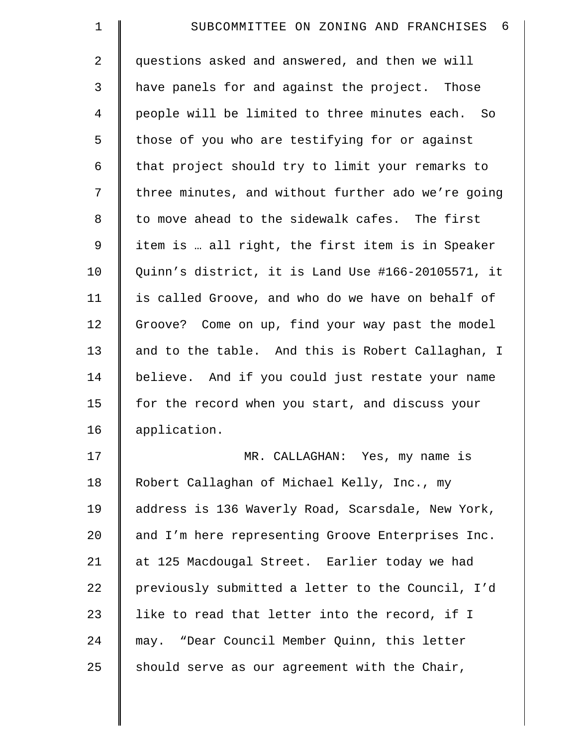| $\mathbf 1$    | - 6<br>SUBCOMMITTEE ON ZONING AND FRANCHISES       |
|----------------|----------------------------------------------------|
| $\overline{a}$ | questions asked and answered, and then we will     |
| $\mathfrak{Z}$ | have panels for and against the project. Those     |
| $\overline{4}$ | people will be limited to three minutes each. So   |
| 5              | those of you who are testifying for or against     |
| 6              | that project should try to limit your remarks to   |
| 7              | three minutes, and without further ado we're going |
| 8              | to move ahead to the sidewalk cafes. The first     |
| 9              | item is  all right, the first item is in Speaker   |
| 10             | Quinn's district, it is Land Use #166-20105571, it |
| 11             | is called Groove, and who do we have on behalf of  |
| 12             | Groove? Come on up, find your way past the model   |
| 13             | and to the table. And this is Robert Callaghan, I  |
| 14             | believe. And if you could just restate your name   |
| 15             | for the record when you start, and discuss your    |
| 16             | application.                                       |
| 17             | MR. CALLAGHAN: Yes, my name is                     |
| 18             | Robert Callaghan of Michael Kelly, Inc., my        |
| 19             | address is 136 Waverly Road, Scarsdale, New York,  |
| 20             | and I'm here representing Groove Enterprises Inc.  |
| 21             | at 125 Macdougal Street. Earlier today we had      |
| 22             | previously submitted a letter to the Council, I'd  |
| 23             | like to read that letter into the record, if I     |
| 24             | may. "Dear Council Member Quinn, this letter       |
| 25             | should serve as our agreement with the Chair,      |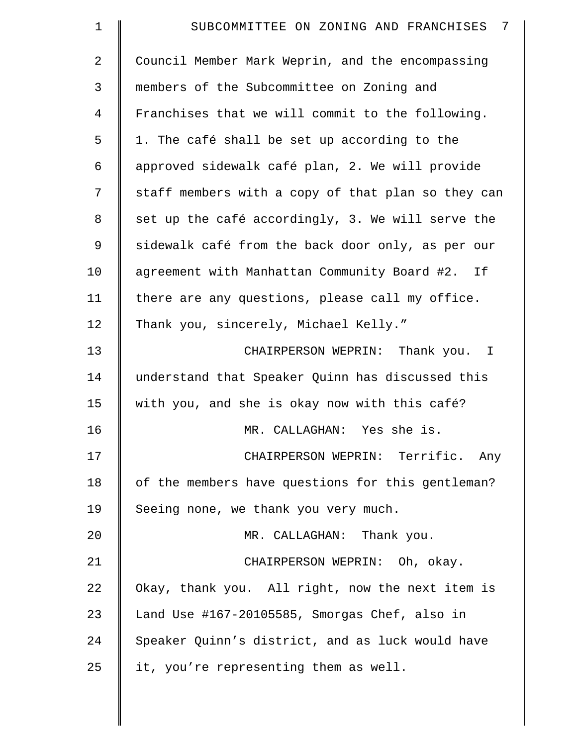| $\mathbf 1$    | - 7<br>SUBCOMMITTEE ON ZONING AND FRANCHISES       |
|----------------|----------------------------------------------------|
| $\overline{2}$ | Council Member Mark Weprin, and the encompassing   |
| 3              | members of the Subcommittee on Zoning and          |
| 4              | Franchises that we will commit to the following.   |
| 5              | 1. The café shall be set up according to the       |
| 6              | approved sidewalk café plan, 2. We will provide    |
| 7              | staff members with a copy of that plan so they can |
| 8              | set up the café accordingly, 3. We will serve the  |
| $\mathsf 9$    | sidewalk café from the back door only, as per our  |
| 10             | agreement with Manhattan Community Board #2.<br>If |
| 11             | there are any questions, please call my office.    |
| 12             | Thank you, sincerely, Michael Kelly."              |
| 13             | CHAIRPERSON WEPRIN: Thank you. I                   |
| 14             | understand that Speaker Quinn has discussed this   |
| 15             | with you, and she is okay now with this café?      |
| 16             | MR. CALLAGHAN: Yes she is.                         |
| 17             | CHAIRPERSON WEPRIN: Terrific. Any                  |
| 18             | of the members have questions for this gentleman?  |
| 19             | Seeing none, we thank you very much.               |
| 20             | MR. CALLAGHAN: Thank you.                          |
| 21             | CHAIRPERSON WEPRIN: Oh, okay.                      |
| 22             | Okay, thank you. All right, now the next item is   |
| 23             | Land Use #167-20105585, Smorgas Chef, also in      |
| 24             | Speaker Quinn's district, and as luck would have   |
| 25             | it, you're representing them as well.              |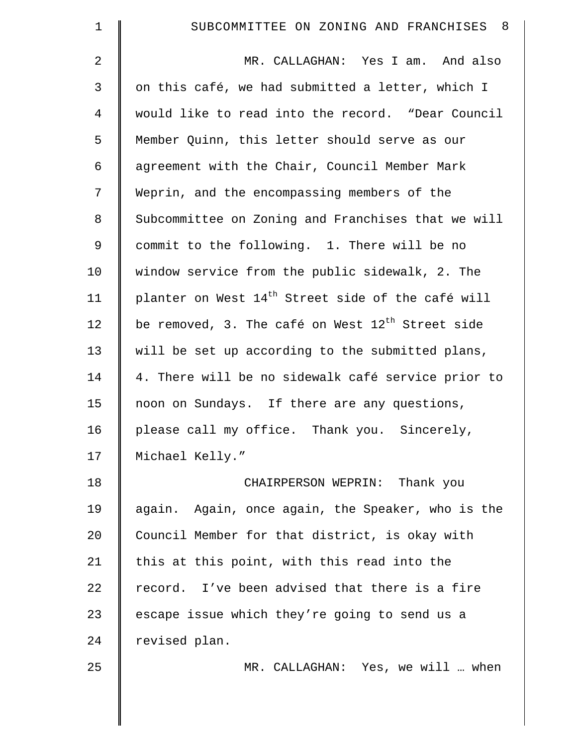| 1              | SUBCOMMITTEE ON ZONING AND FRANCHISES 8                       |
|----------------|---------------------------------------------------------------|
| $\overline{2}$ | MR. CALLAGHAN: Yes I am. And also                             |
| $\mathfrak{Z}$ | on this café, we had submitted a letter, which I              |
| 4              | would like to read into the record. "Dear Council             |
| 5              | Member Quinn, this letter should serve as our                 |
| 6              | agreement with the Chair, Council Member Mark                 |
| 7              | Weprin, and the encompassing members of the                   |
| 8              | Subcommittee on Zoning and Franchises that we will            |
| 9              | commit to the following. 1. There will be no                  |
| 10             | window service from the public sidewalk, 2. The               |
| 11             | planter on West 14 <sup>th</sup> Street side of the café will |
| 12             | be removed, 3. The café on West $12^{th}$ Street side         |
| 13             | will be set up according to the submitted plans,              |
| 14             | 4. There will be no sidewalk café service prior to            |
| 15             | noon on Sundays. If there are any questions,                  |
| 16             | please call my office. Thank you. Sincerely,                  |
| 17             | Michael Kelly."                                               |
| 18             | CHAIRPERSON WEPRIN: Thank you                                 |
| 19             | again. Again, once again, the Speaker, who is the             |
| 20             | Council Member for that district, is okay with                |
| 21             | this at this point, with this read into the                   |
| 22             | record. I've been advised that there is a fire                |
| 23             | escape issue which they're going to send us a                 |
| 24             | revised plan.                                                 |
| 25             | MR. CALLAGHAN: Yes, we will  when                             |
|                |                                                               |
|                |                                                               |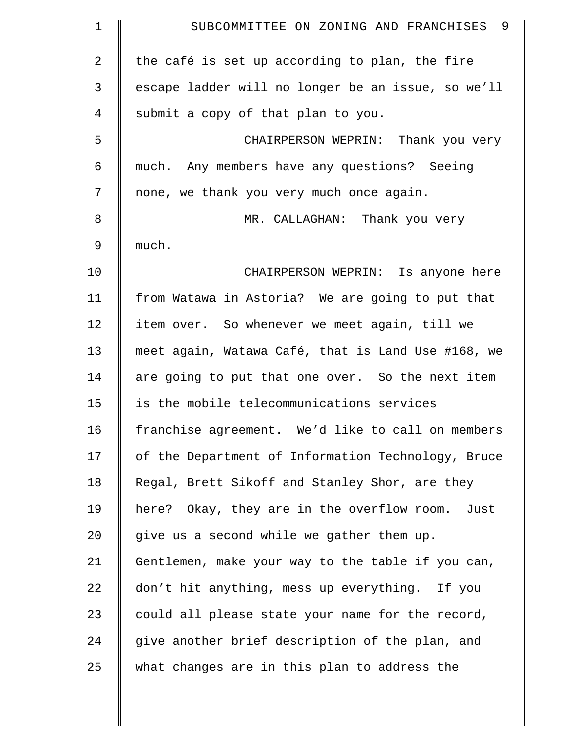| $\mathbf 1$    | SUBCOMMITTEE ON ZONING AND FRANCHISES 9            |
|----------------|----------------------------------------------------|
| $\overline{2}$ | the café is set up according to plan, the fire     |
| 3              | escape ladder will no longer be an issue, so we'll |
| 4              | submit a copy of that plan to you.                 |
| 5              | CHAIRPERSON WEPRIN: Thank you very                 |
| 6              | much. Any members have any questions? Seeing       |
| 7              | none, we thank you very much once again.           |
| 8              | MR. CALLAGHAN: Thank you very                      |
| 9              | much.                                              |
| 10             | CHAIRPERSON WEPRIN: Is anyone here                 |
| 11             | from Watawa in Astoria? We are going to put that   |
| 12             | item over. So whenever we meet again, till we      |
| 13             | meet again, Watawa Café, that is Land Use #168, we |
| 14             | are going to put that one over. So the next item   |
| 15             | is the mobile telecommunications services          |
| 16             | franchise agreement. We'd like to call on members  |
| 17             | of the Department of Information Technology, Bruce |
| 18             | Regal, Brett Sikoff and Stanley Shor, are they     |
| 19             | here? Okay, they are in the overflow room. Just    |
| 20             | give us a second while we gather them up.          |
| 21             | Gentlemen, make your way to the table if you can,  |
| 22             | don't hit anything, mess up everything. If you     |
| 23             | could all please state your name for the record,   |
| 24             | give another brief description of the plan, and    |
| 25             | what changes are in this plan to address the       |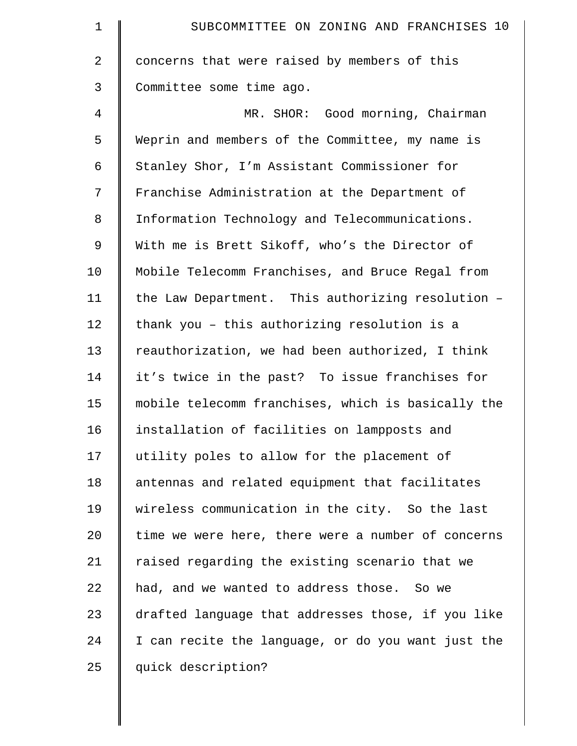| $\mathbf 1$    | SUBCOMMITTEE ON ZONING AND FRANCHISES 10           |
|----------------|----------------------------------------------------|
| $\overline{a}$ | concerns that were raised by members of this       |
| 3              | Committee some time ago.                           |
| $\overline{4}$ | MR. SHOR: Good morning, Chairman                   |
| 5              | Weprin and members of the Committee, my name is    |
| 6              | Stanley Shor, I'm Assistant Commissioner for       |
| 7              | Franchise Administration at the Department of      |
| 8              | Information Technology and Telecommunications.     |
| $\mathsf 9$    | With me is Brett Sikoff, who's the Director of     |
| 10             | Mobile Telecomm Franchises, and Bruce Regal from   |
| 11             | the Law Department. This authorizing resolution -  |
| 12             | thank you - this authorizing resolution is a       |
| 13             | reauthorization, we had been authorized, I think   |
| 14             | it's twice in the past? To issue franchises for    |
| 15             | mobile telecomm franchises, which is basically the |
| 16             | installation of facilities on lampposts and        |
| 17             | utility poles to allow for the placement of        |
| 18             | antennas and related equipment that facilitates    |
| 19             | wireless communication in the city. So the last    |
| 20             | time we were here, there were a number of concerns |
| 21             | raised regarding the existing scenario that we     |
| 22             | had, and we wanted to address those. So we         |
| 23             | drafted language that addresses those, if you like |
| 24             | I can recite the language, or do you want just the |
| 25             | quick description?                                 |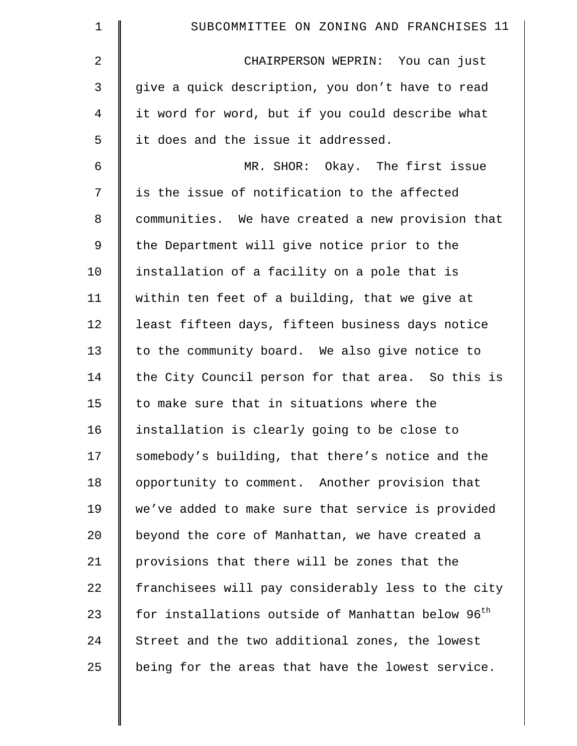| $\mathbf 1$ | SUBCOMMITTEE ON ZONING AND FRANCHISES 11                      |
|-------------|---------------------------------------------------------------|
| 2           | CHAIRPERSON WEPRIN: You can just                              |
| 3           | give a quick description, you don't have to read              |
| 4           | it word for word, but if you could describe what              |
| 5           | it does and the issue it addressed.                           |
| 6           | MR. SHOR: Okay. The first issue                               |
| 7           | is the issue of notification to the affected                  |
| 8           | communities. We have created a new provision that             |
| 9           | the Department will give notice prior to the                  |
| 10          | installation of a facility on a pole that is                  |
| 11          | within ten feet of a building, that we give at                |
| 12          | least fifteen days, fifteen business days notice              |
| 13          | to the community board. We also give notice to                |
| 14          | the City Council person for that area. So this is             |
| 15          | to make sure that in situations where the                     |
| 16          | installation is clearly going to be close to                  |
| 17          | somebody's building, that there's notice and the              |
| 18          | opportunity to comment. Another provision that                |
| 19          | we've added to make sure that service is provided             |
| 20          | beyond the core of Manhattan, we have created a               |
| 21          | provisions that there will be zones that the                  |
| 22          | franchisees will pay considerably less to the city            |
| 23          | for installations outside of Manhattan below 96 <sup>th</sup> |
| 24          | Street and the two additional zones, the lowest               |
| 25          | being for the areas that have the lowest service.             |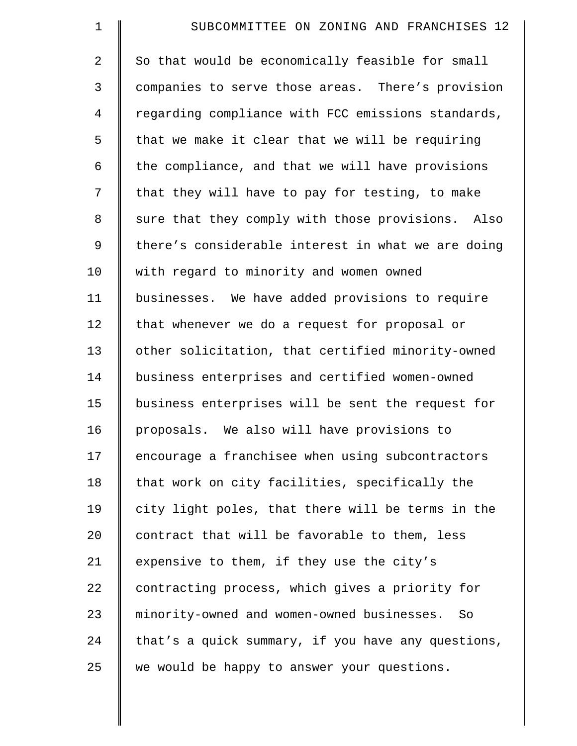| $\mathbf 1$    | SUBCOMMITTEE ON ZONING AND FRANCHISES 12           |
|----------------|----------------------------------------------------|
| $\overline{2}$ | So that would be economically feasible for small   |
| 3              | companies to serve those areas. There's provision  |
| $\overline{4}$ | regarding compliance with FCC emissions standards, |
| 5              | that we make it clear that we will be requiring    |
| 6              | the compliance, and that we will have provisions   |
| 7              | that they will have to pay for testing, to make    |
| 8              | sure that they comply with those provisions. Also  |
| 9              | there's considerable interest in what we are doing |
| 10             | with regard to minority and women owned            |
| 11             | businesses. We have added provisions to require    |
| 12             | that whenever we do a request for proposal or      |
| 13             | other solicitation, that certified minority-owned  |
| 14             | business enterprises and certified women-owned     |
| 15             | business enterprises will be sent the request for  |
| 16             | proposals. We also will have provisions to         |
| 17             | encourage a franchisee when using subcontractors   |
| 18             | that work on city facilities, specifically the     |
| 19             | city light poles, that there will be terms in the  |
| $20 \,$        | contract that will be favorable to them, less      |
| 21             | expensive to them, if they use the city's          |
| 22             | contracting process, which gives a priority for    |
| 23             | minority-owned and women-owned businesses.<br>So   |
| 24             | that's a quick summary, if you have any questions, |
| 25             | we would be happy to answer your questions.        |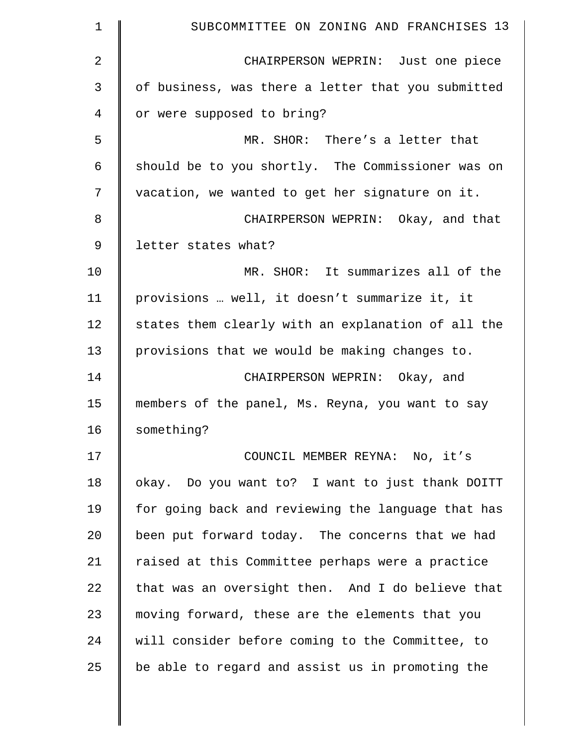| 1  | SUBCOMMITTEE ON ZONING AND FRANCHISES 13           |
|----|----------------------------------------------------|
| 2  | CHAIRPERSON WEPRIN: Just one piece                 |
| 3  | of business, was there a letter that you submitted |
| 4  | or were supposed to bring?                         |
| 5  | MR. SHOR: There's a letter that                    |
| 6  | should be to you shortly. The Commissioner was on  |
| 7  | vacation, we wanted to get her signature on it.    |
| 8  | CHAIRPERSON WEPRIN: Okay, and that                 |
| 9  | letter states what?                                |
| 10 | MR. SHOR: It summarizes all of the                 |
| 11 | provisions  well, it doesn't summarize it, it      |
| 12 | states them clearly with an explanation of all the |
| 13 | provisions that we would be making changes to.     |
| 14 | CHAIRPERSON WEPRIN: Okay, and                      |
| 15 | members of the panel, Ms. Reyna, you want to say   |
| 16 | something?                                         |
| 17 | COUNCIL MEMBER REYNA: No, it's                     |
| 18 | okay. Do you want to? I want to just thank DOITT   |
| 19 | for going back and reviewing the language that has |
| 20 | been put forward today. The concerns that we had   |
| 21 | raised at this Committee perhaps were a practice   |
| 22 | that was an oversight then. And I do believe that  |
| 23 | moving forward, these are the elements that you    |
| 24 | will consider before coming to the Committee, to   |
| 25 | be able to regard and assist us in promoting the   |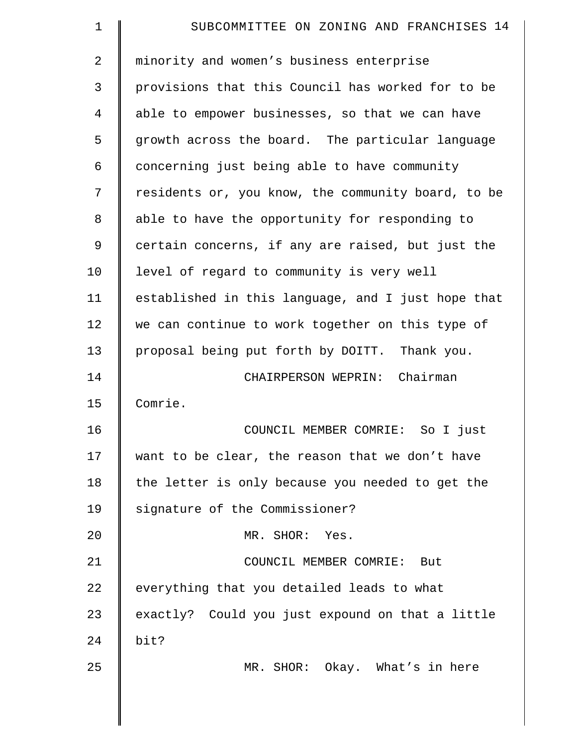| 1  | SUBCOMMITTEE ON ZONING AND FRANCHISES 14           |
|----|----------------------------------------------------|
| 2  | minority and women's business enterprise           |
| 3  | provisions that this Council has worked for to be  |
| 4  | able to empower businesses, so that we can have    |
| 5  | growth across the board. The particular language   |
| 6  | concerning just being able to have community       |
| 7  | residents or, you know, the community board, to be |
| 8  | able to have the opportunity for responding to     |
| 9  | certain concerns, if any are raised, but just the  |
| 10 | level of regard to community is very well          |
| 11 | established in this language, and I just hope that |
| 12 | we can continue to work together on this type of   |
| 13 | proposal being put forth by DOITT. Thank you.      |
| 14 | CHAIRPERSON WEPRIN: Chairman                       |
| 15 | Comrie.                                            |
| 16 | COUNCIL MEMBER COMRIE: So I just                   |
| 17 | want to be clear, the reason that we don't have    |
| 18 | the letter is only because you needed to get the   |
| 19 | signature of the Commissioner?                     |
| 20 | MR. SHOR: Yes.                                     |
| 21 | COUNCIL MEMBER COMRIE:<br>But                      |
| 22 | everything that you detailed leads to what         |
| 23 | exactly? Could you just expound on that a little   |
| 24 | bit?                                               |
| 25 | MR. SHOR: Okay. What's in here                     |
|    |                                                    |
|    |                                                    |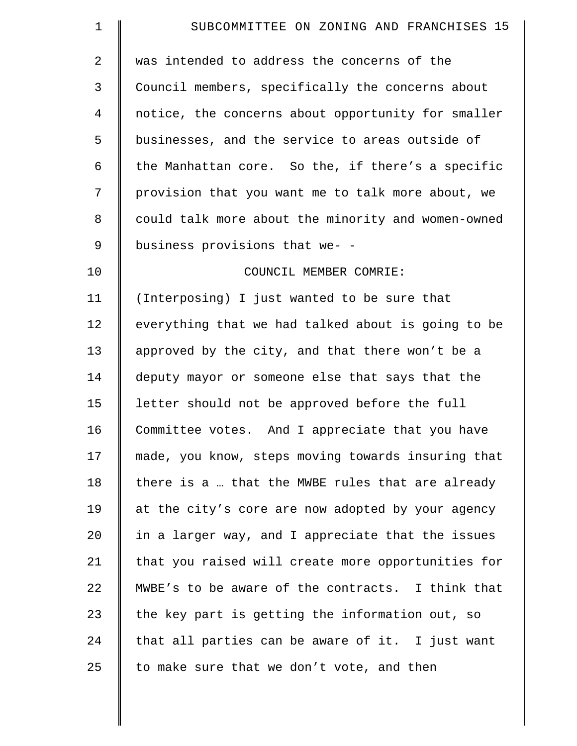| $\mathbf 1$    | SUBCOMMITTEE ON ZONING AND FRANCHISES 15           |
|----------------|----------------------------------------------------|
| $\overline{2}$ | was intended to address the concerns of the        |
| 3              | Council members, specifically the concerns about   |
| 4              | notice, the concerns about opportunity for smaller |
| 5              | businesses, and the service to areas outside of    |
| 6              | the Manhattan core. So the, if there's a specific  |
| 7              | provision that you want me to talk more about, we  |
| 8              | could talk more about the minority and women-owned |
| 9              | business provisions that we- -                     |
| 10             | COUNCIL MEMBER COMRIE:                             |
| 11             | (Interposing) I just wanted to be sure that        |
| 12             | everything that we had talked about is going to be |
| 13             | approved by the city, and that there won't be a    |
| 14             | deputy mayor or someone else that says that the    |
| 15             | letter should not be approved before the full      |
| 16             | Committee votes. And I appreciate that you have    |
| 17             | made, you know, steps moving towards insuring that |
| 18             | there is a  that the MWBE rules that are already   |
| 19             | at the city's core are now adopted by your agency  |
| 20             | in a larger way, and I appreciate that the issues  |
| 21             | that you raised will create more opportunities for |
| 22             | MWBE's to be aware of the contracts. I think that  |
| 23             | the key part is getting the information out, so    |
| 24             | that all parties can be aware of it. I just want   |
| 25             | to make sure that we don't vote, and then          |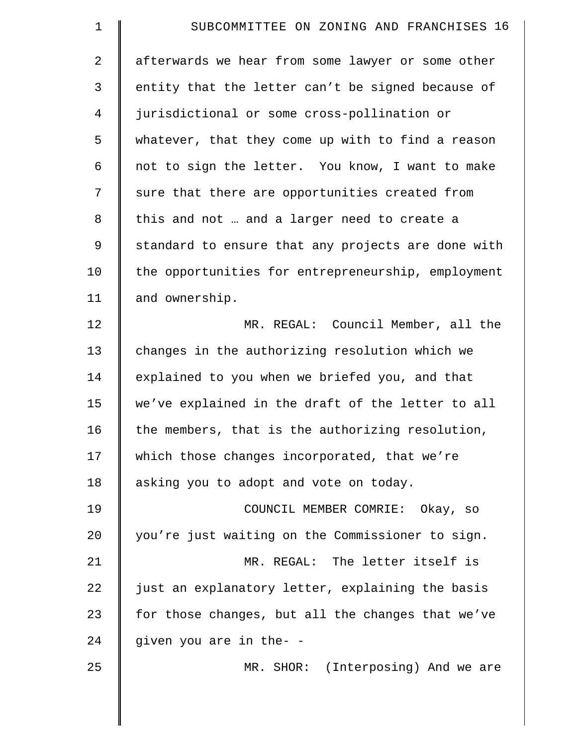| SUBCOMMITTEE ON ZONING AND FRANCHISES 16           |
|----------------------------------------------------|
| afterwards we hear from some lawyer or some other  |
| entity that the letter can't be signed because of  |
| jurisdictional or some cross-pollination or        |
| whatever, that they come up with to find a reason  |
| not to sign the letter. You know, I want to make   |
| sure that there are opportunities created from     |
| this and not  and a larger need to create a        |
| standard to ensure that any projects are done with |
| the opportunities for entrepreneurship, employment |
| and ownership.                                     |
| MR. REGAL: Council Member, all the                 |
| changes in the authorizing resolution which we     |
| explained to you when we briefed you, and that     |
| we've explained in the draft of the letter to all  |
| the members, that is the authorizing resolution,   |
| which those changes incorporated, that we're       |
| asking you to adopt and vote on today.             |
| COUNCIL MEMBER COMRIE: Okay, so                    |
| you're just waiting on the Commissioner to sign.   |
| MR. REGAL: The letter itself is                    |
| just an explanatory letter, explaining the basis   |
| for those changes, but all the changes that we've  |
| given you are in the- -                            |
| MR. SHOR: (Interposing) And we are                 |
|                                                    |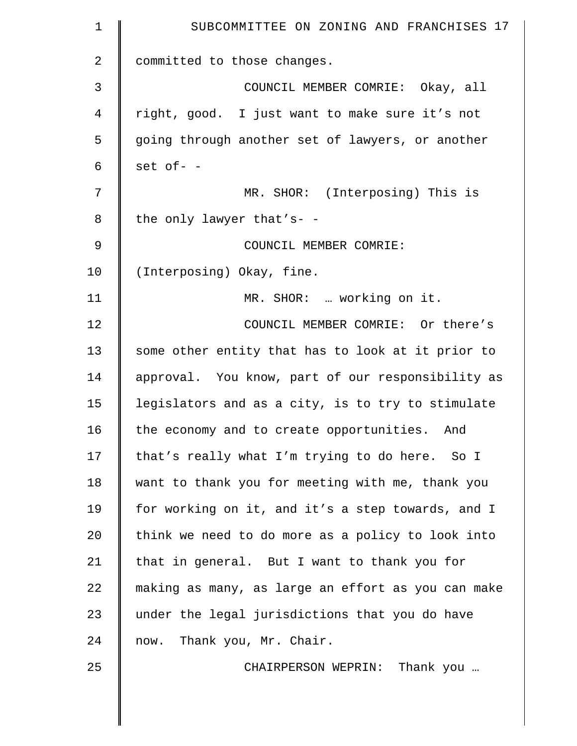| $\mathbf 1$    | SUBCOMMITTEE ON ZONING AND FRANCHISES 17           |
|----------------|----------------------------------------------------|
| $\overline{2}$ | committed to those changes.                        |
| 3              | COUNCIL MEMBER COMRIE: Okay, all                   |
| 4              | right, good. I just want to make sure it's not     |
| 5              | going through another set of lawyers, or another   |
| 6              | $set$ of- -                                        |
| 7              | MR. SHOR: (Interposing) This is                    |
| 8              | the only lawyer that's- -                          |
| $\mathsf 9$    | COUNCIL MEMBER COMRIE:                             |
| 10             | (Interposing) Okay, fine.                          |
| 11             | MR. SHOR:  working on it.                          |
| 12             | COUNCIL MEMBER COMRIE: Or there's                  |
| 13             | some other entity that has to look at it prior to  |
| 14             | approval. You know, part of our responsibility as  |
| 15             | legislators and as a city, is to try to stimulate  |
| 16             | the economy and to create opportunities. And       |
| 17             | that's really what I'm trying to do here. So I     |
| 18             | want to thank you for meeting with me, thank you   |
| 19             | for working on it, and it's a step towards, and I  |
| 20             | think we need to do more as a policy to look into  |
| 21             | that in general. But I want to thank you for       |
| 22             | making as many, as large an effort as you can make |
| 23             | under the legal jurisdictions that you do have     |
| 24             | now. Thank you, Mr. Chair.                         |
| 25             | CHAIRPERSON WEPRIN: Thank you                      |
|                |                                                    |
|                |                                                    |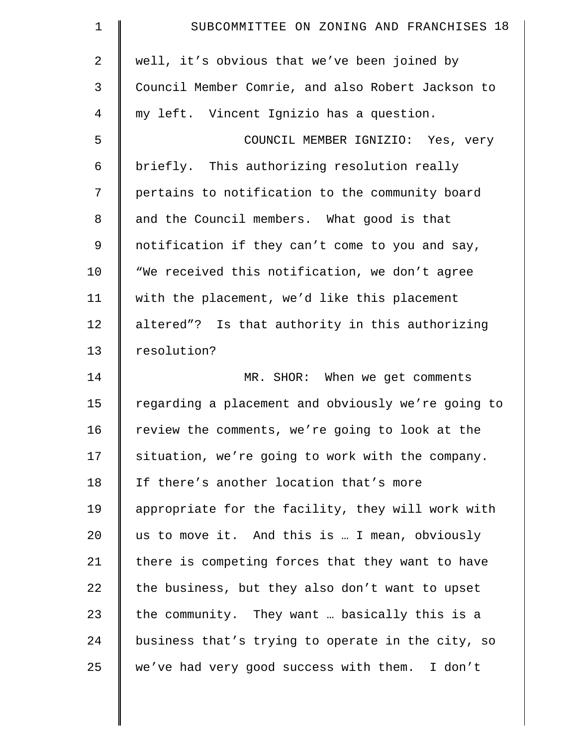| $\mathbf 1$ | SUBCOMMITTEE ON ZONING AND FRANCHISES 18           |
|-------------|----------------------------------------------------|
| 2           | well, it's obvious that we've been joined by       |
| 3           | Council Member Comrie, and also Robert Jackson to  |
| 4           | my left. Vincent Ignizio has a question.           |
| 5           | COUNCIL MEMBER IGNIZIO: Yes, very                  |
| 6           | briefly. This authorizing resolution really        |
| 7           | pertains to notification to the community board    |
| 8           | and the Council members. What good is that         |
| 9           | notification if they can't come to you and say,    |
| 10          | "We received this notification, we don't agree     |
| 11          | with the placement, we'd like this placement       |
| 12          | altered"? Is that authority in this authorizing    |
| 13          | resolution?                                        |
| 14          | MR. SHOR: When we get comments                     |
| 15          | regarding a placement and obviously we're going to |
| 16          | review the comments, we're going to look at the    |
| 17          | situation, we're going to work with the company.   |
| 18          | If there's another location that's more            |
| 19          | appropriate for the facility, they will work with  |
| 20          | us to move it. And this is  I mean, obviously      |
| 21          | there is competing forces that they want to have   |
| 22          | the business, but they also don't want to upset    |
| 23          | the community. They want  basically this is a      |
| 24          | business that's trying to operate in the city, so  |
| 25          | we've had very good success with them. I don't     |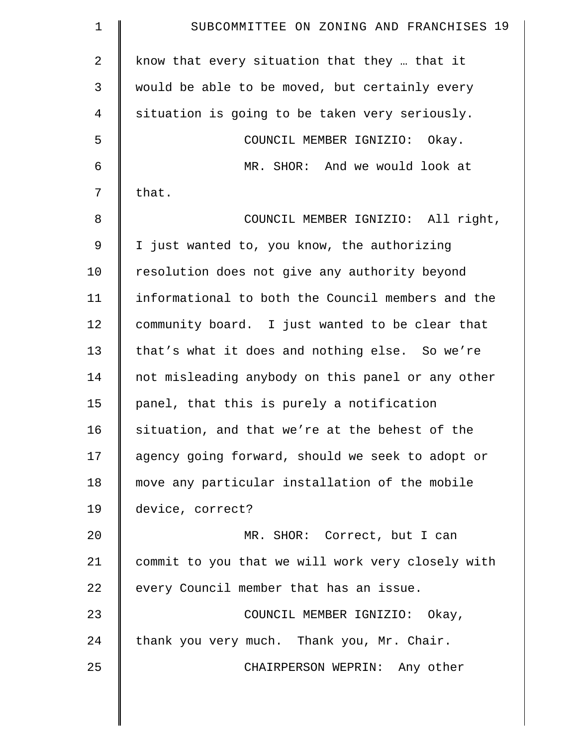| 1              | SUBCOMMITTEE ON ZONING AND FRANCHISES 19          |
|----------------|---------------------------------------------------|
| $\overline{2}$ | know that every situation that they  that it      |
| $\mathfrak{Z}$ | would be able to be moved, but certainly every    |
| 4              | situation is going to be taken very seriously.    |
| 5              | COUNCIL MEMBER IGNIZIO: Okay.                     |
| 6              | MR. SHOR: And we would look at                    |
| 7              | that.                                             |
| 8              | COUNCIL MEMBER IGNIZIO: All right,                |
| $\mathsf 9$    | I just wanted to, you know, the authorizing       |
| 10             | resolution does not give any authority beyond     |
| 11             | informational to both the Council members and the |
| 12             | community board. I just wanted to be clear that   |
| 13             | that's what it does and nothing else. So we're    |
| 14             | not misleading anybody on this panel or any other |
| 15             | panel, that this is purely a notification         |
| 16             | situation, and that we're at the behest of the    |
| 17             | agency going forward, should we seek to adopt or  |
| 18             | move any particular installation of the mobile    |
| 19             | device, correct?                                  |
| 20             | MR. SHOR: Correct, but I can                      |
| 21             | commit to you that we will work very closely with |
| 22             | every Council member that has an issue.           |
| 23             | COUNCIL MEMBER IGNIZIO: Okay,                     |
| 24             | thank you very much. Thank you, Mr. Chair.        |
| 25             | CHAIRPERSON WEPRIN: Any other                     |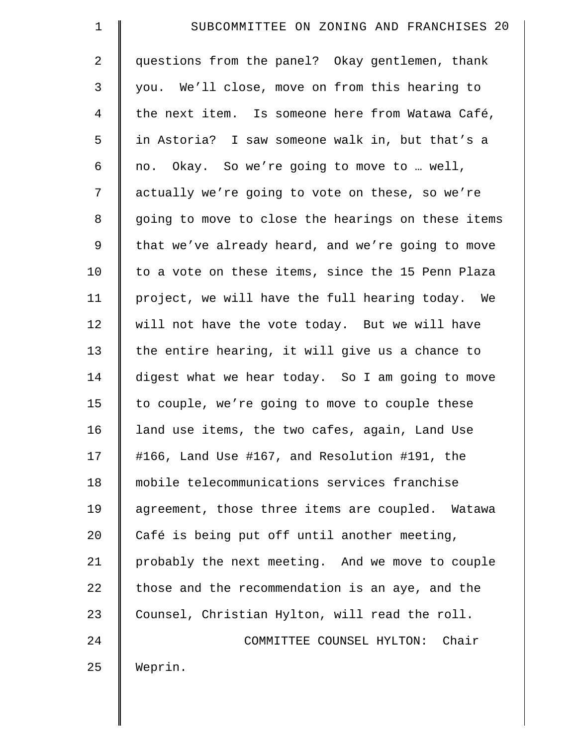| $\mathbf 1$    | SUBCOMMITTEE ON ZONING AND FRANCHISES 20           |
|----------------|----------------------------------------------------|
| 2              | questions from the panel? Okay gentlemen, thank    |
| 3              | you. We'll close, move on from this hearing to     |
| $\overline{4}$ | the next item. Is someone here from Watawa Café,   |
| 5              | in Astoria? I saw someone walk in, but that's a    |
| 6              | no. Okay. So we're going to move to  well,         |
| 7              | actually we're going to vote on these, so we're    |
| 8              | going to move to close the hearings on these items |
| 9              | that we've already heard, and we're going to move  |
| 10             | to a vote on these items, since the 15 Penn Plaza  |
| 11             | project, we will have the full hearing today. We   |
| 12             | will not have the vote today. But we will have     |
| 13             | the entire hearing, it will give us a chance to    |
| 14             | digest what we hear today. So I am going to move   |
| 15             | to couple, we're going to move to couple these     |
| 16             | land use items, the two cafes, again, Land Use     |
| 17             | #166, Land Use #167, and Resolution #191, the      |
| 18             | mobile telecommunications services franchise       |
| 19             | agreement, those three items are coupled. Watawa   |
| 20             | Café is being put off until another meeting,       |
| 21             | probably the next meeting. And we move to couple   |
| 22             | those and the recommendation is an aye, and the    |
| 23             | Counsel, Christian Hylton, will read the roll.     |
| 24             | COMMITTEE COUNSEL HYLTON: Chair                    |
| 25             | Weprin.                                            |
|                |                                                    |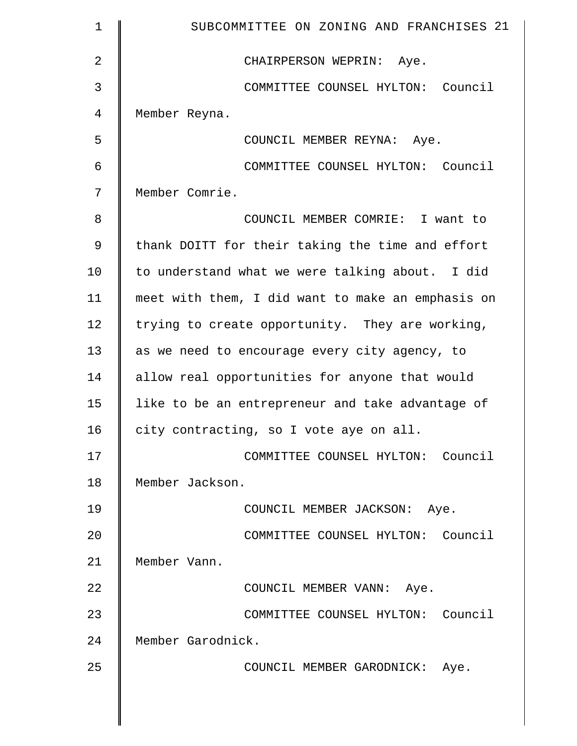| $\mathbf 1$    | SUBCOMMITTEE ON ZONING AND FRANCHISES 21          |
|----------------|---------------------------------------------------|
| $\overline{2}$ | CHAIRPERSON WEPRIN: Aye.                          |
| 3              | COMMITTEE COUNSEL HYLTON: Council                 |
| 4              | Member Reyna.                                     |
| 5              | COUNCIL MEMBER REYNA: Aye.                        |
| 6              | COMMITTEE COUNSEL HYLTON: Council                 |
| 7              | Member Comrie.                                    |
| 8              | COUNCIL MEMBER COMRIE: I want to                  |
| 9              | thank DOITT for their taking the time and effort  |
| 10             | to understand what we were talking about. I did   |
| 11             | meet with them, I did want to make an emphasis on |
| 12             | trying to create opportunity. They are working,   |
| 13             | as we need to encourage every city agency, to     |
| 14             | allow real opportunities for anyone that would    |
| 15             | like to be an entrepreneur and take advantage of  |
| 16             | city contracting, so I vote aye on all.           |
| 17             | COMMITTEE COUNSEL HYLTON: Council                 |
| 18             | Member Jackson.                                   |
| 19             | COUNCIL MEMBER JACKSON: Aye.                      |
| 20             | COMMITTEE COUNSEL HYLTON: Council                 |
| 21             | Member Vann.                                      |
| 22             | COUNCIL MEMBER VANN: Aye.                         |
| 23             | COMMITTEE COUNSEL HYLTON: Council                 |
| 24             | Member Garodnick.                                 |
| 25             | COUNCIL MEMBER GARODNICK: Aye.                    |
|                |                                                   |
|                |                                                   |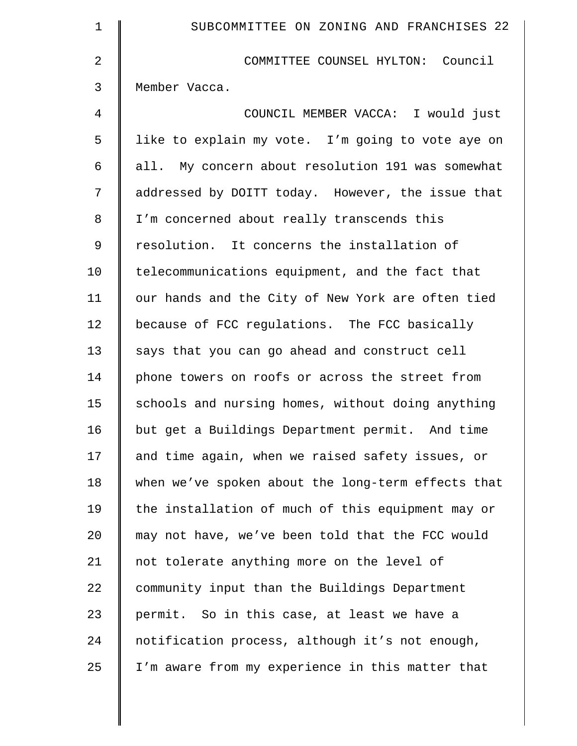| $\mathbf 1$ | SUBCOMMITTEE ON ZONING AND FRANCHISES 22           |
|-------------|----------------------------------------------------|
| 2           | COMMITTEE COUNSEL HYLTON: Council                  |
| 3           | Member Vacca.                                      |
| 4           | COUNCIL MEMBER VACCA: I would just                 |
| 5           | like to explain my vote. I'm going to vote aye on  |
| 6           | all. My concern about resolution 191 was somewhat  |
| 7           | addressed by DOITT today. However, the issue that  |
| 8           | I'm concerned about really transcends this         |
| 9           | resolution. It concerns the installation of        |
| 10          | telecommunications equipment, and the fact that    |
| 11          | our hands and the City of New York are often tied  |
| 12          | because of FCC regulations. The FCC basically      |
| 13          | says that you can go ahead and construct cell      |
| 14          | phone towers on roofs or across the street from    |
| 15          | schools and nursing homes, without doing anything  |
| 16          | but get a Buildings Department permit. And time    |
| 17          | and time again, when we raised safety issues, or   |
| 18          | when we've spoken about the long-term effects that |
| 19          | the installation of much of this equipment may or  |
| 20          | may not have, we've been told that the FCC would   |
| 21          | not tolerate anything more on the level of         |
| 22          | community input than the Buildings Department      |
| 23          | permit. So in this case, at least we have a        |
| 24          | notification process, although it's not enough,    |
| 25          | I'm aware from my experience in this matter that   |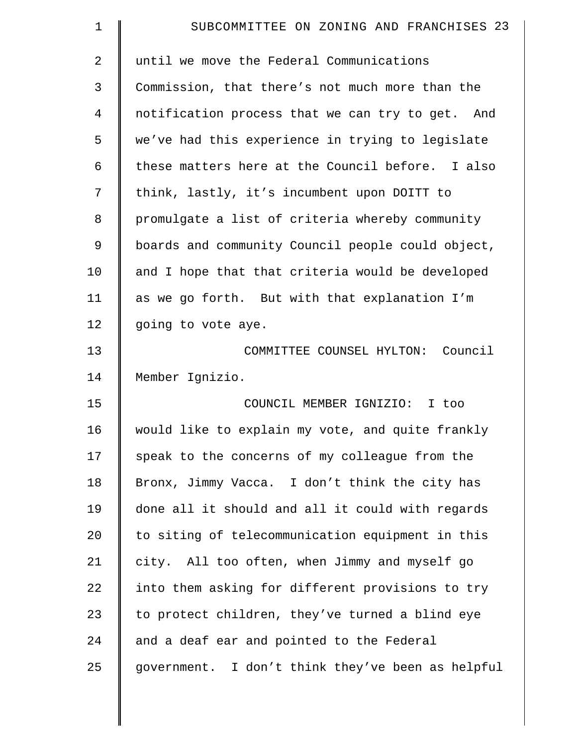| $\mathbf 1$     | SUBCOMMITTEE ON ZONING AND FRANCHISES 23          |
|-----------------|---------------------------------------------------|
| 2               | until we move the Federal Communications          |
| 3               | Commission, that there's not much more than the   |
| 4               | notification process that we can try to get. And  |
| 5               | we've had this experience in trying to legislate  |
| 6               | these matters here at the Council before. I also  |
| 7               | think, lastly, it's incumbent upon DOITT to       |
| 8               | promulgate a list of criteria whereby community   |
| 9               | boards and community Council people could object, |
| 10              | and I hope that that criteria would be developed  |
| 11              | as we go forth. But with that explanation I'm     |
| 12              | going to vote aye.                                |
| 13              | COMMITTEE COUNSEL HYLTON: Council                 |
| 14              | Member Ignizio.                                   |
| 15              | COUNCIL MEMBER IGNIZIO: I too                     |
| 16              | would like to explain my vote, and quite frankly  |
| 17              | speak to the concerns of my colleague from the    |
| 18              | Bronx, Jimmy Vacca. I don't think the city has    |
| 19              | done all it should and all it could with regards  |
| 20 <sub>o</sub> | to siting of telecommunication equipment in this  |
| 21              | city. All too often, when Jimmy and myself go     |
| 22              | into them asking for different provisions to try  |
| 23              | to protect children, they've turned a blind eye   |
| 24              | and a deaf ear and pointed to the Federal         |
| 25              | government. I don't think they've been as helpful |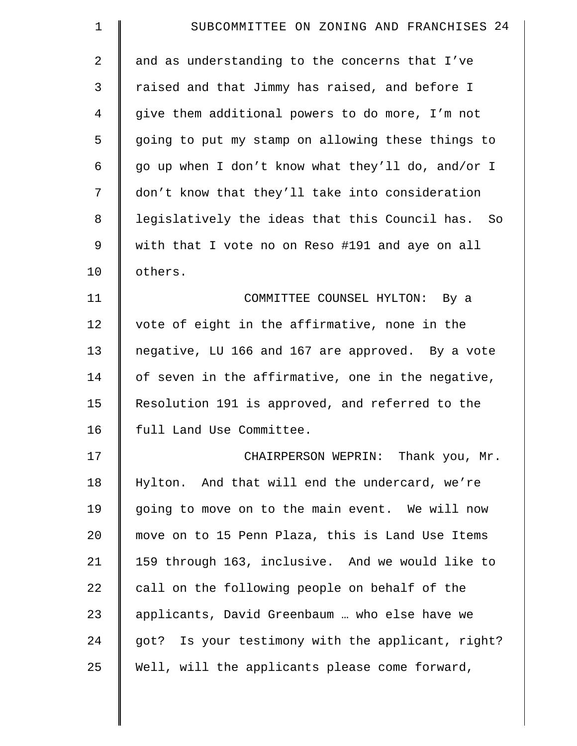| $\mathbf 1$ | SUBCOMMITTEE ON ZONING AND FRANCHISES 24          |
|-------------|---------------------------------------------------|
| 2           | and as understanding to the concerns that I've    |
| 3           | raised and that Jimmy has raised, and before I    |
| 4           | give them additional powers to do more, I'm not   |
| 5           | going to put my stamp on allowing these things to |
| 6           | go up when I don't know what they'll do, and/or I |
| 7           | don't know that they'll take into consideration   |
| $\,8\,$     | legislatively the ideas that this Council has. So |
| 9           | with that I vote no on Reso #191 and aye on all   |
| 10          | others.                                           |
| 11          | COMMITTEE COUNSEL HYLTON: By a                    |
| 12          | vote of eight in the affirmative, none in the     |
| 13          | negative, LU 166 and 167 are approved. By a vote  |
| 14          | of seven in the affirmative, one in the negative, |
| 15          | Resolution 191 is approved, and referred to the   |
| 16          | full Land Use Committee.                          |
| 17          | CHAIRPERSON WEPRIN: Thank you, Mr.                |
| 18          | Hylton. And that will end the undercard, we're    |
| 19          | going to move on to the main event. We will now   |
| 20          | move on to 15 Penn Plaza, this is Land Use Items  |
| 21          | 159 through 163, inclusive. And we would like to  |
| 22          | call on the following people on behalf of the     |
| 23          | applicants, David Greenbaum  who else have we     |
| 24          | got? Is your testimony with the applicant, right? |
| 25          | Well, will the applicants please come forward,    |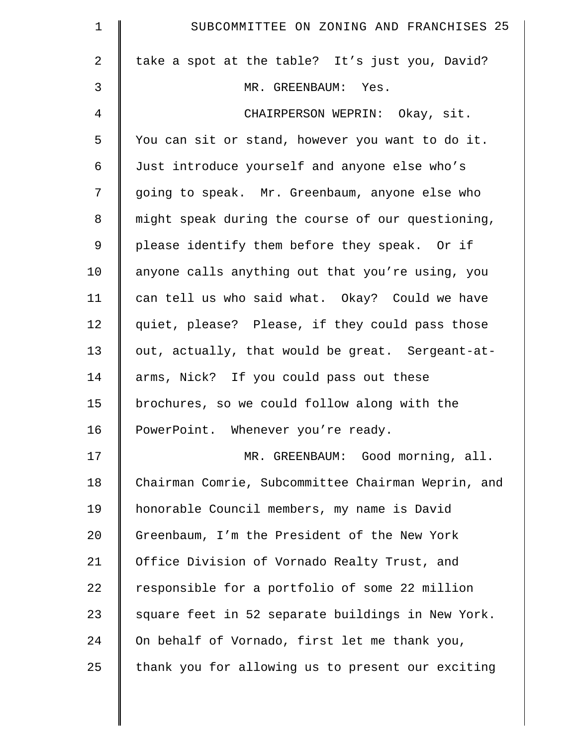| $\mathbf 1$    | SUBCOMMITTEE ON ZONING AND FRANCHISES 25           |
|----------------|----------------------------------------------------|
| $\overline{2}$ | take a spot at the table? It's just you, David?    |
| 3              | MR. GREENBAUM: Yes.                                |
| 4              | CHAIRPERSON WEPRIN: Okay, sit.                     |
| 5              | You can sit or stand, however you want to do it.   |
| 6              | Just introduce yourself and anyone else who's      |
| 7              | going to speak. Mr. Greenbaum, anyone else who     |
| 8              | might speak during the course of our questioning,  |
| 9              | please identify them before they speak. Or if      |
| 10             | anyone calls anything out that you're using, you   |
| 11             | can tell us who said what. Okay? Could we have     |
| 12             | quiet, please? Please, if they could pass those    |
| 13             | out, actually, that would be great. Sergeant-at-   |
| 14             | arms, Nick? If you could pass out these            |
| 15             | brochures, so we could follow along with the       |
| 16             | PowerPoint. Whenever you're ready.                 |
| 17             | MR. GREENBAUM: Good morning, all.                  |
| 18             | Chairman Comrie, Subcommittee Chairman Weprin, and |
| 19             | honorable Council members, my name is David        |
| 20             | Greenbaum, I'm the President of the New York       |
| 21             | Office Division of Vornado Realty Trust, and       |
| 22             | responsible for a portfolio of some 22 million     |
| 23             | square feet in 52 separate buildings in New York.  |
| 24             | On behalf of Vornado, first let me thank you,      |
| 25             | thank you for allowing us to present our exciting  |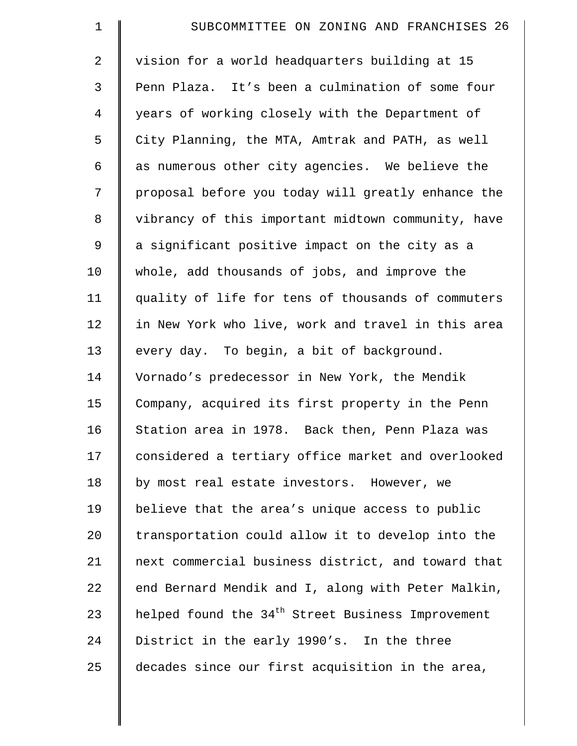| $\mathbf 1$    | SUBCOMMITTEE ON ZONING AND FRANCHISES 26                      |
|----------------|---------------------------------------------------------------|
| $\overline{2}$ | vision for a world headquarters building at 15                |
| 3              | Penn Plaza. It's been a culmination of some four              |
| $\overline{4}$ | years of working closely with the Department of               |
| 5              | City Planning, the MTA, Amtrak and PATH, as well              |
| 6              | as numerous other city agencies. We believe the               |
| 7              | proposal before you today will greatly enhance the            |
| 8              | vibrancy of this important midtown community, have            |
| 9              | a significant positive impact on the city as a                |
| 10             | whole, add thousands of jobs, and improve the                 |
| 11             | quality of life for tens of thousands of commuters            |
| 12             | in New York who live, work and travel in this area            |
| 13             | every day. To begin, a bit of background.                     |
| 14             | Vornado's predecessor in New York, the Mendik                 |
| 15             | Company, acquired its first property in the Penn              |
| 16             | Station area in 1978. Back then, Penn Plaza was               |
| 17             | considered a tertiary office market and overlooked            |
| 18             | by most real estate investors. However, we                    |
| 19             | believe that the area's unique access to public               |
| 20             | transportation could allow it to develop into the             |
| 21             | next commercial business district, and toward that            |
| 22             | end Bernard Mendik and I, along with Peter Malkin,            |
| 23             | helped found the 34 <sup>th</sup> Street Business Improvement |
| 24             | District in the early 1990's. In the three                    |
| 25             | decades since our first acquisition in the area,              |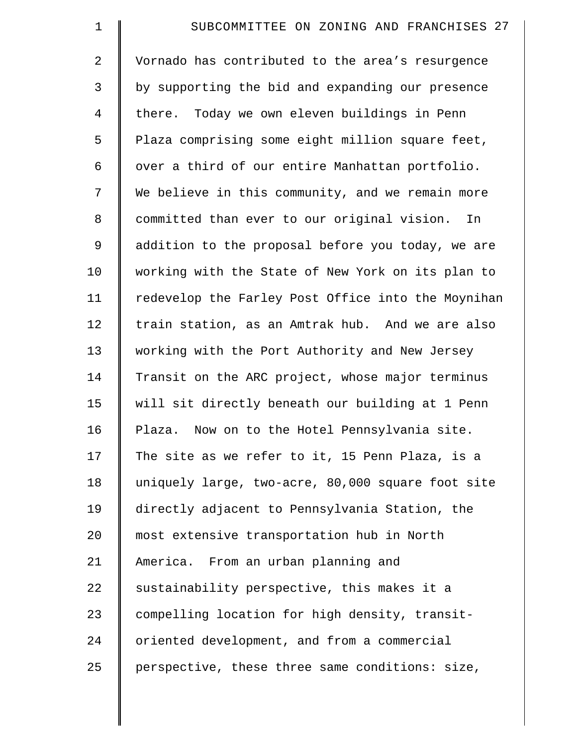| $\mathbf 1$    | SUBCOMMITTEE ON ZONING AND FRANCHISES 27           |
|----------------|----------------------------------------------------|
| $\overline{2}$ | Vornado has contributed to the area's resurgence   |
| 3              | by supporting the bid and expanding our presence   |
| $\overline{4}$ | there. Today we own eleven buildings in Penn       |
| 5              | Plaza comprising some eight million square feet,   |
| 6              | over a third of our entire Manhattan portfolio.    |
| 7              | We believe in this community, and we remain more   |
| 8              | committed than ever to our original vision.<br>In  |
| 9              | addition to the proposal before you today, we are  |
| 10             | working with the State of New York on its plan to  |
| 11             | redevelop the Farley Post Office into the Moynihan |
| 12             | train station, as an Amtrak hub. And we are also   |
| 13             | working with the Port Authority and New Jersey     |
| 14             | Transit on the ARC project, whose major terminus   |
| 15             | will sit directly beneath our building at 1 Penn   |
| 16             | Plaza. Now on to the Hotel Pennsylvania site.      |
| 17             | The site as we refer to it, 15 Penn Plaza, is a    |
| 18             | uniquely large, two-acre, 80,000 square foot site  |
| 19             | directly adjacent to Pennsylvania Station, the     |
| 20             | most extensive transportation hub in North         |
| 21             | America. From an urban planning and                |
| 22             | sustainability perspective, this makes it a        |
| 23             | compelling location for high density, transit-     |
| 24             | oriented development, and from a commercial        |
| 25             | perspective, these three same conditions: size,    |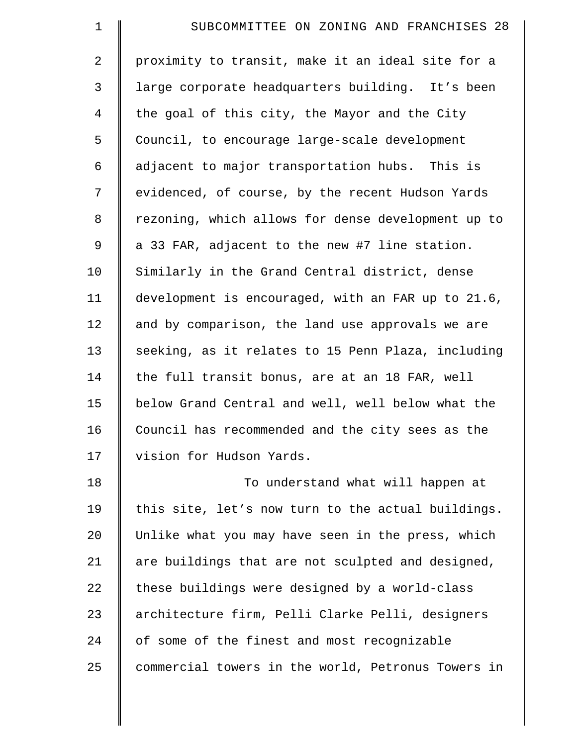| $\mathbf 1$    | SUBCOMMITTEE ON ZONING AND FRANCHISES 28           |
|----------------|----------------------------------------------------|
| $\overline{2}$ | proximity to transit, make it an ideal site for a  |
| 3              | large corporate headquarters building. It's been   |
| $\overline{4}$ | the goal of this city, the Mayor and the City      |
| 5              | Council, to encourage large-scale development      |
| 6              | adjacent to major transportation hubs. This is     |
| 7              | evidenced, of course, by the recent Hudson Yards   |
| 8              | rezoning, which allows for dense development up to |
| 9              | a 33 FAR, adjacent to the new #7 line station.     |
| 10             | Similarly in the Grand Central district, dense     |
| 11             | development is encouraged, with an FAR up to 21.6, |
| 12             | and by comparison, the land use approvals we are   |
| 13             | seeking, as it relates to 15 Penn Plaza, including |
| 14             | the full transit bonus, are at an 18 FAR, well     |
| 15             | below Grand Central and well, well below what the  |
| 16             | Council has recommended and the city sees as the   |
| 17             | vision for Hudson Yards.                           |
| 18             | To understand what will happen at                  |
| 19             | this site, let's now turn to the actual buildings. |
| 20             | Unlike what you may have seen in the press, which  |
| 21             | are buildings that are not sculpted and designed,  |
| 22             | these buildings were designed by a world-class     |
| 23             | architecture firm, Pelli Clarke Pelli, designers   |
| 24             | of some of the finest and most recognizable        |
| 25             | commercial towers in the world, Petronus Towers in |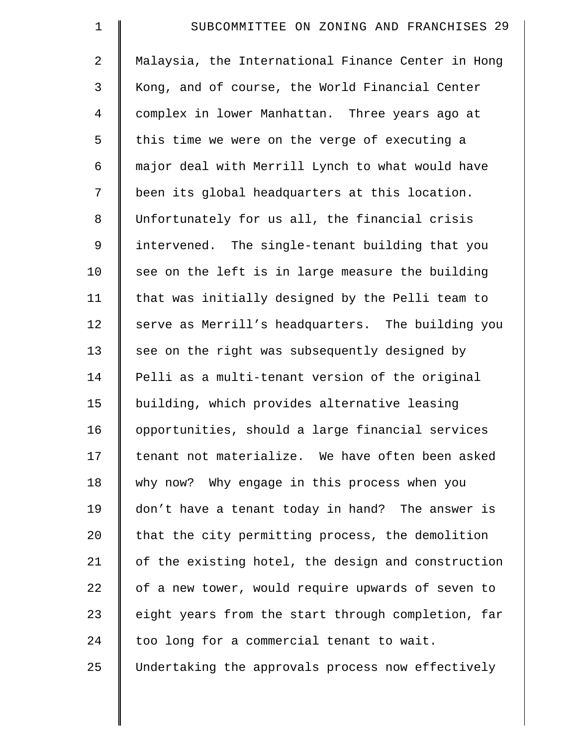| $\mathbf 1$    | SUBCOMMITTEE ON ZONING AND FRANCHISES 29           |
|----------------|----------------------------------------------------|
| $\overline{a}$ | Malaysia, the International Finance Center in Hong |
| 3              | Kong, and of course, the World Financial Center    |
| $\overline{4}$ | complex in lower Manhattan. Three years ago at     |
| 5              | this time we were on the verge of executing a      |
| 6              | major deal with Merrill Lynch to what would have   |
| 7              | been its global headquarters at this location.     |
| 8              | Unfortunately for us all, the financial crisis     |
| 9              | intervened. The single-tenant building that you    |
| 10             | see on the left is in large measure the building   |
| 11             | that was initially designed by the Pelli team to   |
| 12             | serve as Merrill's headquarters. The building you  |
| 13             | see on the right was subsequently designed by      |
| 14             | Pelli as a multi-tenant version of the original    |
| 15             | building, which provides alternative leasing       |
| 16             | opportunities, should a large financial services   |
| 17             | tenant not materialize. We have often been asked   |
| 18             | why now? Why engage in this process when you       |
| 19             | don't have a tenant today in hand? The answer is   |
| 20             | that the city permitting process, the demolition   |
| 21             | of the existing hotel, the design and construction |
| 22             | of a new tower, would require upwards of seven to  |
| 23             | eight years from the start through completion, far |
| 24             | too long for a commercial tenant to wait.          |
| 25             | Undertaking the approvals process now effectively  |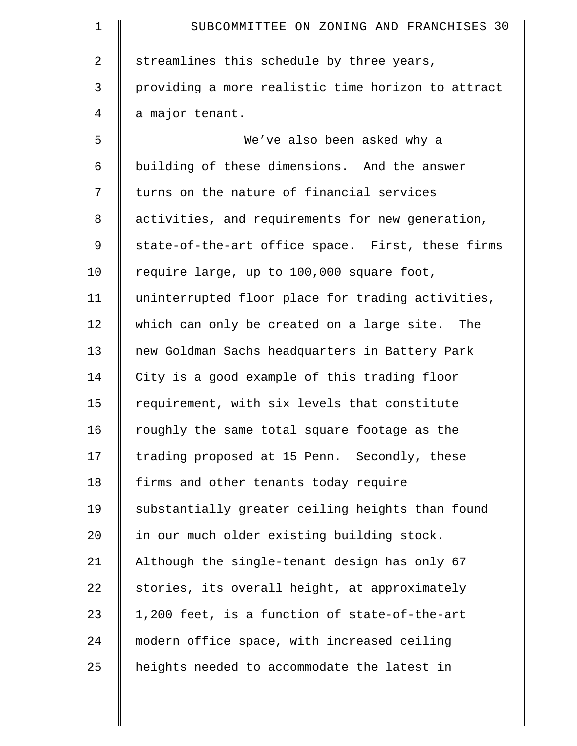| $\mathbf 1$    | SUBCOMMITTEE ON ZONING AND FRANCHISES 30           |
|----------------|----------------------------------------------------|
| $\overline{2}$ | streamlines this schedule by three years,          |
| 3              | providing a more realistic time horizon to attract |
| 4              | a major tenant.                                    |
| 5              | We've also been asked why a                        |
| 6              | building of these dimensions. And the answer       |
| 7              | turns on the nature of financial services          |
| 8              | activities, and requirements for new generation,   |
| 9              | state-of-the-art office space. First, these firms  |
| 10             | require large, up to 100,000 square foot,          |
| 11             | uninterrupted floor place for trading activities,  |
| 12             | which can only be created on a large site. The     |
| 13             | new Goldman Sachs headquarters in Battery Park     |
| 14             | City is a good example of this trading floor       |
| 15             | requirement, with six levels that constitute       |
| 16             | roughly the same total square footage as the       |
| 17             | trading proposed at 15 Penn. Secondly, these       |
| 18             | firms and other tenants today require              |
| 19             | substantially greater ceiling heights than found   |
| 20             | in our much older existing building stock.         |
| 21             | Although the single-tenant design has only 67      |
| 22             | stories, its overall height, at approximately      |
| 23             | 1,200 feet, is a function of state-of-the-art      |
| 24             | modern office space, with increased ceiling        |
| 25             | heights needed to accommodate the latest in        |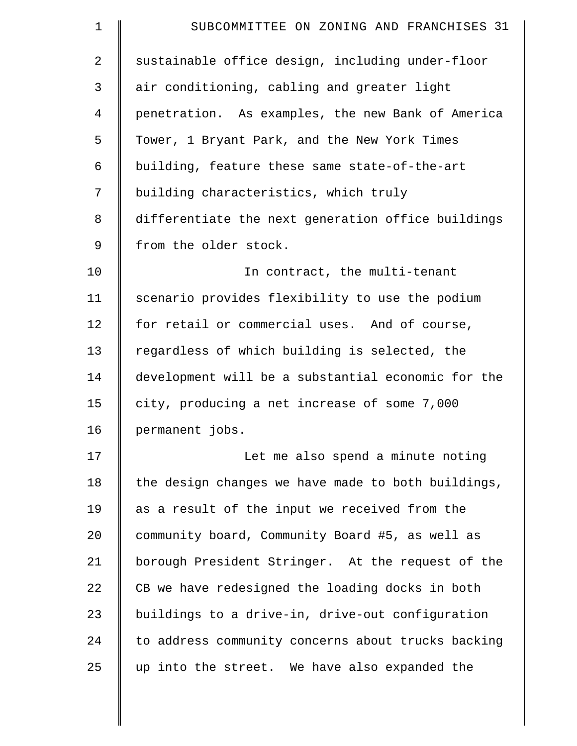| $\mathbf 1$    | SUBCOMMITTEE ON ZONING AND FRANCHISES 31           |
|----------------|----------------------------------------------------|
| $\overline{a}$ | sustainable office design, including under-floor   |
| 3              | air conditioning, cabling and greater light        |
| 4              | penetration. As examples, the new Bank of America  |
| 5              | Tower, 1 Bryant Park, and the New York Times       |
| 6              | building, feature these same state-of-the-art      |
| 7              | building characteristics, which truly              |
| 8              | differentiate the next generation office buildings |
| 9              | from the older stock.                              |
| 10             | In contract, the multi-tenant                      |
| 11             | scenario provides flexibility to use the podium    |
| 12             | for retail or commercial uses. And of course,      |
| 13             | regardless of which building is selected, the      |
| 14             | development will be a substantial economic for the |
| 15             | city, producing a net increase of some 7,000       |
| 16             | permanent jobs.                                    |
| 17             | Let me also spend a minute noting                  |
| 18             | the design changes we have made to both buildings, |
| 19             | as a result of the input we received from the      |
| 20             | community board, Community Board #5, as well as    |
| 21             | borough President Stringer. At the request of the  |
| 22             | CB we have redesigned the loading docks in both    |
| 23             | buildings to a drive-in, drive-out configuration   |
| 24             | to address community concerns about trucks backing |
| 25             | up into the street. We have also expanded the      |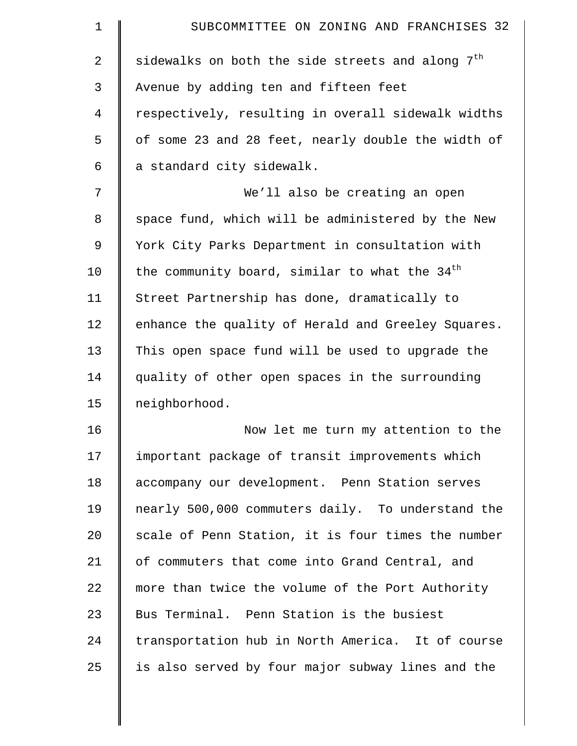| $\mathbf 1$    | SUBCOMMITTEE ON ZONING AND FRANCHISES 32                     |
|----------------|--------------------------------------------------------------|
| $\overline{2}$ | sidewalks on both the side streets and along $7^{\text{th}}$ |
| 3              | Avenue by adding ten and fifteen feet                        |
| 4              | respectively, resulting in overall sidewalk widths           |
| 5              | of some 23 and 28 feet, nearly double the width of           |
| 6              | a standard city sidewalk.                                    |
| 7              | We'll also be creating an open                               |
| 8              | space fund, which will be administered by the New            |
| 9              | York City Parks Department in consultation with              |
| 10             | the community board, similar to what the $34th$              |
| 11             | Street Partnership has done, dramatically to                 |
| 12             | enhance the quality of Herald and Greeley Squares.           |
| 13             | This open space fund will be used to upgrade the             |
| 14             | quality of other open spaces in the surrounding              |
| 15             | neighborhood.                                                |
| 16             | Now let me turn my attention to the                          |
| 17             | important package of transit improvements which              |
| 18             | accompany our development. Penn Station serves               |
| 19             | nearly 500,000 commuters daily. To understand the            |
| 20             | scale of Penn Station, it is four times the number           |
| 21             | of commuters that come into Grand Central, and               |
| 22             | more than twice the volume of the Port Authority             |
| 23             | Bus Terminal. Penn Station is the busiest                    |
| 24             | transportation hub in North America. It of course            |
| 25             | is also served by four major subway lines and the            |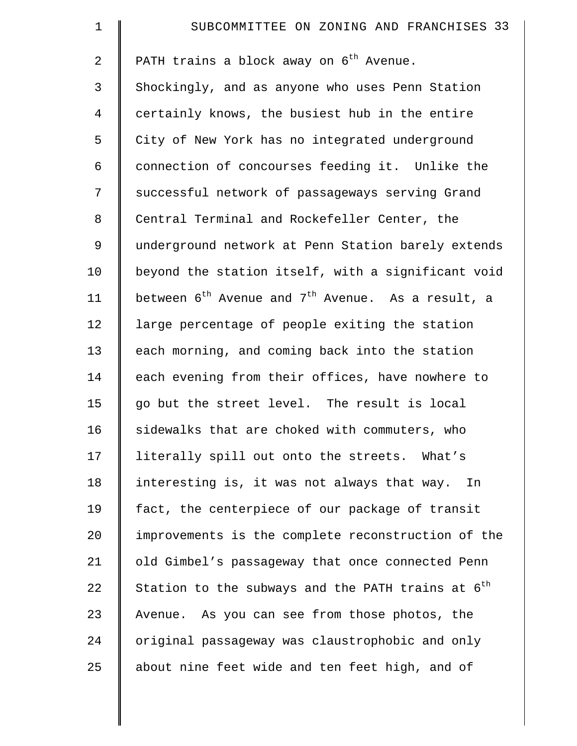| $\mathbf 1$    | SUBCOMMITTEE ON ZONING AND FRANCHISES 33                      |
|----------------|---------------------------------------------------------------|
| $\overline{2}$ | PATH trains a block away on 6 <sup>th</sup> Avenue.           |
| 3              | Shockingly, and as anyone who uses Penn Station               |
| $\overline{4}$ | certainly knows, the busiest hub in the entire                |
| 5              | City of New York has no integrated underground                |
| 6              | connection of concourses feeding it. Unlike the               |
| 7              | successful network of passageways serving Grand               |
| 8              | Central Terminal and Rockefeller Center, the                  |
| 9              | underground network at Penn Station barely extends            |
| 10             | beyond the station itself, with a significant void            |
| 11             | between $6^{th}$ Avenue and $7^{th}$ Avenue. As a result, a   |
| 12             | large percentage of people exiting the station                |
| 13             | each morning, and coming back into the station                |
| 14             | each evening from their offices, have nowhere to              |
| 15             | go but the street level. The result is local                  |
| 16             | sidewalks that are choked with commuters, who                 |
| 17             | literally spill out onto the streets. What's                  |
| 18             | interesting is, it was not always that way. In                |
| 19             | fact, the centerpiece of our package of transit               |
| 20             | improvements is the complete reconstruction of the            |
| 21             | old Gimbel's passageway that once connected Penn              |
| 22             | Station to the subways and the PATH trains at 6 <sup>th</sup> |
| 23             | Avenue. As you can see from those photos, the                 |
| 24             | original passageway was claustrophobic and only               |
| 25             | about nine feet wide and ten feet high, and of                |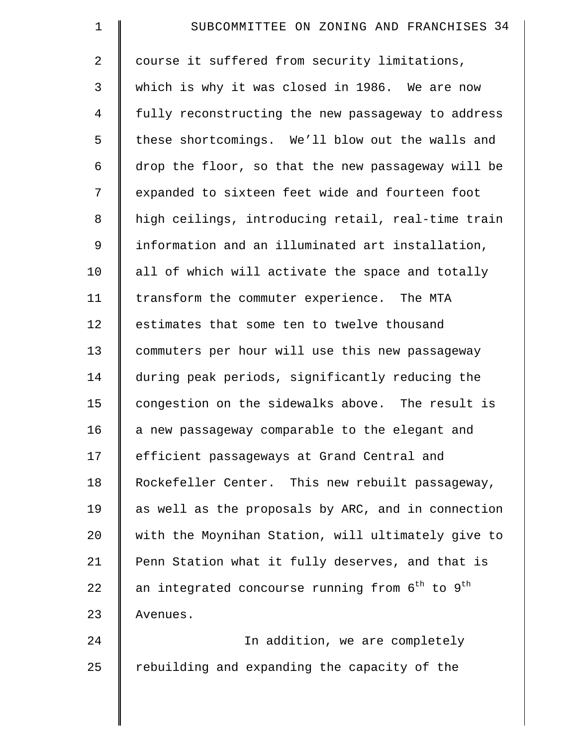| $\mathbf 1$    | SUBCOMMITTEE ON ZONING AND FRANCHISES 34                                |
|----------------|-------------------------------------------------------------------------|
| 2              | course it suffered from security limitations,                           |
| 3              | which is why it was closed in 1986. We are now                          |
| $\overline{4}$ | fully reconstructing the new passageway to address                      |
| 5              | these shortcomings. We'll blow out the walls and                        |
| 6              | drop the floor, so that the new passageway will be                      |
| 7              | expanded to sixteen feet wide and fourteen foot                         |
| 8              | high ceilings, introducing retail, real-time train                      |
| 9              | information and an illuminated art installation,                        |
| 10             | all of which will activate the space and totally                        |
| 11             | transform the commuter experience. The MTA                              |
| 12             | estimates that some ten to twelve thousand                              |
| 13             | commuters per hour will use this new passageway                         |
| 14             | during peak periods, significantly reducing the                         |
| 15             | congestion on the sidewalks above. The result is                        |
| 16             | a new passageway comparable to the elegant and                          |
| 17             | efficient passageways at Grand Central and                              |
| 18             | Rockefeller Center. This new rebuilt passageway,                        |
| 19             | as well as the proposals by ARC, and in connection                      |
| 20             | with the Moynihan Station, will ultimately give to                      |
| 21             | Penn Station what it fully deserves, and that is                        |
| 22             | an integrated concourse running from 6 <sup>th</sup> to 9 <sup>th</sup> |
| 23             | Avenues.                                                                |
| 24             | In addition, we are completely                                          |
| 25             | rebuilding and expanding the capacity of the                            |
|                |                                                                         |

 $\parallel$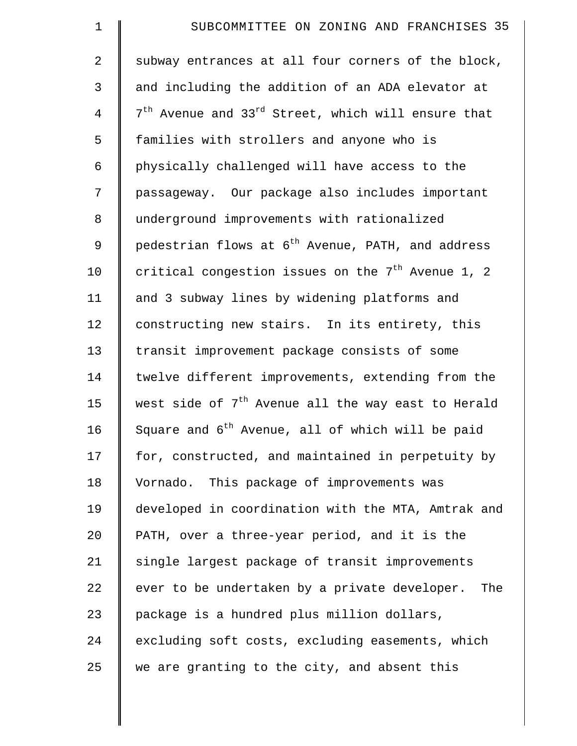| $\mathbf 1$    | SUBCOMMITTEE ON ZONING AND FRANCHISES 35                       |
|----------------|----------------------------------------------------------------|
| $\overline{2}$ | subway entrances at all four corners of the block,             |
| 3              | and including the addition of an ADA elevator at               |
| $\overline{4}$ | $7th$ Avenue and 33 $rd$ Street, which will ensure that        |
| 5              | families with strollers and anyone who is                      |
| 6              | physically challenged will have access to the                  |
| 7              | passageway. Our package also includes important                |
| 8              | underground improvements with rationalized                     |
| 9              | pedestrian flows at 6 <sup>th</sup> Avenue, PATH, and address  |
| 10             | critical congestion issues on the $7th$ Avenue 1, 2            |
| 11             | and 3 subway lines by widening platforms and                   |
| 12             | constructing new stairs. In its entirety, this                 |
| 13             | transit improvement package consists of some                   |
| 14             | twelve different improvements, extending from the              |
| 15             | west side of 7 <sup>th</sup> Avenue all the way east to Herald |
| 16             | Square and 6 <sup>th</sup> Avenue, all of which will be paid   |
| 17             | for, constructed, and maintained in perpetuity by              |
| 18             | Vornado. This package of improvements was                      |
| 19             | developed in coordination with the MTA, Amtrak and             |
| 20             | PATH, over a three-year period, and it is the                  |
| 21             | single largest package of transit improvements                 |
| 22             | ever to be undertaken by a private developer.<br>The           |
| 23             | package is a hundred plus million dollars,                     |
| 24             | excluding soft costs, excluding easements, which               |
| 25             | we are granting to the city, and absent this                   |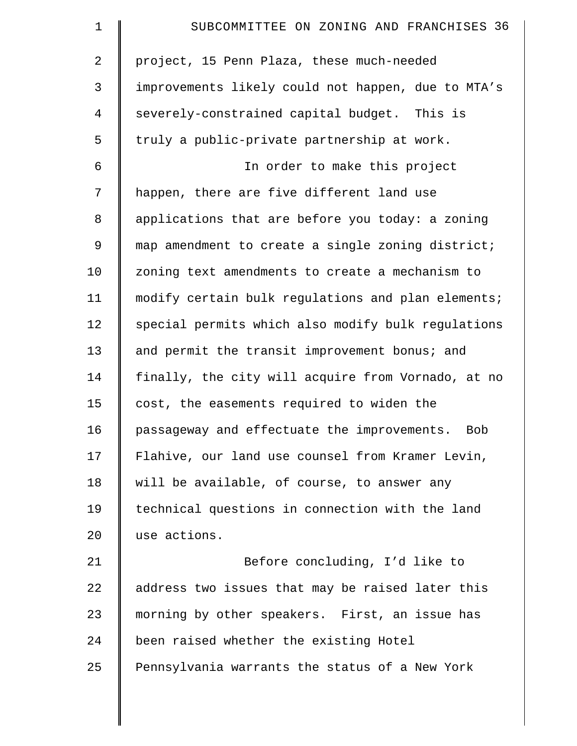| $\mathbf 1$    | SUBCOMMITTEE ON ZONING AND FRANCHISES 36                  |
|----------------|-----------------------------------------------------------|
| $\overline{2}$ | project, 15 Penn Plaza, these much-needed                 |
| 3              | improvements likely could not happen, due to MTA's        |
| $\overline{4}$ | severely-constrained capital budget. This is              |
| 5              | truly a public-private partnership at work.               |
| 6              | In order to make this project                             |
| 7              | happen, there are five different land use                 |
| 8              | applications that are before you today: a zoning          |
| $\mathsf 9$    | map amendment to create a single zoning district;         |
| 10             | zoning text amendments to create a mechanism to           |
| 11             | modify certain bulk regulations and plan elements;        |
| 12             | special permits which also modify bulk regulations        |
| 13             | and permit the transit improvement bonus; and             |
| 14             | finally, the city will acquire from Vornado, at no        |
| 15             | cost, the easements required to widen the                 |
| 16             | passageway and effectuate the improvements.<br><b>Bob</b> |
| 17             | Flahive, our land use counsel from Kramer Levin,          |
| 18             | will be available, of course, to answer any               |
| 19             | technical questions in connection with the land           |
| 20             | use actions.                                              |
| 21             | Before concluding, I'd like to                            |
| 22             | address two issues that may be raised later this          |
| 23             | morning by other speakers. First, an issue has            |
| 24             | been raised whether the existing Hotel                    |
| 25             | Pennsylvania warrants the status of a New York            |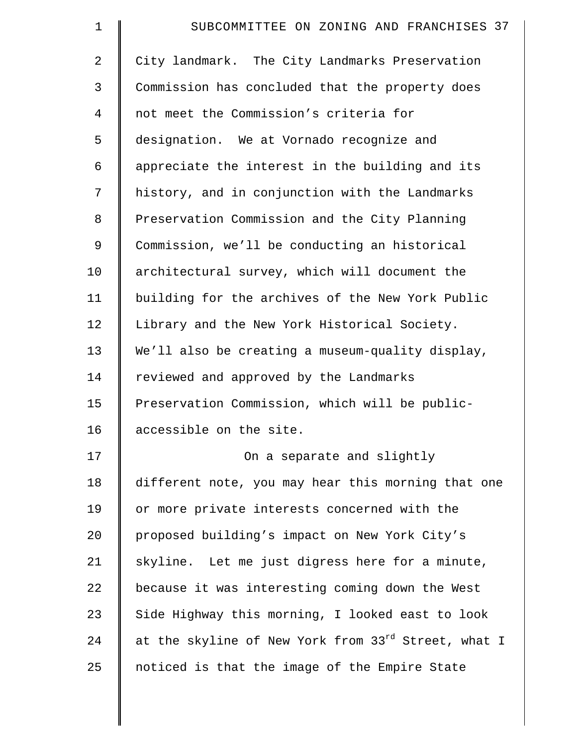| $\mathbf 1$    | SUBCOMMITTEE ON ZONING AND FRANCHISES 37            |
|----------------|-----------------------------------------------------|
| $\overline{2}$ | City landmark. The City Landmarks Preservation      |
| 3              | Commission has concluded that the property does     |
| $\overline{4}$ | not meet the Commission's criteria for              |
| 5              | designation. We at Vornado recognize and            |
| 6              | appreciate the interest in the building and its     |
| 7              | history, and in conjunction with the Landmarks      |
| 8              | Preservation Commission and the City Planning       |
| 9              | Commission, we'll be conducting an historical       |
| 10             | architectural survey, which will document the       |
| 11             | building for the archives of the New York Public    |
| 12             | Library and the New York Historical Society.        |
| 13             | We'll also be creating a museum-quality display,    |
| 14             | reviewed and approved by the Landmarks              |
| 15             | Preservation Commission, which will be public-      |
| 16             | accessible on the site.                             |
| 17             | On a separate and slightly                          |
| 18             | different note, you may hear this morning that one  |
| 19             | or more private interests concerned with the        |
| 20             | proposed building's impact on New York City's       |
| 21             | skyline. Let me just digress here for a minute,     |
| 22             | because it was interesting coming down the West     |
| 23             | Side Highway this morning, I looked east to look    |
| 24             | at the skyline of New York from 33rd Street, what I |
| 25             | noticed is that the image of the Empire State       |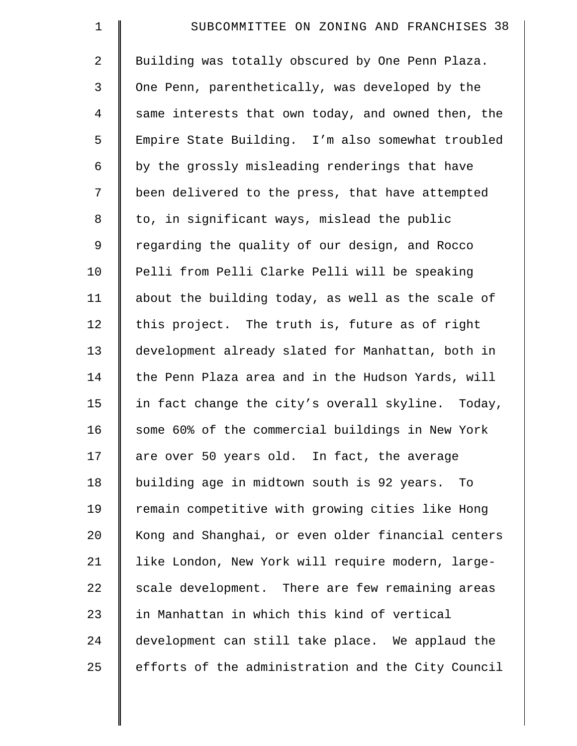| $\mathbf 1$    | SUBCOMMITTEE ON ZONING AND FRANCHISES 38           |
|----------------|----------------------------------------------------|
| 2              | Building was totally obscured by One Penn Plaza.   |
| 3              | One Penn, parenthetically, was developed by the    |
| $\overline{4}$ | same interests that own today, and owned then, the |
| 5              | Empire State Building. I'm also somewhat troubled  |
| 6              | by the grossly misleading renderings that have     |
| 7              | been delivered to the press, that have attempted   |
| 8              | to, in significant ways, mislead the public        |
| 9              | regarding the quality of our design, and Rocco     |
| 10             | Pelli from Pelli Clarke Pelli will be speaking     |
| 11             | about the building today, as well as the scale of  |
| 12             | this project. The truth is, future as of right     |
| 13             | development already slated for Manhattan, both in  |
| 14             | the Penn Plaza area and in the Hudson Yards, will  |
| 15             | in fact change the city's overall skyline. Today,  |
| 16             | some 60% of the commercial buildings in New York   |
| 17             | are over 50 years old. In fact, the average        |
| 18             | building age in midtown south is 92 years. To      |
| 19             | remain competitive with growing cities like Hong   |
| 20             | Kong and Shanghai, or even older financial centers |
| 21             | like London, New York will require modern, large-  |
| 22             | scale development. There are few remaining areas   |
| 23             | in Manhattan in which this kind of vertical        |
| 24             | development can still take place. We applaud the   |
| 25             | efforts of the administration and the City Council |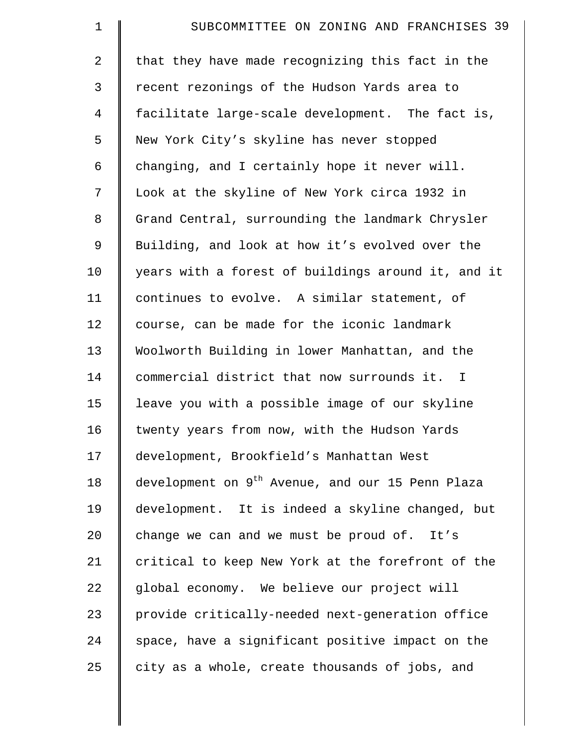| $\mathbf 1$    | SUBCOMMITTEE ON ZONING AND FRANCHISES 39                     |
|----------------|--------------------------------------------------------------|
| $\overline{a}$ | that they have made recognizing this fact in the             |
| 3              | recent rezonings of the Hudson Yards area to                 |
| $\overline{4}$ | facilitate large-scale development. The fact is,             |
| 5              | New York City's skyline has never stopped                    |
| 6              | changing, and I certainly hope it never will.                |
| 7              | Look at the skyline of New York circa 1932 in                |
| 8              | Grand Central, surrounding the landmark Chrysler             |
| 9              | Building, and look at how it's evolved over the              |
| 10             | years with a forest of buildings around it, and it           |
| 11             | continues to evolve. A similar statement, of                 |
| 12             | course, can be made for the iconic landmark                  |
| 13             | Woolworth Building in lower Manhattan, and the               |
| 14             | commercial district that now surrounds it. I                 |
| 15             | leave you with a possible image of our skyline               |
| 16             | twenty years from now, with the Hudson Yards                 |
| 17             | development, Brookfield's Manhattan West                     |
| 18             | development on 9 <sup>th</sup> Avenue, and our 15 Penn Plaza |
| 19             | development. It is indeed a skyline changed, but             |
| 20             | change we can and we must be proud of. It's                  |
| 21             | critical to keep New York at the forefront of the            |
| 22             | global economy. We believe our project will                  |
| 23             | provide critically-needed next-generation office             |
| 24             | space, have a significant positive impact on the             |
| 25             | city as a whole, create thousands of jobs, and               |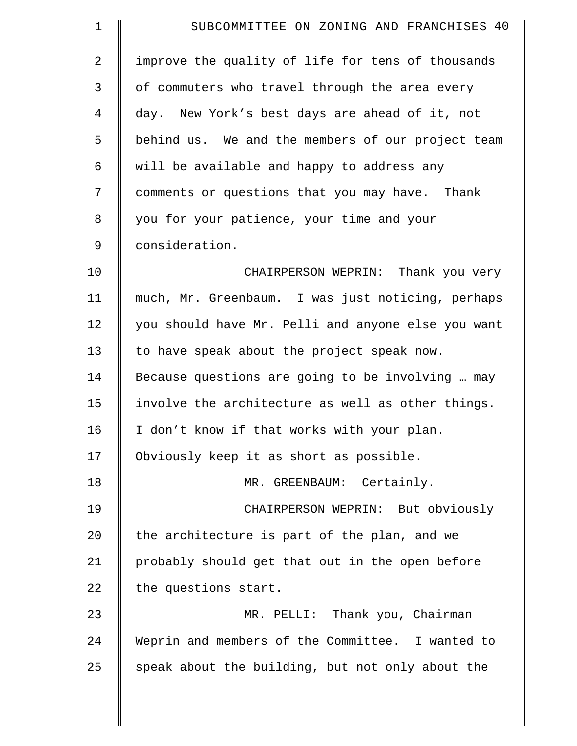| 1  | SUBCOMMITTEE ON ZONING AND FRANCHISES 40           |
|----|----------------------------------------------------|
| 2  | improve the quality of life for tens of thousands  |
| 3  | of commuters who travel through the area every     |
| 4  | day. New York's best days are ahead of it, not     |
| 5  | behind us. We and the members of our project team  |
| 6  | will be available and happy to address any         |
| 7  | comments or questions that you may have. Thank     |
| 8  | you for your patience, your time and your          |
| 9  | consideration.                                     |
| 10 | CHAIRPERSON WEPRIN: Thank you very                 |
| 11 | much, Mr. Greenbaum. I was just noticing, perhaps  |
| 12 | you should have Mr. Pelli and anyone else you want |
| 13 | to have speak about the project speak now.         |
| 14 | Because questions are going to be involving  may   |
| 15 | involve the architecture as well as other things.  |
| 16 | I don't know if that works with your plan.         |
| 17 | Obviously keep it as short as possible.            |
| 18 | MR. GREENBAUM: Certainly.                          |
| 19 | CHAIRPERSON WEPRIN: But obviously                  |
| 20 | the architecture is part of the plan, and we       |
| 21 | probably should get that out in the open before    |
| 22 | the questions start.                               |
| 23 | MR. PELLI: Thank you, Chairman                     |
| 24 | Weprin and members of the Committee. I wanted to   |
| 25 | speak about the building, but not only about the   |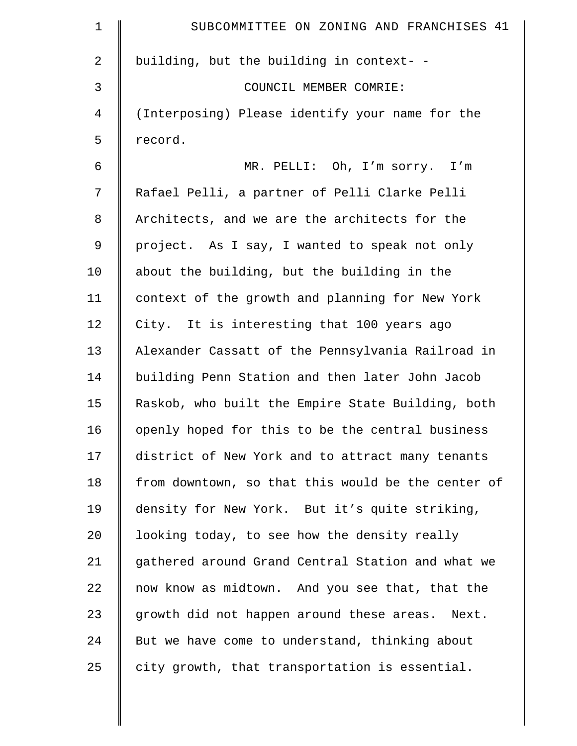| $\mathbf 1$    | SUBCOMMITTEE ON ZONING AND FRANCHISES 41           |
|----------------|----------------------------------------------------|
| $\overline{2}$ | building, but the building in context- -           |
| 3              | COUNCIL MEMBER COMRIE:                             |
| $\overline{4}$ | (Interposing) Please identify your name for the    |
| 5              | record.                                            |
| 6              | MR. PELLI: Oh, I'm sorry. I'm                      |
| 7              | Rafael Pelli, a partner of Pelli Clarke Pelli      |
| $\,8\,$        | Architects, and we are the architects for the      |
| 9              | project. As I say, I wanted to speak not only      |
| 10             | about the building, but the building in the        |
| 11             | context of the growth and planning for New York    |
| 12             | City. It is interesting that 100 years ago         |
| 13             | Alexander Cassatt of the Pennsylvania Railroad in  |
| 14             | building Penn Station and then later John Jacob    |
| 15             | Raskob, who built the Empire State Building, both  |
| 16             | openly hoped for this to be the central business   |
| 17             | district of New York and to attract many tenants   |
| 18             | from downtown, so that this would be the center of |
| 19             | density for New York. But it's quite striking,     |
| 20             | looking today, to see how the density really       |
| 21             | gathered around Grand Central Station and what we  |
| 22             | now know as midtown. And you see that, that the    |
| 23             | growth did not happen around these areas. Next.    |
| 24             | But we have come to understand, thinking about     |
| 25             | city growth, that transportation is essential.     |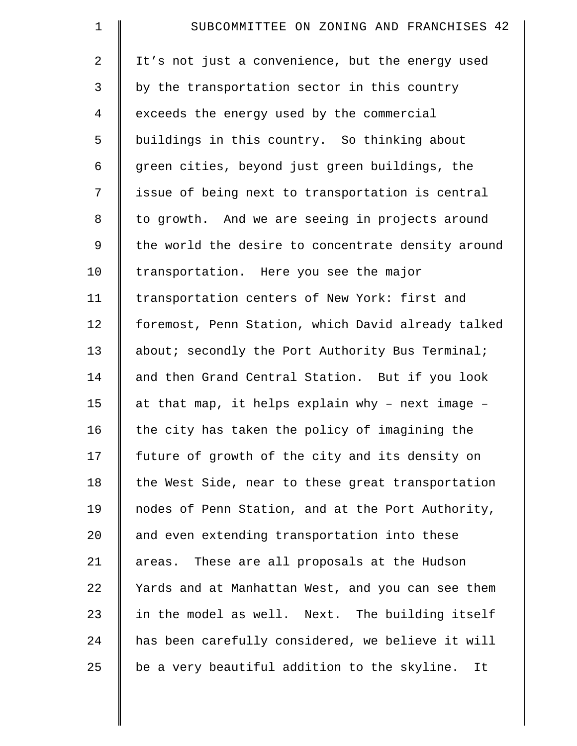| $\mathbf 1$    | SUBCOMMITTEE ON ZONING AND FRANCHISES 42           |
|----------------|----------------------------------------------------|
| $\overline{2}$ | It's not just a convenience, but the energy used   |
| 3              | by the transportation sector in this country       |
| $\overline{4}$ | exceeds the energy used by the commercial          |
| 5              | buildings in this country. So thinking about       |
| 6              | green cities, beyond just green buildings, the     |
| 7              | issue of being next to transportation is central   |
| $\,8\,$        | to growth. And we are seeing in projects around    |
| 9              | the world the desire to concentrate density around |
| 10             | transportation. Here you see the major             |
| 11             | transportation centers of New York: first and      |
| 12             | foremost, Penn Station, which David already talked |
| 13             | about; secondly the Port Authority Bus Terminal;   |
| 14             | and then Grand Central Station. But if you look    |
| 15             | at that map, it helps explain why - next image -   |
| 16             | the city has taken the policy of imagining the     |
| 17             | future of growth of the city and its density on    |
| 18             | the West Side, near to these great transportation  |
| 19             | nodes of Penn Station, and at the Port Authority,  |
| 20             | and even extending transportation into these       |
| 21             | areas. These are all proposals at the Hudson       |
| 22             | Yards and at Manhattan West, and you can see them  |
| 23             | in the model as well. Next. The building itself    |
| 24             | has been carefully considered, we believe it will  |
| 25             | be a very beautiful addition to the skyline.<br>It |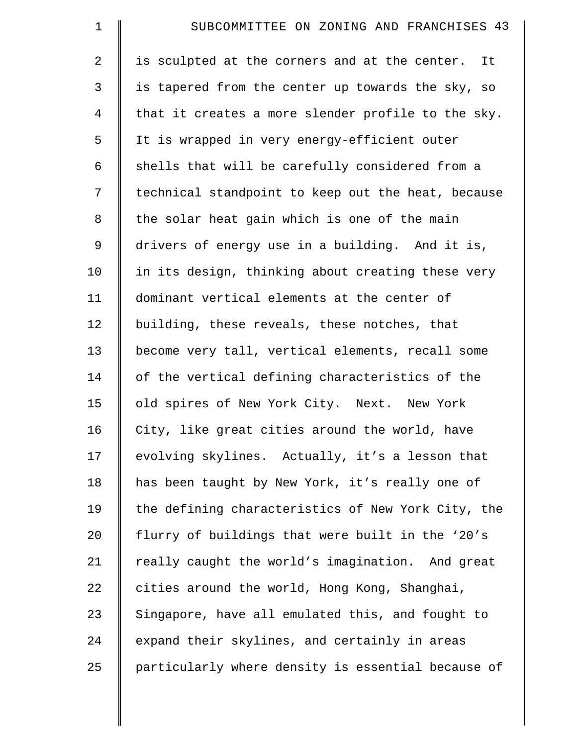| $\mathbf 1$    | SUBCOMMITTEE ON ZONING AND FRANCHISES 43           |
|----------------|----------------------------------------------------|
| $\overline{2}$ | is sculpted at the corners and at the center. It   |
| 3              | is tapered from the center up towards the sky, so  |
| $\overline{4}$ | that it creates a more slender profile to the sky. |
| 5              | It is wrapped in very energy-efficient outer       |
| 6              | shells that will be carefully considered from a    |
| 7              | technical standpoint to keep out the heat, because |
| 8              | the solar heat gain which is one of the main       |
| $\mathsf 9$    | drivers of energy use in a building. And it is,    |
| 10             | in its design, thinking about creating these very  |
| 11             | dominant vertical elements at the center of        |
| 12             | building, these reveals, these notches, that       |
| 13             | become very tall, vertical elements, recall some   |
| 14             | of the vertical defining characteristics of the    |
| 15             | old spires of New York City. Next. New York        |
| 16             | City, like great cities around the world, have     |
| 17             | evolving skylines. Actually, it's a lesson that    |
| 18             | has been taught by New York, it's really one of    |
| 19             | the defining characteristics of New York City, the |
| 20             | flurry of buildings that were built in the '20's   |
| 21             | really caught the world's imagination. And great   |
| 22             | cities around the world, Hong Kong, Shanghai,      |
| 23             | Singapore, have all emulated this, and fought to   |
| 24             | expand their skylines, and certainly in areas      |
| 25             | particularly where density is essential because of |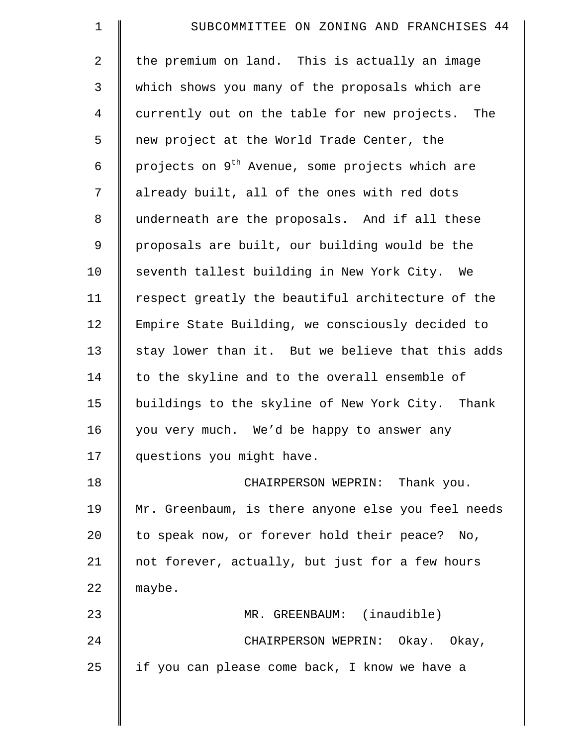| $\mathbf 1$    | SUBCOMMITTEE ON ZONING AND FRANCHISES 44                    |
|----------------|-------------------------------------------------------------|
| 2              | the premium on land. This is actually an image              |
| 3              | which shows you many of the proposals which are             |
| $\overline{4}$ | currently out on the table for new projects. The            |
| 5              | new project at the World Trade Center, the                  |
| 6              | projects on 9 <sup>th</sup> Avenue, some projects which are |
| 7              | already built, all of the ones with red dots                |
| 8              | underneath are the proposals. And if all these              |
| 9              | proposals are built, our building would be the              |
| 10             | seventh tallest building in New York City. We               |
| 11             | respect greatly the beautiful architecture of the           |
| 12             | Empire State Building, we consciously decided to            |
| 13             | stay lower than it. But we believe that this adds           |
| 14             | to the skyline and to the overall ensemble of               |
| 15             | buildings to the skyline of New York City. Thank            |
| 16             | you very much. We'd be happy to answer any                  |
| 17             | questions you might have.                                   |
| 18             | CHAIRPERSON WEPRIN: Thank you.                              |
| 19             | Mr. Greenbaum, is there anyone else you feel needs          |
| 20             | to speak now, or forever hold their peace? No,              |
| 21             | not forever, actually, but just for a few hours             |
| 22             | maybe.                                                      |
| 23             | MR. GREENBAUM: (inaudible)                                  |
| 24             | CHAIRPERSON WEPRIN: Okay. Okay,                             |
| 25             | if you can please come back, I know we have a               |
|                |                                                             |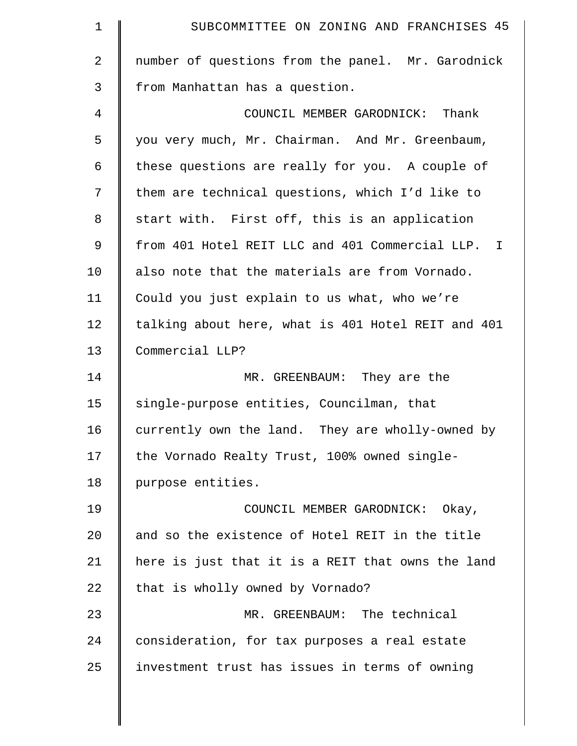| $\mathbf 1$    | SUBCOMMITTEE ON ZONING AND FRANCHISES 45           |
|----------------|----------------------------------------------------|
| $\overline{2}$ | number of questions from the panel. Mr. Garodnick  |
| 3              | from Manhattan has a question.                     |
| 4              | COUNCIL MEMBER GARODNICK: Thank                    |
| 5              | you very much, Mr. Chairman. And Mr. Greenbaum,    |
| 6              | these questions are really for you. A couple of    |
| 7              | them are technical questions, which I'd like to    |
| 8              | start with. First off, this is an application      |
| $\mathsf 9$    | from 401 Hotel REIT LLC and 401 Commercial LLP. I  |
| 10             | also note that the materials are from Vornado.     |
| 11             | Could you just explain to us what, who we're       |
| 12             | talking about here, what is 401 Hotel REIT and 401 |
| 13             | Commercial LLP?                                    |
| 14             | MR. GREENBAUM: They are the                        |
| 15             | single-purpose entities, Councilman, that          |
| 16             | currently own the land. They are wholly-owned by   |
| 17             | the Vornado Realty Trust, 100% owned single-       |
| 18             | purpose entities.                                  |
| 19             | COUNCIL MEMBER GARODNICK: Okay,                    |
| 20             | and so the existence of Hotel REIT in the title    |
| 21             | here is just that it is a REIT that owns the land  |
| 22             | that is wholly owned by Vornado?                   |
| 23             | MR. GREENBAUM: The technical                       |
| 24             | consideration, for tax purposes a real estate      |
| 25             | investment trust has issues in terms of owning     |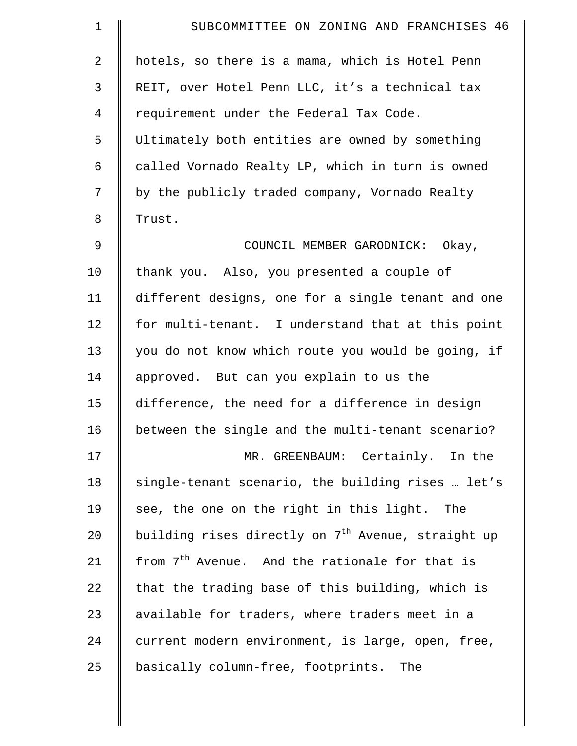| $\mathbf 1$ | SUBCOMMITTEE ON ZONING AND FRANCHISES 46                       |
|-------------|----------------------------------------------------------------|
| 2           | hotels, so there is a mama, which is Hotel Penn                |
| 3           | REIT, over Hotel Penn LLC, it's a technical tax                |
| 4           | requirement under the Federal Tax Code.                        |
| 5           | Ultimately both entities are owned by something                |
| 6           | called Vornado Realty LP, which in turn is owned               |
| 7           | by the publicly traded company, Vornado Realty                 |
| 8           | Trust.                                                         |
| 9           | COUNCIL MEMBER GARODNICK: Okay,                                |
| 10          | thank you. Also, you presented a couple of                     |
| 11          | different designs, one for a single tenant and one             |
| 12          | for multi-tenant. I understand that at this point              |
| 13          | you do not know which route you would be going, if             |
| 14          | approved. But can you explain to us the                        |
| 15          | difference, the need for a difference in design                |
| 16          | between the single and the multi-tenant scenario?              |
| 17          | MR. GREENBAUM: Certainly. In the                               |
| 18          | single-tenant scenario, the building rises  let's              |
| 19          | see, the one on the right in this light. The                   |
| 20          | building rises directly on 7 <sup>th</sup> Avenue, straight up |
| 21          | from 7 <sup>th</sup> Avenue. And the rationale for that is     |
| 22          | that the trading base of this building, which is               |
| 23          | available for traders, where traders meet in a                 |
| 24          | current modern environment, is large, open, free,              |
| 25          | basically column-free, footprints. The                         |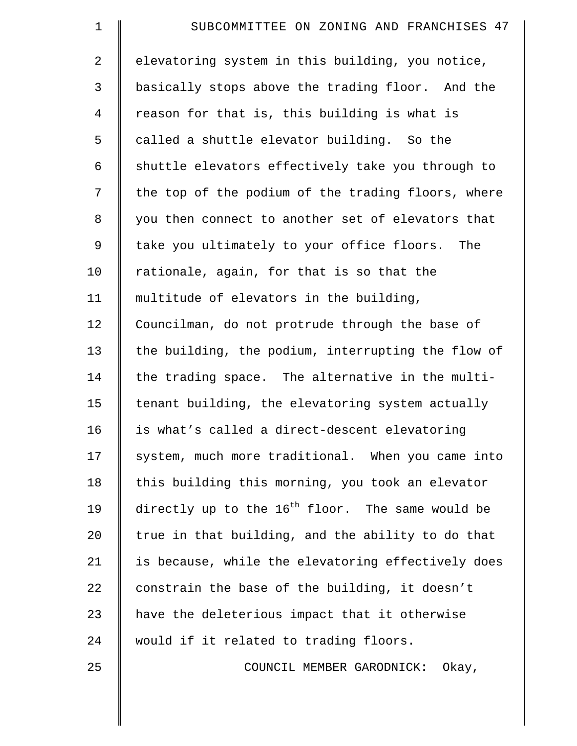| $\mathbf 1$    | SUBCOMMITTEE ON ZONING AND FRANCHISES 47                     |
|----------------|--------------------------------------------------------------|
| $\overline{a}$ | elevatoring system in this building, you notice,             |
| $\mathfrak{Z}$ | basically stops above the trading floor. And the             |
| $\overline{4}$ | reason for that is, this building is what is                 |
| 5              | called a shuttle elevator building. So the                   |
| 6              | shuttle elevators effectively take you through to            |
| 7              | the top of the podium of the trading floors, where           |
| $\,8\,$        | you then connect to another set of elevators that            |
| 9              | take you ultimately to your office floors. The               |
| 10             | rationale, again, for that is so that the                    |
| 11             | multitude of elevators in the building,                      |
| 12             | Councilman, do not protrude through the base of              |
| 13             | the building, the podium, interrupting the flow of           |
| 14             | the trading space. The alternative in the multi-             |
| 15             | tenant building, the elevatoring system actually             |
| 16             | is what's called a direct-descent elevatoring                |
| 17             | system, much more traditional. When you came into            |
| 18             | this building this morning, you took an elevator             |
| 19             | directly up to the 16 <sup>th</sup> floor. The same would be |
| 20             | true in that building, and the ability to do that            |
| 21             | is because, while the elevatoring effectively does           |
| 22             | constrain the base of the building, it doesn't               |
| 23             | have the deleterious impact that it otherwise                |
| 24             | would if it related to trading floors.                       |
| 25             | COUNCIL MEMBER GARODNICK:<br>Okay,                           |
|                |                                                              |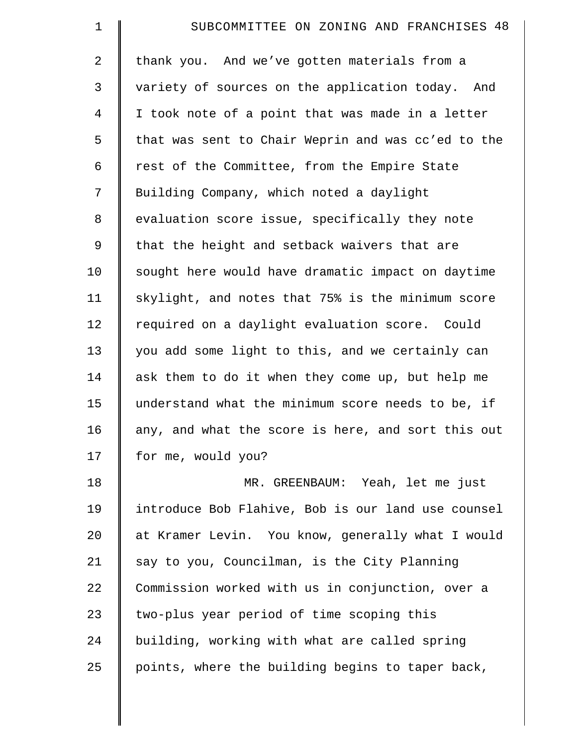| $\mathbf 1$    | SUBCOMMITTEE ON ZONING AND FRANCHISES 48           |
|----------------|----------------------------------------------------|
| 2              | thank you. And we've gotten materials from a       |
| 3              | variety of sources on the application today. And   |
| $\overline{4}$ | I took note of a point that was made in a letter   |
| 5              | that was sent to Chair Weprin and was cc'ed to the |
| 6              | rest of the Committee, from the Empire State       |
| 7              | Building Company, which noted a daylight           |
| 8              | evaluation score issue, specifically they note     |
| 9              | that the height and setback waivers that are       |
| 10             | sought here would have dramatic impact on daytime  |
| 11             | skylight, and notes that 75% is the minimum score  |
| 12             | required on a daylight evaluation score. Could     |
| 13             | you add some light to this, and we certainly can   |
| 14             | ask them to do it when they come up, but help me   |
| 15             | understand what the minimum score needs to be, if  |
| 16             | any, and what the score is here, and sort this out |
| 17             | for me, would you?                                 |
| 18             | MR. GREENBAUM: Yeah, let me just                   |
| 19             | introduce Bob Flahive, Bob is our land use counsel |
| 20             | at Kramer Levin. You know, generally what I would  |
| 21             | say to you, Councilman, is the City Planning       |
| 22             | Commission worked with us in conjunction, over a   |
| 23             | two-plus year period of time scoping this          |
| 24             | building, working with what are called spring      |
| 25             | points, where the building begins to taper back,   |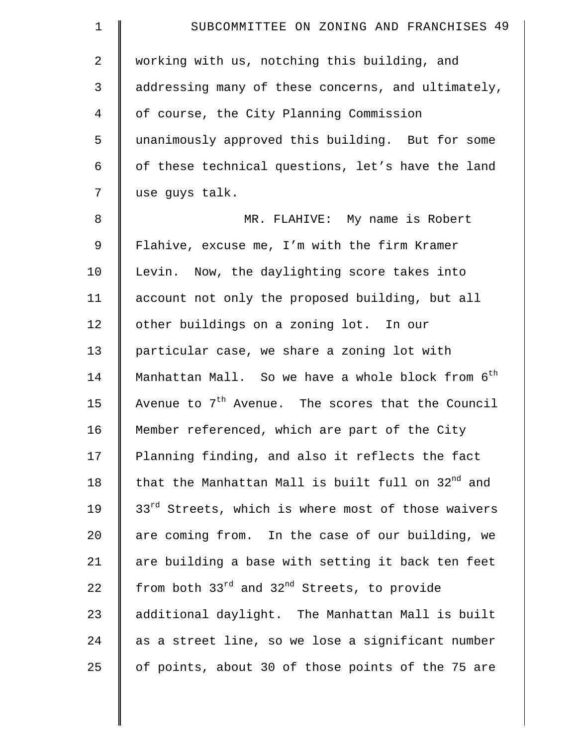| $\mathbf 1$ | SUBCOMMITTEE ON ZONING AND FRANCHISES 49                       |
|-------------|----------------------------------------------------------------|
| 2           | working with us, notching this building, and                   |
| 3           | addressing many of these concerns, and ultimately,             |
| 4           | of course, the City Planning Commission                        |
| 5           | unanimously approved this building. But for some               |
| 6           | of these technical questions, let's have the land              |
| 7           | use guys talk.                                                 |
| 8           | MR. FLAHIVE: My name is Robert                                 |
| 9           | Flahive, excuse me, I'm with the firm Kramer                   |
| 10          | Levin. Now, the daylighting score takes into                   |
| 11          | account not only the proposed building, but all                |
| 12          | other buildings on a zoning lot. In our                        |
| 13          | particular case, we share a zoning lot with                    |
| 14          | Manhattan Mall. So we have a whole block from 6 <sup>th</sup>  |
| 15          | Avenue to 7 <sup>th</sup> Avenue. The scores that the Council  |
| 16          | Member referenced, which are part of the City                  |
| 17          | Planning finding, and also it reflects the fact                |
| 18          | that the Manhattan Mall is built full on 32 <sup>nd</sup> and  |
| 19          | 33 <sup>rd</sup> Streets, which is where most of those waivers |
| 20          | are coming from. In the case of our building, we               |
| 21          | are building a base with setting it back ten feet              |
| 22          | from both $33^{rd}$ and $32^{nd}$ Streets, to provide          |
| 23          | additional daylight. The Manhattan Mall is built               |
| 24          | as a street line, so we lose a significant number              |
| 25          | of points, about 30 of those points of the 75 are              |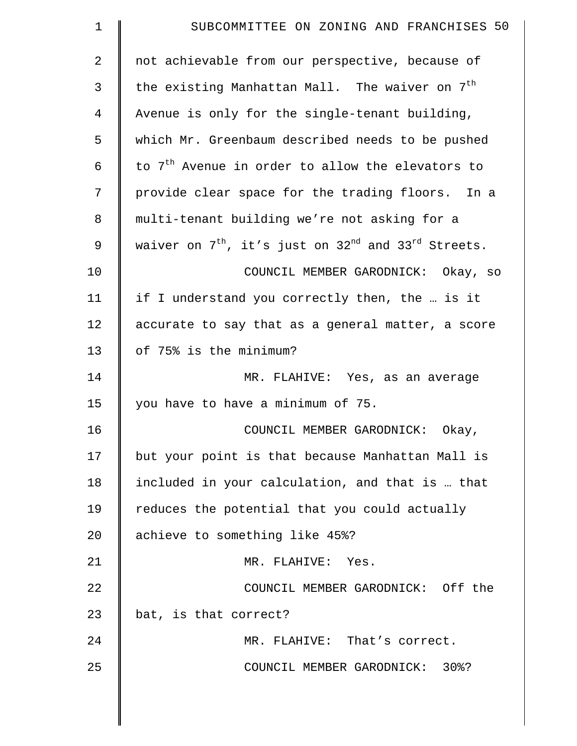| $\mathbf 1$    | SUBCOMMITTEE ON ZONING AND FRANCHISES 50                           |
|----------------|--------------------------------------------------------------------|
| $\overline{2}$ | not achievable from our perspective, because of                    |
| 3              | the existing Manhattan Mall. The waiver on 7 <sup>th</sup>         |
| $\overline{4}$ | Avenue is only for the single-tenant building,                     |
| 5              | which Mr. Greenbaum described needs to be pushed                   |
| 6              | to 7 <sup>th</sup> Avenue in order to allow the elevators to       |
| 7              | provide clear space for the trading floors. In a                   |
| 8              | multi-tenant building we're not asking for a                       |
| 9              | waiver on $7^{th}$ , it's just on $32^{nd}$ and $33^{rd}$ Streets. |
| 10             | COUNCIL MEMBER GARODNICK: Okay, so                                 |
| 11             | if I understand you correctly then, the  is it                     |
| 12             | accurate to say that as a general matter, a score                  |
| 13             | of 75% is the minimum?                                             |
| 14             | MR. FLAHIVE: Yes, as an average                                    |
| 15             | you have to have a minimum of 75.                                  |
| 16             | COUNCIL MEMBER GARODNICK: Okay,                                    |
| 17             | but your point is that because Manhattan Mall is                   |
| 18             | included in your calculation, and that is  that                    |
| 19             | reduces the potential that you could actually                      |
| 20             | achieve to something like 45%?                                     |
| 21             | MR. FLAHIVE: Yes.                                                  |
| 22             | COUNCIL MEMBER GARODNICK: Off the                                  |
| 23             | bat, is that correct?                                              |
| 24             | MR. FLAHIVE: That's correct.                                       |
| 25             | COUNCIL MEMBER GARODNICK: 30%?                                     |
|                |                                                                    |

 $\parallel$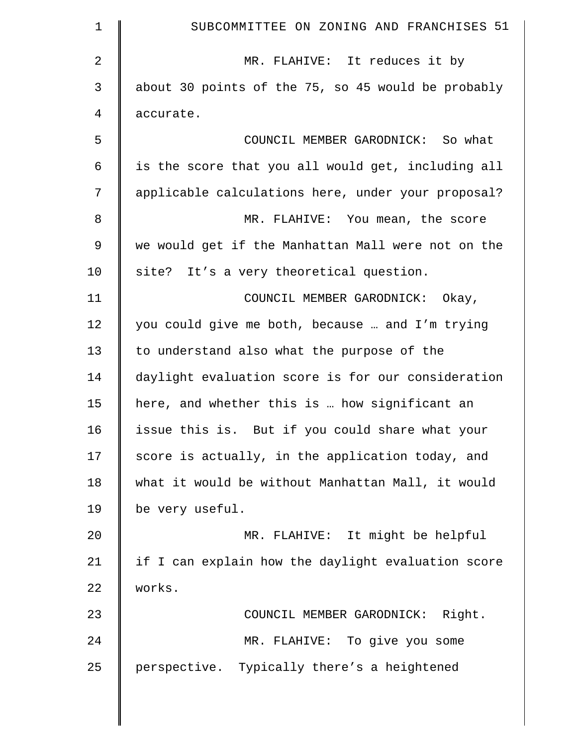| $\mathbf 1$ | SUBCOMMITTEE ON ZONING AND FRANCHISES 51           |
|-------------|----------------------------------------------------|
| $\sqrt{2}$  | MR. FLAHIVE: It reduces it by                      |
| 3           | about 30 points of the 75, so 45 would be probably |
| 4           | accurate.                                          |
| 5           | COUNCIL MEMBER GARODNICK: So what                  |
| $\epsilon$  | is the score that you all would get, including all |
| 7           | applicable calculations here, under your proposal? |
| 8           | MR. FLAHIVE: You mean, the score                   |
| $\mathsf 9$ | we would get if the Manhattan Mall were not on the |
| 10          | site? It's a very theoretical question.            |
| 11          | COUNCIL MEMBER GARODNICK: Okay,                    |
| 12          | you could give me both, because  and I'm trying    |
| 13          | to understand also what the purpose of the         |
| 14          | daylight evaluation score is for our consideration |
| 15          | here, and whether this is  how significant an      |
| 16          | issue this is. But if you could share what your    |
| 17          | score is actually, in the application today, and   |
| 18          | what it would be without Manhattan Mall, it would  |
| 19          | be very useful.                                    |
| 20          | MR. FLAHIVE: It might be helpful                   |
| 21          | if I can explain how the daylight evaluation score |
| 22          | works.                                             |
| 23          | COUNCIL MEMBER GARODNICK: Right.                   |
| 24          | MR. FLAHIVE: To give you some                      |
| 25          | perspective. Typically there's a heightened        |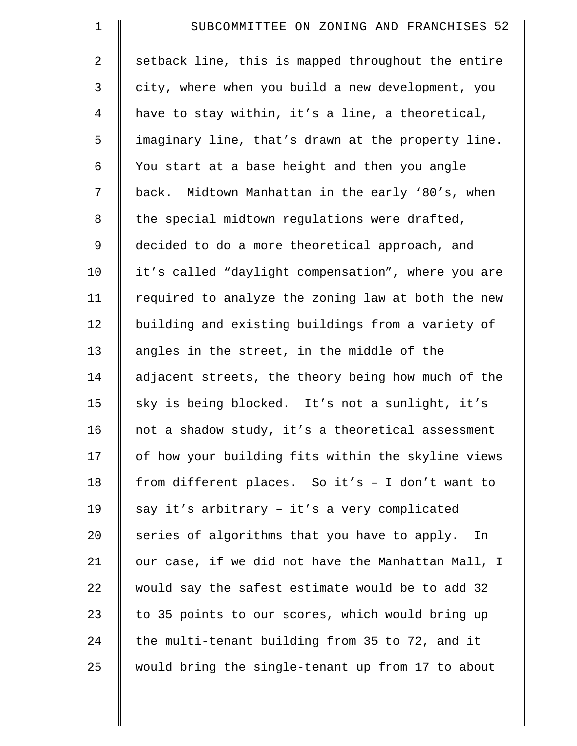| $\mathbf 1$    | SUBCOMMITTEE ON ZONING AND FRANCHISES 52           |
|----------------|----------------------------------------------------|
| 2              | setback line, this is mapped throughout the entire |
| 3              | city, where when you build a new development, you  |
| $\overline{4}$ | have to stay within, it's a line, a theoretical,   |
| 5              | imaginary line, that's drawn at the property line. |
| 6              | You start at a base height and then you angle      |
| 7              | back. Midtown Manhattan in the early '80's, when   |
| 8              | the special midtown regulations were drafted,      |
| 9              | decided to do a more theoretical approach, and     |
| 10             | it's called "daylight compensation", where you are |
| 11             | required to analyze the zoning law at both the new |
| 12             | building and existing buildings from a variety of  |
| 13             | angles in the street, in the middle of the         |
| 14             | adjacent streets, the theory being how much of the |
| 15             | sky is being blocked. It's not a sunlight, it's    |
| 16             | not a shadow study, it's a theoretical assessment  |
| 17             | of how your building fits within the skyline views |
| 18             | from different places. So it's - I don't want to   |
| 19             | say it's arbitrary - it's a very complicated       |
| 20             | series of algorithms that you have to apply.<br>In |
| 21             | our case, if we did not have the Manhattan Mall, I |
| 22             | would say the safest estimate would be to add 32   |
| 23             | to 35 points to our scores, which would bring up   |
| 24             | the multi-tenant building from 35 to 72, and it    |
| 25             | would bring the single-tenant up from 17 to about  |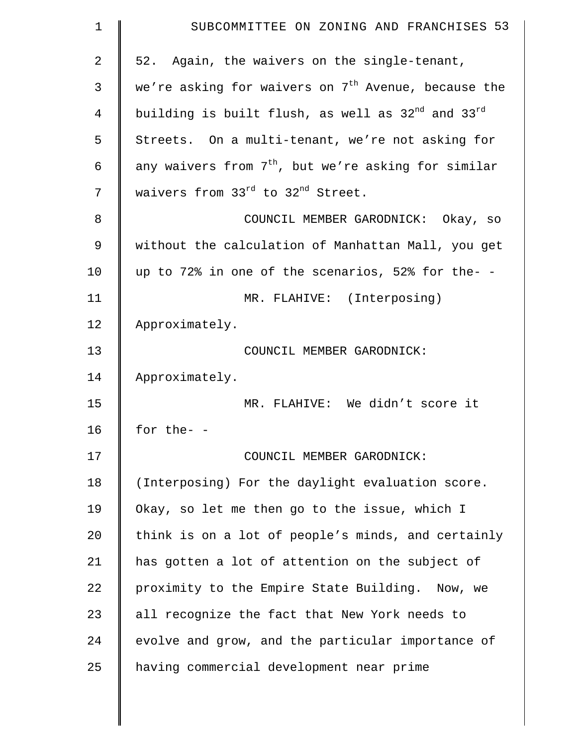| $\mathbf 1$    | SUBCOMMITTEE ON ZONING AND FRANCHISES 53                                  |
|----------------|---------------------------------------------------------------------------|
| $\overline{2}$ | 52. Again, the waivers on the single-tenant,                              |
| 3              | we're asking for waivers on 7 <sup>th</sup> Avenue, because the           |
| 4              | building is built flush, as well as 32 <sup>nd</sup> and 33 <sup>rd</sup> |
| 5              | Streets. On a multi-tenant, we're not asking for                          |
| 6              | any waivers from 7 <sup>th</sup> , but we're asking for similar           |
| 7              | waivers from 33rd to 32 <sup>nd</sup> Street.                             |
| 8              | COUNCIL MEMBER GARODNICK: Okay, so                                        |
| 9              | without the calculation of Manhattan Mall, you get                        |
| 10             | up to 72% in one of the scenarios, 52% for the- -                         |
| 11             | MR. FLAHIVE: (Interposing)                                                |
| 12             | Approximately.                                                            |
| 13             | COUNCIL MEMBER GARODNICK:                                                 |
| 14             | Approximately.                                                            |
| 15             | MR. FLAHIVE: We didn't score it                                           |
| 16             | for the- -                                                                |
| 17             | COUNCIL MEMBER GARODNICK:                                                 |
| 18             | (Interposing) For the daylight evaluation score.                          |
| 19             | Okay, so let me then go to the issue, which I                             |
| 20             | think is on a lot of people's minds, and certainly                        |
| 21             | has gotten a lot of attention on the subject of                           |
| 22             | proximity to the Empire State Building. Now, we                           |
| 23             | all recognize the fact that New York needs to                             |
| 24             | evolve and grow, and the particular importance of                         |
| 25             | having commercial development near prime                                  |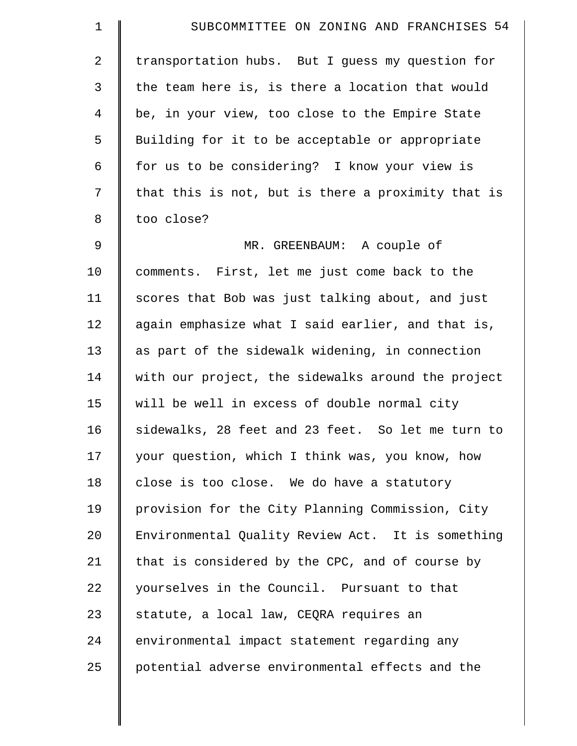| $\mathbf 1$    | SUBCOMMITTEE ON ZONING AND FRANCHISES 54           |
|----------------|----------------------------------------------------|
| $\overline{2}$ | transportation hubs. But I guess my question for   |
| 3              | the team here is, is there a location that would   |
| 4              | be, in your view, too close to the Empire State    |
| 5              | Building for it to be acceptable or appropriate    |
| 6              | for us to be considering? I know your view is      |
| 7              | that this is not, but is there a proximity that is |
| 8              | too close?                                         |
| 9              | MR. GREENBAUM: A couple of                         |
| 10             | comments. First, let me just come back to the      |
| 11             | scores that Bob was just talking about, and just   |
| 12             | again emphasize what I said earlier, and that is,  |
| 13             | as part of the sidewalk widening, in connection    |
| 14             | with our project, the sidewalks around the project |
| 15             | will be well in excess of double normal city       |
| 16             | sidewalks, 28 feet and 23 feet. So let me turn to  |
| 17             | your question, which I think was, you know, how    |
| 18             | close is too close. We do have a statutory         |
| 19             | provision for the City Planning Commission, City   |
| 20             | Environmental Quality Review Act. It is something  |
| 21             | that is considered by the CPC, and of course by    |
| 22             | yourselves in the Council. Pursuant to that        |
| 23             | statute, a local law, CEQRA requires an            |
| 24             | environmental impact statement regarding any       |
| 25             | potential adverse environmental effects and the    |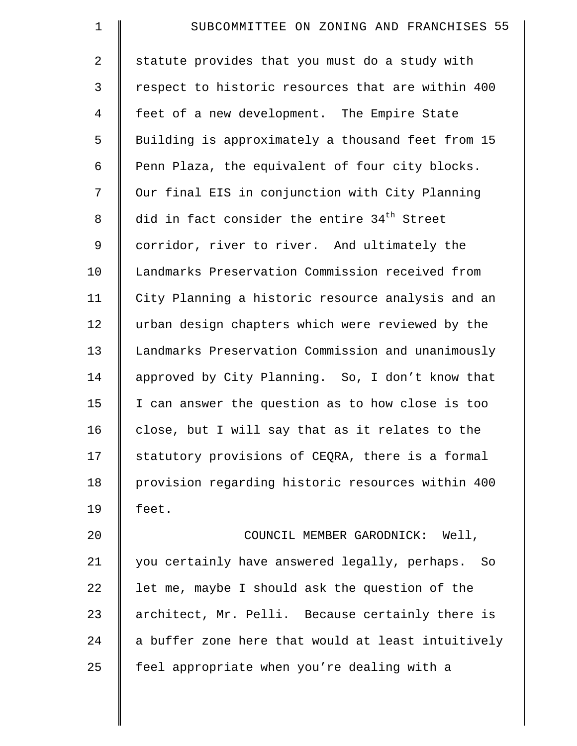| $\mathbf 1$    | SUBCOMMITTEE ON ZONING AND FRANCHISES 55                |
|----------------|---------------------------------------------------------|
| $\overline{a}$ | statute provides that you must do a study with          |
| 3              | respect to historic resources that are within 400       |
| $\overline{4}$ | feet of a new development. The Empire State             |
| 5              | Building is approximately a thousand feet from 15       |
| 6              | Penn Plaza, the equivalent of four city blocks.         |
| 7              | Our final EIS in conjunction with City Planning         |
| 8              | did in fact consider the entire 34 <sup>th</sup> Street |
| 9              | corridor, river to river. And ultimately the            |
| 10             | Landmarks Preservation Commission received from         |
| 11             | City Planning a historic resource analysis and an       |
| 12             | urban design chapters which were reviewed by the        |
| 13             | Landmarks Preservation Commission and unanimously       |
| 14             | approved by City Planning. So, I don't know that        |
| 15             | I can answer the question as to how close is too        |
| 16             | close, but I will say that as it relates to the         |
| 17             | statutory provisions of CEQRA, there is a formal        |
| 18             | provision regarding historic resources within 400       |
| 19             | feet.                                                   |
| 20             | COUNCIL MEMBER GARODNICK: Well,                         |
| 21             | you certainly have answered legally, perhaps. So        |
| 22             | let me, maybe I should ask the question of the          |
| 23             | architect, Mr. Pelli. Because certainly there is        |
| 24             | a buffer zone here that would at least intuitively      |
| 25             | feel appropriate when you're dealing with a             |
|                |                                                         |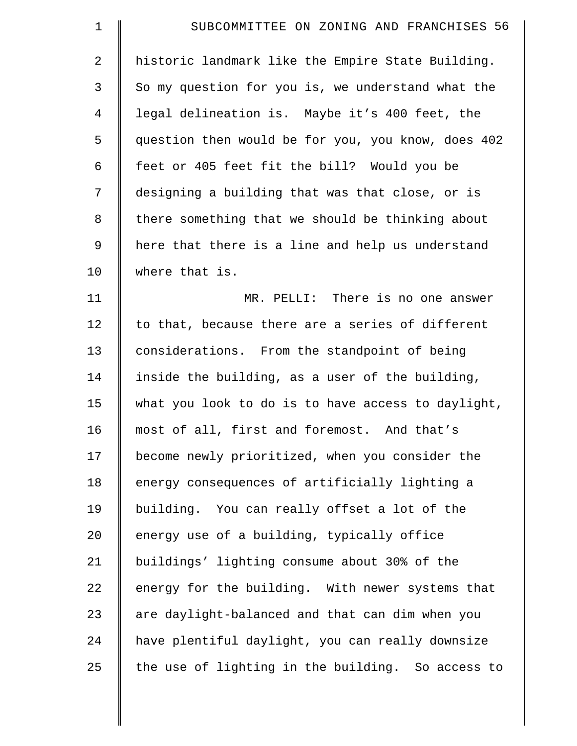| 1              | SUBCOMMITTEE ON ZONING AND FRANCHISES 56           |
|----------------|----------------------------------------------------|
| $\overline{2}$ | historic landmark like the Empire State Building.  |
| 3              | So my question for you is, we understand what the  |
| 4              | legal delineation is. Maybe it's 400 feet, the     |
| 5              | question then would be for you, you know, does 402 |
| 6              | feet or 405 feet fit the bill? Would you be        |
| 7              | designing a building that was that close, or is    |
| 8              | there something that we should be thinking about   |
| $\mathsf 9$    | here that there is a line and help us understand   |
| 10             | where that is.                                     |
| 11             | MR. PELLI: There is no one answer                  |
| 12             | to that, because there are a series of different   |
| 13             | considerations. From the standpoint of being       |
| 14             | inside the building, as a user of the building,    |
| 15             | what you look to do is to have access to daylight, |
| 16             | most of all, first and foremost. And that's        |
| 17             | become newly prioritized, when you consider the    |
| 18             | energy consequences of artificially lighting a     |
| 19             | building. You can really offset a lot of the       |
| 20             | energy use of a building, typically office         |
| 21             | buildings' lighting consume about 30% of the       |
| 22             | energy for the building. With newer systems that   |
| 23             | are daylight-balanced and that can dim when you    |
| 24             | have plentiful daylight, you can really downsize   |
| 25             | the use of lighting in the building. So access to  |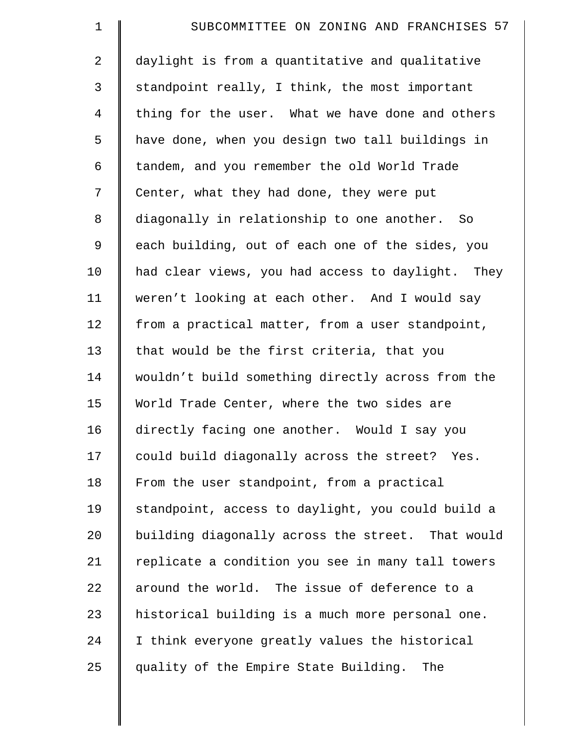| $\mathbf 1$    | SUBCOMMITTEE ON ZONING AND FRANCHISES 57          |
|----------------|---------------------------------------------------|
| 2              | daylight is from a quantitative and qualitative   |
| 3              | standpoint really, I think, the most important    |
| $\overline{4}$ | thing for the user. What we have done and others  |
| 5              | have done, when you design two tall buildings in  |
| 6              | tandem, and you remember the old World Trade      |
| 7              | Center, what they had done, they were put         |
| 8              | diagonally in relationship to one another. So     |
| 9              | each building, out of each one of the sides, you  |
| 10             | had clear views, you had access to daylight. They |
| 11             | weren't looking at each other. And I would say    |
| 12             | from a practical matter, from a user standpoint,  |
| 13             | that would be the first criteria, that you        |
| 14             | wouldn't build something directly across from the |
| 15             | World Trade Center, where the two sides are       |
| 16             | directly facing one another. Would I say you      |
| 17             | could build diagonally across the street? Yes.    |
| 18             | From the user standpoint, from a practical        |
| 19             | standpoint, access to daylight, you could build a |
| 20             | building diagonally across the street. That would |
| 21             | replicate a condition you see in many tall towers |
| 22             | around the world. The issue of deference to a     |
| 23             | historical building is a much more personal one.  |
| 24             | I think everyone greatly values the historical    |
| 25             | quality of the Empire State Building.<br>The      |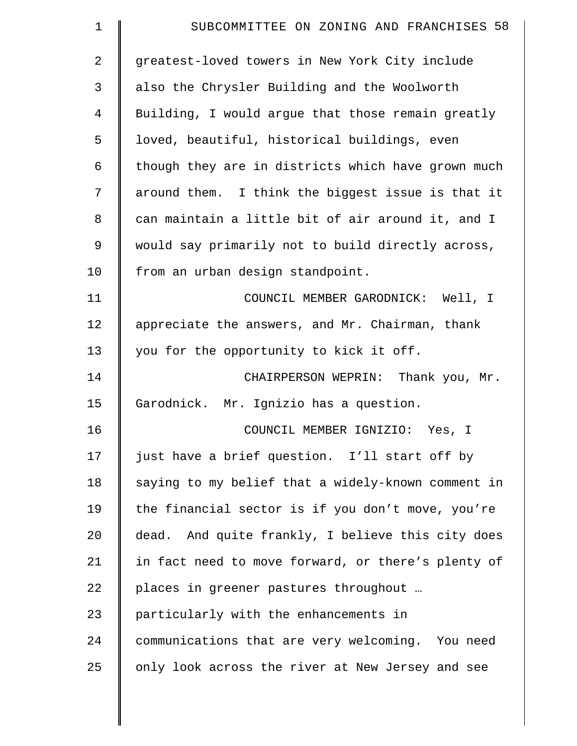| $\mathbf 1$ | SUBCOMMITTEE ON ZONING AND FRANCHISES 58           |
|-------------|----------------------------------------------------|
| 2           | greatest-loved towers in New York City include     |
| 3           | also the Chrysler Building and the Woolworth       |
| 4           | Building, I would argue that those remain greatly  |
| 5           | loved, beautiful, historical buildings, even       |
| 6           | though they are in districts which have grown much |
| 7           | around them. I think the biggest issue is that it  |
| 8           | can maintain a little bit of air around it, and I  |
| 9           | would say primarily not to build directly across,  |
| 10          | from an urban design standpoint.                   |
| 11          | COUNCIL MEMBER GARODNICK: Well, I                  |
| 12          | appreciate the answers, and Mr. Chairman, thank    |
| 13          | you for the opportunity to kick it off.            |
| 14          | CHAIRPERSON WEPRIN: Thank you, Mr.                 |
| 15          | Garodnick. Mr. Ignizio has a question.             |
| 16          | COUNCIL MEMBER IGNIZIO: Yes, I                     |
| 17          | just have a brief question. I'll start off by      |
| 18          | saying to my belief that a widely-known comment in |
| 19          | the financial sector is if you don't move, you're  |
| 20          | dead. And quite frankly, I believe this city does  |
| 21          | in fact need to move forward, or there's plenty of |
| 22          | places in greener pastures throughout              |
| 23          | particularly with the enhancements in              |
| 24          | communications that are very welcoming. You need   |
| 25          | only look across the river at New Jersey and see   |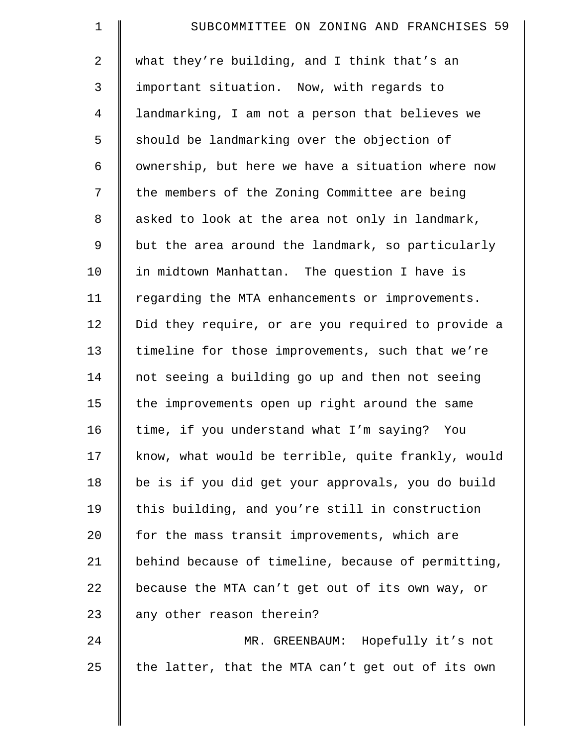| $\mathbf 1$    | SUBCOMMITTEE ON ZONING AND FRANCHISES 59           |
|----------------|----------------------------------------------------|
| $\overline{2}$ | what they're building, and I think that's an       |
| 3              | important situation. Now, with regards to          |
| 4              | landmarking, I am not a person that believes we    |
| 5              | should be landmarking over the objection of        |
| 6              | ownership, but here we have a situation where now  |
| 7              | the members of the Zoning Committee are being      |
| $8\,$          | asked to look at the area not only in landmark,    |
| 9              | but the area around the landmark, so particularly  |
| 10             | in midtown Manhattan. The question I have is       |
| 11             | regarding the MTA enhancements or improvements.    |
| 12             | Did they require, or are you required to provide a |
| 13             | timeline for those improvements, such that we're   |
| 14             | not seeing a building go up and then not seeing    |
| 15             | the improvements open up right around the same     |
| 16             | time, if you understand what I'm saying? You       |
| 17             | know, what would be terrible, quite frankly, would |
| 18             | be is if you did get your approvals, you do build  |
| 19             | this building, and you're still in construction    |
| 20             | for the mass transit improvements, which are       |
| 21             | behind because of timeline, because of permitting, |
| 22             | because the MTA can't get out of its own way, or   |
| 23             | any other reason therein?                          |
| 24             | MR. GREENBAUM: Hopefully it's not                  |
| 25             | the latter, that the MTA can't get out of its own  |
|                |                                                    |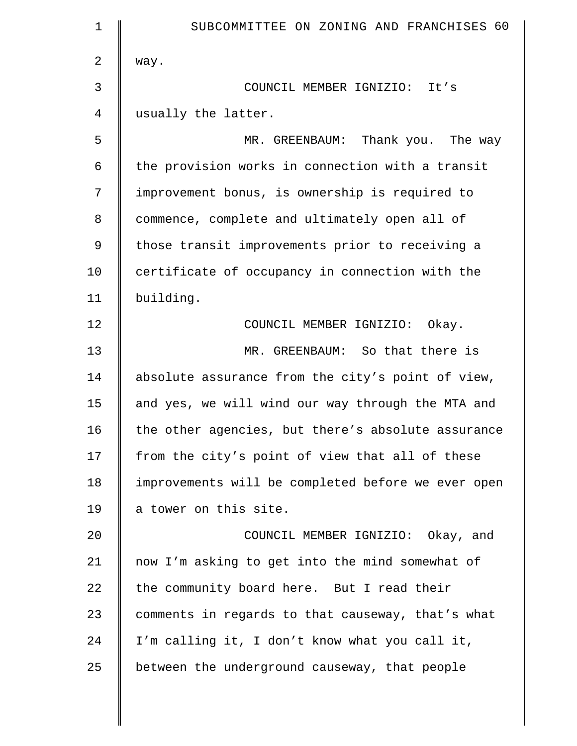| 1  | SUBCOMMITTEE ON ZONING AND FRANCHISES 60           |
|----|----------------------------------------------------|
| 2  | way.                                               |
| 3  | COUNCIL MEMBER IGNIZIO: It's                       |
| 4  | usually the latter.                                |
| 5  | Thank you. The way<br>MR. GREENBAUM:               |
| 6  | the provision works in connection with a transit   |
| 7  | improvement bonus, is ownership is required to     |
| 8  | commence, complete and ultimately open all of      |
| 9  | those transit improvements prior to receiving a    |
| 10 | certificate of occupancy in connection with the    |
| 11 | building.                                          |
| 12 | COUNCIL MEMBER IGNIZIO: Okay.                      |
| 13 | MR. GREENBAUM: So that there is                    |
| 14 | absolute assurance from the city's point of view,  |
| 15 | and yes, we will wind our way through the MTA and  |
| 16 | the other agencies, but there's absolute assurance |
| 17 | from the city's point of view that all of these    |
| 18 | improvements will be completed before we ever open |
| 19 | a tower on this site.                              |
| 20 | COUNCIL MEMBER IGNIZIO: Okay, and                  |
| 21 | now I'm asking to get into the mind somewhat of    |
| 22 | the community board here. But I read their         |
| 23 | comments in regards to that causeway, that's what  |
| 24 | I'm calling it, I don't know what you call it,     |
| 25 | between the underground causeway, that people      |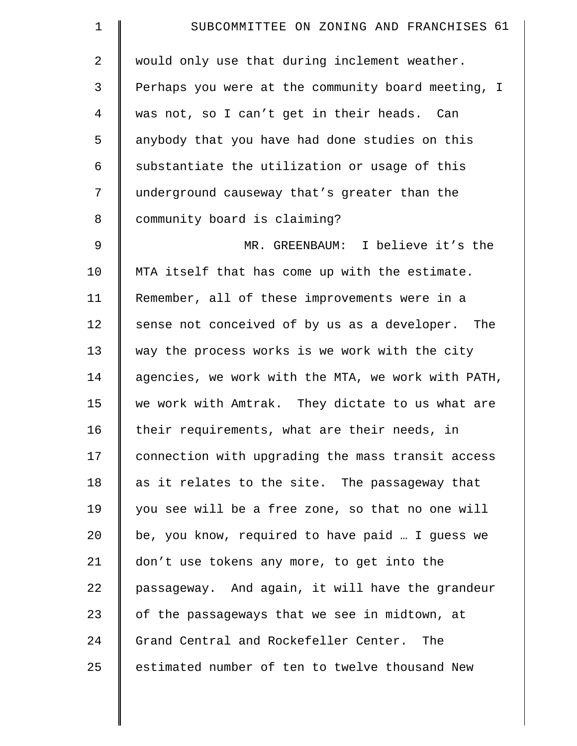| $\mathbf 1$ | SUBCOMMITTEE ON ZONING AND FRANCHISES 61           |
|-------------|----------------------------------------------------|
| 2           | would only use that during inclement weather.      |
| 3           | Perhaps you were at the community board meeting, I |
| 4           | was not, so I can't get in their heads. Can        |
| 5           | anybody that you have had done studies on this     |
| 6           | substantiate the utilization or usage of this      |
| 7           | underground causeway that's greater than the       |
| 8           | community board is claiming?                       |
| $\mathsf 9$ | MR. GREENBAUM: I believe it's the                  |
| 10          | MTA itself that has come up with the estimate.     |
| 11          | Remember, all of these improvements were in a      |
| 12          | sense not conceived of by us as a developer. The   |
| 13          | way the process works is we work with the city     |
| 14          | agencies, we work with the MTA, we work with PATH, |
| 15          | we work with Amtrak. They dictate to us what are   |
| 16          | their requirements, what are their needs, in       |
| 17          | connection with upgrading the mass transit access  |
| 18          | as it relates to the site. The passageway that     |
| 19          | you see will be a free zone, so that no one will   |
| 20          | be, you know, required to have paid  I guess we    |
| 21          | don't use tokens any more, to get into the         |
| 22          | passageway. And again, it will have the grandeur   |
| 23          | of the passageways that we see in midtown, at      |
| 24          | Grand Central and Rockefeller Center.<br>The       |
| 25          | estimated number of ten to twelve thousand New     |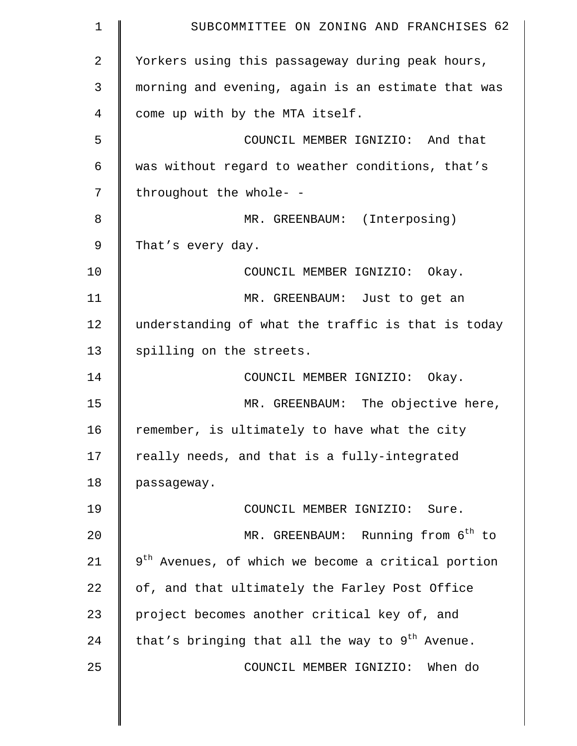| 1              | SUBCOMMITTEE ON ZONING AND FRANCHISES 62                       |
|----------------|----------------------------------------------------------------|
| $\overline{2}$ | Yorkers using this passageway during peak hours,               |
| 3              | morning and evening, again is an estimate that was             |
| 4              | come up with by the MTA itself.                                |
| 5              | COUNCIL MEMBER IGNIZIO: And that                               |
| 6              | was without regard to weather conditions, that's               |
| 7              | throughout the whole- -                                        |
| 8              | MR. GREENBAUM: (Interposing)                                   |
| $\mathsf 9$    | That's every day.                                              |
| 10             | COUNCIL MEMBER IGNIZIO: Okay.                                  |
| 11             | MR. GREENBAUM: Just to get an                                  |
| 12             | understanding of what the traffic is that is today             |
| 13             | spilling on the streets.                                       |
| 14             | COUNCIL MEMBER IGNIZIO: Okay.                                  |
| 15             | MR. GREENBAUM: The objective here,                             |
| 16             | remember, is ultimately to have what the city                  |
| 17             | really needs, and that is a fully-integrated                   |
| 18             | passageway.                                                    |
| 19             | COUNCIL MEMBER IGNIZIO: Sure.                                  |
| 20             | MR. GREENBAUM: Running from 6 <sup>th</sup> to                 |
| 21             | 9 <sup>th</sup> Avenues, of which we become a critical portion |
| 22             | of, and that ultimately the Farley Post Office                 |
| 23             | project becomes another critical key of, and                   |
| 24             | that's bringing that all the way to 9 <sup>th</sup> Avenue.    |
| 25             | COUNCIL MEMBER IGNIZIO: When do                                |
|                |                                                                |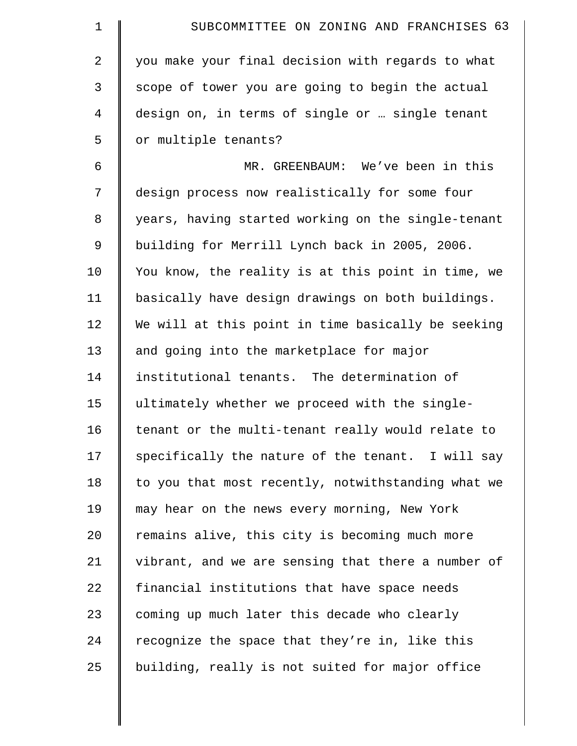| $\mathbf 1$ | SUBCOMMITTEE ON ZONING AND FRANCHISES 63           |
|-------------|----------------------------------------------------|
| 2           | you make your final decision with regards to what  |
| 3           | scope of tower you are going to begin the actual   |
| 4           | design on, in terms of single or  single tenant    |
| 5           | or multiple tenants?                               |
| 6           | MR. GREENBAUM: We've been in this                  |
| 7           | design process now realistically for some four     |
| $\,8\,$     | years, having started working on the single-tenant |
| 9           | building for Merrill Lynch back in 2005, 2006.     |
| 10          | You know, the reality is at this point in time, we |
| 11          | basically have design drawings on both buildings.  |
| 12          | We will at this point in time basically be seeking |
| 13          | and going into the marketplace for major           |
| 14          | institutional tenants. The determination of        |
| 15          | ultimately whether we proceed with the single-     |
| 16          | tenant or the multi-tenant really would relate to  |
| 17          | specifically the nature of the tenant. I will say  |
| 18          | to you that most recently, notwithstanding what we |
| 19          | may hear on the news every morning, New York       |
| 20          | remains alive, this city is becoming much more     |
| 21          | vibrant, and we are sensing that there a number of |
| 22          | financial institutions that have space needs       |
| 23          | coming up much later this decade who clearly       |
| 24          | recognize the space that they're in, like this     |
| 25          | building, really is not suited for major office    |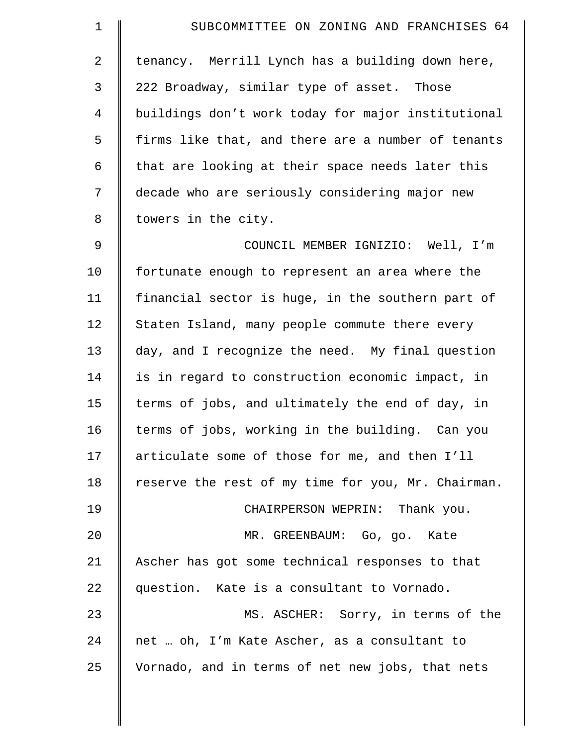| $\mathbf 1$    | SUBCOMMITTEE ON ZONING AND FRANCHISES 64           |
|----------------|----------------------------------------------------|
| 2              | tenancy. Merrill Lynch has a building down here,   |
| 3              | 222 Broadway, similar type of asset. Those         |
| $\overline{4}$ | buildings don't work today for major institutional |
| 5              | firms like that, and there are a number of tenants |
| 6              | that are looking at their space needs later this   |
| 7              | decade who are seriously considering major new     |
| 8              | towers in the city.                                |
| $\mathsf 9$    | COUNCIL MEMBER IGNIZIO: Well, I'm                  |
| 10             | fortunate enough to represent an area where the    |
| 11             | financial sector is huge, in the southern part of  |
| 12             | Staten Island, many people commute there every     |
| 13             | day, and I recognize the need. My final question   |
| 14             | is in regard to construction economic impact, in   |
| 15             | terms of jobs, and ultimately the end of day, in   |
| 16             | terms of jobs, working in the building. Can you    |
| 17             | articulate some of those for me, and then I'll     |
| 18             | reserve the rest of my time for you, Mr. Chairman. |
| 19             | CHAIRPERSON WEPRIN: Thank you.                     |
| 20             | MR. GREENBAUM: Go, go. Kate                        |
| 21             | Ascher has got some technical responses to that    |
| 22             | question. Kate is a consultant to Vornado.         |
| 23             | MS. ASCHER: Sorry, in terms of the                 |
| 24             | net  oh, I'm Kate Ascher, as a consultant to       |
| 25             | Vornado, and in terms of net new jobs, that nets   |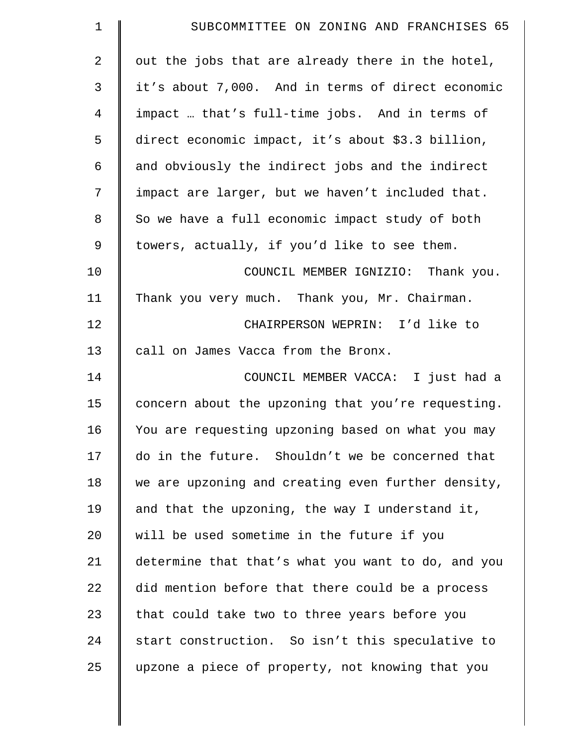| $\mathbf 1$    | SUBCOMMITTEE ON ZONING AND FRANCHISES 65           |
|----------------|----------------------------------------------------|
| $\overline{2}$ | out the jobs that are already there in the hotel,  |
| 3              | it's about 7,000. And in terms of direct economic  |
| 4              | impact  that's full-time jobs. And in terms of     |
| 5              | direct economic impact, it's about \$3.3 billion,  |
| 6              | and obviously the indirect jobs and the indirect   |
| 7              | impact are larger, but we haven't included that.   |
| 8              | So we have a full economic impact study of both    |
| $\mathsf 9$    | towers, actually, if you'd like to see them.       |
| 10             | COUNCIL MEMBER IGNIZIO: Thank you.                 |
| 11             | Thank you very much. Thank you, Mr. Chairman.      |
| 12             | CHAIRPERSON WEPRIN: I'd like to                    |
| 13             | call on James Vacca from the Bronx.                |
| 14             | COUNCIL MEMBER VACCA: I just had a                 |
| 15             | concern about the upzoning that you're requesting. |
| 16             | You are requesting upzoning based on what you may  |
| 17             | do in the future. Shouldn't we be concerned that   |
| 18             | we are upzoning and creating even further density, |
| 19             | and that the upzoning, the way I understand it,    |
| 20             | will be used sometime in the future if you         |
| 21             | determine that that's what you want to do, and you |
| 22             | did mention before that there could be a process   |
| 23             | that could take two to three years before you      |
| 24             | start construction. So isn't this speculative to   |
| 25             | upzone a piece of property, not knowing that you   |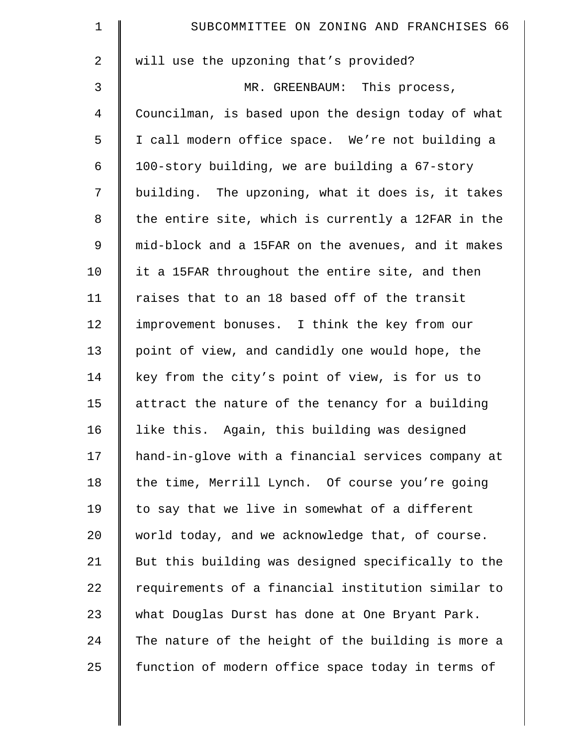| $\mathbf 1$    | SUBCOMMITTEE ON ZONING AND FRANCHISES 66           |
|----------------|----------------------------------------------------|
| 2              | will use the upzoning that's provided?             |
| 3              | MR. GREENBAUM: This process,                       |
| $\overline{4}$ | Councilman, is based upon the design today of what |
| 5              | I call modern office space. We're not building a   |
| 6              | 100-story building, we are building a 67-story     |
| 7              | building. The upzoning, what it does is, it takes  |
| $\,8\,$        | the entire site, which is currently a 12FAR in the |
| $\mathsf 9$    | mid-block and a 15FAR on the avenues, and it makes |
| 10             | it a 15FAR throughout the entire site, and then    |
| 11             | raises that to an 18 based off of the transit      |
| 12             | improvement bonuses. I think the key from our      |
| 13             | point of view, and candidly one would hope, the    |
| 14             | key from the city's point of view, is for us to    |
| 15             | attract the nature of the tenancy for a building   |
| 16             | like this. Again, this building was designed       |
| 17             | hand-in-glove with a financial services company at |
| 18             | the time, Merrill Lynch. Of course you're going    |
| 19             | to say that we live in somewhat of a different     |
| 20             | world today, and we acknowledge that, of course.   |
| 21             | But this building was designed specifically to the |
| 22             | requirements of a financial institution similar to |
| 23             | what Douglas Durst has done at One Bryant Park.    |
| 24             | The nature of the height of the building is more a |
| 25             | function of modern office space today in terms of  |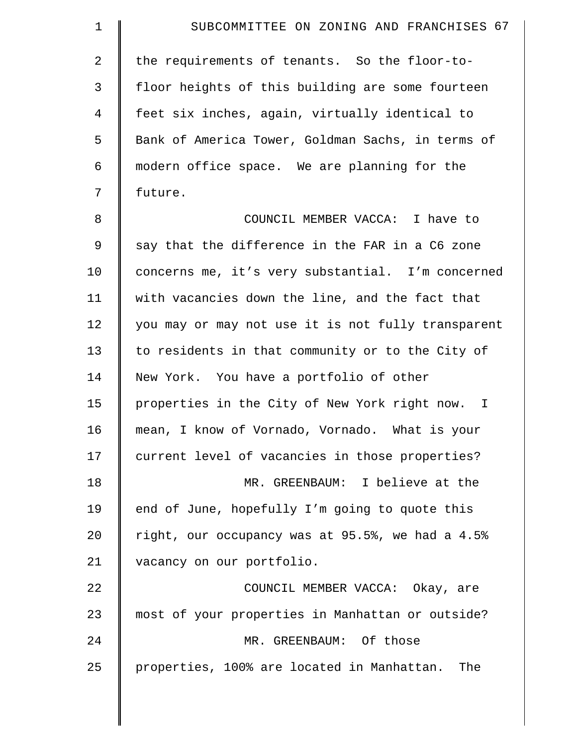| 1           | SUBCOMMITTEE ON ZONING AND FRANCHISES 67           |
|-------------|----------------------------------------------------|
| 2           | the requirements of tenants. So the floor-to-      |
| 3           | floor heights of this building are some fourteen   |
| 4           | feet six inches, again, virtually identical to     |
| 5           | Bank of America Tower, Goldman Sachs, in terms of  |
| 6           | modern office space. We are planning for the       |
| 7           | future.                                            |
| 8           | COUNCIL MEMBER VACCA: I have to                    |
| $\mathsf 9$ | say that the difference in the FAR in a C6 zone    |
| 10          | concerns me, it's very substantial. I'm concerned  |
| 11          | with vacancies down the line, and the fact that    |
| 12          | you may or may not use it is not fully transparent |
| 13          | to residents in that community or to the City of   |
| 14          | New York. You have a portfolio of other            |
| 15          | properties in the City of New York right now. I    |
| 16          | mean, I know of Vornado, Vornado. What is your     |
| 17          | current level of vacancies in those properties?    |
| 18          | MR. GREENBAUM: I believe at the                    |
| 19          | end of June, hopefully I'm going to quote this     |
| 20          | right, our occupancy was at 95.5%, we had a 4.5%   |
| 21          | vacancy on our portfolio.                          |
| 22          | COUNCIL MEMBER VACCA: Okay, are                    |
| 23          | most of your properties in Manhattan or outside?   |
| 24          | MR. GREENBAUM: Of those                            |
| 25          | properties, 100% are located in Manhattan. The     |
|             |                                                    |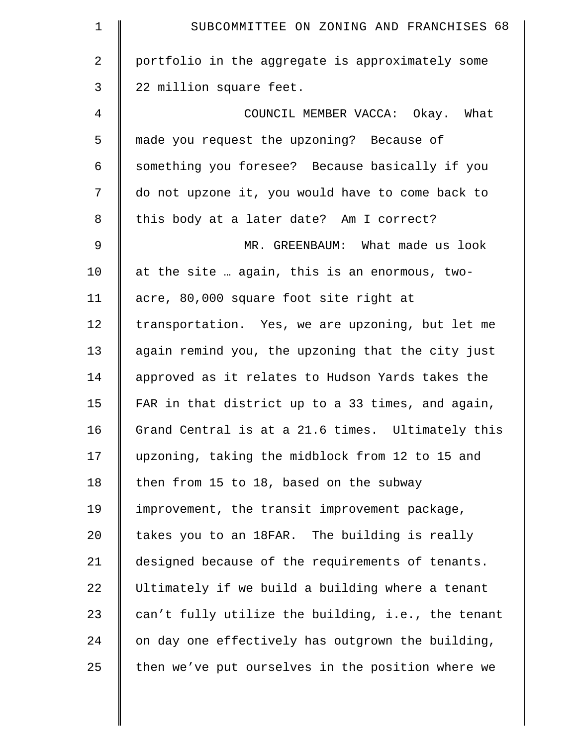| $\mathbf 1$    | SUBCOMMITTEE ON ZONING AND FRANCHISES 68           |
|----------------|----------------------------------------------------|
| $\overline{2}$ | portfolio in the aggregate is approximately some   |
| 3              | 22 million square feet.                            |
| 4              | COUNCIL MEMBER VACCA: Okay. What                   |
| 5              | made you request the upzoning? Because of          |
| 6              | something you foresee? Because basically if you    |
| 7              | do not upzone it, you would have to come back to   |
| 8              | this body at a later date? Am I correct?           |
| $\mathsf 9$    | MR. GREENBAUM: What made us look                   |
| 10             | at the site  again, this is an enormous, two-      |
| 11             | acre, 80,000 square foot site right at             |
| 12             | transportation. Yes, we are upzoning, but let me   |
| 13             | again remind you, the upzoning that the city just  |
| 14             | approved as it relates to Hudson Yards takes the   |
| 15             | FAR in that district up to a 33 times, and again,  |
| 16             | Grand Central is at a 21.6 times. Ultimately this  |
| 17             | upzoning, taking the midblock from 12 to 15 and    |
| 18             | then from 15 to 18, based on the subway            |
| 19             | improvement, the transit improvement package,      |
| 20             | takes you to an 18FAR. The building is really      |
| 21             | designed because of the requirements of tenants.   |
| 22             | Ultimately if we build a building where a tenant   |
| 23             | can't fully utilize the building, i.e., the tenant |
| 24             | on day one effectively has outgrown the building,  |
| 25             | then we've put ourselves in the position where we  |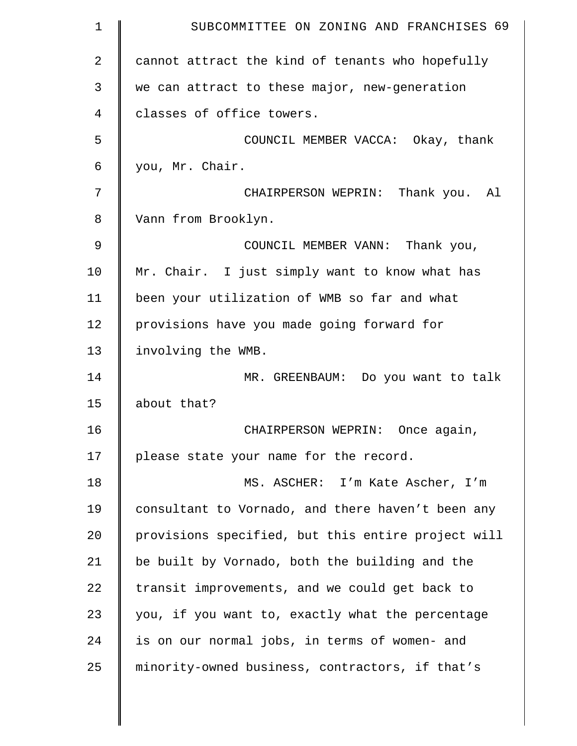| $\mathbf 1$    | SUBCOMMITTEE ON ZONING AND FRANCHISES 69           |
|----------------|----------------------------------------------------|
| $\overline{2}$ | cannot attract the kind of tenants who hopefully   |
| 3              | we can attract to these major, new-generation      |
| 4              | classes of office towers.                          |
| 5              | COUNCIL MEMBER VACCA: Okay, thank                  |
| 6              | you, Mr. Chair.                                    |
| 7              | CHAIRPERSON WEPRIN: Thank you. Al                  |
| 8              | Vann from Brooklyn.                                |
| 9              | COUNCIL MEMBER VANN: Thank you,                    |
| 10             | Mr. Chair. I just simply want to know what has     |
| 11             | been your utilization of WMB so far and what       |
| 12             | provisions have you made going forward for         |
| 13             | involving the WMB.                                 |
| 14             | MR. GREENBAUM: Do you want to talk                 |
| 15             | about that?                                        |
| 16             | CHAIRPERSON WEPRIN: Once again,                    |
| 17             | please state your name for the record.             |
| 18             | MS. ASCHER: I'm Kate Ascher, I'm                   |
| 19             | consultant to Vornado, and there haven't been any  |
| 20             | provisions specified, but this entire project will |
| 21             | be built by Vornado, both the building and the     |
| 22             | transit improvements, and we could get back to     |
| 23             | you, if you want to, exactly what the percentage   |
| 24             | is on our normal jobs, in terms of women- and      |
| 25             | minority-owned business, contractors, if that's    |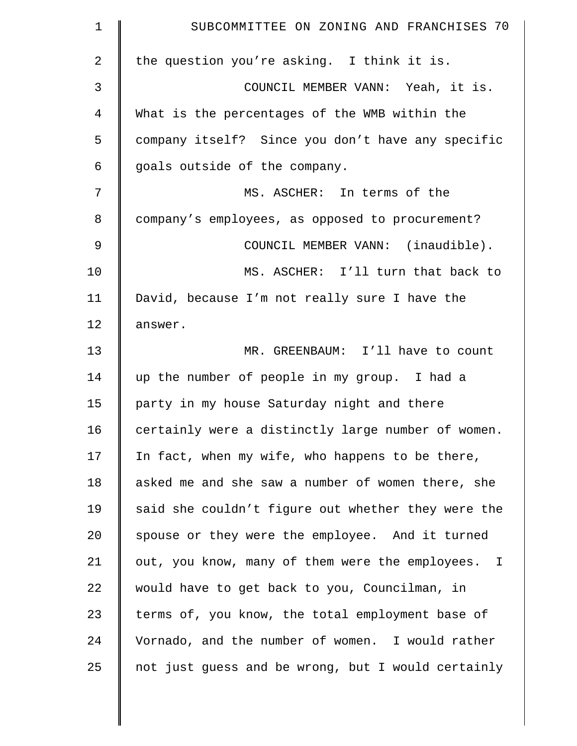| 1              | SUBCOMMITTEE ON ZONING AND FRANCHISES 70           |
|----------------|----------------------------------------------------|
| 2              | the question you're asking. I think it is.         |
| 3              | COUNCIL MEMBER VANN: Yeah, it is.                  |
| $\overline{4}$ | What is the percentages of the WMB within the      |
| 5              | company itself? Since you don't have any specific  |
| 6              | goals outside of the company.                      |
| 7              | MS. ASCHER: In terms of the                        |
| 8              | company's employees, as opposed to procurement?    |
| $\mathsf 9$    | COUNCIL MEMBER VANN: (inaudible).                  |
| 10             | MS. ASCHER: I'll turn that back to                 |
| 11             | David, because I'm not really sure I have the      |
| 12             | answer.                                            |
| 13             | MR. GREENBAUM: I'll have to count                  |
| 14             | up the number of people in my group. I had a       |
| 15             | party in my house Saturday night and there         |
| 16             | certainly were a distinctly large number of women. |
| 17             | In fact, when my wife, who happens to be there,    |
| 18             | asked me and she saw a number of women there, she  |
| 19             | said she couldn't figure out whether they were the |
| 20             | spouse or they were the employee. And it turned    |
| 21             | out, you know, many of them were the employees. I  |
| 22             | would have to get back to you, Councilman, in      |
| 23             | terms of, you know, the total employment base of   |
| 24             | Vornado, and the number of women. I would rather   |
| 25             | not just guess and be wrong, but I would certainly |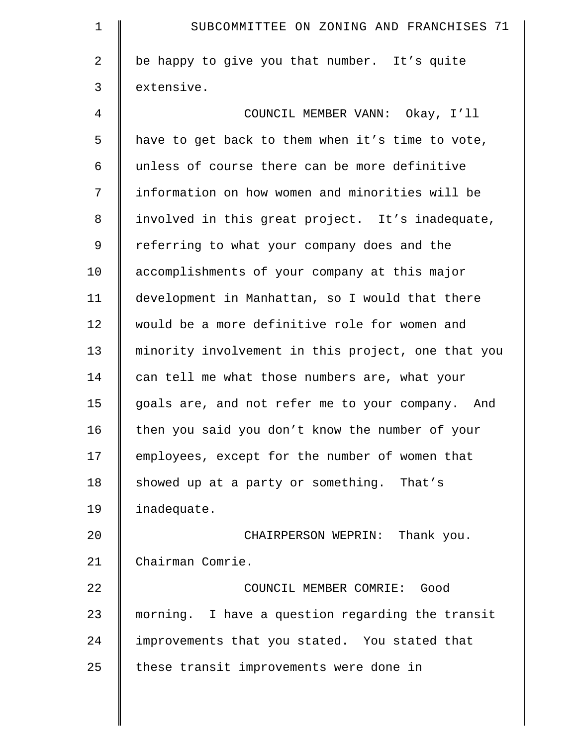| $\mathbf 1$    | SUBCOMMITTEE ON ZONING AND FRANCHISES 71           |
|----------------|----------------------------------------------------|
| $\overline{a}$ | be happy to give you that number. It's quite       |
| 3              | extensive.                                         |
| $\overline{4}$ | COUNCIL MEMBER VANN: Okay, I'll                    |
| 5              | have to get back to them when it's time to vote,   |
| 6              | unless of course there can be more definitive      |
| 7              | information on how women and minorities will be    |
| 8              | involved in this great project. It's inadequate,   |
| 9              | referring to what your company does and the        |
| 10             | accomplishments of your company at this major      |
| 11             | development in Manhattan, so I would that there    |
| 12             | would be a more definitive role for women and      |
| 13             | minority involvement in this project, one that you |
| 14             | can tell me what those numbers are, what your      |
| 15             | goals are, and not refer me to your company. And   |
| 16             | then you said you don't know the number of your    |
| 17             | employees, except for the number of women that     |
| 18             | showed up at a party or something. That's          |
| 19             | inadequate.                                        |
| 20             | CHAIRPERSON WEPRIN: Thank you.                     |
| 21             | Chairman Comrie.                                   |
| 22             | COUNCIL MEMBER COMRIE: Good                        |
| 23             | morning. I have a question regarding the transit   |
| 24             | improvements that you stated. You stated that      |
| 25             | these transit improvements were done in            |
|                |                                                    |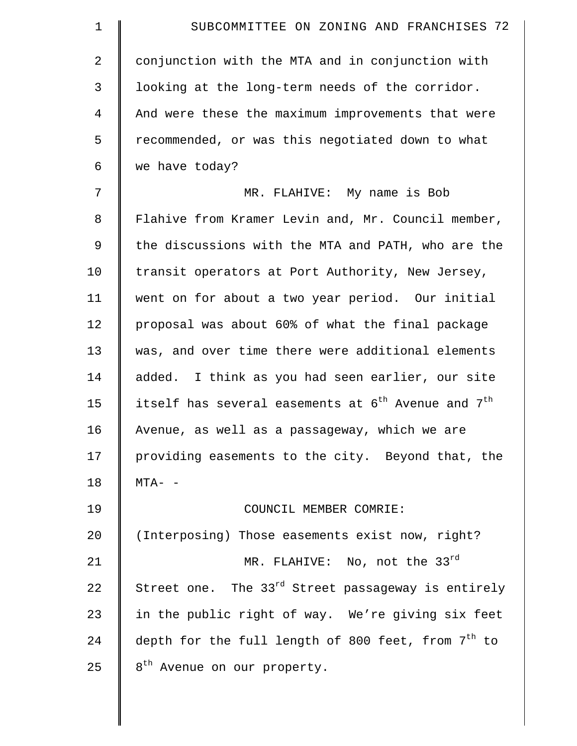| $\mathbf 1$    | SUBCOMMITTEE ON ZONING AND FRANCHISES 72                       |
|----------------|----------------------------------------------------------------|
| $\overline{a}$ | conjunction with the MTA and in conjunction with               |
| 3              | looking at the long-term needs of the corridor.                |
| $\overline{4}$ | And were these the maximum improvements that were              |
| 5              | recommended, or was this negotiated down to what               |
| 6              | we have today?                                                 |
| 7              | MR. FLAHIVE: My name is Bob                                    |
| 8              | Flahive from Kramer Levin and, Mr. Council member,             |
| 9              | the discussions with the MTA and PATH, who are the             |
| 10             | transit operators at Port Authority, New Jersey,               |
| 11             | went on for about a two year period. Our initial               |
| 12             | proposal was about 60% of what the final package               |
| 13             | was, and over time there were additional elements              |
| 14             | added. I think as you had seen earlier, our site               |
| 15             | itself has several easements at $6^{th}$ Avenue and $7^{th}$   |
| 16             | Avenue, as well as a passageway, which we are                  |
| 17             | providing easements to the city. Beyond that, the              |
| 18             | $MTA - -$                                                      |
| 19             | COUNCIL MEMBER COMRIE:                                         |
| 20             | (Interposing) Those easements exist now, right?                |
| 21             | MR. FLAHIVE: No, not the 33rd                                  |
| 22             | Street one. The $33^{rd}$ Street passageway is entirely        |
| 23             | in the public right of way. We're giving six feet              |
| 24             | depth for the full length of 800 feet, from 7 <sup>th</sup> to |
| 25             | 8 <sup>th</sup> Avenue on our property.                        |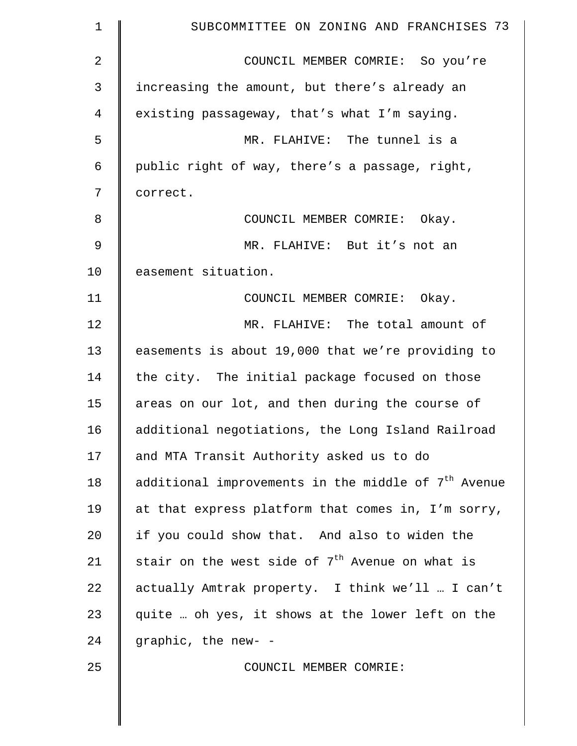| $\mathbf 1$    | SUBCOMMITTEE ON ZONING AND FRANCHISES 73                        |
|----------------|-----------------------------------------------------------------|
| $\overline{2}$ | COUNCIL MEMBER COMRIE: So you're                                |
| 3              | increasing the amount, but there's already an                   |
| $\overline{4}$ | existing passageway, that's what I'm saying.                    |
| 5              | MR. FLAHIVE: The tunnel is a                                    |
| 6              | public right of way, there's a passage, right,                  |
| 7              | correct.                                                        |
| 8              | COUNCIL MEMBER COMRIE: Okay.                                    |
| 9              | MR. FLAHIVE: But it's not an                                    |
| 10             | easement situation.                                             |
| 11             | COUNCIL MEMBER COMRIE: Okay.                                    |
| 12             | MR. FLAHIVE: The total amount of                                |
| 13             | easements is about 19,000 that we're providing to               |
| 14             | the city. The initial package focused on those                  |
| 15             | areas on our lot, and then during the course of                 |
| 16             | additional negotiations, the Long Island Railroad               |
| 17             | and MTA Transit Authority asked us to do                        |
| 18             | additional improvements in the middle of 7 <sup>th</sup> Avenue |
| 19             | at that express platform that comes in, I'm sorry,              |
| 20             | if you could show that. And also to widen the                   |
| 21             | stair on the west side of 7 <sup>th</sup> Avenue on what is     |
| 22             | actually Amtrak property. I think we'll  I can't                |
| 23             | quite  oh yes, it shows at the lower left on the                |
| 24             | graphic, the new- -                                             |
| 25             | COUNCIL MEMBER COMRIE:                                          |
|                |                                                                 |

 $\parallel$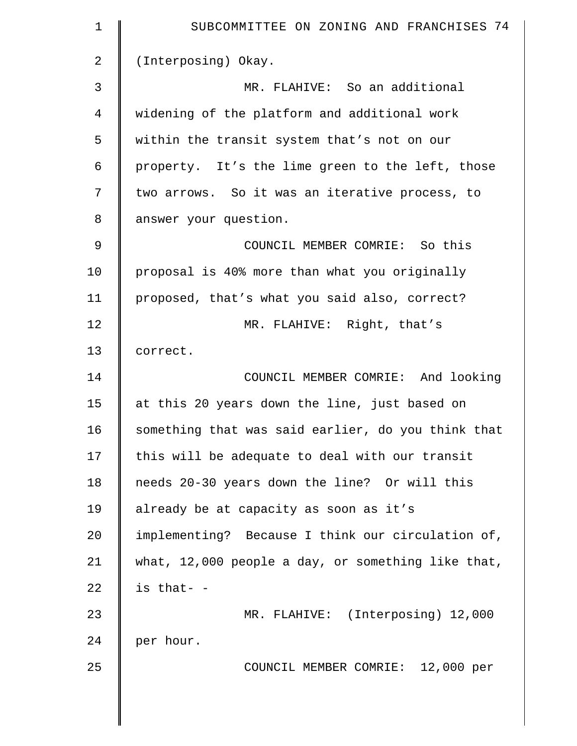| $\mathbf 1$ | SUBCOMMITTEE ON ZONING AND FRANCHISES 74           |
|-------------|----------------------------------------------------|
| 2           | (Interposing) Okay.                                |
| 3           | MR. FLAHIVE: So an additional                      |
| 4           | widening of the platform and additional work       |
| 5           | within the transit system that's not on our        |
| 6           | property. It's the lime green to the left, those   |
| 7           | two arrows. So it was an iterative process, to     |
| 8           | answer your question.                              |
| 9           | COUNCIL MEMBER COMRIE: So this                     |
| 10          | proposal is 40% more than what you originally      |
| 11          | proposed, that's what you said also, correct?      |
| 12          | MR. FLAHIVE: Right, that's                         |
| 13          | correct.                                           |
| 14          | COUNCIL MEMBER COMRIE: And looking                 |
| 15          | at this 20 years down the line, just based on      |
| 16          | something that was said earlier, do you think that |
| 17          | this will be adequate to deal with our transit     |
| 18          | needs 20-30 years down the line? Or will this      |
| 19          | already be at capacity as soon as it's             |
| 20          | implementing? Because I think our circulation of,  |
| 21          | what, 12,000 people a day, or something like that, |
| 22          | is that- -                                         |
| 23          | MR. FLAHIVE: (Interposing) 12,000                  |
| 24          | per hour.                                          |
| 25          | COUNCIL MEMBER COMRIE: 12,000 per                  |
|             |                                                    |
|             |                                                    |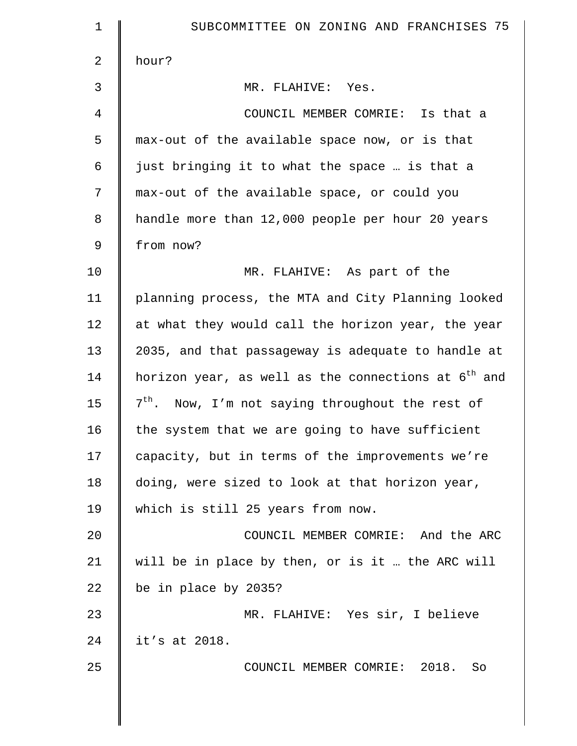| 1              | SUBCOMMITTEE ON ZONING AND FRANCHISES 75                        |
|----------------|-----------------------------------------------------------------|
| $\overline{2}$ | hour?                                                           |
| 3              | MR. FLAHIVE: Yes.                                               |
| $\overline{4}$ | COUNCIL MEMBER COMRIE: Is that a                                |
| 5              | max-out of the available space now, or is that                  |
| 6              | just bringing it to what the space  is that a                   |
| 7              | max-out of the available space, or could you                    |
| $\,8\,$        | handle more than 12,000 people per hour 20 years                |
| 9              | from now?                                                       |
| 10             | MR. FLAHIVE: As part of the                                     |
| 11             | planning process, the MTA and City Planning looked              |
| 12             | at what they would call the horizon year, the year              |
| 13             | 2035, and that passageway is adequate to handle at              |
| 14             | horizon year, as well as the connections at 6 <sup>th</sup> and |
| 15             | $7th$ . Now, I'm not saying throughout the rest of              |
| 16             | the system that we are going to have sufficient                 |
| 17             | capacity, but in terms of the improvements we're                |
| 18             | doing, were sized to look at that horizon year,                 |
| 19             | which is still 25 years from now.                               |
| 20             | COUNCIL MEMBER COMRIE: And the ARC                              |
| 21             | will be in place by then, or is it  the ARC will                |
| 22             | be in place by 2035?                                            |
| 23             | MR. FLAHIVE: Yes sir, I believe                                 |
| 24             | it's at 2018.                                                   |
| 25             | COUNCIL MEMBER COMRIE: 2018.<br>So                              |
|                |                                                                 |
|                |                                                                 |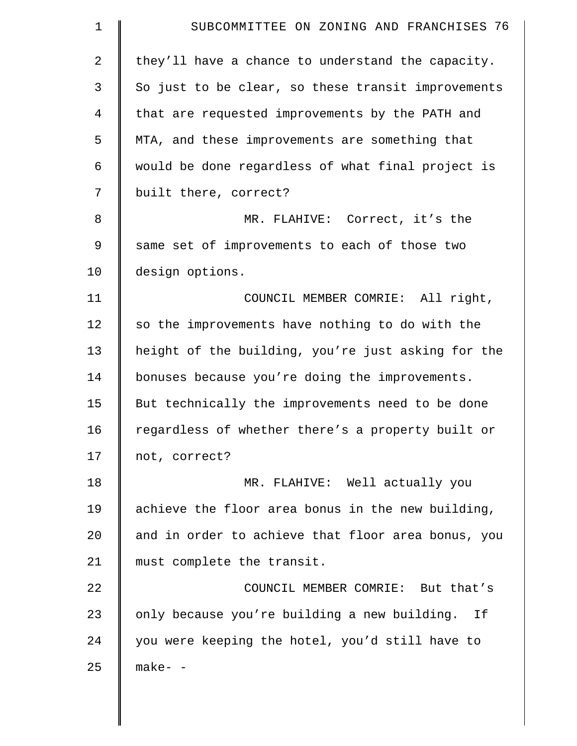| $\mathbf 1$    | SUBCOMMITTEE ON ZONING AND FRANCHISES 76           |
|----------------|----------------------------------------------------|
| $\overline{2}$ | they'll have a chance to understand the capacity.  |
| 3              | So just to be clear, so these transit improvements |
| 4              | that are requested improvements by the PATH and    |
| 5              | MTA, and these improvements are something that     |
| 6              | would be done regardless of what final project is  |
| 7              | built there, correct?                              |
| 8              | MR. FLAHIVE: Correct, it's the                     |
| $\mathsf 9$    | same set of improvements to each of those two      |
| 10             | design options.                                    |
| 11             | COUNCIL MEMBER COMRIE: All right,                  |
| 12             | so the improvements have nothing to do with the    |
| 13             | height of the building, you're just asking for the |
| 14             | bonuses because you're doing the improvements.     |
| 15             | But technically the improvements need to be done   |
| 16             | regardless of whether there's a property built or  |
| 17             | not, correct?                                      |
| 18             | MR. FLAHIVE: Well actually you                     |
| 19             | achieve the floor area bonus in the new building,  |
| 20             | and in order to achieve that floor area bonus, you |
| 21             | must complete the transit.                         |
| 22             | COUNCIL MEMBER COMRIE: But that's                  |
| 23             | only because you're building a new building. If    |
| 24             | you were keeping the hotel, you'd still have to    |
| 25             | $make-$                                            |
|                |                                                    |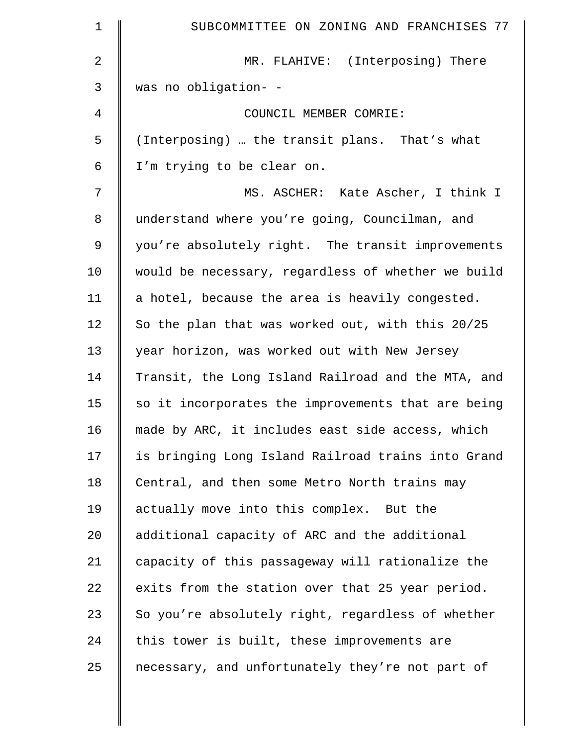| $\mathbf 1$    | SUBCOMMITTEE ON ZONING AND FRANCHISES 77           |
|----------------|----------------------------------------------------|
| $\overline{2}$ | MR. FLAHIVE: (Interposing) There                   |
| 3              | was no obligation- -                               |
| 4              | COUNCIL MEMBER COMRIE:                             |
| 5              | (Interposing)  the transit plans. That's what      |
| 6              | I'm trying to be clear on.                         |
| 7              | MS. ASCHER: Kate Ascher, I think I                 |
| 8              | understand where you're going, Councilman, and     |
| $\mathsf 9$    | you're absolutely right. The transit improvements  |
| 10             | would be necessary, regardless of whether we build |
| 11             | a hotel, because the area is heavily congested.    |
| 12             | So the plan that was worked out, with this 20/25   |
| 13             | year horizon, was worked out with New Jersey       |
| 14             | Transit, the Long Island Railroad and the MTA, and |
| 15             | so it incorporates the improvements that are being |
| 16             | made by ARC, it includes east side access, which   |
| 17             | is bringing Long Island Railroad trains into Grand |
| 18             | Central, and then some Metro North trains may      |
| 19             | actually move into this complex. But the           |
| 20             | additional capacity of ARC and the additional      |
| 21             | capacity of this passageway will rationalize the   |
| 22             | exits from the station over that 25 year period.   |
| 23             | So you're absolutely right, regardless of whether  |
| 24             | this tower is built, these improvements are        |
| 25             | necessary, and unfortunately they're not part of   |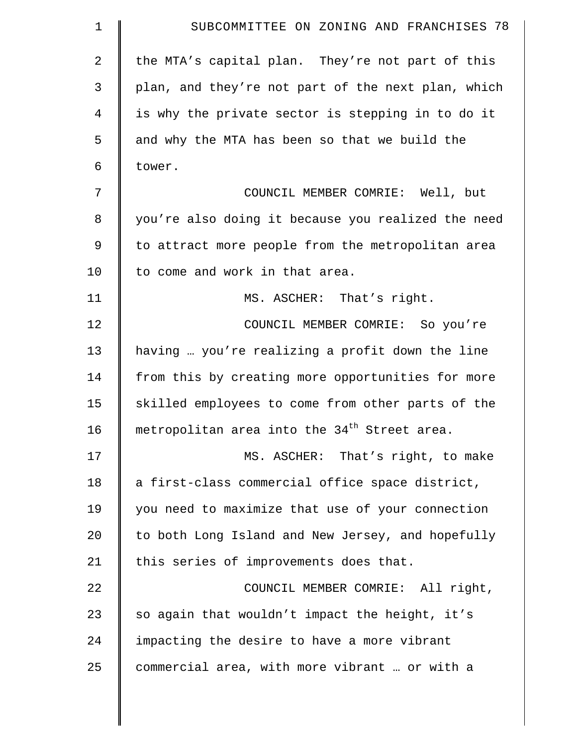| $\mathbf 1$    | SUBCOMMITTEE ON ZONING AND FRANCHISES 78                 |
|----------------|----------------------------------------------------------|
| $\overline{2}$ | the MTA's capital plan. They're not part of this         |
| 3              | plan, and they're not part of the next plan, which       |
| $\overline{4}$ | is why the private sector is stepping in to do it        |
| 5              | and why the MTA has been so that we build the            |
| 6              | tower.                                                   |
| 7              | COUNCIL MEMBER COMRIE: Well, but                         |
| 8              | you're also doing it because you realized the need       |
| 9              | to attract more people from the metropolitan area        |
| 10             | to come and work in that area.                           |
| 11             | MS. ASCHER: That's right.                                |
| 12             | COUNCIL MEMBER COMRIE: So you're                         |
| 13             | having  you're realizing a profit down the line          |
| 14             | from this by creating more opportunities for more        |
| 15             | skilled employees to come from other parts of the        |
| 16             | metropolitan area into the 34 <sup>th</sup> Street area. |
| 17             | MS. ASCHER: That's right, to make                        |
| 18             | a first-class commercial office space district,          |
| 19             | you need to maximize that use of your connection         |
| 20             | to both Long Island and New Jersey, and hopefully        |
| 21             | this series of improvements does that.                   |
| 22             | COUNCIL MEMBER COMRIE: All right,                        |
| 23             | so again that wouldn't impact the height, it's           |
| 24             | impacting the desire to have a more vibrant              |
| 25             | commercial area, with more vibrant  or with a            |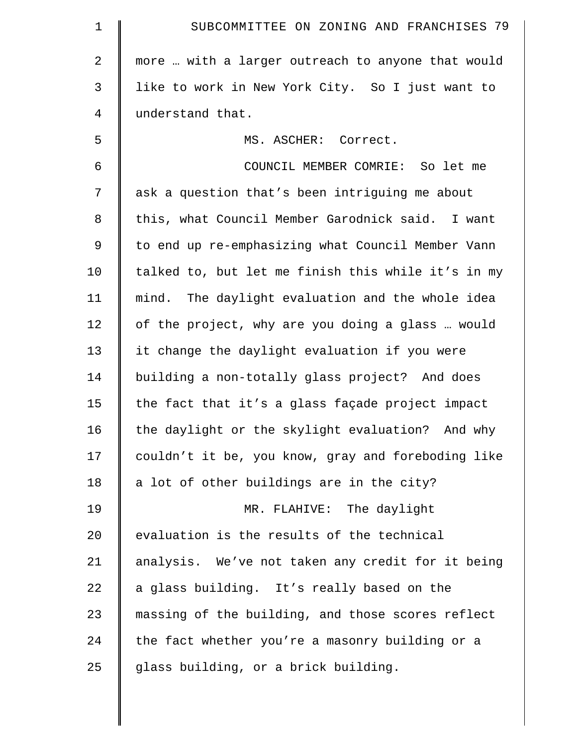| $\mathbf 1$    | SUBCOMMITTEE ON ZONING AND FRANCHISES 79           |
|----------------|----------------------------------------------------|
| 2              | more  with a larger outreach to anyone that would  |
| 3              | like to work in New York City. So I just want to   |
| $\overline{4}$ | understand that.                                   |
| 5              | MS. ASCHER: Correct.                               |
| 6              | COUNCIL MEMBER COMRIE: So let me                   |
| 7              | ask a question that's been intriguing me about     |
| 8              | this, what Council Member Garodnick said. I want   |
| 9              | to end up re-emphasizing what Council Member Vann  |
| 10             | talked to, but let me finish this while it's in my |
| 11             | mind. The daylight evaluation and the whole idea   |
| 12             | of the project, why are you doing a glass  would   |
| 13             | it change the daylight evaluation if you were      |
| 14             | building a non-totally glass project? And does     |
| 15             | the fact that it's a glass façade project impact   |
| 16             | the daylight or the skylight evaluation? And why   |
| 17             | couldn't it be, you know, gray and foreboding like |
| 18             | a lot of other buildings are in the city?          |
| 19             | MR. FLAHIVE: The daylight                          |
| 20             | evaluation is the results of the technical         |
| 21             | analysis. We've not taken any credit for it being  |
| 22             | a glass building. It's really based on the         |
| 23             | massing of the building, and those scores reflect  |
| 24             | the fact whether you're a masonry building or a    |
| 25             | glass building, or a brick building.               |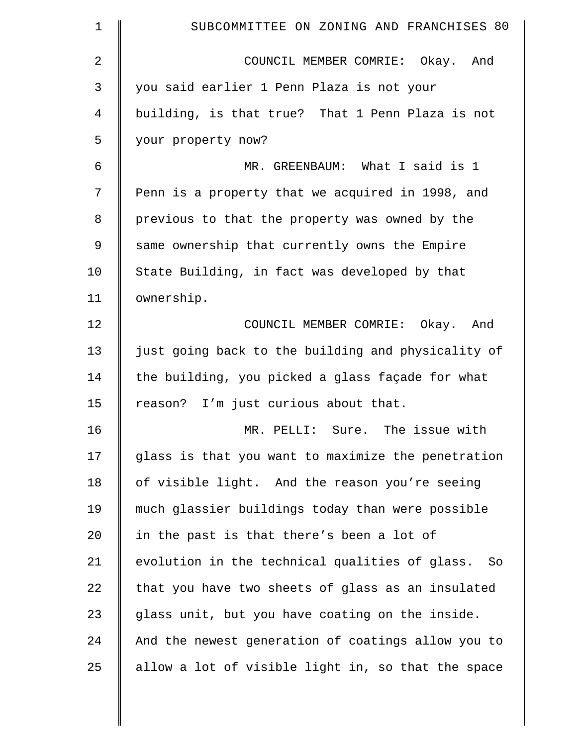| $\mathbf 1$ | SUBCOMMITTEE ON ZONING AND FRANCHISES 80             |
|-------------|------------------------------------------------------|
| 2           | COUNCIL MEMBER COMRIE: Okay. And                     |
| 3           | you said earlier 1 Penn Plaza is not your            |
| 4           | building, is that true? That 1 Penn Plaza is not     |
| 5           | your property now?                                   |
| 6           | MR. GREENBAUM: What I said is 1                      |
| 7           | Penn is a property that we acquired in 1998, and     |
| 8           | previous to that the property was owned by the       |
| 9           | same ownership that currently owns the Empire        |
| 10          | State Building, in fact was developed by that        |
| 11          | ownership.                                           |
| 12          | COUNCIL MEMBER COMRIE: Okay. And                     |
| 13          | just going back to the building and physicality of   |
| 14          | the building, you picked a glass façade for what     |
| 15          | reason? I'm just curious about that.                 |
| 16          | Sure. The issue with<br>MR. PELLI:                   |
| 17          | glass is that you want to maximize the penetration   |
| 18          | of visible light. And the reason you're seeing       |
| 19          | much glassier buildings today than were possible     |
| 20          | in the past is that there's been a lot of            |
| 21          | evolution in the technical qualities of glass.<br>So |
| 22          | that you have two sheets of glass as an insulated    |
| 23          | glass unit, but you have coating on the inside.      |
| 24          | And the newest generation of coatings allow you to   |
| 25          | allow a lot of visible light in, so that the space   |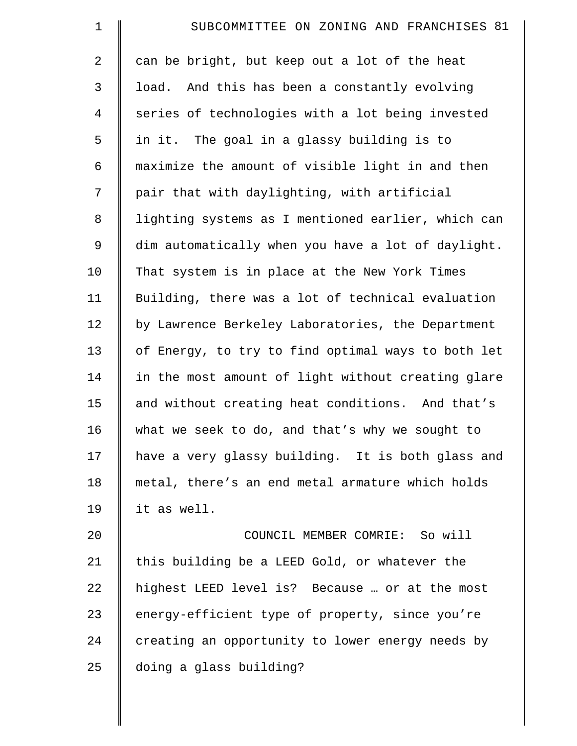| $\mathbf 1$    | SUBCOMMITTEE ON ZONING AND FRANCHISES 81           |
|----------------|----------------------------------------------------|
| $\overline{2}$ | can be bright, but keep out a lot of the heat      |
| 3              | load. And this has been a constantly evolving      |
| $\overline{4}$ | series of technologies with a lot being invested   |
| 5              | in it. The goal in a glassy building is to         |
| 6              | maximize the amount of visible light in and then   |
| 7              | pair that with daylighting, with artificial        |
| 8              | lighting systems as I mentioned earlier, which can |
| 9              | dim automatically when you have a lot of daylight. |
| 10             | That system is in place at the New York Times      |
| 11             | Building, there was a lot of technical evaluation  |
| 12             | by Lawrence Berkeley Laboratories, the Department  |
| 13             | of Energy, to try to find optimal ways to both let |
| 14             | in the most amount of light without creating glare |
| 15             | and without creating heat conditions. And that's   |
| 16             | what we seek to do, and that's why we sought to    |
| 17             | have a very glassy building. It is both glass and  |
| 18             | metal, there's an end metal armature which holds   |
| 19             | it as well.                                        |
| 20             | COUNCIL MEMBER COMRIE: So will                     |
| 21             | this building be a LEED Gold, or whatever the      |
| 22             | highest LEED level is? Because  or at the most     |
| 23             | energy-efficient type of property, since you're    |
| 24             | creating an opportunity to lower energy needs by   |
| 25             | doing a glass building?                            |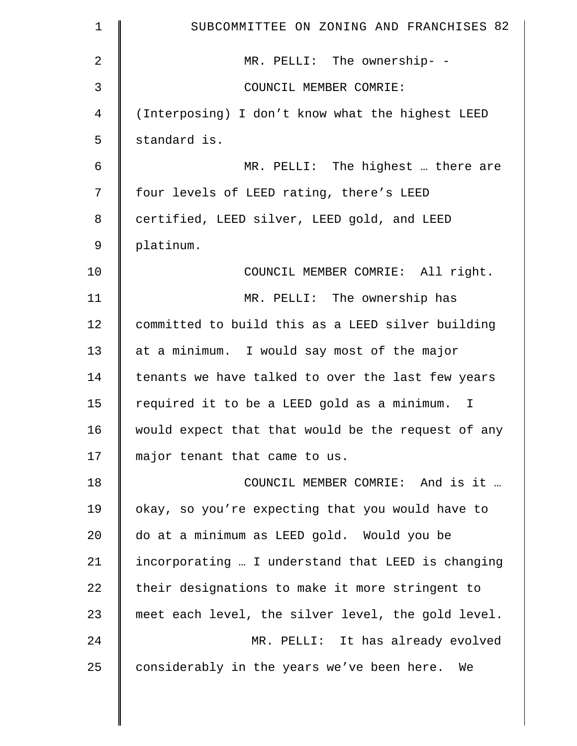| $\mathbf 1$    | SUBCOMMITTEE ON ZONING AND FRANCHISES 82           |
|----------------|----------------------------------------------------|
| $\overline{2}$ | MR. PELLI: The ownership- -                        |
| $\mathfrak{Z}$ | COUNCIL MEMBER COMRIE:                             |
| 4              | (Interposing) I don't know what the highest LEED   |
| 5              | standard is.                                       |
| 6              | MR. PELLI: The highest  there are                  |
| 7              | four levels of LEED rating, there's LEED           |
| 8              | certified, LEED silver, LEED gold, and LEED        |
| 9              | platinum.                                          |
| 10             | COUNCIL MEMBER COMRIE: All right.                  |
| 11             | MR. PELLI: The ownership has                       |
| 12             | committed to build this as a LEED silver building  |
| 13             | at a minimum. I would say most of the major        |
| 14             | tenants we have talked to over the last few years  |
| 15             | required it to be a LEED gold as a minimum. I      |
| 16             | would expect that that would be the request of any |
| 17             | major tenant that came to us.                      |
| 18             | COUNCIL MEMBER COMRIE: And is it                   |
| 19             | okay, so you're expecting that you would have to   |
| 20             | do at a minimum as LEED gold. Would you be         |
| 21             | incorporating  I understand that LEED is changing  |
| 22             | their designations to make it more stringent to    |
| 23             | meet each level, the silver level, the gold level. |
| 24             | MR. PELLI: It has already evolved                  |
| 25             | considerably in the years we've been here. We      |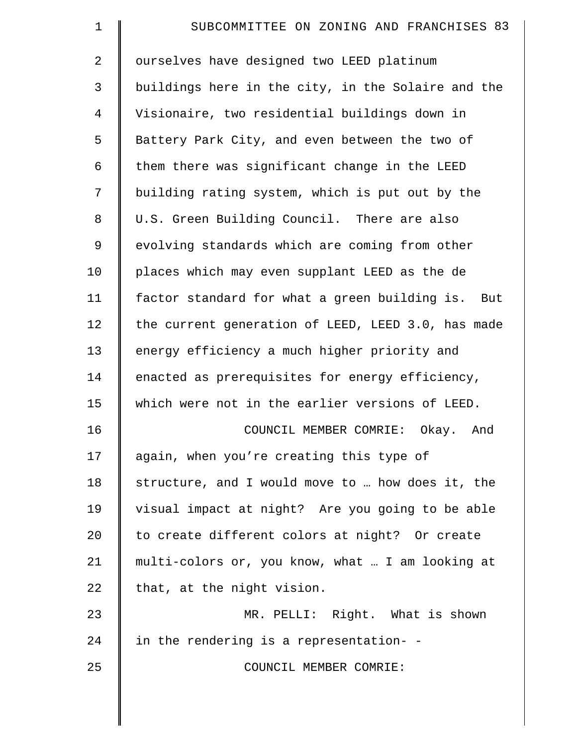| $\mathbf 1$    | SUBCOMMITTEE ON ZONING AND FRANCHISES 83           |
|----------------|----------------------------------------------------|
| $\overline{2}$ | ourselves have designed two LEED platinum          |
| 3              | buildings here in the city, in the Solaire and the |
| 4              | Visionaire, two residential buildings down in      |
| 5              | Battery Park City, and even between the two of     |
| 6              | them there was significant change in the LEED      |
| 7              | building rating system, which is put out by the    |
| 8              | U.S. Green Building Council. There are also        |
| 9              | evolving standards which are coming from other     |
| 10             | places which may even supplant LEED as the de      |
| 11             | factor standard for what a green building is. But  |
| 12             | the current generation of LEED, LEED 3.0, has made |
| 13             | energy efficiency a much higher priority and       |
| 14             | enacted as prerequisites for energy efficiency,    |
| 15             | which were not in the earlier versions of LEED.    |
| 16             | COUNCIL MEMBER COMRIE: Okay. And                   |
| 17             | again, when you're creating this type of           |
| 18             | structure, and I would move to  how does it, the   |
| 19             | visual impact at night? Are you going to be able   |
| 20             | to create different colors at night? Or create     |
| 21             | multi-colors or, you know, what  I am looking at   |
| 22             | that, at the night vision.                         |
| 23             | MR. PELLI: Right. What is shown                    |
| 24             | in the rendering is a representation- -            |
| 25             | COUNCIL MEMBER COMRIE:                             |
|                |                                                    |

 $\parallel$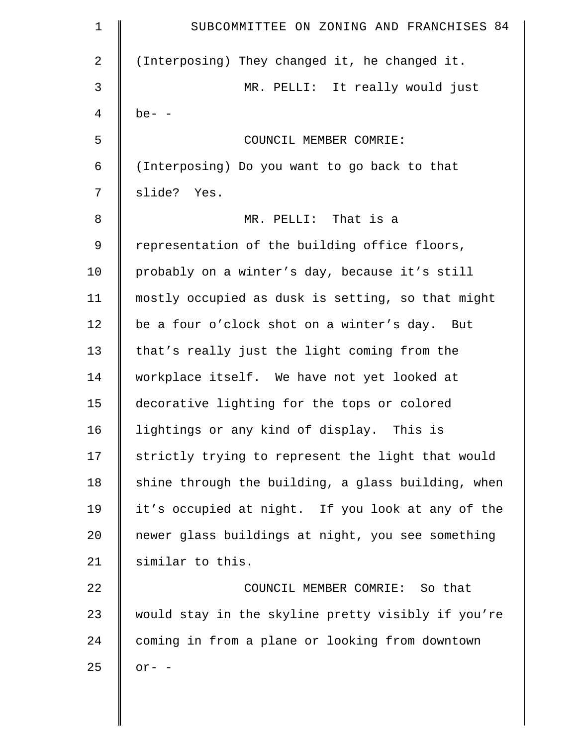| $\mathbf 1$    | SUBCOMMITTEE ON ZONING AND FRANCHISES 84           |
|----------------|----------------------------------------------------|
| $\overline{2}$ | (Interposing) They changed it, he changed it.      |
| 3              | MR. PELLI: It really would just                    |
| 4              | $be- -$                                            |
| 5              | COUNCIL MEMBER COMRIE:                             |
| 6              | (Interposing) Do you want to go back to that       |
| 7              | slide? Yes.                                        |
| $\,8\,$        | MR. PELLI: That is a                               |
| 9              | representation of the building office floors,      |
| 10             | probably on a winter's day, because it's still     |
| 11             | mostly occupied as dusk is setting, so that might  |
| 12             | be a four o'clock shot on a winter's day. But      |
| 13             | that's really just the light coming from the       |
| 14             | workplace itself. We have not yet looked at        |
| 15             | decorative lighting for the tops or colored        |
| 16             | lightings or any kind of display. This is          |
| 17             | strictly trying to represent the light that would  |
| 18             | shine through the building, a glass building, when |
| 19             | it's occupied at night. If you look at any of the  |
| 20             | newer glass buildings at night, you see something  |
| 21             | similar to this.                                   |
| 22             | COUNCIL MEMBER COMRIE: So that                     |
| 23             | would stay in the skyline pretty visibly if you're |
| 24             | coming in from a plane or looking from downtown    |
| 25             | $or-$ -                                            |
|                |                                                    |

 $\parallel$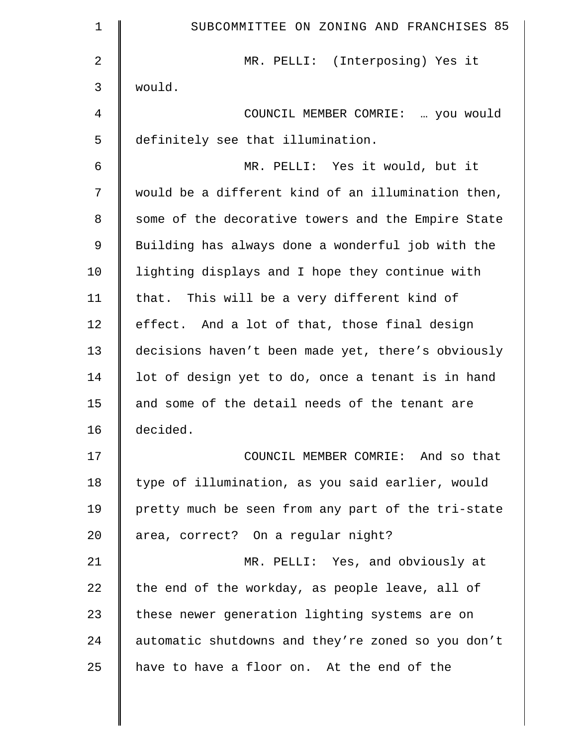| $\mathbf 1$ | SUBCOMMITTEE ON ZONING AND FRANCHISES 85           |
|-------------|----------------------------------------------------|
| 2           | MR. PELLI: (Interposing) Yes it                    |
| 3           | would.                                             |
| 4           | COUNCIL MEMBER COMRIE:  you would                  |
| 5           | definitely see that illumination.                  |
| 6           | MR. PELLI: Yes it would, but it                    |
| 7           | would be a different kind of an illumination then, |
| 8           | some of the decorative towers and the Empire State |
| 9           | Building has always done a wonderful job with the  |
| 10          | lighting displays and I hope they continue with    |
| 11          | that. This will be a very different kind of        |
| 12          | effect. And a lot of that, those final design      |
| 13          | decisions haven't been made yet, there's obviously |
| 14          | lot of design yet to do, once a tenant is in hand  |
| 15          | and some of the detail needs of the tenant are     |
| 16          | decided.                                           |
| 17          | COUNCIL MEMBER COMRIE: And so that                 |
| 18          | type of illumination, as you said earlier, would   |
| 19          | pretty much be seen from any part of the tri-state |
| 20          | area, correct? On a regular night?                 |
| 21          | MR. PELLI: Yes, and obviously at                   |
| 22          | the end of the workday, as people leave, all of    |
| 23          | these newer generation lighting systems are on     |
| 24          | automatic shutdowns and they're zoned so you don't |
| 25          | have to have a floor on. At the end of the         |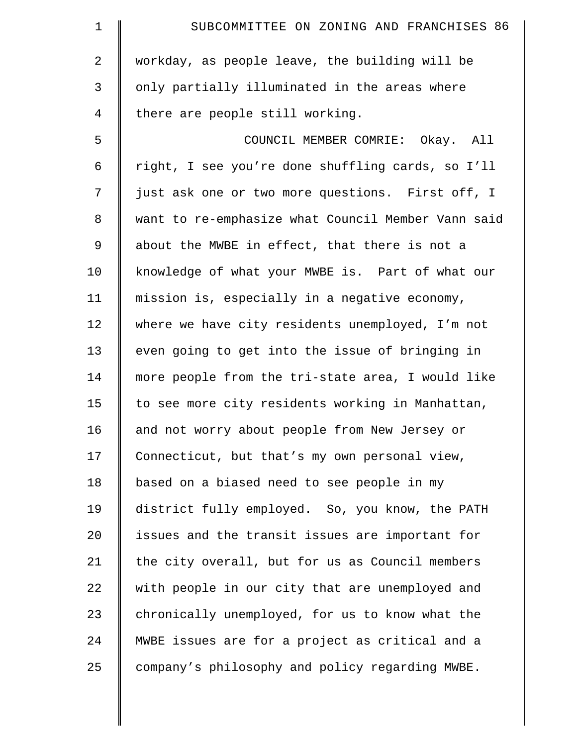| $\mathbf 1$    | SUBCOMMITTEE ON ZONING AND FRANCHISES 86           |
|----------------|----------------------------------------------------|
| $\overline{2}$ | workday, as people leave, the building will be     |
| 3              | only partially illuminated in the areas where      |
| 4              | there are people still working.                    |
| 5              | COUNCIL MEMBER COMRIE: Okay. All                   |
| 6              | right, I see you're done shuffling cards, so I'll  |
| 7              | just ask one or two more questions. First off, I   |
| $\,8\,$        | want to re-emphasize what Council Member Vann said |
| 9              | about the MWBE in effect, that there is not a      |
| 10             | knowledge of what your MWBE is. Part of what our   |
| 11             | mission is, especially in a negative economy,      |
| 12             | where we have city residents unemployed, I'm not   |
| 13             | even going to get into the issue of bringing in    |
| 14             | more people from the tri-state area, I would like  |
| 15             | to see more city residents working in Manhattan,   |
| 16             | and not worry about people from New Jersey or      |
| 17             | Connecticut, but that's my own personal view,      |
| 18             | based on a biased need to see people in my         |
| 19             | district fully employed. So, you know, the PATH    |
| 20             | issues and the transit issues are important for    |
| 21             | the city overall, but for us as Council members    |
| 22             | with people in our city that are unemployed and    |
| 23             | chronically unemployed, for us to know what the    |
| 24             | MWBE issues are for a project as critical and a    |
| 25             | company's philosophy and policy regarding MWBE.    |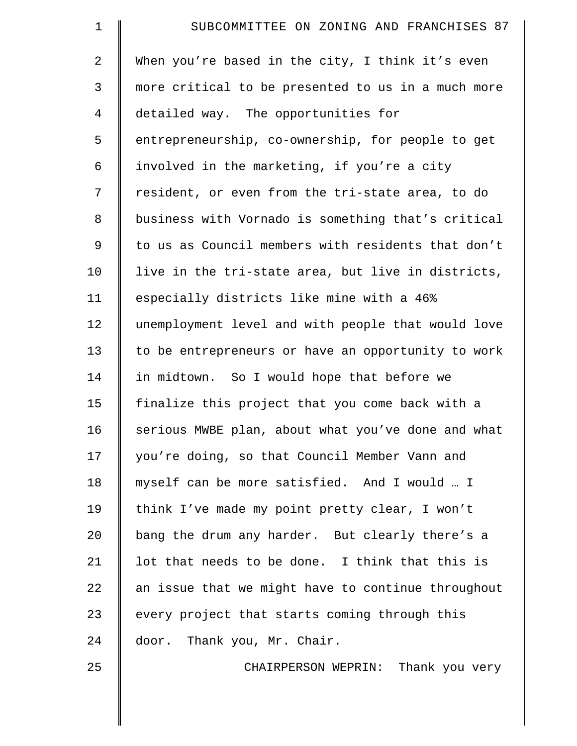| $\mathbf 1$    | SUBCOMMITTEE ON ZONING AND FRANCHISES 87           |
|----------------|----------------------------------------------------|
| 2              | When you're based in the city, I think it's even   |
| 3              | more critical to be presented to us in a much more |
| $\overline{4}$ | detailed way. The opportunities for                |
| 5              | entrepreneurship, co-ownership, for people to get  |
| 6              | involved in the marketing, if you're a city        |
| 7              | resident, or even from the tri-state area, to do   |
| 8              | business with Vornado is something that's critical |
| 9              | to us as Council members with residents that don't |
| 10             | live in the tri-state area, but live in districts, |
| 11             | especially districts like mine with a 46%          |
| 12             | unemployment level and with people that would love |
| 13             | to be entrepreneurs or have an opportunity to work |
| 14             | in midtown. So I would hope that before we         |
| 15             | finalize this project that you come back with a    |
| 16             | serious MWBE plan, about what you've done and what |
| 17             | you're doing, so that Council Member Vann and      |
| 18             | myself can be more satisfied. And I would  I       |
| 19             | think I've made my point pretty clear, I won't     |
| 20             | bang the drum any harder. But clearly there's a    |
| 21             | lot that needs to be done. I think that this is    |
| 22             | an issue that we might have to continue throughout |
| 23             | every project that starts coming through this      |
| 24             | door. Thank you, Mr. Chair.                        |
| 25             | CHAIRPERSON WEPRIN: Thank you very                 |
|                |                                                    |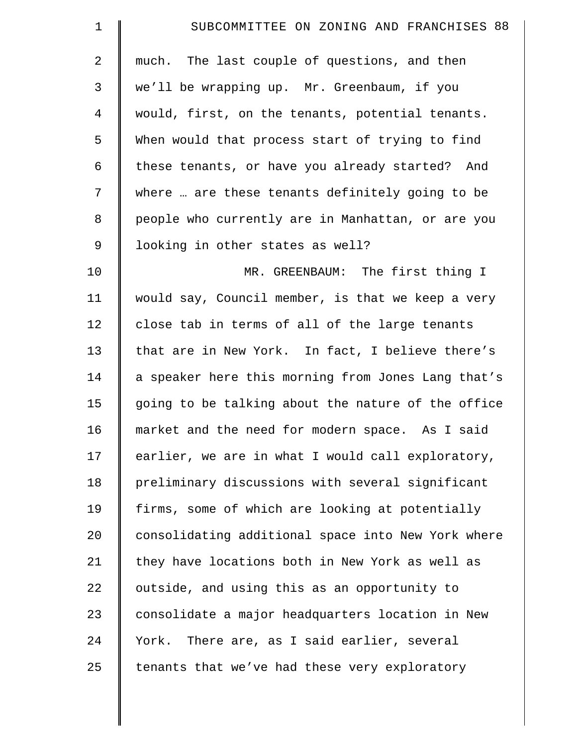| $\mathbf 1$ | SUBCOMMITTEE ON ZONING AND FRANCHISES 88           |
|-------------|----------------------------------------------------|
| 2           | much. The last couple of questions, and then       |
| 3           | we'll be wrapping up. Mr. Greenbaum, if you        |
| 4           | would, first, on the tenants, potential tenants.   |
| 5           | When would that process start of trying to find    |
| 6           | these tenants, or have you already started? And    |
| 7           | where  are these tenants definitely going to be    |
| 8           | people who currently are in Manhattan, or are you  |
| $\mathsf 9$ | looking in other states as well?                   |
| 10          | MR. GREENBAUM: The first thing I                   |
| 11          | would say, Council member, is that we keep a very  |
| 12          | close tab in terms of all of the large tenants     |
| 13          | that are in New York. In fact, I believe there's   |
| 14          | a speaker here this morning from Jones Lang that's |
| 15          | going to be talking about the nature of the office |
| 16          | market and the need for modern space. As I said    |
| 17          | earlier, we are in what I would call exploratory,  |
| 18          | preliminary discussions with several significant   |
| 19          | firms, some of which are looking at potentially    |
| 20          | consolidating additional space into New York where |
| 21          | they have locations both in New York as well as    |
| 22          | outside, and using this as an opportunity to       |
| 23          | consolidate a major headquarters location in New   |
| 24          | York. There are, as I said earlier, several        |
| 25          | tenants that we've had these very exploratory      |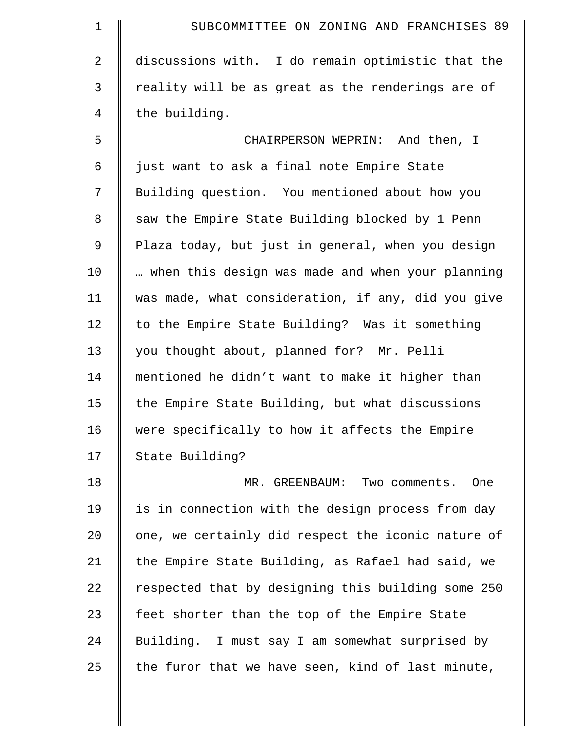| $\mathbf 1$    | SUBCOMMITTEE ON ZONING AND FRANCHISES 89           |
|----------------|----------------------------------------------------|
| $\overline{2}$ | discussions with. I do remain optimistic that the  |
| 3              | reality will be as great as the renderings are of  |
| 4              | the building.                                      |
| 5              | CHAIRPERSON WEPRIN: And then, I                    |
| 6              | just want to ask a final note Empire State         |
| 7              | Building question. You mentioned about how you     |
| 8              | saw the Empire State Building blocked by 1 Penn    |
| 9              | Plaza today, but just in general, when you design  |
| 10             | when this design was made and when your planning   |
| 11             | was made, what consideration, if any, did you give |
| 12             | to the Empire State Building? Was it something     |
| 13             | you thought about, planned for? Mr. Pelli          |
| 14             | mentioned he didn't want to make it higher than    |
| 15             | the Empire State Building, but what discussions    |
| 16             | were specifically to how it affects the Empire     |
| 17             | State Building?                                    |
| 18             | MR. GREENBAUM: Two comments. One                   |
| 19             | is in connection with the design process from day  |
| 20             | one, we certainly did respect the iconic nature of |
| 21             | the Empire State Building, as Rafael had said, we  |
| 22             | respected that by designing this building some 250 |
| 23             | feet shorter than the top of the Empire State      |
| 24             | Building. I must say I am somewhat surprised by    |
| 25             | the furor that we have seen, kind of last minute,  |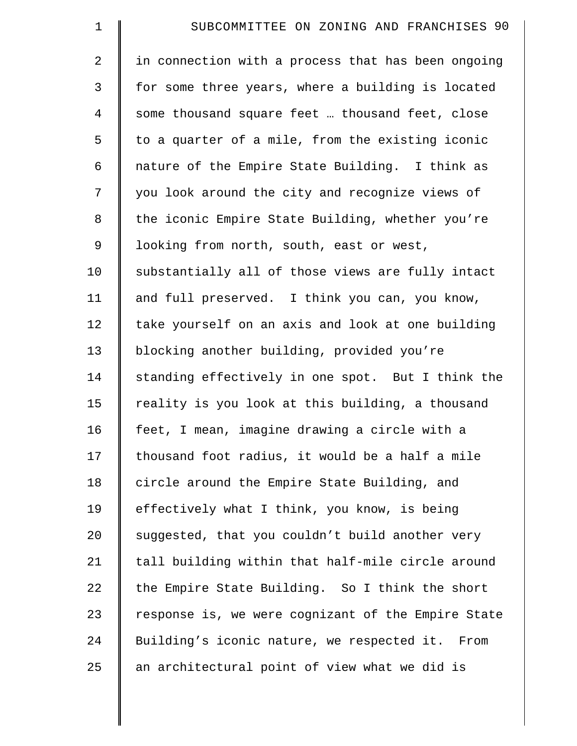| $\mathbf 1$    | SUBCOMMITTEE ON ZONING AND FRANCHISES 90           |
|----------------|----------------------------------------------------|
| $\overline{a}$ | in connection with a process that has been ongoing |
| 3              | for some three years, where a building is located  |
| $\overline{4}$ | some thousand square feet  thousand feet, close    |
| 5              | to a quarter of a mile, from the existing iconic   |
| 6              | nature of the Empire State Building. I think as    |
| 7              | you look around the city and recognize views of    |
| 8              | the iconic Empire State Building, whether you're   |
| 9              | looking from north, south, east or west,           |
| 10             | substantially all of those views are fully intact  |
| 11             | and full preserved. I think you can, you know,     |
| 12             | take yourself on an axis and look at one building  |
| 13             | blocking another building, provided you're         |
| 14             | standing effectively in one spot. But I think the  |
| 15             | reality is you look at this building, a thousand   |
| 16             | feet, I mean, imagine drawing a circle with a      |
| 17             | thousand foot radius, it would be a half a mile    |
| 18             | circle around the Empire State Building, and       |
| 19             | effectively what I think, you know, is being       |
| 20             | suggested, that you couldn't build another very    |
| 21             | tall building within that half-mile circle around  |
| 22             | the Empire State Building. So I think the short    |
| 23             | response is, we were cognizant of the Empire State |
| 24             | Building's iconic nature, we respected it. From    |
| 25             | an architectural point of view what we did is      |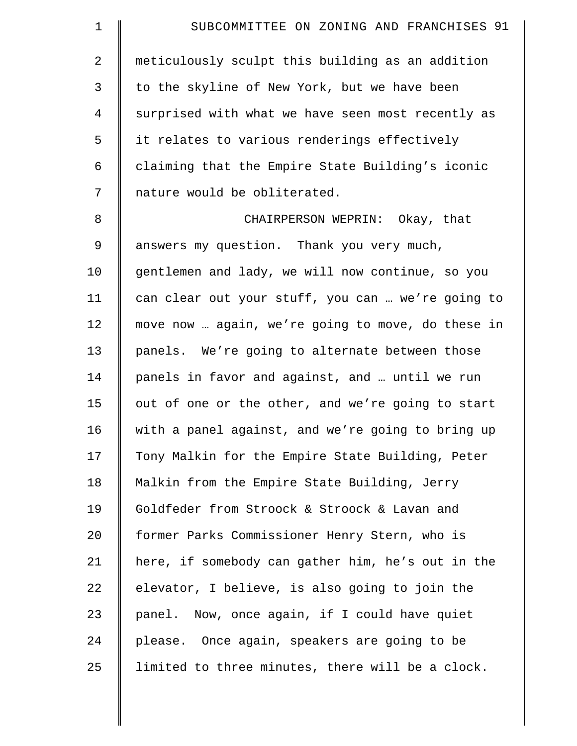| $\mathbf 1$ | SUBCOMMITTEE ON ZONING AND FRANCHISES 91          |
|-------------|---------------------------------------------------|
| 2           | meticulously sculpt this building as an addition  |
| 3           | to the skyline of New York, but we have been      |
| 4           | surprised with what we have seen most recently as |
| 5           | it relates to various renderings effectively      |
| 6           | claiming that the Empire State Building's iconic  |
| 7           | nature would be obliterated.                      |
| 8           | CHAIRPERSON WEPRIN: Okay, that                    |
| $\mathsf 9$ | answers my question. Thank you very much,         |
| 10          | gentlemen and lady, we will now continue, so you  |
| 11          | can clear out your stuff, you can  we're going to |
| 12          | move now  again, we're going to move, do these in |
| 13          | panels. We're going to alternate between those    |
| 14          | panels in favor and against, and  until we run    |
| 15          | out of one or the other, and we're going to start |
| 16          | with a panel against, and we're going to bring up |
| 17          | Tony Malkin for the Empire State Building, Peter  |
| 18          | Malkin from the Empire State Building, Jerry      |
| 19          | Goldfeder from Stroock & Stroock & Lavan and      |
| 20          | former Parks Commissioner Henry Stern, who is     |
| 21          | here, if somebody can gather him, he's out in the |
| 22          | elevator, I believe, is also going to join the    |
| 23          | panel. Now, once again, if I could have quiet     |
| 24          | please. Once again, speakers are going to be      |
| 25          | limited to three minutes, there will be a clock.  |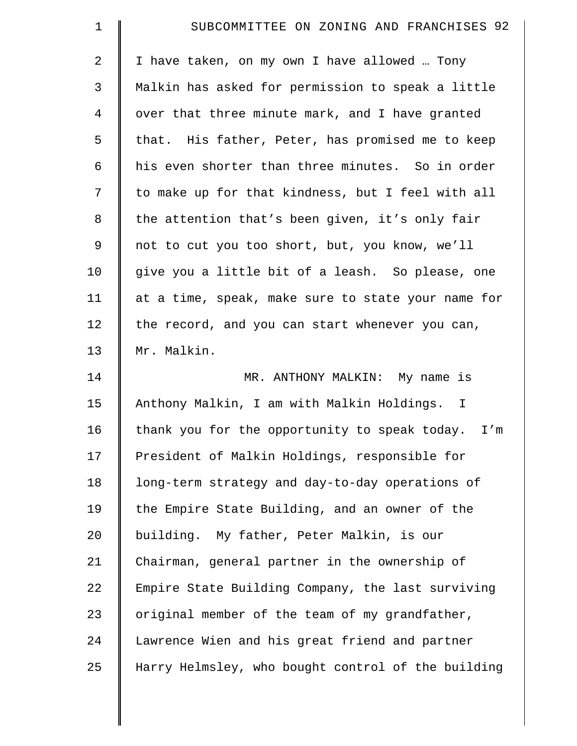| $\mathbf 1$ | SUBCOMMITTEE ON ZONING AND FRANCHISES 92           |
|-------------|----------------------------------------------------|
| 2           | I have taken, on my own I have allowed  Tony       |
| 3           | Malkin has asked for permission to speak a little  |
| 4           | over that three minute mark, and I have granted    |
| 5           | that. His father, Peter, has promised me to keep   |
| 6           | his even shorter than three minutes. So in order   |
| 7           | to make up for that kindness, but I feel with all  |
| 8           | the attention that's been given, it's only fair    |
| $\mathsf 9$ | not to cut you too short, but, you know, we'll     |
| 10          | give you a little bit of a leash. So please, one   |
| 11          | at a time, speak, make sure to state your name for |
| 12          | the record, and you can start whenever you can,    |
| 13          | Mr. Malkin.                                        |
| 14          | MR. ANTHONY MALKIN: My name is                     |
| 15          | Anthony Malkin, I am with Malkin Holdings. I       |
| 16          | thank you for the opportunity to speak today. I'm  |
| 17          | President of Malkin Holdings, responsible for      |
| 18          | long-term strategy and day-to-day operations of    |
| 19          | the Empire State Building, and an owner of the     |
| $20 \,$     | building. My father, Peter Malkin, is our          |
| 21          | Chairman, general partner in the ownership of      |
| 22          | Empire State Building Company, the last surviving  |
| 23          | original member of the team of my grandfather,     |
| 24          | Lawrence Wien and his great friend and partner     |
| 25          | Harry Helmsley, who bought control of the building |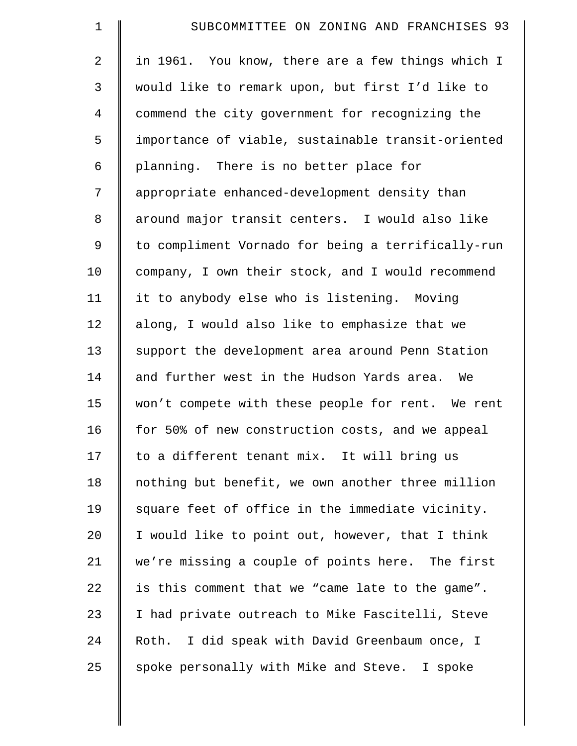| $\mathbf 1$    | SUBCOMMITTEE ON ZONING AND FRANCHISES 93           |
|----------------|----------------------------------------------------|
| $\overline{2}$ | in 1961. You know, there are a few things which I  |
| 3              | would like to remark upon, but first I'd like to   |
| $\overline{4}$ | commend the city government for recognizing the    |
| 5              | importance of viable, sustainable transit-oriented |
| 6              | planning. There is no better place for             |
| 7              | appropriate enhanced-development density than      |
| $\,8\,$        | around major transit centers. I would also like    |
| 9              | to compliment Vornado for being a terrifically-run |
| 10             | company, I own their stock, and I would recommend  |
| 11             | it to anybody else who is listening. Moving        |
| 12             | along, I would also like to emphasize that we      |
| 13             | support the development area around Penn Station   |
| 14             | and further west in the Hudson Yards area. We      |
| 15             | won't compete with these people for rent. We rent  |
| 16             | for 50% of new construction costs, and we appeal   |
| 17             | to a different tenant mix. It will bring us        |
| 18             | nothing but benefit, we own another three million  |
| 19             | square feet of office in the immediate vicinity.   |
| 20             | I would like to point out, however, that I think   |
| 21             | we're missing a couple of points here. The first   |
| 22             | is this comment that we "came late to the game".   |
| 23             | I had private outreach to Mike Fascitelli, Steve   |
| 24             | Roth. I did speak with David Greenbaum once, I     |
| 25             | spoke personally with Mike and Steve. I spoke      |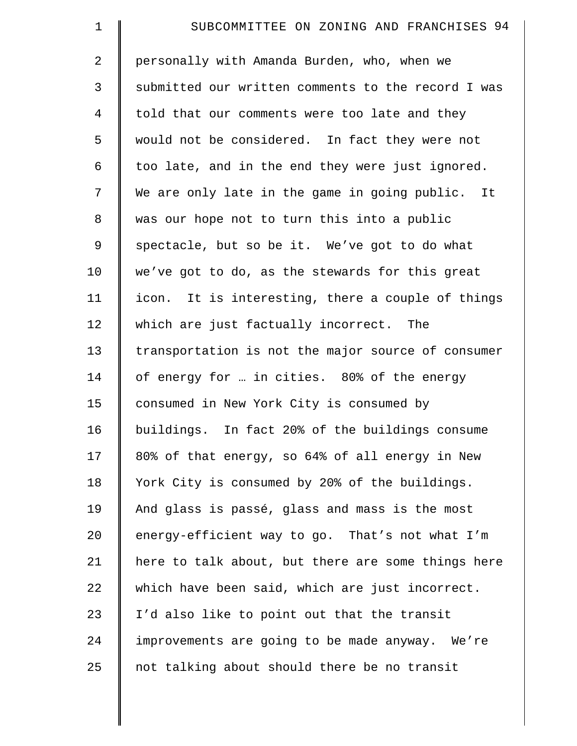| $\mathbf 1$    | SUBCOMMITTEE ON ZONING AND FRANCHISES 94           |
|----------------|----------------------------------------------------|
| $\overline{a}$ | personally with Amanda Burden, who, when we        |
| 3              | submitted our written comments to the record I was |
| $\overline{4}$ | told that our comments were too late and they      |
| 5              | would not be considered. In fact they were not     |
| 6              | too late, and in the end they were just ignored.   |
| 7              | We are only late in the game in going public. It   |
| 8              | was our hope not to turn this into a public        |
| 9              | spectacle, but so be it. We've got to do what      |
| 10             | we've got to do, as the stewards for this great    |
| 11             | icon. It is interesting, there a couple of things  |
| 12             | which are just factually incorrect. The            |
| 13             | transportation is not the major source of consumer |
| 14             | of energy for  in cities. 80% of the energy        |
| 15             | consumed in New York City is consumed by           |
| 16             | buildings. In fact 20% of the buildings consume    |
| 17             | 80% of that energy, so 64% of all energy in New    |
| 18             | York City is consumed by 20% of the buildings.     |
| 19             | And glass is passé, glass and mass is the most     |
| 20             | energy-efficient way to go. That's not what I'm    |
| 21             | here to talk about, but there are some things here |
| 22             | which have been said, which are just incorrect.    |
| 23             | I'd also like to point out that the transit        |
| 24             | improvements are going to be made anyway. We're    |
| 25             | not talking about should there be no transit       |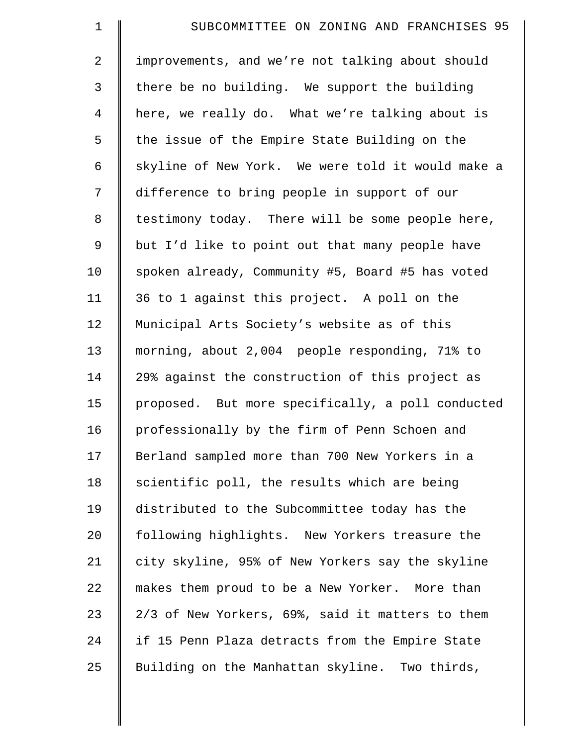| $\mathbf 1$    | SUBCOMMITTEE ON ZONING AND FRANCHISES 95          |
|----------------|---------------------------------------------------|
| $\overline{2}$ | improvements, and we're not talking about should  |
| 3              | there be no building. We support the building     |
| $\overline{4}$ | here, we really do. What we're talking about is   |
| 5              | the issue of the Empire State Building on the     |
| 6              | skyline of New York. We were told it would make a |
| 7              | difference to bring people in support of our      |
| 8              | testimony today. There will be some people here,  |
| 9              | but I'd like to point out that many people have   |
| 10             | spoken already, Community #5, Board #5 has voted  |
| 11             | 36 to 1 against this project. A poll on the       |
| 12             | Municipal Arts Society's website as of this       |
| 13             | morning, about 2,004 people responding, 71% to    |
| 14             | 29% against the construction of this project as   |
| 15             | proposed. But more specifically, a poll conducted |
| 16             | professionally by the firm of Penn Schoen and     |
| 17             | Berland sampled more than 700 New Yorkers in a    |
| 18             | scientific poll, the results which are being      |
| 19             | distributed to the Subcommittee today has the     |
| 20             | following highlights. New Yorkers treasure the    |
| 21             | city skyline, 95% of New Yorkers say the skyline  |
| 22             | makes them proud to be a New Yorker. More than    |
| 23             | 2/3 of New Yorkers, 69%, said it matters to them  |
| 24             | if 15 Penn Plaza detracts from the Empire State   |
| 25             | Building on the Manhattan skyline. Two thirds,    |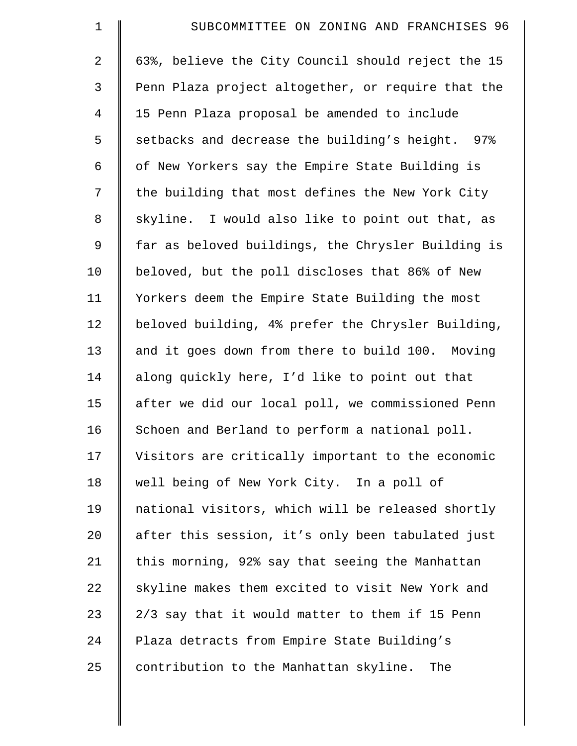| $\mathbf 1$    | SUBCOMMITTEE ON ZONING AND FRANCHISES 96           |
|----------------|----------------------------------------------------|
| $\overline{2}$ | 63%, believe the City Council should reject the 15 |
| 3              | Penn Plaza project altogether, or require that the |
| $\overline{4}$ | 15 Penn Plaza proposal be amended to include       |
| 5              | setbacks and decrease the building's height. 97%   |
| 6              | of New Yorkers say the Empire State Building is    |
| 7              | the building that most defines the New York City   |
| $\,8\,$        | skyline. I would also like to point out that, as   |
| 9              | far as beloved buildings, the Chrysler Building is |
| 10             | beloved, but the poll discloses that 86% of New    |
| 11             | Yorkers deem the Empire State Building the most    |
| 12             | beloved building, 4% prefer the Chrysler Building, |
| 13             | and it goes down from there to build 100. Moving   |
| 14             | along quickly here, I'd like to point out that     |
| 15             | after we did our local poll, we commissioned Penn  |
| 16             | Schoen and Berland to perform a national poll.     |
| 17             | Visitors are critically important to the economic  |
| 18             | well being of New York City. In a poll of          |
| 19             | national visitors, which will be released shortly  |
| 20             | after this session, it's only been tabulated just  |
| 21             | this morning, 92% say that seeing the Manhattan    |
| 22             | skyline makes them excited to visit New York and   |
| 23             | 2/3 say that it would matter to them if 15 Penn    |
| 24             | Plaza detracts from Empire State Building's        |
| 25             | contribution to the Manhattan skyline.<br>The      |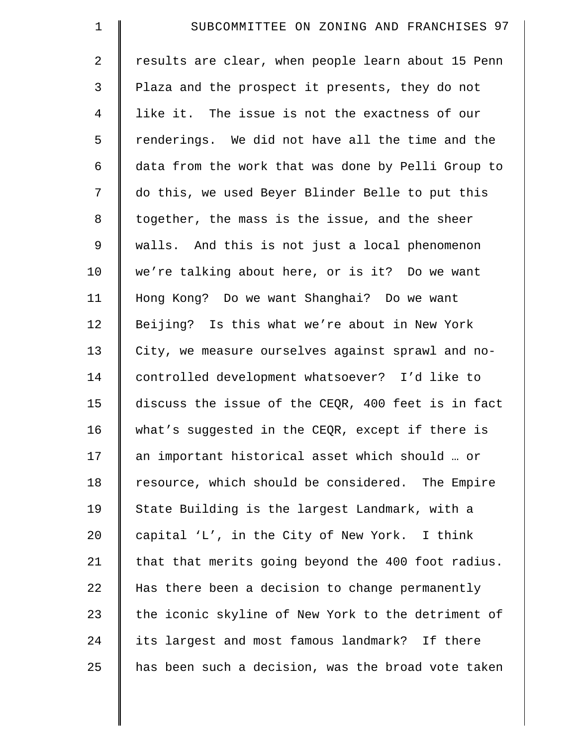| $\mathbf 1$    | SUBCOMMITTEE ON ZONING AND FRANCHISES 97           |
|----------------|----------------------------------------------------|
| $\overline{a}$ | results are clear, when people learn about 15 Penn |
| 3              | Plaza and the prospect it presents, they do not    |
| $\overline{4}$ | like it. The issue is not the exactness of our     |
| 5              | renderings. We did not have all the time and the   |
| 6              | data from the work that was done by Pelli Group to |
| 7              | do this, we used Beyer Blinder Belle to put this   |
| 8              | together, the mass is the issue, and the sheer     |
| 9              | walls. And this is not just a local phenomenon     |
| 10             | we're talking about here, or is it? Do we want     |
| 11             | Hong Kong? Do we want Shanghai? Do we want         |
| 12             | Beijing? Is this what we're about in New York      |
| 13             | City, we measure ourselves against sprawl and no-  |
| 14             | controlled development whatsoever? I'd like to     |
| 15             | discuss the issue of the CEQR, 400 feet is in fact |
| 16             | what's suggested in the CEQR, except if there is   |
| 17             | an important historical asset which should  or     |
| 18             | resource, which should be considered. The Empire   |
| 19             | State Building is the largest Landmark, with a     |
| 20             | capital 'L', in the City of New York. I think      |
| 21             | that that merits going beyond the 400 foot radius. |
| 22             | Has there been a decision to change permanently    |
| 23             | the iconic skyline of New York to the detriment of |
| 24             | its largest and most famous landmark? If there     |
| 25             | has been such a decision, was the broad vote taken |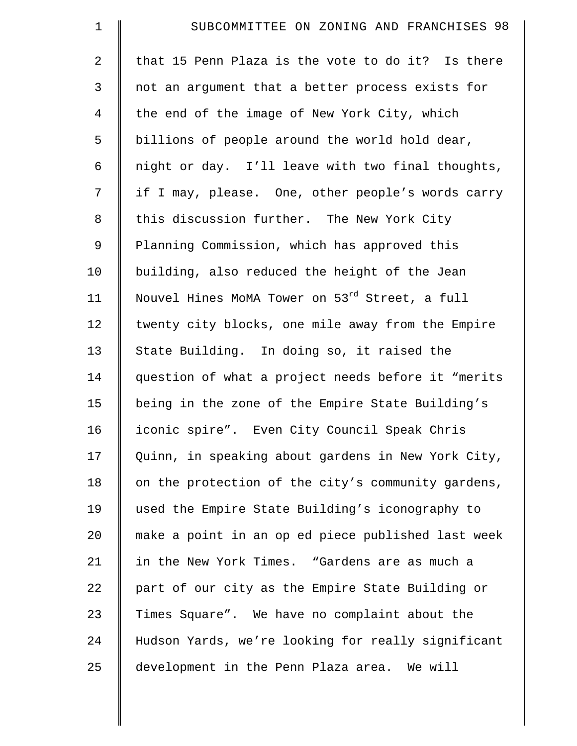| $\mathbf 1$    | SUBCOMMITTEE ON ZONING AND FRANCHISES 98                   |
|----------------|------------------------------------------------------------|
| $\overline{a}$ | that 15 Penn Plaza is the vote to do it? Is there          |
| 3              | not an argument that a better process exists for           |
| $\overline{4}$ | the end of the image of New York City, which               |
| 5              | billions of people around the world hold dear,             |
| 6              | night or day. I'll leave with two final thoughts,          |
| 7              | if I may, please. One, other people's words carry          |
| 8              | this discussion further. The New York City                 |
| 9              | Planning Commission, which has approved this               |
| 10             | building, also reduced the height of the Jean              |
| 11             | Nouvel Hines MoMA Tower on 53 <sup>rd</sup> Street, a full |
| 12             | twenty city blocks, one mile away from the Empire          |
| 13             | State Building. In doing so, it raised the                 |
| 14             | question of what a project needs before it "merits         |
| 15             | being in the zone of the Empire State Building's           |
| 16             | iconic spire". Even City Council Speak Chris               |
| 17             | Quinn, in speaking about gardens in New York City,         |
| 18             | on the protection of the city's community gardens,         |
| 19             | used the Empire State Building's iconography to            |
| 20             | make a point in an op ed piece published last week         |
| 21             | in the New York Times. "Gardens are as much a              |
| 22             | part of our city as the Empire State Building or           |
| 23             | Times Square". We have no complaint about the              |
| 24             | Hudson Yards, we're looking for really significant         |
| 25             | development in the Penn Plaza area. We will                |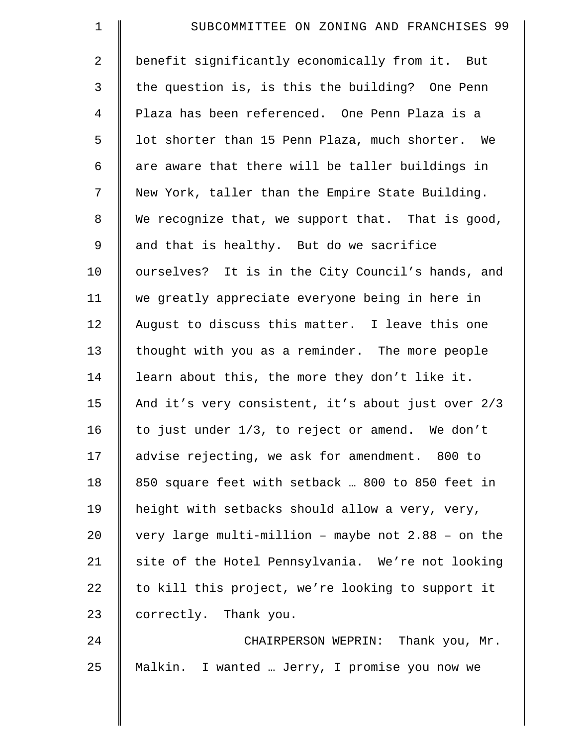| $\mathbf 1$    | SUBCOMMITTEE ON ZONING AND FRANCHISES 99             |
|----------------|------------------------------------------------------|
| $\overline{2}$ | benefit significantly economically from it. But      |
| 3              | the question is, is this the building? One Penn      |
| 4              | Plaza has been referenced. One Penn Plaza is a       |
| 5              | lot shorter than 15 Penn Plaza, much shorter. We     |
| 6              | are aware that there will be taller buildings in     |
| 7              | New York, taller than the Empire State Building.     |
| $8\,$          | We recognize that, we support that. That is good,    |
| 9              | and that is healthy. But do we sacrifice             |
| 10             | ourselves? It is in the City Council's hands, and    |
| 11             | we greatly appreciate everyone being in here in      |
| 12             | August to discuss this matter. I leave this one      |
| 13             | thought with you as a reminder. The more people      |
| 14             | learn about this, the more they don't like it.       |
| 15             | And it's very consistent, it's about just over 2/3   |
| 16             | to just under 1/3, to reject or amend. We don't      |
| 17             | advise rejecting, we ask for amendment. 800 to       |
| 18             | 850 square feet with setback  800 to 850 feet in     |
| 19             | height with setbacks should allow a very, very,      |
| 20             | very large multi-million - maybe not $2.88$ - on the |
| 21             | site of the Hotel Pennsylvania. We're not looking    |
| 22             | to kill this project, we're looking to support it    |
| 23             | correctly. Thank you.                                |
| 24             | CHAIRPERSON WEPRIN: Thank you, Mr.                   |
| 25             | Malkin. I wanted  Jerry, I promise you now we        |
|                |                                                      |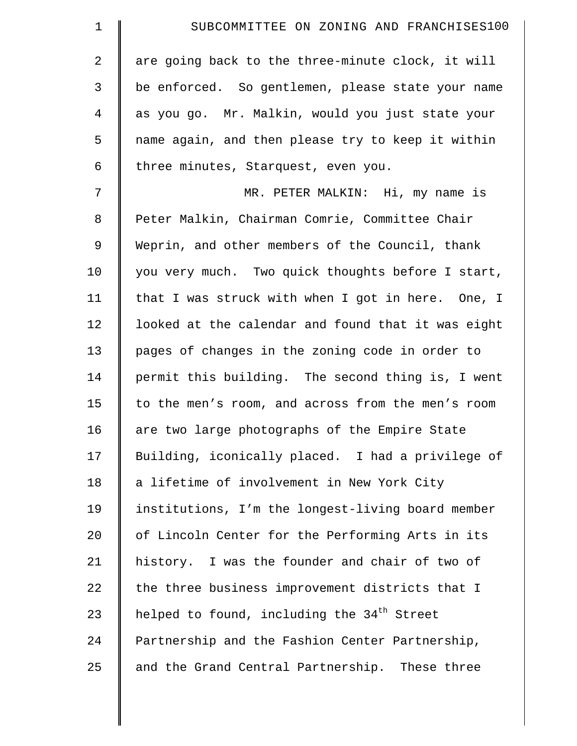| $\mathbf 1$ | SUBCOMMITTEE ON ZONING AND FRANCHISES100               |
|-------------|--------------------------------------------------------|
| 2           | are going back to the three-minute clock, it will      |
| 3           | be enforced. So gentlemen, please state your name      |
| 4           | as you go. Mr. Malkin, would you just state your       |
| 5           | name again, and then please try to keep it within      |
| 6           | three minutes, Starquest, even you.                    |
| 7           | MR. PETER MALKIN: Hi, my name is                       |
| $\,8\,$     | Peter Malkin, Chairman Comrie, Committee Chair         |
| $\mathsf 9$ | Weprin, and other members of the Council, thank        |
| 10          | you very much. Two quick thoughts before I start,      |
| 11          | that I was struck with when I got in here. One, I      |
| 12          | looked at the calendar and found that it was eight     |
| 13          | pages of changes in the zoning code in order to        |
| 14          | permit this building. The second thing is, I went      |
| 15          | to the men's room, and across from the men's room      |
| 16          | are two large photographs of the Empire State          |
| 17          | Building, iconically placed. I had a privilege of      |
| 18          | a lifetime of involvement in New York City             |
| 19          | institutions, I'm the longest-living board member      |
| 20          | of Lincoln Center for the Performing Arts in its       |
| 21          | history. I was the founder and chair of two of         |
| 22          | the three business improvement districts that I        |
| 23          | helped to found, including the 34 <sup>th</sup> Street |
| 24          | Partnership and the Fashion Center Partnership,        |
| 25          | and the Grand Central Partnership. These three         |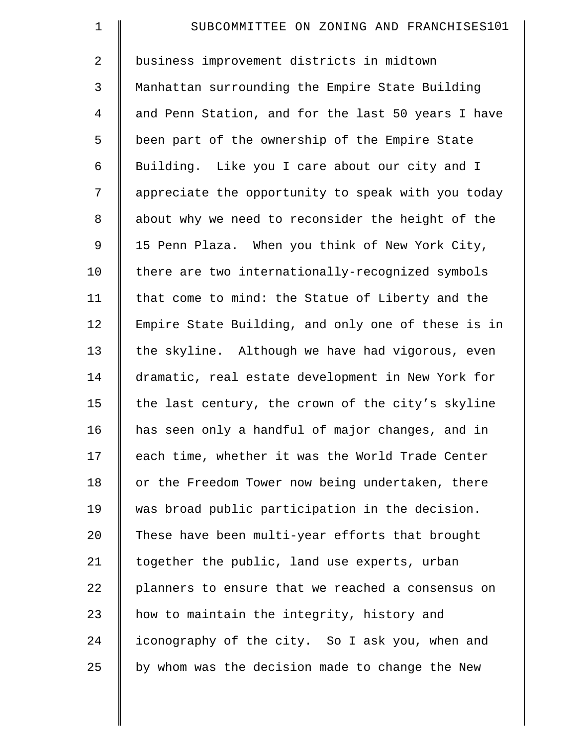| $\mathbf 1$    | SUBCOMMITTEE ON ZONING AND FRANCHISES101           |
|----------------|----------------------------------------------------|
| 2              | business improvement districts in midtown          |
| 3              | Manhattan surrounding the Empire State Building    |
| $\overline{4}$ | and Penn Station, and for the last 50 years I have |
| 5              | been part of the ownership of the Empire State     |
| 6              | Building. Like you I care about our city and I     |
| 7              | appreciate the opportunity to speak with you today |
| 8              | about why we need to reconsider the height of the  |
| 9              | 15 Penn Plaza. When you think of New York City,    |
| 10             | there are two internationally-recognized symbols   |
| 11             | that come to mind: the Statue of Liberty and the   |
| 12             | Empire State Building, and only one of these is in |
| 13             | the skyline. Although we have had vigorous, even   |
| 14             | dramatic, real estate development in New York for  |
| 15             | the last century, the crown of the city's skyline  |
| 16             | has seen only a handful of major changes, and in   |
| 17             | each time, whether it was the World Trade Center   |
| 18             | or the Freedom Tower now being undertaken, there   |
| 19             | was broad public participation in the decision.    |
| 20             | These have been multi-year efforts that brought    |
| 21             | together the public, land use experts, urban       |
| 22             | planners to ensure that we reached a consensus on  |
| 23             | how to maintain the integrity, history and         |
| 24             | iconography of the city. So I ask you, when and    |
| 25             | by whom was the decision made to change the New    |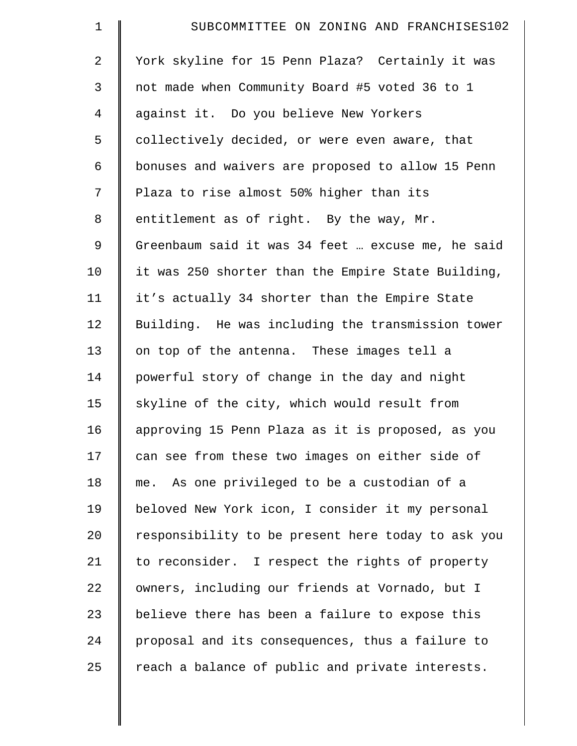| $\mathbf 1$    | SUBCOMMITTEE ON ZONING AND FRANCHISES102           |
|----------------|----------------------------------------------------|
| $\overline{2}$ | York skyline for 15 Penn Plaza? Certainly it was   |
| 3              | not made when Community Board #5 voted 36 to 1     |
| $\overline{4}$ | against it. Do you believe New Yorkers             |
| 5              | collectively decided, or were even aware, that     |
| 6              | bonuses and waivers are proposed to allow 15 Penn  |
| 7              | Plaza to rise almost 50% higher than its           |
| 8              | entitlement as of right. By the way, Mr.           |
| $\mathsf 9$    | Greenbaum said it was 34 feet  excuse me, he said  |
| 10             | it was 250 shorter than the Empire State Building, |
| 11             | it's actually 34 shorter than the Empire State     |
| 12             | Building. He was including the transmission tower  |
| 13             | on top of the antenna. These images tell a         |
| 14             | powerful story of change in the day and night      |
| 15             | skyline of the city, which would result from       |
| 16             | approving 15 Penn Plaza as it is proposed, as you  |
| 17             | can see from these two images on either side of    |
| 18             | me. As one privileged to be a custodian of a       |
| 19             | beloved New York icon, I consider it my personal   |
| 20             | responsibility to be present here today to ask you |
| 21             | to reconsider. I respect the rights of property    |
| 22             | owners, including our friends at Vornado, but I    |
| 23             | believe there has been a failure to expose this    |
| 24             | proposal and its consequences, thus a failure to   |
| 25             | reach a balance of public and private interests.   |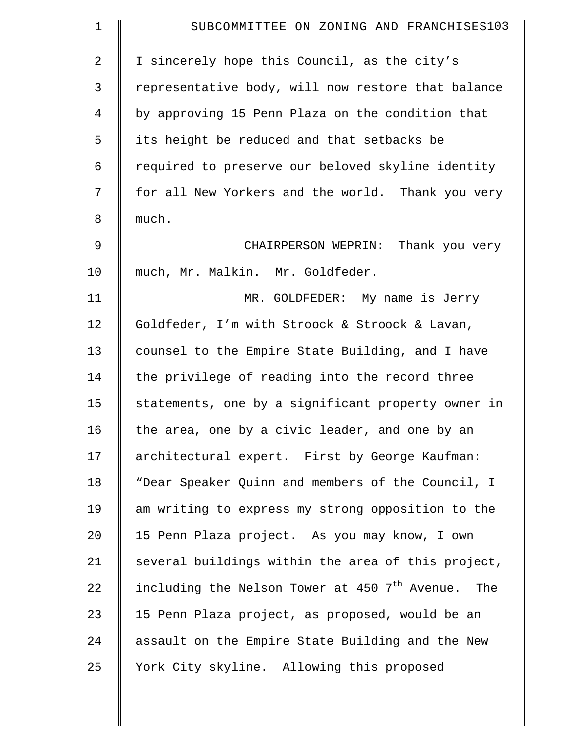| $\mathbf 1$ | SUBCOMMITTEE ON ZONING AND FRANCHISES103                         |
|-------------|------------------------------------------------------------------|
| 2           | I sincerely hope this Council, as the city's                     |
| 3           | representative body, will now restore that balance               |
| 4           | by approving 15 Penn Plaza on the condition that                 |
| 5           | its height be reduced and that setbacks be                       |
| 6           | required to preserve our beloved skyline identity                |
| 7           | for all New Yorkers and the world. Thank you very                |
| 8           | much.                                                            |
| 9           | CHAIRPERSON WEPRIN: Thank you very                               |
| 10          | much, Mr. Malkin. Mr. Goldfeder.                                 |
| 11          | MR. GOLDFEDER: My name is Jerry                                  |
| 12          | Goldfeder, I'm with Stroock & Stroock & Lavan,                   |
| 13          | counsel to the Empire State Building, and I have                 |
| 14          | the privilege of reading into the record three                   |
| 15          | statements, one by a significant property owner in               |
| 16          | the area, one by a civic leader, and one by an                   |
| 17          | architectural expert. First by George Kaufman:                   |
| 18          | "Dear Speaker Quinn and members of the Council, I                |
| 19          | am writing to express my strong opposition to the                |
| 20          | 15 Penn Plaza project. As you may know, I own                    |
| 21          | several buildings within the area of this project,               |
| 22          | including the Nelson Tower at 450 7 <sup>th</sup> Avenue.<br>The |
| 23          | 15 Penn Plaza project, as proposed, would be an                  |
| 24          | assault on the Empire State Building and the New                 |
| 25          | York City skyline. Allowing this proposed                        |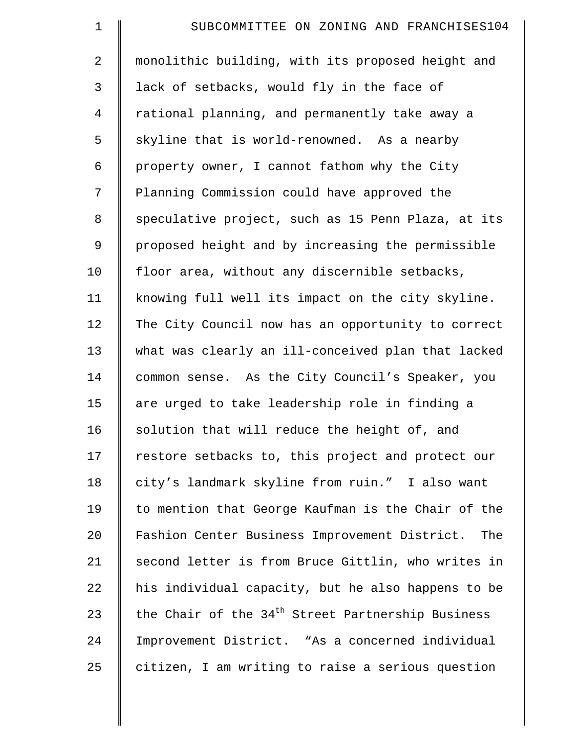| $\mathbf 1$    | SUBCOMMITTEE ON ZONING AND FRANCHISES104                      |
|----------------|---------------------------------------------------------------|
| $\overline{2}$ | monolithic building, with its proposed height and             |
| 3              | lack of setbacks, would fly in the face of                    |
| $\overline{4}$ | rational planning, and permanently take away a                |
| 5              | skyline that is world-renowned. As a nearby                   |
| 6              | property owner, I cannot fathom why the City                  |
| 7              | Planning Commission could have approved the                   |
| 8              | speculative project, such as 15 Penn Plaza, at its            |
| $\mathsf 9$    | proposed height and by increasing the permissible             |
| 10             | floor area, without any discernible setbacks,                 |
| 11             | knowing full well its impact on the city skyline.             |
| 12             | The City Council now has an opportunity to correct            |
| 13             | what was clearly an ill-conceived plan that lacked            |
| 14             | common sense. As the City Council's Speaker, you              |
| 15             | are urged to take leadership role in finding a                |
| 16             | solution that will reduce the height of, and                  |
| 17             | restore setbacks to, this project and protect our             |
| 18             | city's landmark skyline from ruin." I also want               |
| 19             | to mention that George Kaufman is the Chair of the            |
| 20             | Fashion Center Business Improvement District. The             |
| 21             | second letter is from Bruce Gittlin, who writes in            |
| 22             | his individual capacity, but he also happens to be            |
| 23             | the Chair of the 34 <sup>th</sup> Street Partnership Business |
| 24             | Improvement District. "As a concerned individual              |
| 25             | citizen, I am writing to raise a serious question             |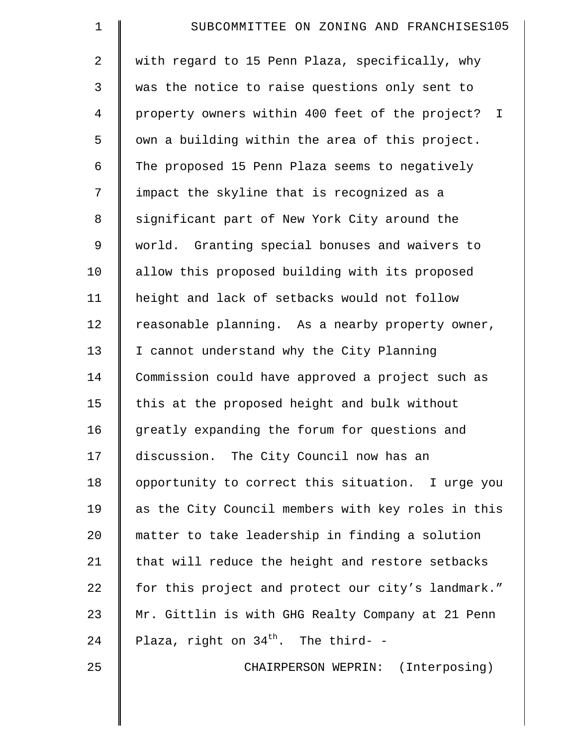| $\mathbf 1$    | SUBCOMMITTEE ON ZONING AND FRANCHISES105           |
|----------------|----------------------------------------------------|
| 2              | with regard to 15 Penn Plaza, specifically, why    |
| 3              | was the notice to raise questions only sent to     |
| $\overline{4}$ | property owners within 400 feet of the project? I  |
| 5              | own a building within the area of this project.    |
| 6              | The proposed 15 Penn Plaza seems to negatively     |
| 7              | impact the skyline that is recognized as a         |
| 8              | significant part of New York City around the       |
| 9              | world. Granting special bonuses and waivers to     |
| 10             | allow this proposed building with its proposed     |
| 11             | height and lack of setbacks would not follow       |
| 12             | reasonable planning. As a nearby property owner,   |
| 13             | I cannot understand why the City Planning          |
| 14             | Commission could have approved a project such as   |
| 15             | this at the proposed height and bulk without       |
| 16             | greatly expanding the forum for questions and      |
| 17             | discussion. The City Council now has an            |
| 18             | opportunity to correct this situation. I urge you  |
| 19             | as the City Council members with key roles in this |
| 20             | matter to take leadership in finding a solution    |
| 21             | that will reduce the height and restore setbacks   |
| 22             | for this project and protect our city's landmark." |
| 23             | Mr. Gittlin is with GHG Realty Company at 21 Penn  |
| 24             | Plaza, right on $34th$ . The third- -              |
| 25             | CHAIRPERSON WEPRIN: (Interposing)                  |
|                |                                                    |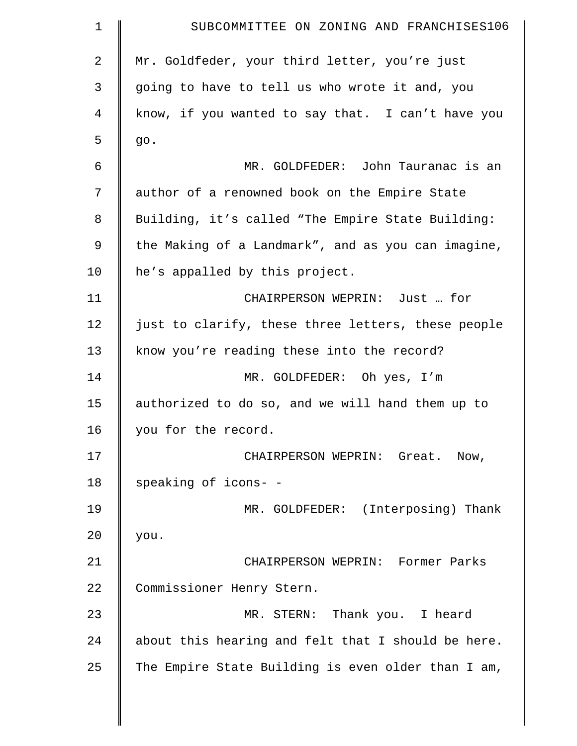| $\mathbf 1$ | SUBCOMMITTEE ON ZONING AND FRANCHISES106           |
|-------------|----------------------------------------------------|
| 2           | Mr. Goldfeder, your third letter, you're just      |
| 3           | going to have to tell us who wrote it and, you     |
| 4           | know, if you wanted to say that. I can't have you  |
| 5           | go.                                                |
| 6           | MR. GOLDFEDER: John Tauranac is an                 |
| 7           | author of a renowned book on the Empire State      |
| $\,8\,$     | Building, it's called "The Empire State Building:  |
| $\mathsf 9$ | the Making of a Landmark", and as you can imagine, |
| 10          | he's appalled by this project.                     |
| 11          | CHAIRPERSON WEPRIN: Just  for                      |
| 12          | just to clarify, these three letters, these people |
| 13          | know you're reading these into the record?         |
| 14          | MR. GOLDFEDER: Oh yes, I'm                         |
| 15          | authorized to do so, and we will hand them up to   |
| 16          | you for the record.                                |
| 17          | CHAIRPERSON WEPRIN: Great. Now,                    |
| 18          | speaking of icons- -                               |
| 19          | MR. GOLDFEDER: (Interposing) Thank                 |
| 20          | you.                                               |
| 21          | CHAIRPERSON WEPRIN: Former Parks                   |
| 22          | Commissioner Henry Stern.                          |
| 23          | MR. STERN: Thank you. I heard                      |
| 24          | about this hearing and felt that I should be here. |
| 25          | The Empire State Building is even older than I am, |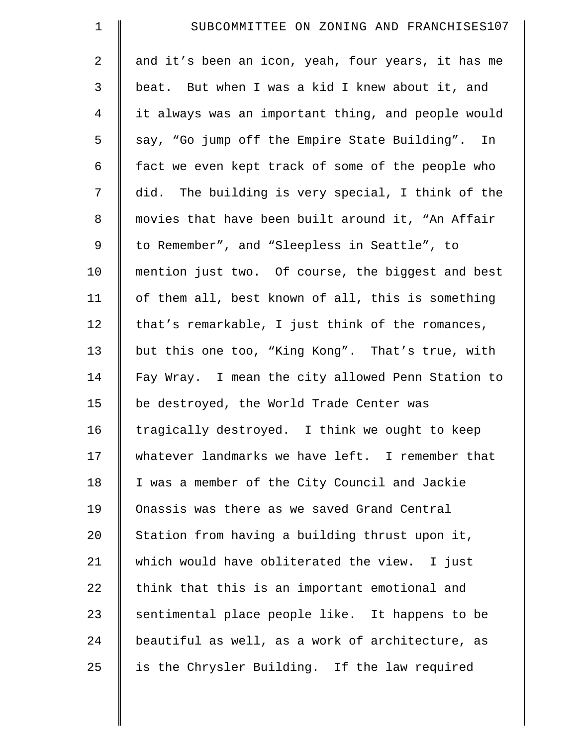| $\mathbf 1$    | SUBCOMMITTEE ON ZONING AND FRANCHISES107           |
|----------------|----------------------------------------------------|
| $\overline{a}$ | and it's been an icon, yeah, four years, it has me |
| 3              | beat. But when I was a kid I knew about it, and    |
| 4              | it always was an important thing, and people would |
| 5              | say, "Go jump off the Empire State Building". In   |
| 6              | fact we even kept track of some of the people who  |
| 7              | did. The building is very special, I think of the  |
| $8\,$          | movies that have been built around it, "An Affair  |
| 9              | to Remember", and "Sleepless in Seattle", to       |
| 10             | mention just two. Of course, the biggest and best  |
| 11             | of them all, best known of all, this is something  |
| 12             | that's remarkable, I just think of the romances,   |
| 13             | but this one too, "King Kong". That's true, with   |
| 14             | Fay Wray. I mean the city allowed Penn Station to  |
| 15             | be destroyed, the World Trade Center was           |
| 16             | tragically destroyed. I think we ought to keep     |
| 17             | whatever landmarks we have left. I remember that   |
| 18             | I was a member of the City Council and Jackie      |
| 19             | Onassis was there as we saved Grand Central        |
| 20             | Station from having a building thrust upon it,     |
| 21             | which would have obliterated the view. I just      |
| 22             | think that this is an important emotional and      |
| 23             | sentimental place people like. It happens to be    |
| 24             | beautiful as well, as a work of architecture, as   |
| 25             | is the Chrysler Building. If the law required      |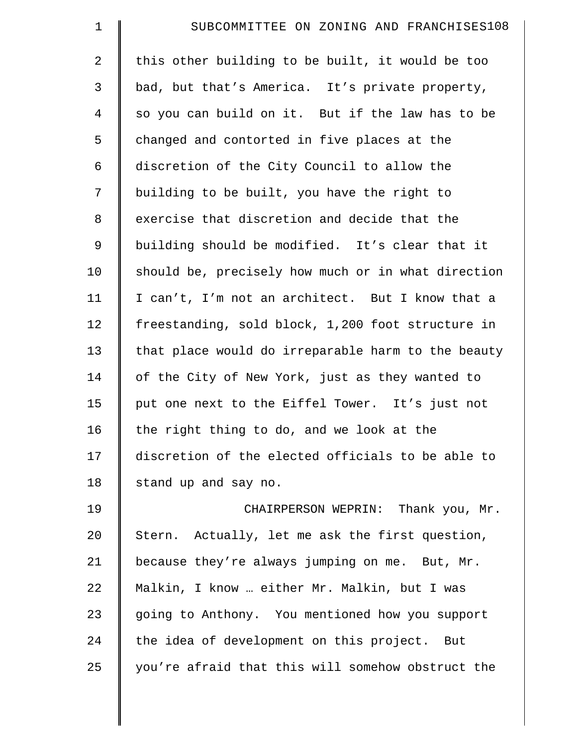| $\mathbf 1$    | SUBCOMMITTEE ON ZONING AND FRANCHISES108           |
|----------------|----------------------------------------------------|
| 2              | this other building to be built, it would be too   |
| 3              | bad, but that's America. It's private property,    |
| $\overline{4}$ | so you can build on it. But if the law has to be   |
| 5              | changed and contorted in five places at the        |
| 6              | discretion of the City Council to allow the        |
| 7              | building to be built, you have the right to        |
| $\,8\,$        | exercise that discretion and decide that the       |
| 9              | building should be modified. It's clear that it    |
| 10             | should be, precisely how much or in what direction |
| 11             | I can't, I'm not an architect. But I know that a   |
| 12             | freestanding, sold block, 1,200 foot structure in  |
| 13             | that place would do irreparable harm to the beauty |
| 14             | of the City of New York, just as they wanted to    |
| 15             | put one next to the Eiffel Tower. It's just not    |
| 16             | the right thing to do, and we look at the          |
| 17             | discretion of the elected officials to be able to  |
| 18             | stand up and say no.                               |
| 19             | CHAIRPERSON WEPRIN: Thank you, Mr.                 |
| 20             | Stern. Actually, let me ask the first question,    |
| 21             | because they're always jumping on me. But, Mr.     |
| 22             | Malkin, I know  either Mr. Malkin, but I was       |
| 23             | going to Anthony. You mentioned how you support    |
| 24             | the idea of development on this project. But       |
| 25             | you're afraid that this will somehow obstruct the  |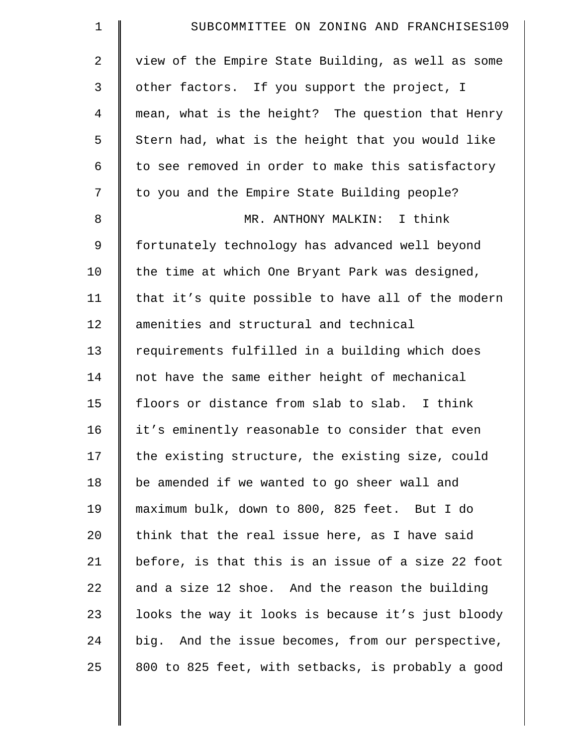| $\mathbf 1$    | SUBCOMMITTEE ON ZONING AND FRANCHISES109           |
|----------------|----------------------------------------------------|
| $\overline{2}$ | view of the Empire State Building, as well as some |
| 3              | other factors. If you support the project, I       |
| 4              | mean, what is the height? The question that Henry  |
| 5              | Stern had, what is the height that you would like  |
| 6              | to see removed in order to make this satisfactory  |
| 7              | to you and the Empire State Building people?       |
| 8              | MR. ANTHONY MALKIN: I think                        |
| 9              | fortunately technology has advanced well beyond    |
| 10             | the time at which One Bryant Park was designed,    |
| 11             | that it's quite possible to have all of the modern |
| 12             | amenities and structural and technical             |
| 13             | requirements fulfilled in a building which does    |
| 14             | not have the same either height of mechanical      |
| 15             | floors or distance from slab to slab. I think      |
| 16             | it's eminently reasonable to consider that even    |
| 17             | the existing structure, the existing size, could   |
| 18             | be amended if we wanted to go sheer wall and       |
| 19             | maximum bulk, down to 800, 825 feet. But I do      |
| 20             | think that the real issue here, as I have said     |
| 21             | before, is that this is an issue of a size 22 foot |
| 22             | and a size 12 shoe. And the reason the building    |
| 23             | looks the way it looks is because it's just bloody |
| 24             | big. And the issue becomes, from our perspective,  |
| 25             | 800 to 825 feet, with setbacks, is probably a good |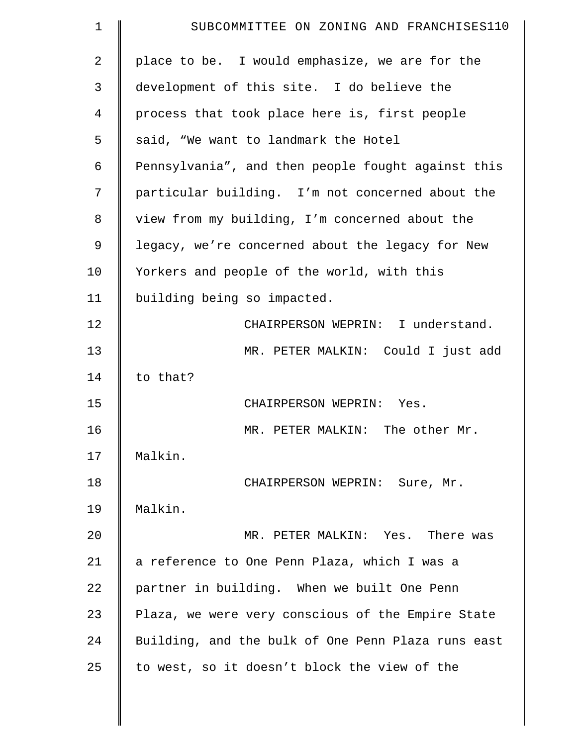| $\mathbf 1$ | SUBCOMMITTEE ON ZONING AND FRANCHISES110           |
|-------------|----------------------------------------------------|
| 2           | place to be. I would emphasize, we are for the     |
| 3           | development of this site. I do believe the         |
| 4           | process that took place here is, first people      |
| 5           | said, "We want to landmark the Hotel               |
| 6           | Pennsylvania", and then people fought against this |
| 7           | particular building. I'm not concerned about the   |
| 8           | view from my building, I'm concerned about the     |
| 9           | legacy, we're concerned about the legacy for New   |
| 10          | Yorkers and people of the world, with this         |
| 11          | building being so impacted.                        |
| 12          | CHAIRPERSON WEPRIN: I understand.                  |
| 13          | MR. PETER MALKIN: Could I just add                 |
| 14          | to that?                                           |
| 15          | CHAIRPERSON WEPRIN: Yes.                           |
| 16          | MR. PETER MALKIN: The other Mr.                    |
| 17          | Malkin.                                            |
| 18          | CHAIRPERSON WEPRIN: Sure, Mr.                      |
| 19          | Malkin.                                            |
| 20          | MR. PETER MALKIN: Yes. There was                   |
| 21          | a reference to One Penn Plaza, which I was a       |
| 22          | partner in building. When we built One Penn        |
| 23          | Plaza, we were very conscious of the Empire State  |
| 24          | Building, and the bulk of One Penn Plaza runs east |
| 25          | to west, so it doesn't block the view of the       |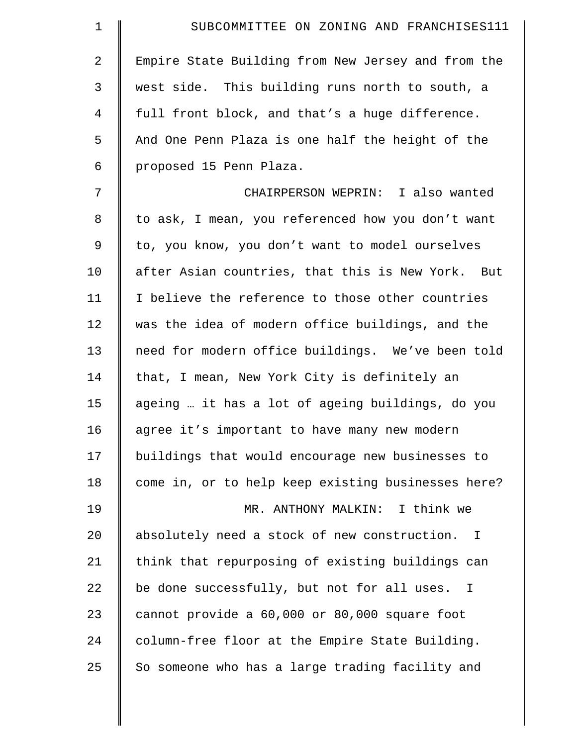| $\mathbf 1$    | SUBCOMMITTEE ON ZONING AND FRANCHISES111                    |
|----------------|-------------------------------------------------------------|
| $\overline{2}$ | Empire State Building from New Jersey and from the          |
| 3              | west side. This building runs north to south, a             |
| 4              | full front block, and that's a huge difference.             |
| 5              | And One Penn Plaza is one half the height of the            |
| 6              | proposed 15 Penn Plaza.                                     |
| 7              | CHAIRPERSON WEPRIN: I also wanted                           |
| 8              | to ask, I mean, you referenced how you don't want           |
| $\mathsf 9$    | to, you know, you don't want to model ourselves             |
| 10             | after Asian countries, that this is New York. But           |
| 11             | I believe the reference to those other countries            |
| 12             | was the idea of modern office buildings, and the            |
| 13             | need for modern office buildings. We've been told           |
| 14             | that, I mean, New York City is definitely an                |
| 15             | ageing  it has a lot of ageing buildings, do you            |
| 16             | agree it's important to have many new modern                |
| 17             | buildings that would encourage new businesses to            |
| 18             | come in, or to help keep existing businesses here?          |
| 19             | MR. ANTHONY MALKIN: I think we                              |
| 20             | absolutely need a stock of new construction. I              |
| 21             | think that repurposing of existing buildings can            |
| 22             | be done successfully, but not for all uses.<br>$\mathbb{I}$ |
| 23             | cannot provide a 60,000 or 80,000 square foot               |
| 24             | column-free floor at the Empire State Building.             |
| 25             | So someone who has a large trading facility and             |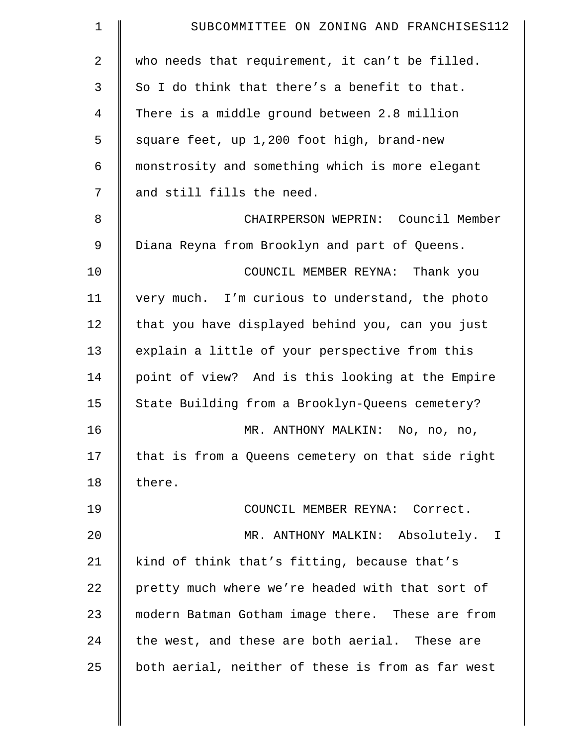| $\mathbf 1$    | SUBCOMMITTEE ON ZONING AND FRANCHISES112          |
|----------------|---------------------------------------------------|
| $\overline{2}$ | who needs that requirement, it can't be filled.   |
| 3              | So I do think that there's a benefit to that.     |
| 4              | There is a middle ground between 2.8 million      |
| 5              | square feet, up 1,200 foot high, brand-new        |
| 6              | monstrosity and something which is more elegant   |
| 7              | and still fills the need.                         |
| 8              | CHAIRPERSON WEPRIN: Council Member                |
| 9              | Diana Reyna from Brooklyn and part of Queens.     |
| 10             | COUNCIL MEMBER REYNA: Thank you                   |
| 11             | very much. I'm curious to understand, the photo   |
| 12             | that you have displayed behind you, can you just  |
| 13             | explain a little of your perspective from this    |
| 14             | point of view? And is this looking at the Empire  |
| 15             | State Building from a Brooklyn-Queens cemetery?   |
| 16             | MR. ANTHONY MALKIN:<br>No, no, no,                |
| 17             | that is from a Queens cemetery on that side right |
| 18             | there.                                            |
| 19             | COUNCIL MEMBER REYNA: Correct.                    |
| 20             | MR. ANTHONY MALKIN: Absolutely. I                 |
| 21             | kind of think that's fitting, because that's      |
| 22             | pretty much where we're headed with that sort of  |
| 23             | modern Batman Gotham image there. These are from  |
| 24             | the west, and these are both aerial. These are    |
| 25             | both aerial, neither of these is from as far west |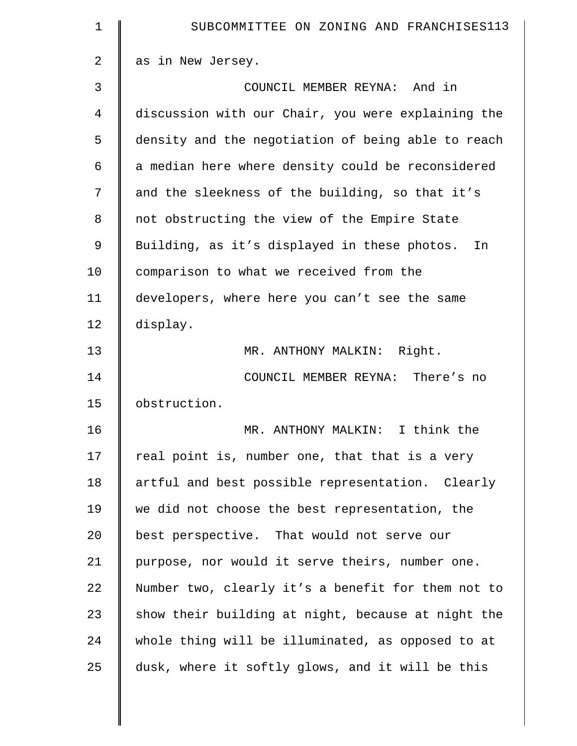| $\mathbf 1$ | SUBCOMMITTEE ON ZONING AND FRANCHISES113           |
|-------------|----------------------------------------------------|
| 2           | as in New Jersey.                                  |
| 3           | COUNCIL MEMBER REYNA: And in                       |
| 4           | discussion with our Chair, you were explaining the |
| 5           | density and the negotiation of being able to reach |
| 6           | a median here where density could be reconsidered  |
| 7           | and the sleekness of the building, so that it's    |
| 8           | not obstructing the view of the Empire State       |
| 9           | Building, as it's displayed in these photos.<br>In |
| 10          | comparison to what we received from the            |
| 11          | developers, where here you can't see the same      |
| 12          | display.                                           |
| 13          | MR. ANTHONY MALKIN: Right.                         |
| 14          | COUNCIL MEMBER REYNA: There's no                   |
| 15          | obstruction.                                       |
| 16          | MR. ANTHONY MALKIN: I think the                    |
| 17          | real point is, number one, that that is a very     |
| 18          | artful and best possible representation. Clearly   |
| 19          | we did not choose the best representation, the     |
| 20          | best perspective. That would not serve our         |
| 21          | purpose, nor would it serve theirs, number one.    |
| 22          | Number two, clearly it's a benefit for them not to |
| 23          | show their building at night, because at night the |
| 24          | whole thing will be illuminated, as opposed to at  |
| 25          | dusk, where it softly glows, and it will be this   |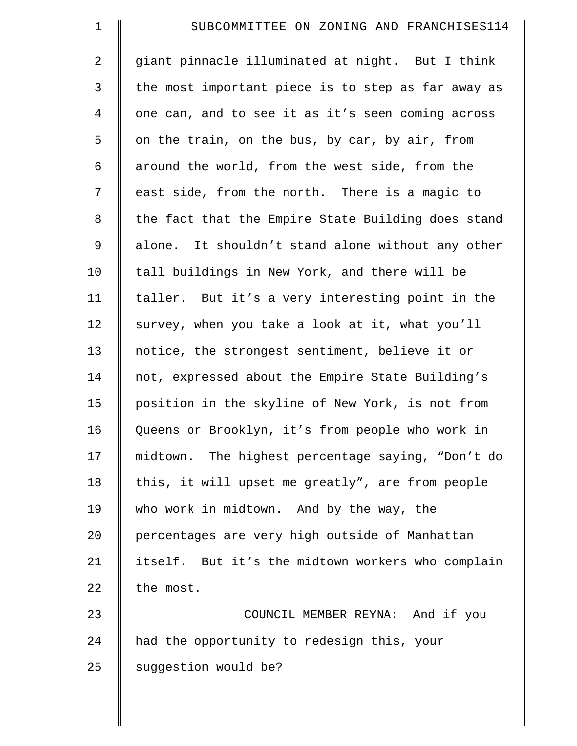| $\mathbf 1$    | SUBCOMMITTEE ON ZONING AND FRANCHISES114           |
|----------------|----------------------------------------------------|
| 2              | giant pinnacle illuminated at night. But I think   |
| 3              | the most important piece is to step as far away as |
| $\overline{4}$ | one can, and to see it as it's seen coming across  |
| 5              | on the train, on the bus, by car, by air, from     |
| 6              | around the world, from the west side, from the     |
| 7              | east side, from the north. There is a magic to     |
| 8              | the fact that the Empire State Building does stand |
| 9              | alone. It shouldn't stand alone without any other  |
| 10             | tall buildings in New York, and there will be      |
| 11             | taller. But it's a very interesting point in the   |
| 12             | survey, when you take a look at it, what you'll    |
| 13             | notice, the strongest sentiment, believe it or     |
| 14             | not, expressed about the Empire State Building's   |
| 15             | position in the skyline of New York, is not from   |
| 16             | Queens or Brooklyn, it's from people who work in   |
| 17             | midtown. The highest percentage saying, "Don't do  |
| 18             | this, it will upset me greatly", are from people   |
| 19             | who work in midtown. And by the way, the           |
| 20             | percentages are very high outside of Manhattan     |
| 21             | itself. But it's the midtown workers who complain  |
| 22             | the most.                                          |
| 23             | COUNCIL MEMBER REYNA: And if you                   |
| 24             | had the opportunity to redesign this, your         |
| 25             | suggestion would be?                               |
|                |                                                    |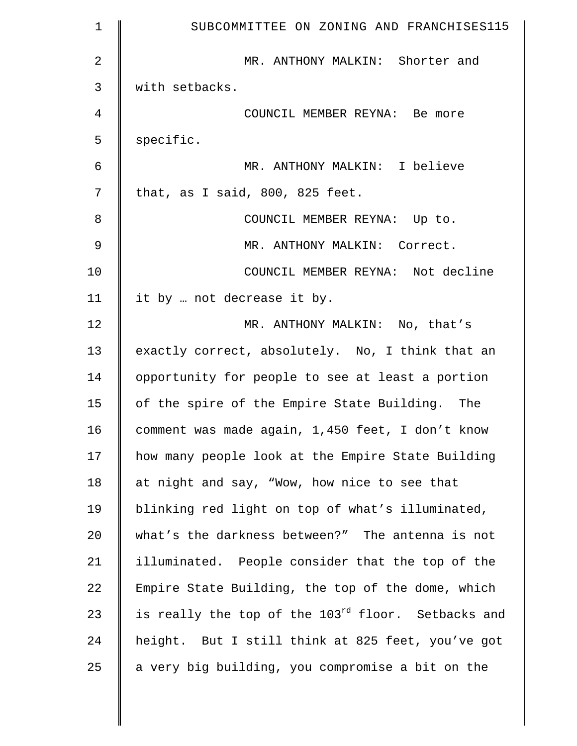| $\mathbf 1$ | SUBCOMMITTEE ON ZONING AND FRANCHISES115                       |
|-------------|----------------------------------------------------------------|
| 2           | MR. ANTHONY MALKIN: Shorter and                                |
| 3           | with setbacks.                                                 |
| 4           | COUNCIL MEMBER REYNA: Be more                                  |
| 5           | specific.                                                      |
| 6           | MR. ANTHONY MALKIN: I believe                                  |
| 7           | that, as I said, 800, 825 feet.                                |
| 8           | COUNCIL MEMBER REYNA: Up to.                                   |
| 9           | MR. ANTHONY MALKIN: Correct.                                   |
| 10          | COUNCIL MEMBER REYNA: Not decline                              |
| 11          | it by  not decrease it by.                                     |
| 12          | MR. ANTHONY MALKIN: No, that's                                 |
| 13          | exactly correct, absolutely. No, I think that an               |
| 14          | opportunity for people to see at least a portion               |
| 15          | of the spire of the Empire State Building. The                 |
| 16          | comment was made again, 1,450 feet, I don't know               |
| 17          | how many people look at the Empire State Building              |
| 18          | at night and say, "Wow, how nice to see that                   |
| 19          | blinking red light on top of what's illuminated,               |
| 20          | what's the darkness between?" The antenna is not               |
| 21          | illuminated. People consider that the top of the               |
| 22          | Empire State Building, the top of the dome, which              |
| 23          | is really the top of the 103 <sup>rd</sup> floor. Setbacks and |
| 24          | height. But I still think at 825 feet, you've got              |
| 25          | a very big building, you compromise a bit on the               |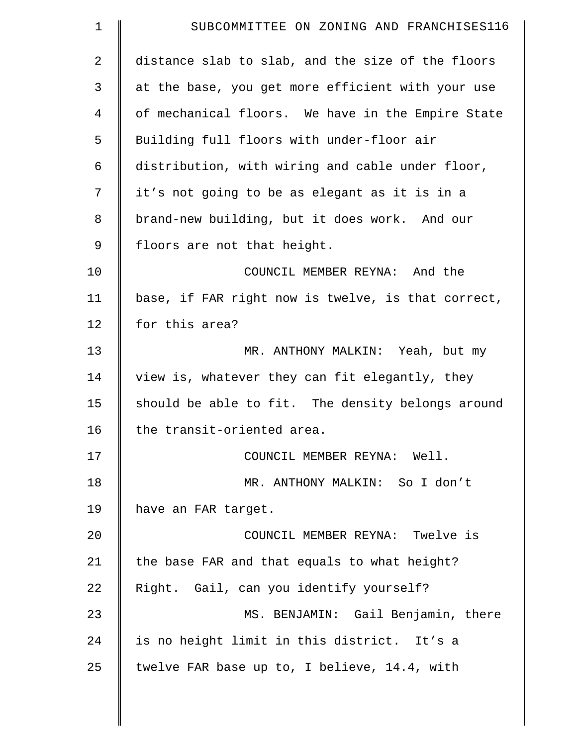| $\mathbf 1$ | SUBCOMMITTEE ON ZONING AND FRANCHISES116           |
|-------------|----------------------------------------------------|
| 2           | distance slab to slab, and the size of the floors  |
| 3           | at the base, you get more efficient with your use  |
| 4           | of mechanical floors. We have in the Empire State  |
| 5           | Building full floors with under-floor air          |
| 6           | distribution, with wiring and cable under floor,   |
| 7           | it's not going to be as elegant as it is in a      |
| 8           | brand-new building, but it does work. And our      |
| 9           | floors are not that height.                        |
| 10          | COUNCIL MEMBER REYNA: And the                      |
| 11          | base, if FAR right now is twelve, is that correct, |
| 12          | for this area?                                     |
| 13          | MR. ANTHONY MALKIN: Yeah, but my                   |
| 14          | view is, whatever they can fit elegantly, they     |
| 15          | should be able to fit. The density belongs around  |
| 16          | the transit-oriented area.                         |
| 17          | COUNCIL MEMBER REYNA: Well.                        |
| 18          | MR. ANTHONY MALKIN: So I don't                     |
| 19          | have an FAR target.                                |
| 20          | COUNCIL MEMBER REYNA: Twelve is                    |
| 21          | the base FAR and that equals to what height?       |
| 22          | Right. Gail, can you identify yourself?            |
| 23          | MS. BENJAMIN: Gail Benjamin, there                 |
| 24          | is no height limit in this district. It's a        |
| 25          | twelve FAR base up to, I believe, 14.4, with       |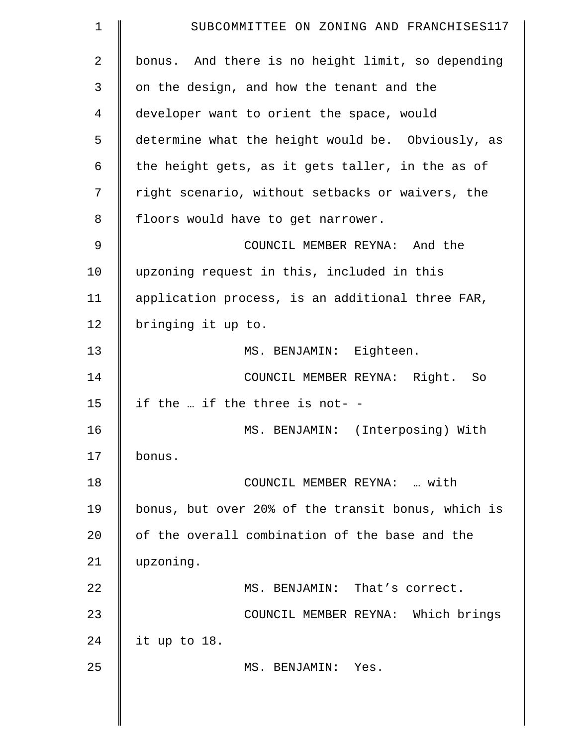| $\mathbf 1$ | SUBCOMMITTEE ON ZONING AND FRANCHISES117           |
|-------------|----------------------------------------------------|
| 2           | bonus. And there is no height limit, so depending  |
| 3           | on the design, and how the tenant and the          |
| 4           | developer want to orient the space, would          |
| 5           | determine what the height would be. Obviously, as  |
| 6           | the height gets, as it gets taller, in the as of   |
| 7           | right scenario, without setbacks or waivers, the   |
| 8           | floors would have to get narrower.                 |
| 9           | COUNCIL MEMBER REYNA: And the                      |
| 10          | upzoning request in this, included in this         |
| 11          | application process, is an additional three FAR,   |
| 12          | bringing it up to.                                 |
| 13          | MS. BENJAMIN: Eighteen.                            |
| 14          | COUNCIL MEMBER REYNA: Right. So                    |
| 15          | if the  if the three is not- -                     |
| 16          | MS. BENJAMIN: (Interposing) With                   |
| 17          | bonus.                                             |
| 18          | COUNCIL MEMBER REYNA:  with                        |
| 19          | bonus, but over 20% of the transit bonus, which is |
| 20          | of the overall combination of the base and the     |
| 21          | upzoning.                                          |
| 22          | MS. BENJAMIN: That's correct.                      |
| 23          | COUNCIL MEMBER REYNA: Which brings                 |
| 24          | it up to $18.$                                     |
| 25          | MS. BENJAMIN: Yes.                                 |
|             |                                                    |
|             |                                                    |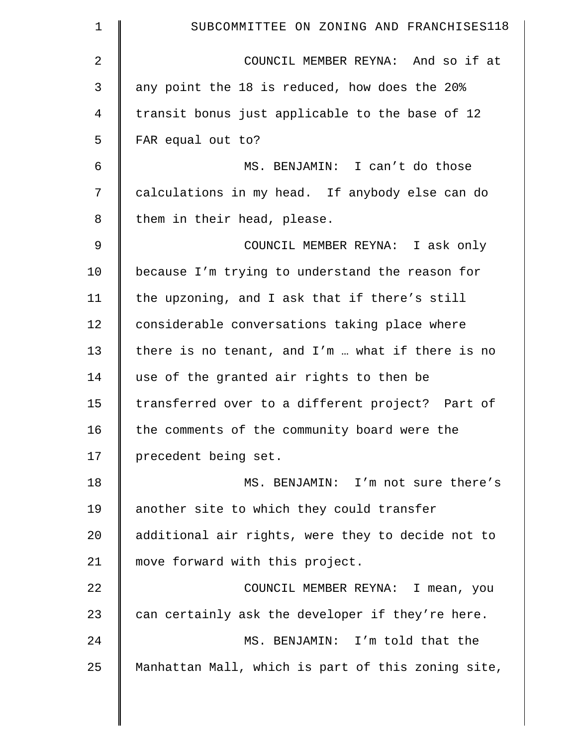| 1              | SUBCOMMITTEE ON ZONING AND FRANCHISES118           |
|----------------|----------------------------------------------------|
| $\overline{2}$ | COUNCIL MEMBER REYNA: And so if at                 |
| 3              | any point the 18 is reduced, how does the 20%      |
| 4              | transit bonus just applicable to the base of 12    |
| 5              | FAR equal out to?                                  |
| 6              | MS. BENJAMIN: I can't do those                     |
| 7              | calculations in my head. If anybody else can do    |
| 8              | them in their head, please.                        |
| 9              | COUNCIL MEMBER REYNA: I ask only                   |
| 10             | because I'm trying to understand the reason for    |
| 11             | the upzoning, and I ask that if there's still      |
| 12             | considerable conversations taking place where      |
| 13             | there is no tenant, and $I'm$ what if there is no  |
| 14             | use of the granted air rights to then be           |
| 15             | transferred over to a different project? Part of   |
| 16             | the comments of the community board were the       |
| 17             | precedent being set.                               |
| 18             | MS. BENJAMIN: I'm not sure there's                 |
| 19             | another site to which they could transfer          |
| 20             | additional air rights, were they to decide not to  |
| 21             | move forward with this project.                    |
| 22             | COUNCIL MEMBER REYNA: I mean, you                  |
| 23             | can certainly ask the developer if they're here.   |
| 24             | MS. BENJAMIN: I'm told that the                    |
| 25             | Manhattan Mall, which is part of this zoning site, |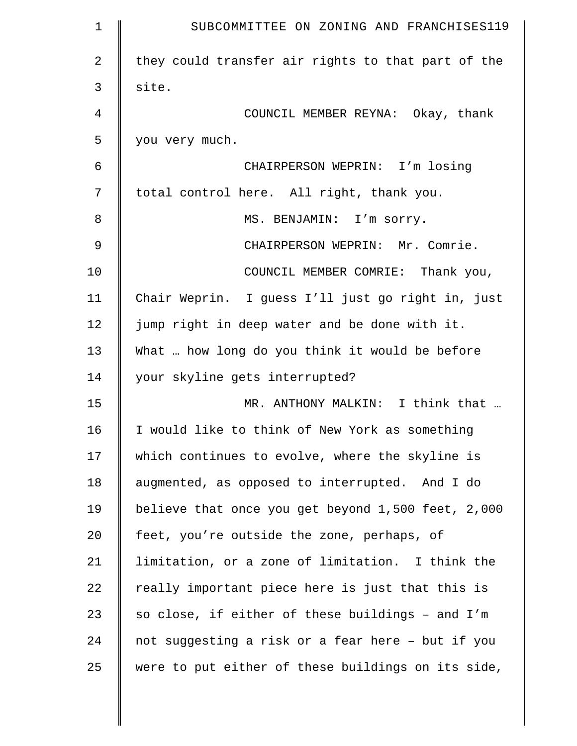| $\mathbf 1$ | SUBCOMMITTEE ON ZONING AND FRANCHISES119           |
|-------------|----------------------------------------------------|
| 2           | they could transfer air rights to that part of the |
| 3           | site.                                              |
| 4           | COUNCIL MEMBER REYNA: Okay, thank                  |
| 5           | you very much.                                     |
| 6           | CHAIRPERSON WEPRIN: I'm losing                     |
| 7           | total control here. All right, thank you.          |
| 8           | MS. BENJAMIN: I'm sorry.                           |
| 9           | CHAIRPERSON WEPRIN: Mr. Comrie.                    |
| 10          | COUNCIL MEMBER COMRIE: Thank you,                  |
| 11          | Chair Weprin. I guess I'll just go right in, just  |
| 12          | jump right in deep water and be done with it.      |
| 13          | What  how long do you think it would be before     |
| 14          | your skyline gets interrupted?                     |
| 15          | MR. ANTHONY MALKIN: I think that                   |
| 16          | I would like to think of New York as something     |
| 17          | which continues to evolve, where the skyline is    |
| 18          | augmented, as opposed to interrupted. And I do     |
| 19          | believe that once you get beyond 1,500 feet, 2,000 |
| 20          | feet, you're outside the zone, perhaps, of         |
| 21          | limitation, or a zone of limitation. I think the   |
| 22          | really important piece here is just that this is   |
| 23          | so close, if either of these buildings - and I'm   |
| 24          | not suggesting a risk or a fear here - but if you  |
| 25          | were to put either of these buildings on its side, |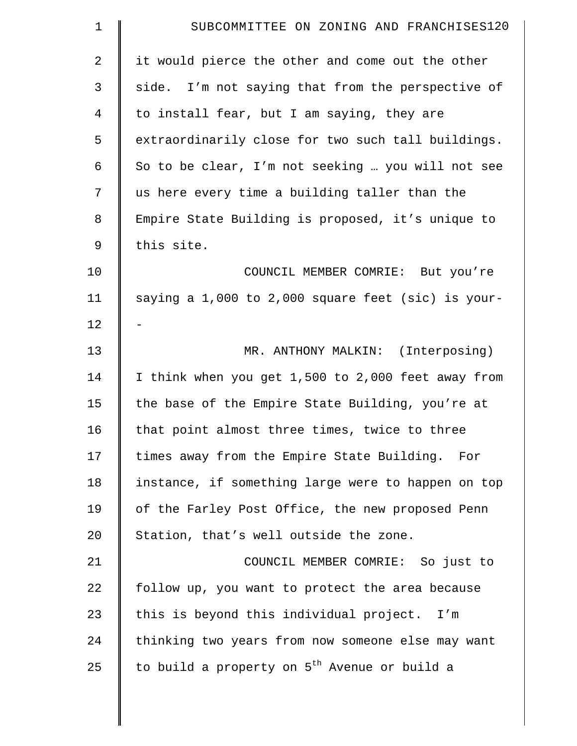| $\mathbf 1$    | SUBCOMMITTEE ON ZONING AND FRANCHISES120                 |
|----------------|----------------------------------------------------------|
| $\overline{2}$ | it would pierce the other and come out the other         |
| 3              | side. I'm not saying that from the perspective of        |
| 4              | to install fear, but I am saying, they are               |
| 5              | extraordinarily close for two such tall buildings.       |
| 6              | So to be clear, I'm not seeking  you will not see        |
| 7              | us here every time a building taller than the            |
| 8              | Empire State Building is proposed, it's unique to        |
| 9              | this site.                                               |
| 10             | COUNCIL MEMBER COMRIE: But you're                        |
| 11             | saying a 1,000 to 2,000 square feet (sic) is your-       |
| 12             |                                                          |
| 13             | MR. ANTHONY MALKIN: (Interposing)                        |
| 14             | I think when you get 1,500 to 2,000 feet away from       |
| 15             | the base of the Empire State Building, you're at         |
| 16             | that point almost three times, twice to three            |
| 17             | times away from the Empire State Building. For           |
| 18             | instance, if something large were to happen on top       |
| 19             | of the Farley Post Office, the new proposed Penn         |
| 20             | Station, that's well outside the zone.                   |
| 21             | COUNCIL MEMBER COMRIE: So just to                        |
| 22             | follow up, you want to protect the area because          |
| 23             | this is beyond this individual project. I'm              |
| 24             | thinking two years from now someone else may want        |
| 25             | to build a property on 5 <sup>th</sup> Avenue or build a |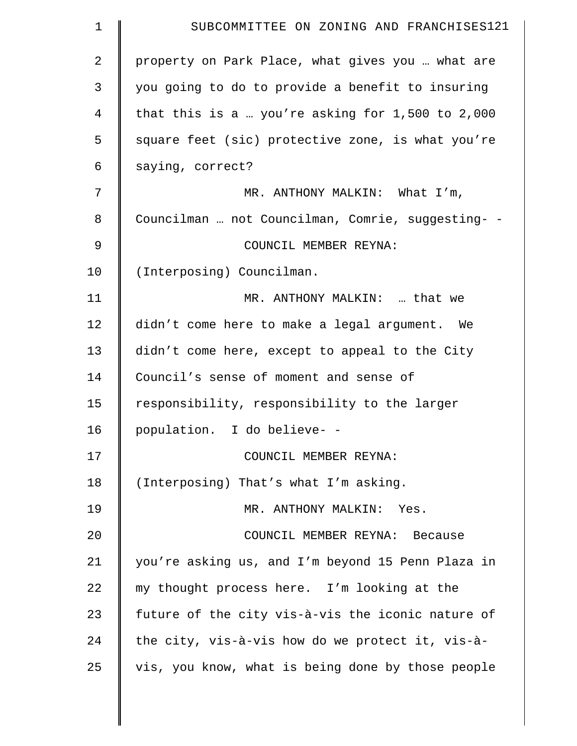| $\mathbf 1$    | SUBCOMMITTEE ON ZONING AND FRANCHISES121             |
|----------------|------------------------------------------------------|
| $\overline{2}$ | property on Park Place, what gives you  what are     |
| 3              | you going to do to provide a benefit to insuring     |
| 4              | that this is a  you're asking for $1,500$ to $2,000$ |
| 5              | square feet (sic) protective zone, is what you're    |
| 6              | saying, correct?                                     |
| 7              | MR. ANTHONY MALKIN: What I'm,                        |
| 8              | Councilman  not Councilman, Comrie, suggesting- -    |
| 9              | COUNCIL MEMBER REYNA:                                |
| 10             | (Interposing) Councilman.                            |
| 11             | MR. ANTHONY MALKIN:  that we                         |
| 12             | didn't come here to make a legal argument. We        |
| 13             | didn't come here, except to appeal to the City       |
| 14             | Council's sense of moment and sense of               |
| 15             | responsibility, responsibility to the larger         |
| 16             | population. I do believe- -                          |
| 17             | COUNCIL MEMBER REYNA:                                |
| 18             | (Interposing) That's what I'm asking.                |
| 19             | MR. ANTHONY MALKIN: Yes.                             |
| 20             | COUNCIL MEMBER REYNA: Because                        |
| 21             | you're asking us, and I'm beyond 15 Penn Plaza in    |
| 22             | my thought process here. I'm looking at the          |
| 23             | future of the city vis-à-vis the iconic nature of    |
| 24             | the city, vis-à-vis how do we protect it, vis-à-     |
| 25             | vis, you know, what is being done by those people    |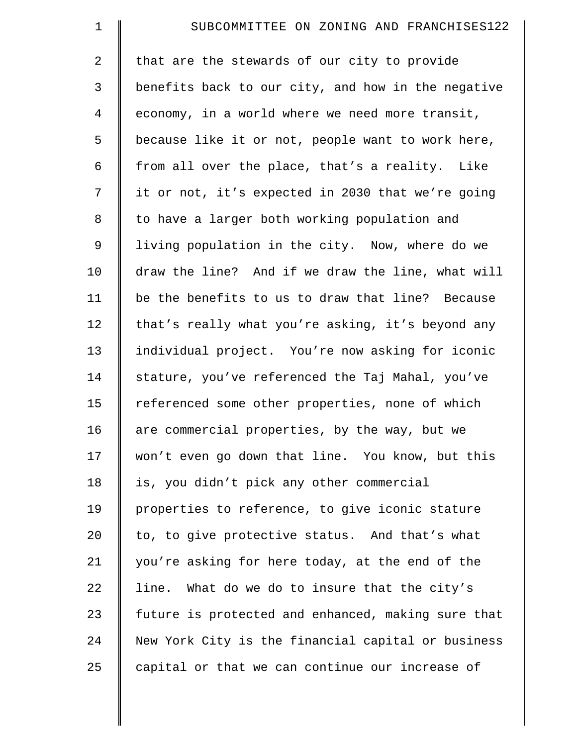| $\mathbf 1$    | SUBCOMMITTEE ON ZONING AND FRANCHISES122           |
|----------------|----------------------------------------------------|
| 2              | that are the stewards of our city to provide       |
| 3              | benefits back to our city, and how in the negative |
| $\overline{4}$ | economy, in a world where we need more transit,    |
| 5              | because like it or not, people want to work here,  |
| 6              | from all over the place, that's a reality. Like    |
| 7              | it or not, it's expected in 2030 that we're going  |
| 8              | to have a larger both working population and       |
| 9              | living population in the city. Now, where do we    |
| 10             | draw the line? And if we draw the line, what will  |
| 11             | be the benefits to us to draw that line? Because   |
| 12             | that's really what you're asking, it's beyond any  |
| 13             | individual project. You're now asking for iconic   |
| 14             | stature, you've referenced the Taj Mahal, you've   |
| 15             | referenced some other properties, none of which    |
| 16             | are commercial properties, by the way, but we      |
| 17             | won't even go down that line. You know, but this   |
| 18             | is, you didn't pick any other commercial           |
| 19             | properties to reference, to give iconic stature    |
| 20             | to, to give protective status. And that's what     |
| 21             | you're asking for here today, at the end of the    |
| 22             | What do we do to insure that the city's<br>line.   |
| 23             | future is protected and enhanced, making sure that |
| 24             | New York City is the financial capital or business |
| 25             | capital or that we can continue our increase of    |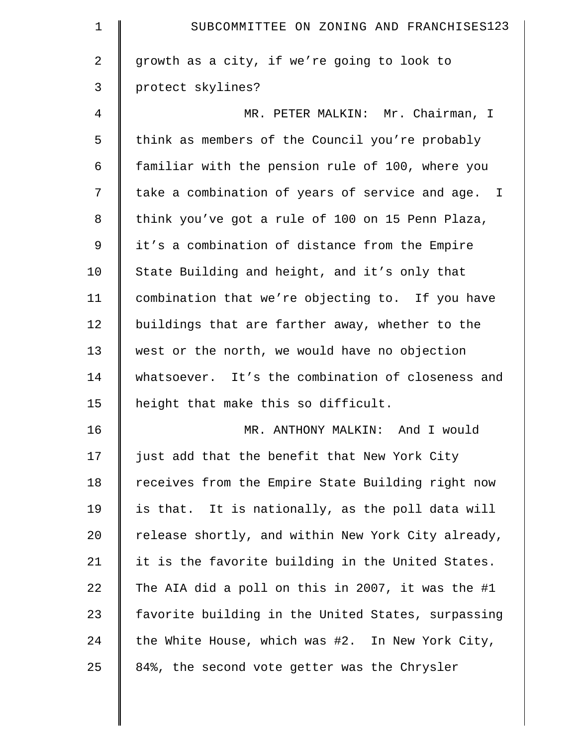| $\mathbf 1$ | SUBCOMMITTEE ON ZONING AND FRANCHISES123           |
|-------------|----------------------------------------------------|
| 2           | growth as a city, if we're going to look to        |
| 3           | protect skylines?                                  |
| 4           | MR. PETER MALKIN: Mr. Chairman, I                  |
| 5           | think as members of the Council you're probably    |
| 6           | familiar with the pension rule of 100, where you   |
| 7           | take a combination of years of service and age. I  |
| 8           | think you've got a rule of 100 on 15 Penn Plaza,   |
| 9           | it's a combination of distance from the Empire     |
| 10          | State Building and height, and it's only that      |
| 11          | combination that we're objecting to. If you have   |
| 12          | buildings that are farther away, whether to the    |
| 13          | west or the north, we would have no objection      |
| 14          | whatsoever. It's the combination of closeness and  |
| 15          | height that make this so difficult.                |
| 16          | MR. ANTHONY MALKIN: And I would                    |
| 17          | just add that the benefit that New York City       |
| 18          | receives from the Empire State Building right now  |
| 19          | is that. It is nationally, as the poll data will   |
| 20          | release shortly, and within New York City already, |
| 21          | it is the favorite building in the United States.  |
| 22          | The AIA did a poll on this in 2007, it was the #1  |
| 23          | favorite building in the United States, surpassing |
| 24          | the White House, which was #2. In New York City,   |
| 25          | 84%, the second vote getter was the Chrysler       |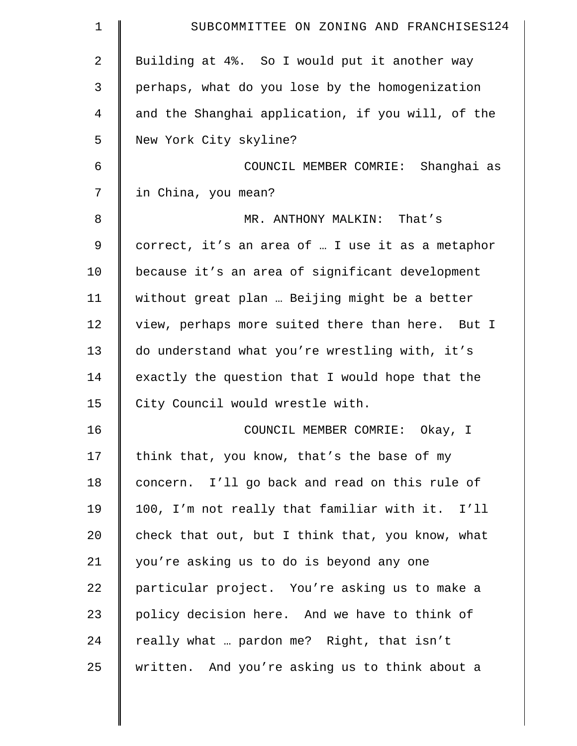| 1           | SUBCOMMITTEE ON ZONING AND FRANCHISES124          |
|-------------|---------------------------------------------------|
| 2           | Building at 4%. So I would put it another way     |
| 3           | perhaps, what do you lose by the homogenization   |
| 4           | and the Shanghai application, if you will, of the |
| 5           | New York City skyline?                            |
| 6           | COUNCIL MEMBER COMRIE: Shanghai as                |
| 7           | in China, you mean?                               |
| 8           | MR. ANTHONY MALKIN: That's                        |
| $\mathsf 9$ | correct, it's an area of  I use it as a metaphor  |
| 10          | because it's an area of significant development   |
| 11          | without great plan  Beijing might be a better     |
| 12          | view, perhaps more suited there than here. But I  |
| 13          | do understand what you're wrestling with, it's    |
| 14          | exactly the question that I would hope that the   |
| 15          | City Council would wrestle with.                  |
| 16          | COUNCIL MEMBER COMRIE:<br>Okay, I                 |
| 17          | think that, you know, that's the base of my       |
| 18          | concern. I'll go back and read on this rule of    |
| 19          | 100, I'm not really that familiar with it. I'll   |
| 20          | check that out, but I think that, you know, what  |
| 21          | you're asking us to do is beyond any one          |
| 22          | particular project. You're asking us to make a    |
| 23          | policy decision here. And we have to think of     |
| 24          | really what  pardon me? Right, that isn't         |
| 25          | written. And you're asking us to think about a    |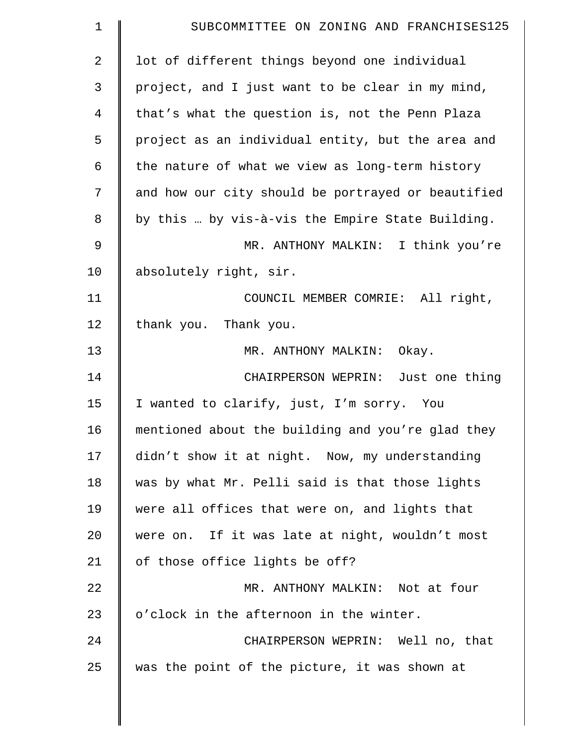| 1  | SUBCOMMITTEE ON ZONING AND FRANCHISES125           |
|----|----------------------------------------------------|
| 2  | lot of different things beyond one individual      |
| 3  | project, and I just want to be clear in my mind,   |
| 4  | that's what the question is, not the Penn Plaza    |
| 5  | project as an individual entity, but the area and  |
| 6  | the nature of what we view as long-term history    |
| 7  | and how our city should be portrayed or beautified |
| 8  | by this  by vis-à-vis the Empire State Building.   |
| 9  | MR. ANTHONY MALKIN: I think you're                 |
| 10 | absolutely right, sir.                             |
| 11 | COUNCIL MEMBER COMRIE: All right,                  |
| 12 | thank you. Thank you.                              |
| 13 | MR. ANTHONY MALKIN: Okay.                          |
| 14 | CHAIRPERSON WEPRIN: Just one thing                 |
| 15 | I wanted to clarify, just, I'm sorry. You          |
| 16 | mentioned about the building and you're glad they  |
| 17 | didn't show it at night. Now, my understanding     |
| 18 | was by what Mr. Pelli said is that those lights    |
| 19 | were all offices that were on, and lights that     |
| 20 | were on. If it was late at night, wouldn't most    |
| 21 | of those office lights be off?                     |
| 22 | MR. ANTHONY MALKIN: Not at four                    |
| 23 | o'clock in the afternoon in the winter.            |
| 24 | CHAIRPERSON WEPRIN: Well no, that                  |
| 25 | was the point of the picture, it was shown at      |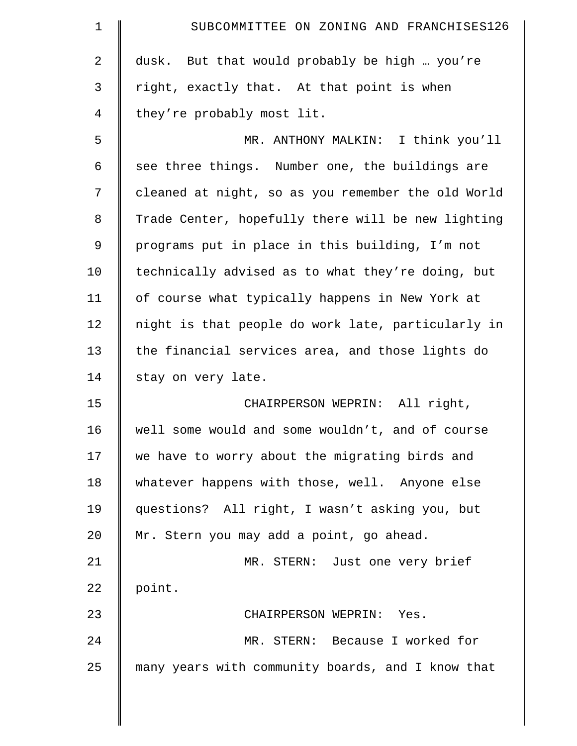| $\mathbf 1$ | SUBCOMMITTEE ON ZONING AND FRANCHISES126           |
|-------------|----------------------------------------------------|
| 2           | dusk. But that would probably be high  you're      |
| 3           | right, exactly that. At that point is when         |
| 4           | they're probably most lit.                         |
| 5           | MR. ANTHONY MALKIN: I think you'll                 |
| 6           | see three things. Number one, the buildings are    |
| 7           | cleaned at night, so as you remember the old World |
| 8           | Trade Center, hopefully there will be new lighting |
| $\mathsf 9$ | programs put in place in this building, I'm not    |
| 10          | technically advised as to what they're doing, but  |
| 11          | of course what typically happens in New York at    |
| 12          | night is that people do work late, particularly in |
| 13          | the financial services area, and those lights do   |
| 14          | stay on very late.                                 |
| 15          | CHAIRPERSON WEPRIN: All right,                     |
| 16          | well some would and some wouldn't, and of course   |
| 17          | we have to worry about the migrating birds and     |
| 18          | whatever happens with those, well. Anyone else     |
| 19          | questions? All right, I wasn't asking you, but     |
| 20          | Mr. Stern you may add a point, go ahead.           |
| 21          | MR. STERN: Just one very brief                     |
| 22          | point.                                             |
| 23          | CHAIRPERSON WEPRIN: Yes.                           |
| 24          | MR. STERN: Because I worked for                    |
| 25          | many years with community boards, and I know that  |
|             |                                                    |
|             |                                                    |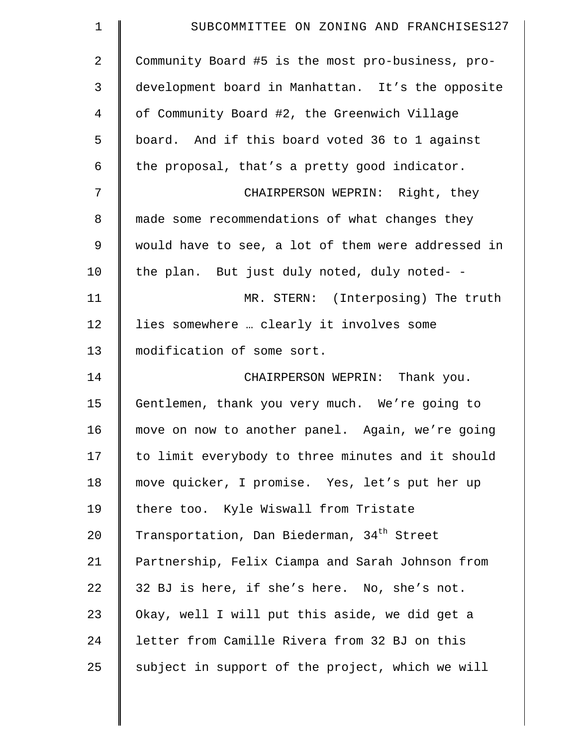| $\mathbf 1$    | SUBCOMMITTEE ON ZONING AND FRANCHISES127               |
|----------------|--------------------------------------------------------|
| $\overline{2}$ | Community Board #5 is the most pro-business, pro-      |
| 3              | development board in Manhattan. It's the opposite      |
| 4              | of Community Board #2, the Greenwich Village           |
| 5              | board. And if this board voted 36 to 1 against         |
| 6              | the proposal, that's a pretty good indicator.          |
| 7              | CHAIRPERSON WEPRIN: Right, they                        |
| 8              | made some recommendations of what changes they         |
| $\mathsf 9$    | would have to see, a lot of them were addressed in     |
| 10             | the plan. But just duly noted, duly noted- -           |
| 11             | MR. STERN: (Interposing) The truth                     |
| 12             | lies somewhere  clearly it involves some               |
| 13             | modification of some sort.                             |
| 14             | CHAIRPERSON WEPRIN: Thank you.                         |
| 15             | Gentlemen, thank you very much. We're going to         |
| 16             | move on now to another panel. Again, we're going       |
| 17             | to limit everybody to three minutes and it should      |
| 18             | move quicker, I promise. Yes, let's put her up         |
| 19             | there too. Kyle Wiswall from Tristate                  |
| 20             | Transportation, Dan Biederman, 34 <sup>th</sup> Street |
| 21             | Partnership, Felix Ciampa and Sarah Johnson from       |
| 22             | 32 BJ is here, if she's here. No, she's not.           |
| 23             | Okay, well I will put this aside, we did get a         |
| 24             | letter from Camille Rivera from 32 BJ on this          |
| 25             | subject in support of the project, which we will       |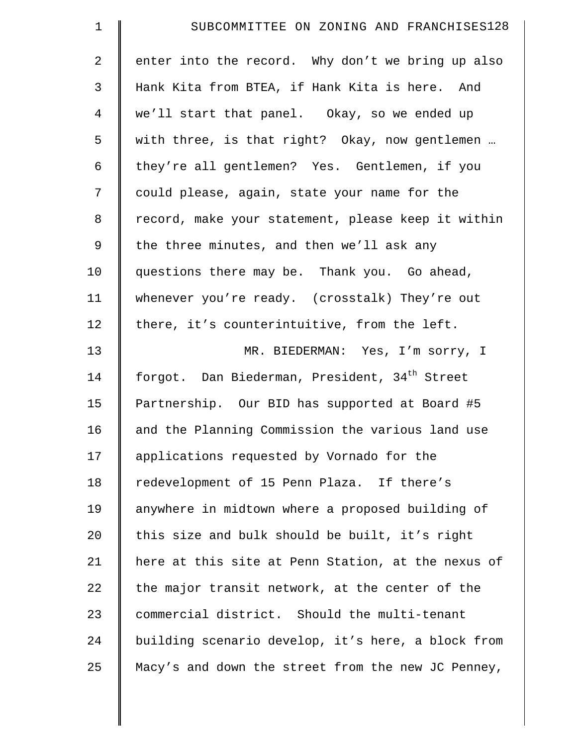| $\mathbf 1$    | SUBCOMMITTEE ON ZONING AND FRANCHISES128                  |
|----------------|-----------------------------------------------------------|
| $\overline{a}$ | enter into the record. Why don't we bring up also         |
| 3              | Hank Kita from BTEA, if Hank Kita is here. And            |
| 4              | we'll start that panel. Okay, so we ended up              |
| 5              | with three, is that right? Okay, now gentlemen            |
| 6              | they're all gentlemen? Yes. Gentlemen, if you             |
| 7              | could please, again, state your name for the              |
| 8              | record, make your statement, please keep it within        |
| $\mathsf 9$    | the three minutes, and then we'll ask any                 |
| 10             | questions there may be. Thank you. Go ahead,              |
| 11             | whenever you're ready. (crosstalk) They're out            |
| 12             | there, it's counterintuitive, from the left.              |
| 13             | MR. BIEDERMAN: Yes, I'm sorry, I                          |
| 14             | forgot. Dan Biederman, President, 34 <sup>th</sup> Street |
| 15             | Partnership. Our BID has supported at Board #5            |
| 16             | and the Planning Commission the various land use          |
| 17             | applications requested by Vornado for the                 |
| 18             | redevelopment of 15 Penn Plaza. If there's                |
| 19             | anywhere in midtown where a proposed building of          |
| 20             | this size and bulk should be built, it's right            |
| 21             | here at this site at Penn Station, at the nexus of        |
| 22             | the major transit network, at the center of the           |
| 23             | commercial district. Should the multi-tenant              |
| 24             | building scenario develop, it's here, a block from        |
| 25             | Macy's and down the street from the new JC Penney,        |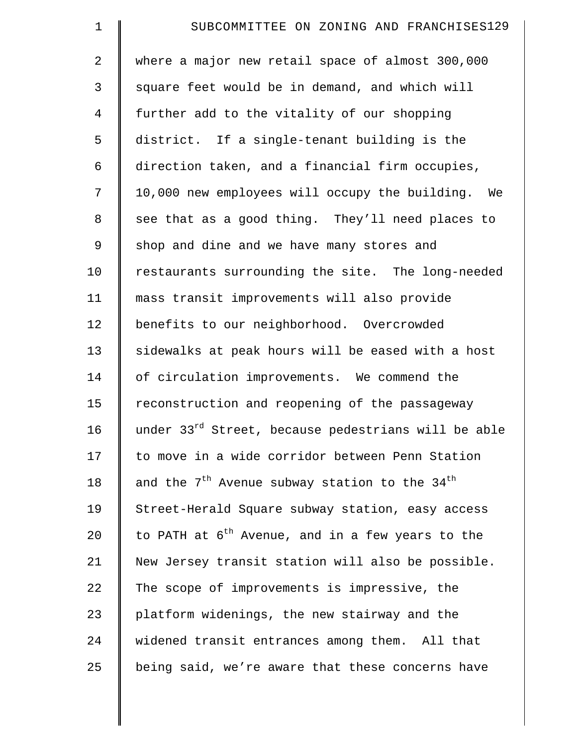| $\mathbf 1$    | SUBCOMMITTEE ON ZONING AND FRANCHISES129                     |
|----------------|--------------------------------------------------------------|
| $\overline{2}$ | where a major new retail space of almost 300,000             |
| 3              | square feet would be in demand, and which will               |
| $\overline{4}$ | further add to the vitality of our shopping                  |
| 5              | district. If a single-tenant building is the                 |
| 6              | direction taken, and a financial firm occupies,              |
| 7              | 10,000 new employees will occupy the building. We            |
| $\,8\,$        | see that as a good thing. They'll need places to             |
| $\mathsf 9$    | shop and dine and we have many stores and                    |
| 10             | restaurants surrounding the site. The long-needed            |
| 11             | mass transit improvements will also provide                  |
| 12             | benefits to our neighborhood. Overcrowded                    |
| 13             | sidewalks at peak hours will be eased with a host            |
| 14             | of circulation improvements. We commend the                  |
| 15             | reconstruction and reopening of the passageway               |
| 16             | under 33rd Street, because pedestrians will be able          |
| 17             | to move in a wide corridor between Penn Station              |
| 18             | and the $7th$ Avenue subway station to the 34 <sup>th</sup>  |
| 19             | Street-Herald Square subway station, easy access             |
| 20             | to PATH at 6 <sup>th</sup> Avenue, and in a few years to the |
| 21             | New Jersey transit station will also be possible.            |
| 22             | The scope of improvements is impressive, the                 |
| 23             | platform widenings, the new stairway and the                 |
| 24             | widened transit entrances among them. All that               |
| 25             | being said, we're aware that these concerns have             |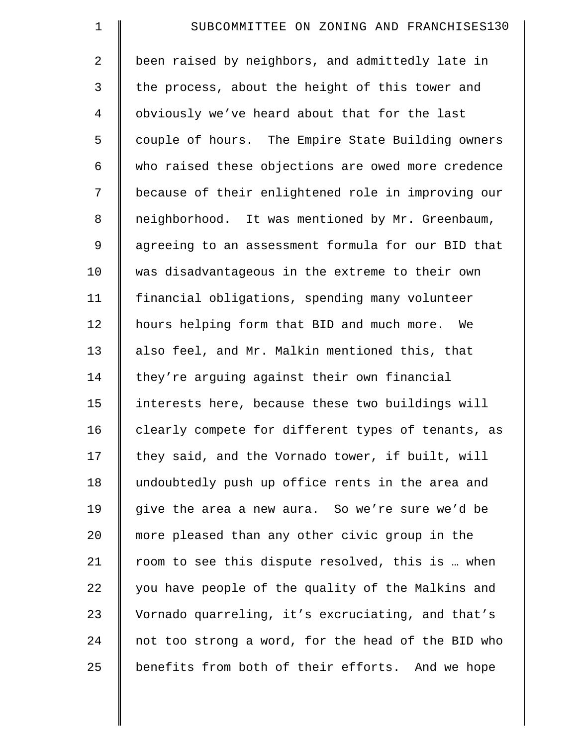| $\mathbf 1$    | SUBCOMMITTEE ON ZONING AND FRANCHISES130           |
|----------------|----------------------------------------------------|
| $\overline{2}$ | been raised by neighbors, and admittedly late in   |
| 3              | the process, about the height of this tower and    |
| $\overline{4}$ | obviously we've heard about that for the last      |
| 5              | couple of hours. The Empire State Building owners  |
| 6              | who raised these objections are owed more credence |
| 7              | because of their enlightened role in improving our |
| $\,8\,$        | neighborhood. It was mentioned by Mr. Greenbaum,   |
| 9              | agreeing to an assessment formula for our BID that |
| 10             | was disadvantageous in the extreme to their own    |
| 11             | financial obligations, spending many volunteer     |
| 12             | hours helping form that BID and much more. We      |
| 13             | also feel, and Mr. Malkin mentioned this, that     |
| 14             | they're arguing against their own financial        |
| 15             | interests here, because these two buildings will   |
| 16             | clearly compete for different types of tenants, as |
| 17             | they said, and the Vornado tower, if built, will   |
| 18             | undoubtedly push up office rents in the area and   |
| 19             | give the area a new aura. So we're sure we'd be    |
| 20             | more pleased than any other civic group in the     |
| 21             | room to see this dispute resolved, this is  when   |
| 22             | you have people of the quality of the Malkins and  |
| 23             | Vornado quarreling, it's excruciating, and that's  |
| 24             | not too strong a word, for the head of the BID who |
| 25             | benefits from both of their efforts. And we hope   |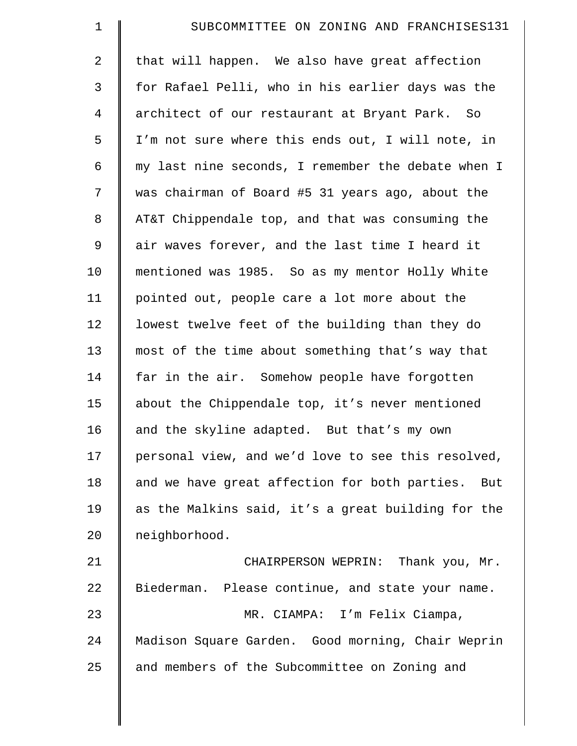| $\mathbf 1$    | SUBCOMMITTEE ON ZONING AND FRANCHISES131             |
|----------------|------------------------------------------------------|
| $\overline{a}$ | that will happen. We also have great affection       |
| 3              | for Rafael Pelli, who in his earlier days was the    |
| $\overline{4}$ | architect of our restaurant at Bryant Park. So       |
| 5              | I'm not sure where this ends out, I will note, in    |
| 6              | my last nine seconds, I remember the debate when I   |
| 7              | was chairman of Board #5 31 years ago, about the     |
| 8              | AT&T Chippendale top, and that was consuming the     |
| 9              | air waves forever, and the last time I heard it      |
| 10             | mentioned was 1985. So as my mentor Holly White      |
| 11             | pointed out, people care a lot more about the        |
| 12             | lowest twelve feet of the building than they do      |
| 13             | most of the time about something that's way that     |
| 14             | far in the air. Somehow people have forgotten        |
| 15             | about the Chippendale top, it's never mentioned      |
| 16             | and the skyline adapted. But that's my own           |
| 17             | personal view, and we'd love to see this resolved,   |
| 18             | and we have great affection for both parties.<br>But |
| 19             | as the Malkins said, it's a great building for the   |
| 20             | neighborhood.                                        |
| 21             | CHAIRPERSON WEPRIN: Thank you, Mr.                   |
| 22             | Biederman. Please continue, and state your name.     |
| 23             | MR. CIAMPA: I'm Felix Ciampa,                        |
| 24             | Madison Square Garden. Good morning, Chair Weprin    |
| 25             | and members of the Subcommittee on Zoning and        |
|                |                                                      |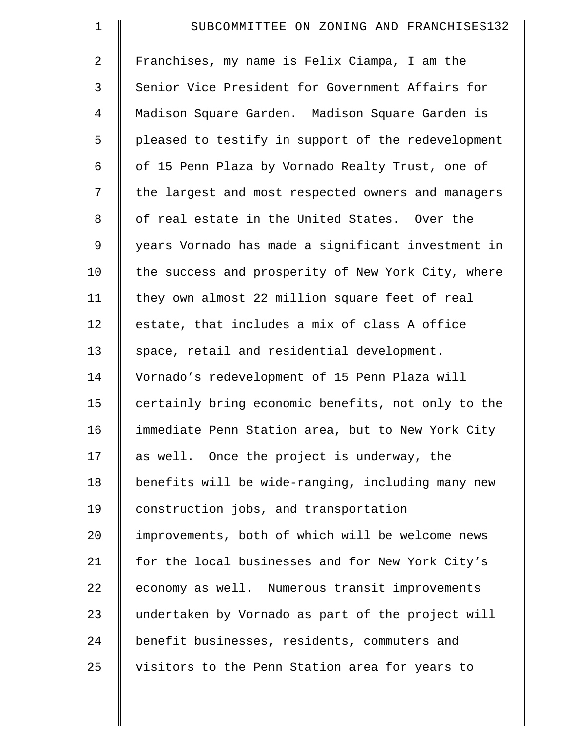| $\mathbf 1$    | SUBCOMMITTEE ON ZONING AND FRANCHISES132           |
|----------------|----------------------------------------------------|
| $\overline{2}$ | Franchises, my name is Felix Ciampa, I am the      |
| 3              | Senior Vice President for Government Affairs for   |
| 4              | Madison Square Garden. Madison Square Garden is    |
| 5              | pleased to testify in support of the redevelopment |
| 6              | of 15 Penn Plaza by Vornado Realty Trust, one of   |
| 7              | the largest and most respected owners and managers |
| 8              | of real estate in the United States. Over the      |
| 9              | years Vornado has made a significant investment in |
| 10             | the success and prosperity of New York City, where |
| 11             | they own almost 22 million square feet of real     |
| 12             | estate, that includes a mix of class A office      |
| 13             | space, retail and residential development.         |
| 14             | Vornado's redevelopment of 15 Penn Plaza will      |
| 15             | certainly bring economic benefits, not only to the |
| 16             | immediate Penn Station area, but to New York City  |
| 17             | as well. Once the project is underway, the         |
| 18             | benefits will be wide-ranging, including many new  |
| 19             | construction jobs, and transportation              |
| 20             | improvements, both of which will be welcome news   |
| 21             | for the local businesses and for New York City's   |
| 22             | economy as well. Numerous transit improvements     |
| 23             | undertaken by Vornado as part of the project will  |
| 24             | benefit businesses, residents, commuters and       |
| 25             | visitors to the Penn Station area for years to     |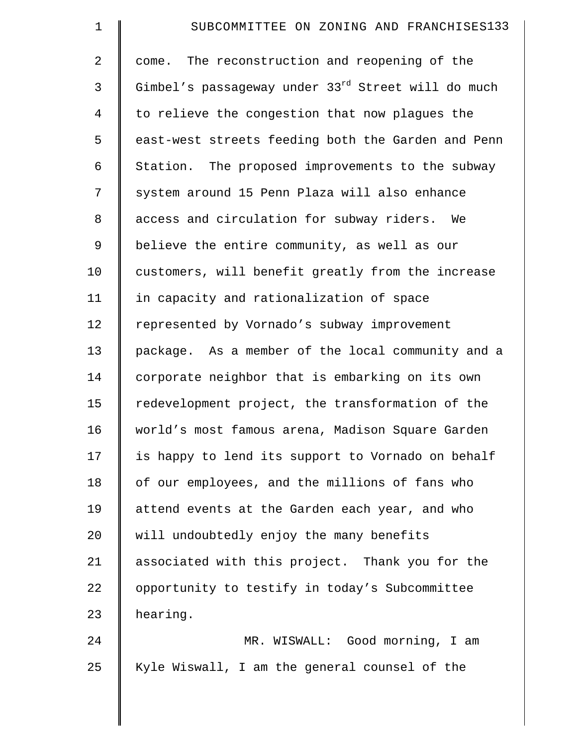| $\mathbf 1$    | SUBCOMMITTEE ON ZONING AND FRANCHISES133                       |
|----------------|----------------------------------------------------------------|
| $\overline{2}$ | come. The reconstruction and reopening of the                  |
| 3              | Gimbel's passageway under 33 <sup>rd</sup> Street will do much |
| 4              | to relieve the congestion that now plagues the                 |
| 5              | east-west streets feeding both the Garden and Penn             |
| 6              | Station. The proposed improvements to the subway               |
| 7              | system around 15 Penn Plaza will also enhance                  |
| 8              | access and circulation for subway riders. We                   |
| 9              | believe the entire community, as well as our                   |
| 10             | customers, will benefit greatly from the increase              |
| 11             | in capacity and rationalization of space                       |
| 12             | represented by Vornado's subway improvement                    |
| 13             | package. As a member of the local community and a              |
| 14             | corporate neighbor that is embarking on its own                |
| 15             | redevelopment project, the transformation of the               |
| 16             | world's most famous arena, Madison Square Garden               |
| 17             | is happy to lend its support to Vornado on behalf              |
| 18             | of our employees, and the millions of fans who                 |
| 19             | attend events at the Garden each year, and who                 |
| 20             | will undoubtedly enjoy the many benefits                       |
| 21             | associated with this project. Thank you for the                |
| 22             | opportunity to testify in today's Subcommittee                 |
| 23             | hearing.                                                       |
| 24             | MR. WISWALL: Good morning, I am                                |
| 25             | Kyle Wiswall, I am the general counsel of the                  |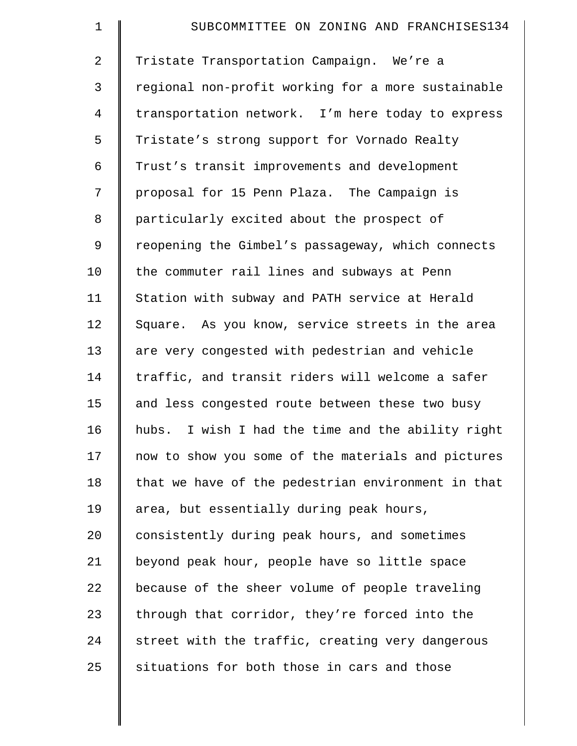| $\mathbf 1$    | SUBCOMMITTEE ON ZONING AND FRANCHISES134           |
|----------------|----------------------------------------------------|
| $\overline{2}$ | Tristate Transportation Campaign. We're a          |
| 3              | regional non-profit working for a more sustainable |
| $\overline{4}$ | transportation network. I'm here today to express  |
| 5              | Tristate's strong support for Vornado Realty       |
| 6              | Trust's transit improvements and development       |
| 7              | proposal for 15 Penn Plaza. The Campaign is        |
| 8              | particularly excited about the prospect of         |
| $\mathsf 9$    | reopening the Gimbel's passageway, which connects  |
| 10             | the commuter rail lines and subways at Penn        |
| 11             | Station with subway and PATH service at Herald     |
| 12             | Square. As you know, service streets in the area   |
| 13             | are very congested with pedestrian and vehicle     |
| 14             | traffic, and transit riders will welcome a safer   |
| 15             | and less congested route between these two busy    |
| 16             | hubs. I wish I had the time and the ability right  |
| 17             | now to show you some of the materials and pictures |
| 18             | that we have of the pedestrian environment in that |
| 19             | area, but essentially during peak hours,           |
| 20             | consistently during peak hours, and sometimes      |
| 21             | beyond peak hour, people have so little space      |
| 22             | because of the sheer volume of people traveling    |
| 23             | through that corridor, they're forced into the     |
| 24             | street with the traffic, creating very dangerous   |
| 25             | situations for both those in cars and those        |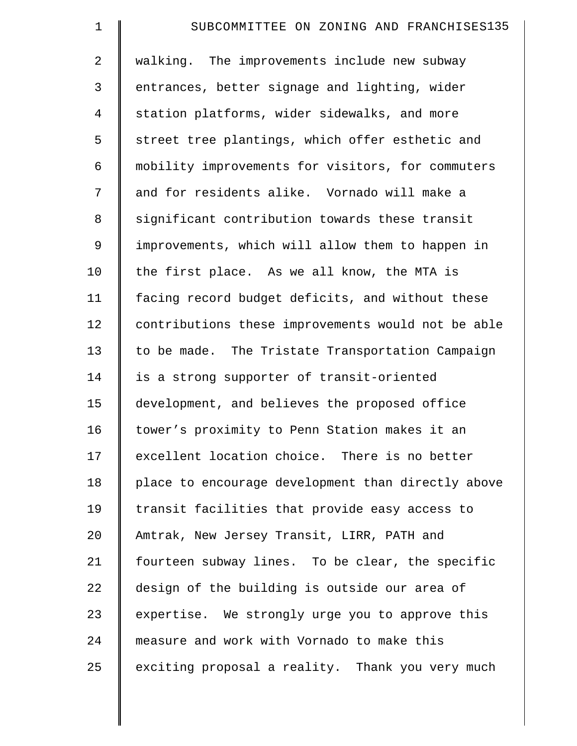| $\mathbf 1$    | SUBCOMMITTEE ON ZONING AND FRANCHISES135           |
|----------------|----------------------------------------------------|
| $\overline{2}$ | walking. The improvements include new subway       |
| 3              | entrances, better signage and lighting, wider      |
| $\overline{4}$ | station platforms, wider sidewalks, and more       |
| 5              | street tree plantings, which offer esthetic and    |
| 6              | mobility improvements for visitors, for commuters  |
| 7              | and for residents alike. Vornado will make a       |
| 8              | significant contribution towards these transit     |
| 9              | improvements, which will allow them to happen in   |
| 10             | the first place. As we all know, the MTA is        |
| 11             | facing record budget deficits, and without these   |
| 12             | contributions these improvements would not be able |
| 13             | to be made. The Tristate Transportation Campaign   |
| 14             | is a strong supporter of transit-oriented          |
| 15             | development, and believes the proposed office      |
| 16             | tower's proximity to Penn Station makes it an      |
| 17             | excellent location choice. There is no better      |
| 18             | place to encourage development than directly above |
| 19             | transit facilities that provide easy access to     |
| 20             | Amtrak, New Jersey Transit, LIRR, PATH and         |
| 21             | fourteen subway lines. To be clear, the specific   |
| 22             | design of the building is outside our area of      |
| 23             | expertise. We strongly urge you to approve this    |
| 24             | measure and work with Vornado to make this         |
| 25             | exciting proposal a reality. Thank you very much   |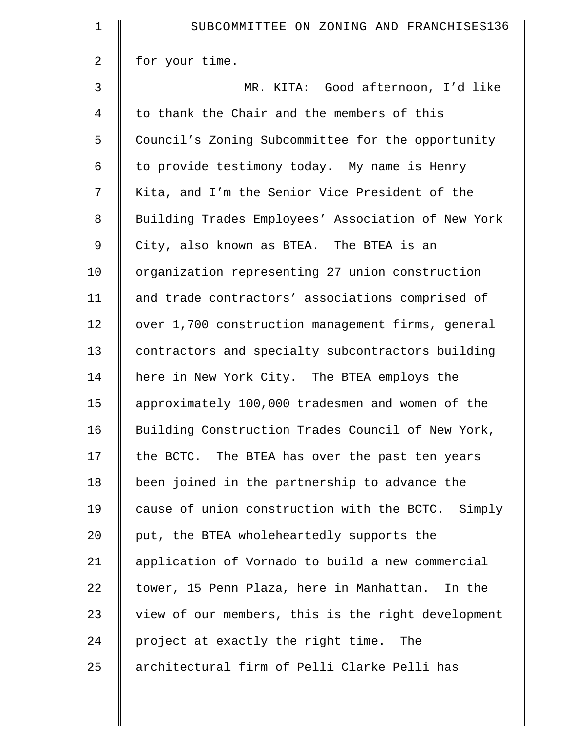| 1              | SUBCOMMITTEE ON ZONING AND FRANCHISES136           |
|----------------|----------------------------------------------------|
| 2              | for your time.                                     |
| 3              | MR. KITA: Good afternoon, I'd like                 |
| $\overline{4}$ | to thank the Chair and the members of this         |
| 5              | Council's Zoning Subcommittee for the opportunity  |
| 6              | to provide testimony today. My name is Henry       |
| 7              | Kita, and I'm the Senior Vice President of the     |
| 8              | Building Trades Employees' Association of New York |
| 9              | City, also known as BTEA. The BTEA is an           |
| 10             | organization representing 27 union construction    |
| 11             | and trade contractors' associations comprised of   |
| 12             | over 1,700 construction management firms, general  |
| 13             | contractors and specialty subcontractors building  |
| 14             | here in New York City. The BTEA employs the        |
| 15             | approximately 100,000 tradesmen and women of the   |
| 16             | Building Construction Trades Council of New York,  |
| 17             | the BCTC. The BTEA has over the past ten years     |
| 18             | been joined in the partnership to advance the      |
| 19             | cause of union construction with the BCTC. Simply  |
| 20             | put, the BTEA wholeheartedly supports the          |
| 21             | application of Vornado to build a new commercial   |
| 22             | tower, 15 Penn Plaza, here in Manhattan. In the    |
| 23             | view of our members, this is the right development |
| 24             | project at exactly the right time. The             |
| 25             | architectural firm of Pelli Clarke Pelli has       |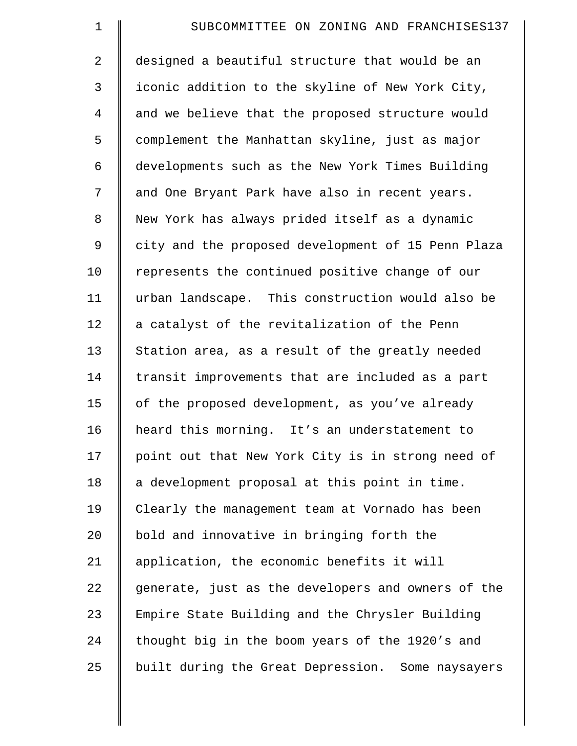| $\mathbf 1$    | SUBCOMMITTEE ON ZONING AND FRANCHISES137           |
|----------------|----------------------------------------------------|
| $\overline{2}$ | designed a beautiful structure that would be an    |
| 3              | iconic addition to the skyline of New York City,   |
| 4              | and we believe that the proposed structure would   |
| 5              | complement the Manhattan skyline, just as major    |
| 6              | developments such as the New York Times Building   |
| 7              | and One Bryant Park have also in recent years.     |
| 8              | New York has always prided itself as a dynamic     |
| 9              | city and the proposed development of 15 Penn Plaza |
| 10             | represents the continued positive change of our    |
| 11             | urban landscape. This construction would also be   |
| 12             | a catalyst of the revitalization of the Penn       |
| 13             | Station area, as a result of the greatly needed    |
| 14             | transit improvements that are included as a part   |
| 15             | of the proposed development, as you've already     |
| 16             | heard this morning. It's an understatement to      |
| 17             | point out that New York City is in strong need of  |
| 18             | a development proposal at this point in time.      |
| 19             | Clearly the management team at Vornado has been    |
| 20             | bold and innovative in bringing forth the          |
| 21             | application, the economic benefits it will         |
| 22             | generate, just as the developers and owners of the |
| 23             | Empire State Building and the Chrysler Building    |
| 24             | thought big in the boom years of the 1920's and    |
| 25             | built during the Great Depression. Some naysayers  |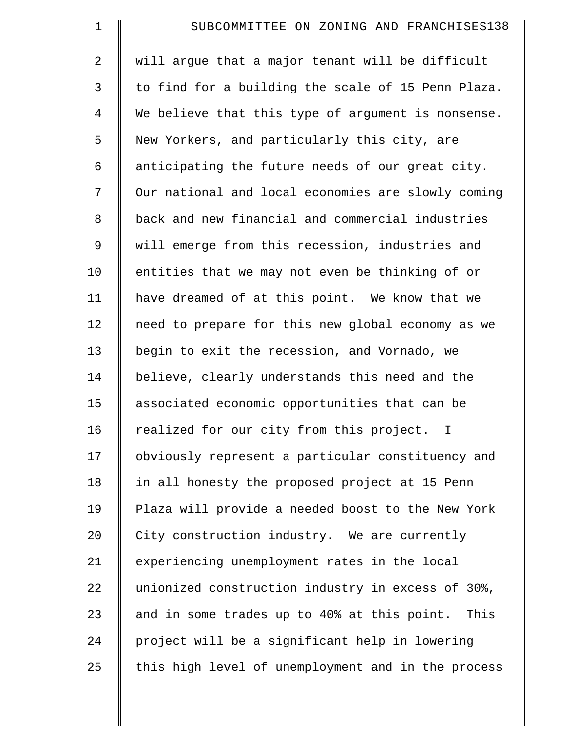| $\mathbf 1$ | SUBCOMMITTEE ON ZONING AND FRANCHISES138                 |
|-------------|----------------------------------------------------------|
| 2           | will argue that a major tenant will be difficult         |
| 3           | to find for a building the scale of 15 Penn Plaza.       |
| 4           | We believe that this type of argument is nonsense.       |
| 5           | New Yorkers, and particularly this city, are             |
| 6           | anticipating the future needs of our great city.         |
| 7           | Our national and local economies are slowly coming       |
| 8           | back and new financial and commercial industries         |
| $\mathsf 9$ | will emerge from this recession, industries and          |
| 10          | entities that we may not even be thinking of or          |
| 11          | have dreamed of at this point. We know that we           |
| 12          | need to prepare for this new global economy as we        |
| 13          | begin to exit the recession, and Vornado, we             |
| 14          | believe, clearly understands this need and the           |
| 15          | associated economic opportunities that can be            |
| 16          | realized for our city from this project.<br>$\mathbb{I}$ |
| 17          | obviously represent a particular constituency and        |
| 18          | in all honesty the proposed project at 15 Penn           |
| 19          | Plaza will provide a needed boost to the New York        |
| 20          | City construction industry. We are currently             |
| 21          | experiencing unemployment rates in the local             |
| 22          | unionized construction industry in excess of 30%,        |
| 23          | and in some trades up to 40% at this point. This         |
| 24          | project will be a significant help in lowering           |
| 25          | this high level of unemployment and in the process       |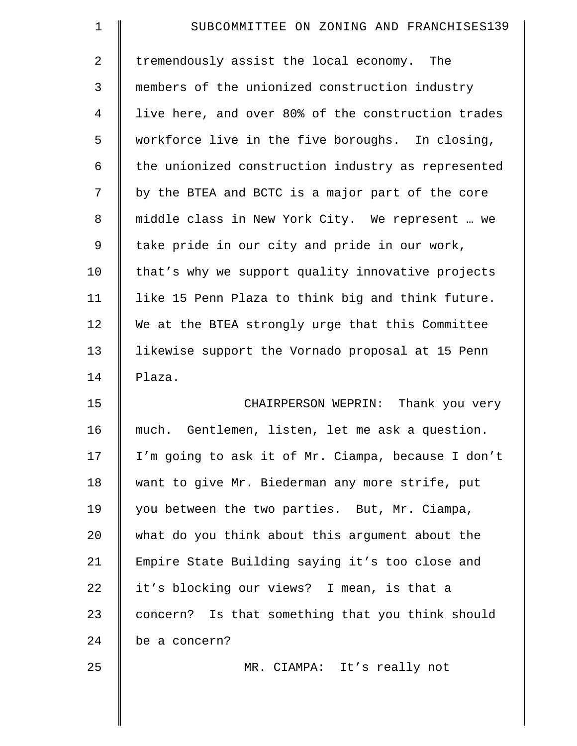| $\mathbf 1$    | SUBCOMMITTEE ON ZONING AND FRANCHISES139           |
|----------------|----------------------------------------------------|
| $\overline{2}$ | tremendously assist the local economy. The         |
| 3              | members of the unionized construction industry     |
| 4              | live here, and over 80% of the construction trades |
| 5              | workforce live in the five boroughs. In closing,   |
| 6              | the unionized construction industry as represented |
| 7              | by the BTEA and BCTC is a major part of the core   |
| 8              | middle class in New York City. We represent  we    |
| 9              | take pride in our city and pride in our work,      |
| 10             | that's why we support quality innovative projects  |
| 11             | like 15 Penn Plaza to think big and think future.  |
| 12             | We at the BTEA strongly urge that this Committee   |
| 13             | likewise support the Vornado proposal at 15 Penn   |
| 14             | Plaza.                                             |
| 15             | CHAIRPERSON WEPRIN: Thank you very                 |
| 16             | much. Gentlemen, listen, let me ask a question.    |
| 17             | I'm going to ask it of Mr. Ciampa, because I don't |
| 18             | want to give Mr. Biederman any more strife, put    |
| 19             | you between the two parties. But, Mr. Ciampa,      |
| 20             | what do you think about this argument about the    |
| 21             | Empire State Building saying it's too close and    |
| 22             | it's blocking our views? I mean, is that a         |
| 23             | concern? Is that something that you think should   |
| 24             | be a concern?                                      |
| 25             | MR. CIAMPA: It's really not                        |
|                |                                                    |
|                |                                                    |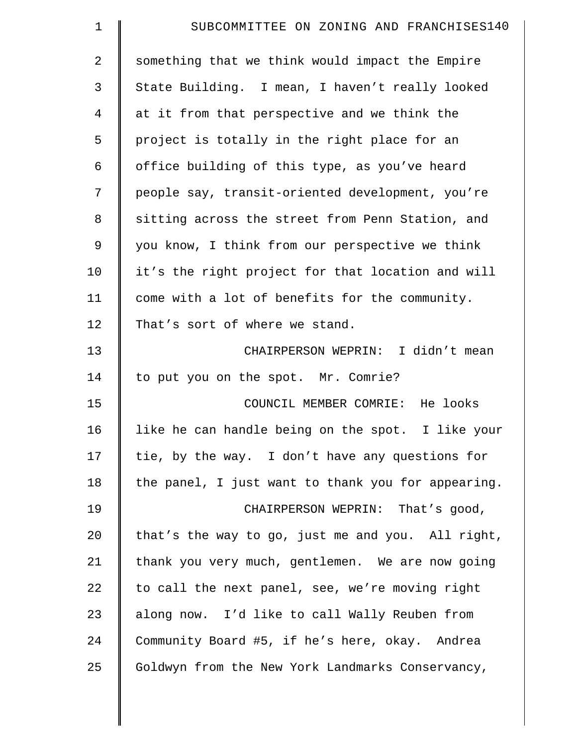| $\mathbf 1$    | SUBCOMMITTEE ON ZONING AND FRANCHISES140           |
|----------------|----------------------------------------------------|
| $\overline{2}$ | something that we think would impact the Empire    |
| 3              | State Building. I mean, I haven't really looked    |
| 4              | at it from that perspective and we think the       |
| 5              | project is totally in the right place for an       |
| 6              | office building of this type, as you've heard      |
| 7              | people say, transit-oriented development, you're   |
| 8              | sitting across the street from Penn Station, and   |
| 9              | you know, I think from our perspective we think    |
| 10             | it's the right project for that location and will  |
| 11             | come with a lot of benefits for the community.     |
| 12             | That's sort of where we stand.                     |
| 13             | CHAIRPERSON WEPRIN: I didn't mean                  |
| 14             | to put you on the spot. Mr. Comrie?                |
| 15             | COUNCIL MEMBER COMRIE: He looks                    |
| 16             | like he can handle being on the spot. I like your  |
| 17             | tie, by the way. I don't have any questions for    |
| 18             | the panel, I just want to thank you for appearing. |
| 19             | CHAIRPERSON WEPRIN: That's good,                   |
| 20             | that's the way to go, just me and you. All right,  |
| 21             | thank you very much, gentlemen. We are now going   |
| 22             | to call the next panel, see, we're moving right    |
| 23             | along now. I'd like to call Wally Reuben from      |
| 24             | Community Board #5, if he's here, okay. Andrea     |
| 25             | Goldwyn from the New York Landmarks Conservancy,   |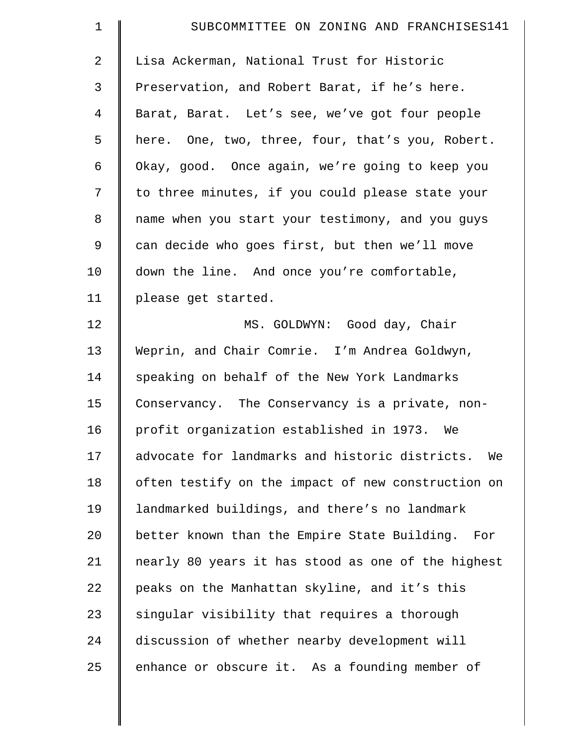| 1              | SUBCOMMITTEE ON ZONING AND FRANCHISES141             |
|----------------|------------------------------------------------------|
| $\overline{2}$ | Lisa Ackerman, National Trust for Historic           |
| 3              | Preservation, and Robert Barat, if he's here.        |
| 4              | Barat, Barat. Let's see, we've got four people       |
| 5              | here. One, two, three, four, that's you, Robert.     |
| 6              | Okay, good. Once again, we're going to keep you      |
| 7              | to three minutes, if you could please state your     |
| 8              | name when you start your testimony, and you guys     |
| 9              | can decide who goes first, but then we'll move       |
| 10             | down the line. And once you're comfortable,          |
| 11             | please get started.                                  |
| 12             | MS. GOLDWYN: Good day, Chair                         |
| 13             | Weprin, and Chair Comrie. I'm Andrea Goldwyn,        |
| 14             | speaking on behalf of the New York Landmarks         |
| 15             | Conservancy. The Conservancy is a private, non-      |
| 16             | profit organization established in 1973. We          |
| 17             | advocate for landmarks and historic districts.<br>We |
| 18             | often testify on the impact of new construction on   |
| 19             | landmarked buildings, and there's no landmark        |
| 20             | better known than the Empire State Building. For     |
| 21             | nearly 80 years it has stood as one of the highest   |
| 22             | peaks on the Manhattan skyline, and it's this        |
| 23             | singular visibility that requires a thorough         |
| 24             | discussion of whether nearby development will        |
| 25             | enhance or obscure it. As a founding member of       |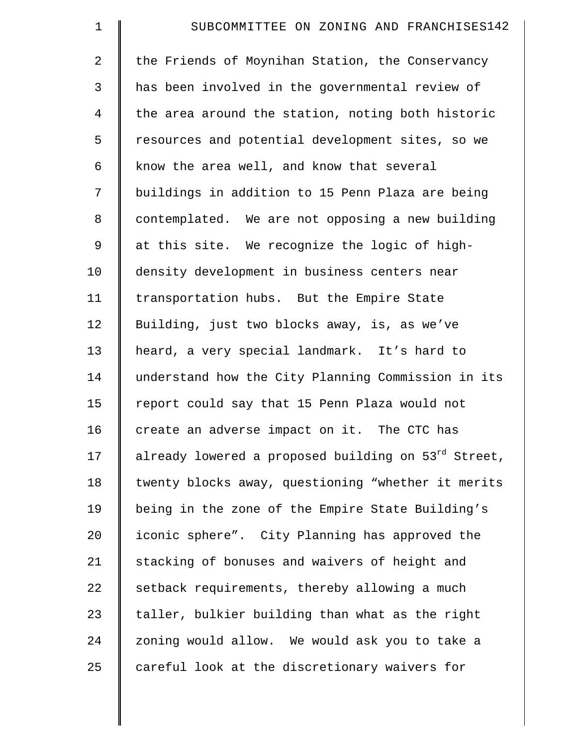| $\mathbf 1$    | SUBCOMMITTEE ON ZONING AND FRANCHISES142                        |
|----------------|-----------------------------------------------------------------|
| $\overline{2}$ | the Friends of Moynihan Station, the Conservancy                |
| 3              | has been involved in the governmental review of                 |
| $\overline{4}$ | the area around the station, noting both historic               |
| 5              | resources and potential development sites, so we                |
| 6              | know the area well, and know that several                       |
| 7              | buildings in addition to 15 Penn Plaza are being                |
| 8              | contemplated. We are not opposing a new building                |
| 9              | at this site. We recognize the logic of high-                   |
| 10             | density development in business centers near                    |
| 11             | transportation hubs. But the Empire State                       |
| 12             | Building, just two blocks away, is, as we've                    |
| 13             | heard, a very special landmark. It's hard to                    |
| 14             | understand how the City Planning Commission in its              |
| 15             | report could say that 15 Penn Plaza would not                   |
| 16             | create an adverse impact on it. The CTC has                     |
| 17             | already lowered a proposed building on 53 <sup>rd</sup> Street, |
| 18             | twenty blocks away, questioning "whether it merits              |
| 19             | being in the zone of the Empire State Building's                |
| 20             | iconic sphere". City Planning has approved the                  |
| 21             | stacking of bonuses and waivers of height and                   |
| 22             | setback requirements, thereby allowing a much                   |
| 23             | taller, bulkier building than what as the right                 |
| 24             | zoning would allow. We would ask you to take a                  |
| 25             | careful look at the discretionary waivers for                   |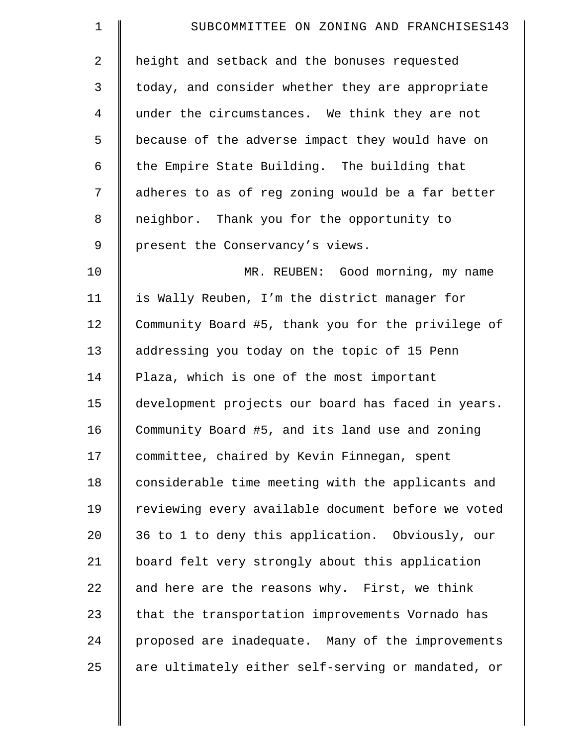| $\mathbf 1$    | SUBCOMMITTEE ON ZONING AND FRANCHISES143           |
|----------------|----------------------------------------------------|
| $\overline{2}$ | height and setback and the bonuses requested       |
| 3              | today, and consider whether they are appropriate   |
| $\overline{4}$ | under the circumstances. We think they are not     |
| 5              | because of the adverse impact they would have on   |
| 6              | the Empire State Building. The building that       |
| 7              | adheres to as of reg zoning would be a far better  |
| 8              | neighbor. Thank you for the opportunity to         |
| $\mathsf 9$    | present the Conservancy's views.                   |
| 10             | MR. REUBEN: Good morning, my name                  |
| 11             | is Wally Reuben, I'm the district manager for      |
| 12             | Community Board #5, thank you for the privilege of |
| 13             | addressing you today on the topic of 15 Penn       |
| 14             | Plaza, which is one of the most important          |
| 15             | development projects our board has faced in years. |
| 16             | Community Board #5, and its land use and zoning    |
| 17             | committee, chaired by Kevin Finnegan, spent        |
| 18             | considerable time meeting with the applicants and  |
| 19             | reviewing every available document before we voted |
| 20             | 36 to 1 to deny this application. Obviously, our   |
| 21             | board felt very strongly about this application    |
| 22             | and here are the reasons why. First, we think      |
| 23             | that the transportation improvements Vornado has   |
| 24             | proposed are inadequate. Many of the improvements  |
| 25             | are ultimately either self-serving or mandated, or |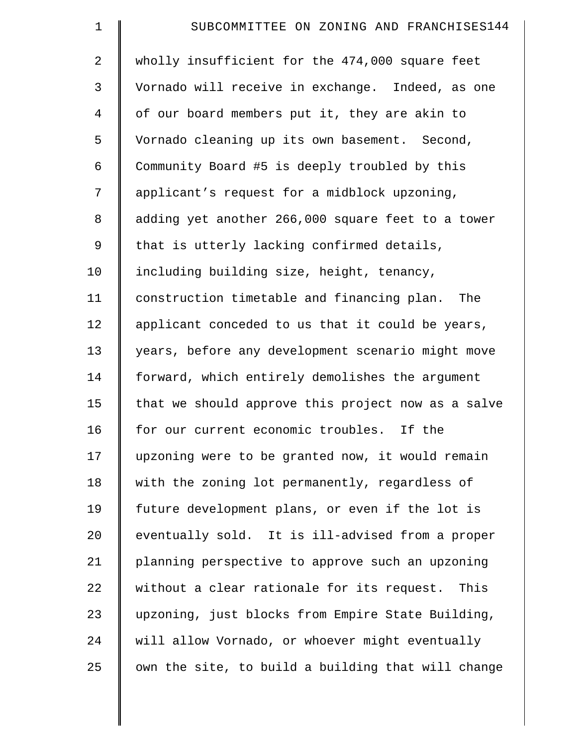| $\mathbf 1$    | SUBCOMMITTEE ON ZONING AND FRANCHISES144           |
|----------------|----------------------------------------------------|
| $\overline{2}$ | wholly insufficient for the 474,000 square feet    |
| 3              | Vornado will receive in exchange. Indeed, as one   |
| $\overline{4}$ | of our board members put it, they are akin to      |
| 5              | Vornado cleaning up its own basement. Second,      |
| 6              | Community Board #5 is deeply troubled by this      |
| 7              | applicant's request for a midblock upzoning,       |
| 8              | adding yet another 266,000 square feet to a tower  |
| $\mathsf 9$    | that is utterly lacking confirmed details,         |
| 10             | including building size, height, tenancy,          |
| 11             | construction timetable and financing plan. The     |
| 12             | applicant conceded to us that it could be years,   |
| 13             | years, before any development scenario might move  |
| 14             | forward, which entirely demolishes the argument    |
| 15             | that we should approve this project now as a salve |
| 16             | for our current economic troubles. If the          |
| 17             | upzoning were to be granted now, it would remain   |
| 18             | with the zoning lot permanently, regardless of     |
| 19             | future development plans, or even if the lot is    |
| 20             | eventually sold. It is ill-advised from a proper   |
| 21             | planning perspective to approve such an upzoning   |
| 22             | without a clear rationale for its request. This    |
| 23             | upzoning, just blocks from Empire State Building,  |
| 24             | will allow Vornado, or whoever might eventually    |
| 25             | own the site, to build a building that will change |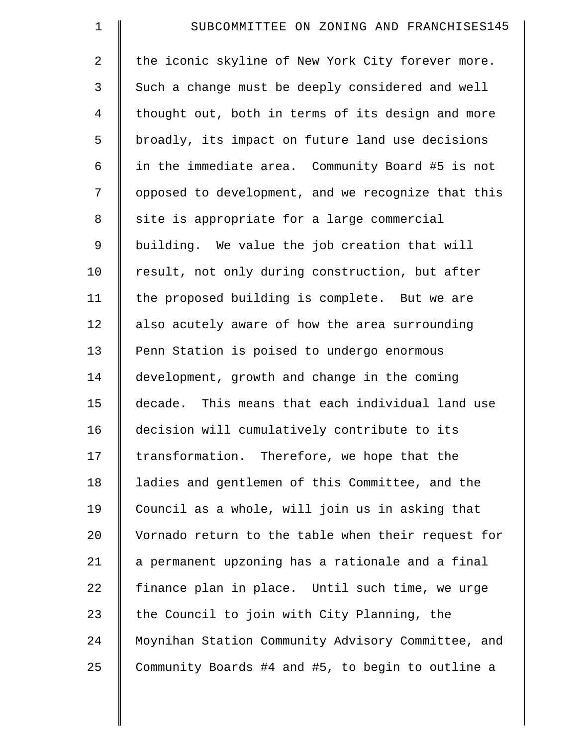| $\mathbf 1$    | SUBCOMMITTEE ON ZONING AND FRANCHISES145           |
|----------------|----------------------------------------------------|
| $\overline{2}$ | the iconic skyline of New York City forever more.  |
| 3              | Such a change must be deeply considered and well   |
| $\overline{4}$ | thought out, both in terms of its design and more  |
| 5              | broadly, its impact on future land use decisions   |
| 6              | in the immediate area. Community Board #5 is not   |
| 7              | opposed to development, and we recognize that this |
| 8              | site is appropriate for a large commercial         |
| 9              | building. We value the job creation that will      |
| 10             | result, not only during construction, but after    |
| 11             | the proposed building is complete. But we are      |
| 12             | also acutely aware of how the area surrounding     |
| 13             | Penn Station is poised to undergo enormous         |
| 14             | development, growth and change in the coming       |
| 15             | decade. This means that each individual land use   |
| 16             | decision will cumulatively contribute to its       |
| 17             | transformation. Therefore, we hope that the        |
| 18             | ladies and gentlemen of this Committee, and the    |
| 19             | Council as a whole, will join us in asking that    |
| 20             | Vornado return to the table when their request for |
| 21             | a permanent upzoning has a rationale and a final   |
| 22             | finance plan in place. Until such time, we urge    |
| 23             | the Council to join with City Planning, the        |
| 24             | Moynihan Station Community Advisory Committee, and |
| 25             | Community Boards #4 and #5, to begin to outline a  |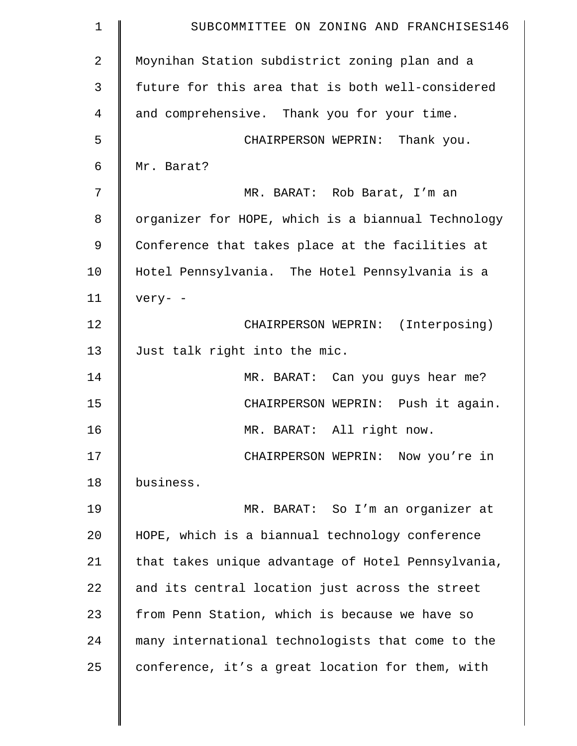| 1  | SUBCOMMITTEE ON ZONING AND FRANCHISES146           |
|----|----------------------------------------------------|
| 2  | Moynihan Station subdistrict zoning plan and a     |
| 3  | future for this area that is both well-considered  |
| 4  | and comprehensive. Thank you for your time.        |
| 5  | CHAIRPERSON WEPRIN: Thank you.                     |
| 6  | Mr. Barat?                                         |
| 7  | MR. BARAT: Rob Barat, I'm an                       |
| 8  | organizer for HOPE, which is a biannual Technology |
| 9  | Conference that takes place at the facilities at   |
| 10 | Hotel Pennsylvania. The Hotel Pennsylvania is a    |
| 11 | very- -                                            |
| 12 | CHAIRPERSON WEPRIN: (Interposing)                  |
| 13 | Just talk right into the mic.                      |
| 14 | MR. BARAT: Can you guys hear me?                   |
| 15 | CHAIRPERSON WEPRIN: Push it again.                 |
| 16 | MR. BARAT: All right now.                          |
| 17 | CHAIRPERSON WEPRIN: Now you're in                  |
| 18 | business.                                          |
| 19 | MR. BARAT: So I'm an organizer at                  |
| 20 | HOPE, which is a biannual technology conference    |
| 21 | that takes unique advantage of Hotel Pennsylvania, |
| 22 | and its central location just across the street    |
| 23 | from Penn Station, which is because we have so     |
| 24 | many international technologists that come to the  |
| 25 | conference, it's a great location for them, with   |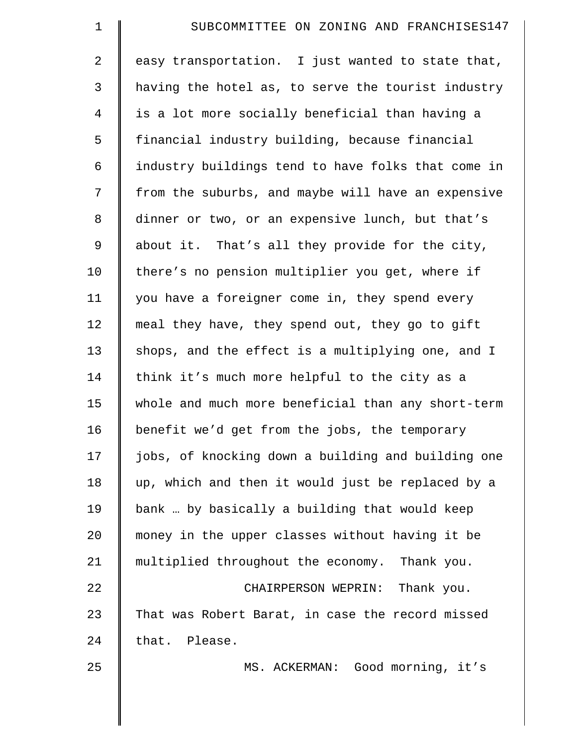| $\mathbf 1$ | SUBCOMMITTEE ON ZONING AND FRANCHISES147           |
|-------------|----------------------------------------------------|
| 2           | easy transportation. I just wanted to state that,  |
| 3           | having the hotel as, to serve the tourist industry |
| 4           | is a lot more socially beneficial than having a    |
| 5           | financial industry building, because financial     |
| 6           | industry buildings tend to have folks that come in |
| 7           | from the suburbs, and maybe will have an expensive |
| 8           | dinner or two, or an expensive lunch, but that's   |
| 9           | about it. That's all they provide for the city,    |
| 10          | there's no pension multiplier you get, where if    |
| 11          | you have a foreigner come in, they spend every     |
| 12          | meal they have, they spend out, they go to gift    |
| 13          | shops, and the effect is a multiplying one, and I  |
| 14          | think it's much more helpful to the city as a      |
| 15          | whole and much more beneficial than any short-term |
| 16          | benefit we'd get from the jobs, the temporary      |
| 17          | jobs, of knocking down a building and building one |
| 18          | up, which and then it would just be replaced by a  |
| 19          | bank  by basically a building that would keep      |
| 20          | money in the upper classes without having it be    |
| 21          | multiplied throughout the economy. Thank you.      |
| 22          | CHAIRPERSON WEPRIN: Thank you.                     |
| 23          | That was Robert Barat, in case the record missed   |
| 24          | that. Please.                                      |
| 25          | MS. ACKERMAN: Good morning, it's                   |
|             |                                                    |
|             |                                                    |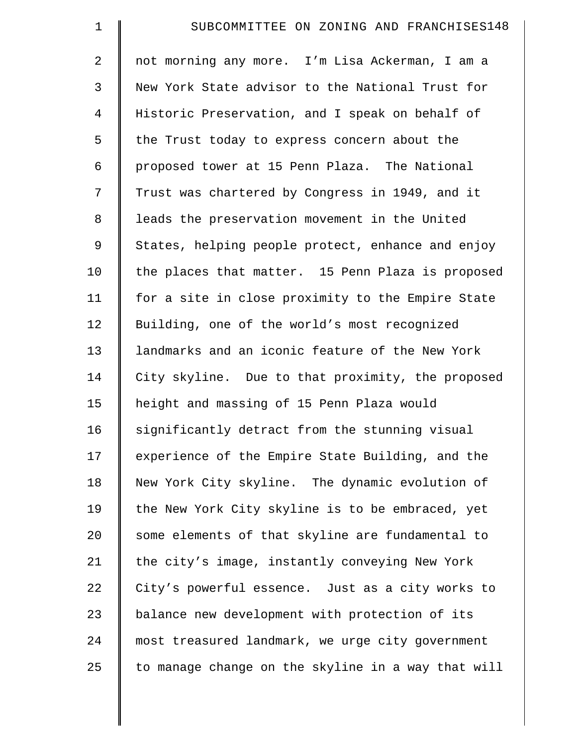| $\mathbf 1$    | SUBCOMMITTEE ON ZONING AND FRANCHISES148           |
|----------------|----------------------------------------------------|
| $\overline{2}$ | not morning any more. I'm Lisa Ackerman, I am a    |
| 3              | New York State advisor to the National Trust for   |
| $\overline{4}$ | Historic Preservation, and I speak on behalf of    |
| 5              | the Trust today to express concern about the       |
| 6              | proposed tower at 15 Penn Plaza. The National      |
| 7              | Trust was chartered by Congress in 1949, and it    |
| 8              | leads the preservation movement in the United      |
| 9              | States, helping people protect, enhance and enjoy  |
| 10             | the places that matter. 15 Penn Plaza is proposed  |
| 11             | for a site in close proximity to the Empire State  |
| 12             | Building, one of the world's most recognized       |
| 13             | landmarks and an iconic feature of the New York    |
| 14             | City skyline. Due to that proximity, the proposed  |
| 15             | height and massing of 15 Penn Plaza would          |
| 16             | significantly detract from the stunning visual     |
| 17             | experience of the Empire State Building, and the   |
| 18             | New York City skyline. The dynamic evolution of    |
| 19             | the New York City skyline is to be embraced, yet   |
| 20             | some elements of that skyline are fundamental to   |
| 21             | the city's image, instantly conveying New York     |
| 22             | City's powerful essence. Just as a city works to   |
| 23             | balance new development with protection of its     |
| 24             | most treasured landmark, we urge city government   |
| 25             | to manage change on the skyline in a way that will |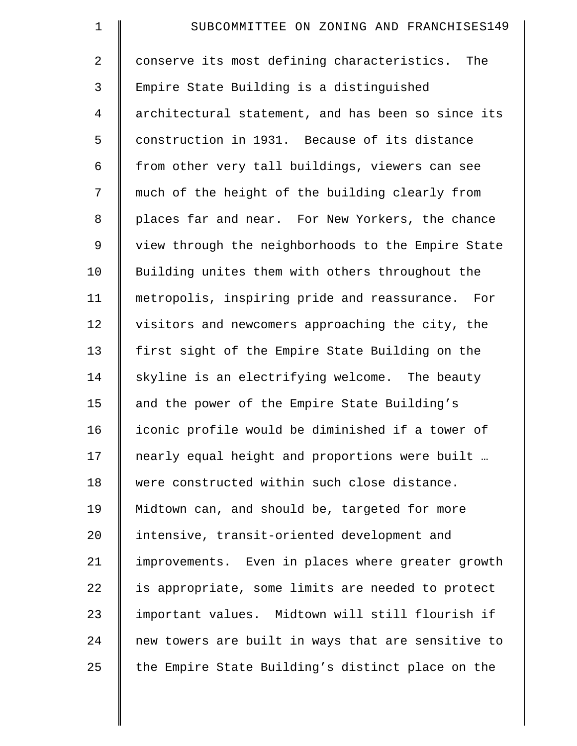| $\mathbf 1$    | SUBCOMMITTEE ON ZONING AND FRANCHISES149           |
|----------------|----------------------------------------------------|
| 2              | conserve its most defining characteristics. The    |
| 3              | Empire State Building is a distinguished           |
| $\overline{4}$ | architectural statement, and has been so since its |
| 5              | construction in 1931. Because of its distance      |
| 6              | from other very tall buildings, viewers can see    |
| 7              | much of the height of the building clearly from    |
| 8              | places far and near. For New Yorkers, the chance   |
| 9              | view through the neighborhoods to the Empire State |
| 10             | Building unites them with others throughout the    |
| 11             | metropolis, inspiring pride and reassurance. For   |
| 12             | visitors and newcomers approaching the city, the   |
| 13             | first sight of the Empire State Building on the    |
| 14             | skyline is an electrifying welcome. The beauty     |
| 15             | and the power of the Empire State Building's       |
| 16             | iconic profile would be diminished if a tower of   |
| 17             | nearly equal height and proportions were built     |
| 18             | were constructed within such close distance.       |
| 19             | Midtown can, and should be, targeted for more      |
| 20             | intensive, transit-oriented development and        |
| 21             | improvements. Even in places where greater growth  |
| 22             | is appropriate, some limits are needed to protect  |
| 23             | important values. Midtown will still flourish if   |
| 24             | new towers are built in ways that are sensitive to |
| 25             | the Empire State Building's distinct place on the  |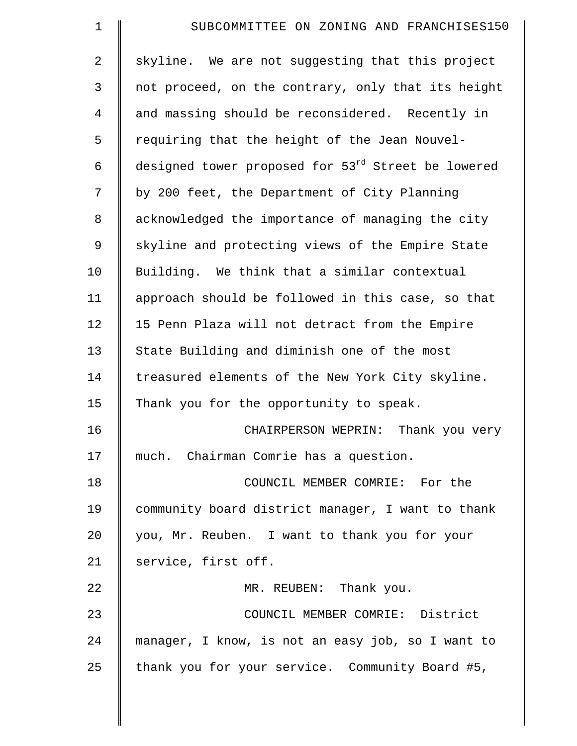| $\mathbf 1$    | SUBCOMMITTEE ON ZONING AND FRANCHISES150           |
|----------------|----------------------------------------------------|
| $\overline{2}$ | skyline. We are not suggesting that this project   |
| 3              | not proceed, on the contrary, only that its height |
| $\overline{4}$ | and massing should be reconsidered. Recently in    |
| 5              | requiring that the height of the Jean Nouvel-      |
| 6              | designed tower proposed for 53rd Street be lowered |
| 7              | by 200 feet, the Department of City Planning       |
| 8              | acknowledged the importance of managing the city   |
| 9              | skyline and protecting views of the Empire State   |
| 10             | Building. We think that a similar contextual       |
| 11             | approach should be followed in this case, so that  |
| 12             | 15 Penn Plaza will not detract from the Empire     |
| 13             | State Building and diminish one of the most        |
| 14             | treasured elements of the New York City skyline.   |
| 15             | Thank you for the opportunity to speak.            |
| 16             | CHAIRPERSON WEPRIN: Thank you very                 |
| 17             | much. Chairman Comrie has a question.              |
| 18             | COUNCIL MEMBER COMRIE: For the                     |
| 19             | community board district manager, I want to thank  |
| 20             | you, Mr. Reuben. I want to thank you for your      |
| 21             | service, first off.                                |
| 22             | MR. REUBEN: Thank you.                             |
| 23             | COUNCIL MEMBER COMRIE: District                    |
| 24             | manager, I know, is not an easy job, so I want to  |
| 25             | thank you for your service. Community Board #5,    |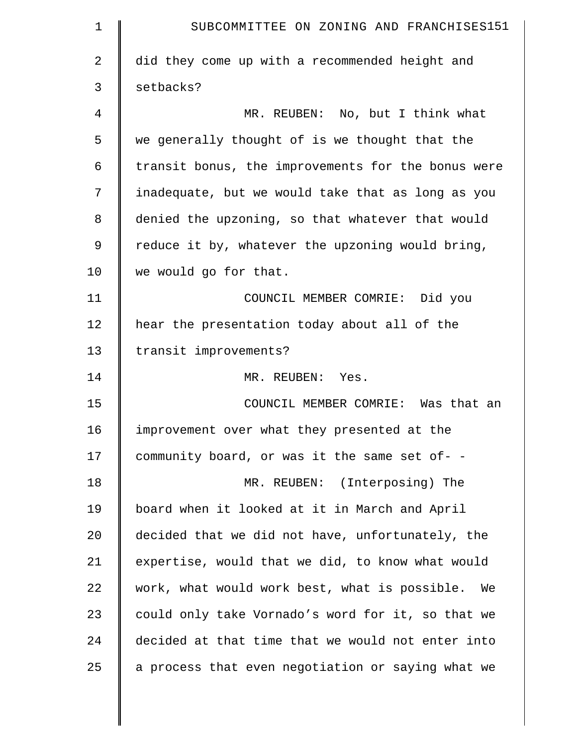| $\mathbf 1$ | SUBCOMMITTEE ON ZONING AND FRANCHISES151            |
|-------------|-----------------------------------------------------|
| 2           | did they come up with a recommended height and      |
| 3           | setbacks?                                           |
| 4           | MR. REUBEN: No, but I think what                    |
| 5           | we generally thought of is we thought that the      |
| 6           | transit bonus, the improvements for the bonus were  |
| 7           | inadequate, but we would take that as long as you   |
| 8           | denied the upzoning, so that whatever that would    |
| 9           | reduce it by, whatever the upzoning would bring,    |
| 10          | we would go for that.                               |
| 11          | COUNCIL MEMBER COMRIE: Did you                      |
| 12          | hear the presentation today about all of the        |
| 13          | transit improvements?                               |
| 14          | MR. REUBEN: Yes.                                    |
| 15          | COUNCIL MEMBER COMRIE: Was that an                  |
| 16          | improvement over what they presented at the         |
| 17          | community board, or was it the same set of- -       |
| 18          | MR. REUBEN: (Interposing) The                       |
| 19          | board when it looked at it in March and April       |
| 20          | decided that we did not have, unfortunately, the    |
| 21          | expertise, would that we did, to know what would    |
| 22          | work, what would work best, what is possible.<br>We |
| 23          | could only take Vornado's word for it, so that we   |
| 24          | decided at that time that we would not enter into   |
| 25          | a process that even negotiation or saying what we   |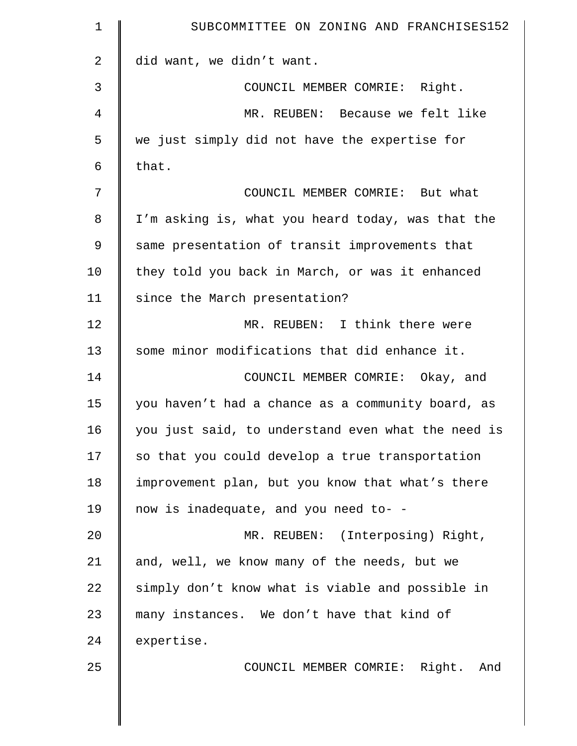| 1              | SUBCOMMITTEE ON ZONING AND FRANCHISES152           |
|----------------|----------------------------------------------------|
| $\overline{a}$ | did want, we didn't want.                          |
| 3              | COUNCIL MEMBER COMRIE: Right.                      |
| 4              | MR. REUBEN: Because we felt like                   |
| 5              | we just simply did not have the expertise for      |
| 6              | that.                                              |
| 7              | COUNCIL MEMBER COMRIE: But what                    |
| 8              | I'm asking is, what you heard today, was that the  |
| $\mathsf 9$    | same presentation of transit improvements that     |
| 10             | they told you back in March, or was it enhanced    |
| 11             | since the March presentation?                      |
| 12             | MR. REUBEN: I think there were                     |
| 13             | some minor modifications that did enhance it.      |
| 14             | COUNCIL MEMBER COMRIE: Okay, and                   |
| 15             | you haven't had a chance as a community board, as  |
| 16             | you just said, to understand even what the need is |
| 17             | so that you could develop a true transportation    |
| 18             | improvement plan, but you know that what's there   |
| 19             | now is inadequate, and you need to- -              |
| 20             | MR. REUBEN: (Interposing) Right,                   |
| 21             | and, well, we know many of the needs, but we       |
| 22             | simply don't know what is viable and possible in   |
| 23             | many instances. We don't have that kind of         |
| 24             | expertise.                                         |
| 25             | COUNCIL MEMBER COMRIE: Right. And                  |
|                |                                                    |
|                |                                                    |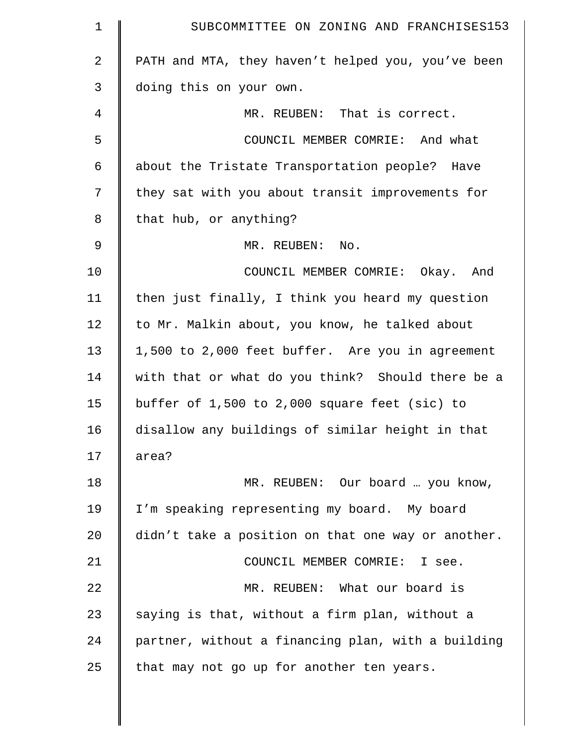| $\mathbf 1$    | SUBCOMMITTEE ON ZONING AND FRANCHISES153           |
|----------------|----------------------------------------------------|
| 2              | PATH and MTA, they haven't helped you, you've been |
| 3              | doing this on your own.                            |
| 4              | MR. REUBEN: That is correct.                       |
| 5              | COUNCIL MEMBER COMRIE: And what                    |
| 6              | about the Tristate Transportation people? Have     |
| 7              | they sat with you about transit improvements for   |
| 8              | that hub, or anything?                             |
| $\overline{9}$ | MR. REUBEN:<br>No.                                 |
| 10             | COUNCIL MEMBER COMRIE: Okay. And                   |
| 11             | then just finally, I think you heard my question   |
| 12             | to Mr. Malkin about, you know, he talked about     |
| 13             | 1,500 to 2,000 feet buffer. Are you in agreement   |
| 14             | with that or what do you think? Should there be a  |
| 15             | buffer of $1,500$ to $2,000$ square feet (sic) to  |
| 16             | disallow any buildings of similar height in that   |
| 17             | area?                                              |
| 18             | MR. REUBEN: Our board  you know,                   |
| 19             | I'm speaking representing my board. My board       |
| 20             | didn't take a position on that one way or another. |
| 21             | COUNCIL MEMBER COMRIE: I see.                      |
| 22             | MR. REUBEN: What our board is                      |
| 23             | saying is that, without a firm plan, without a     |
| 24             | partner, without a financing plan, with a building |
| 25             | that may not go up for another ten years.          |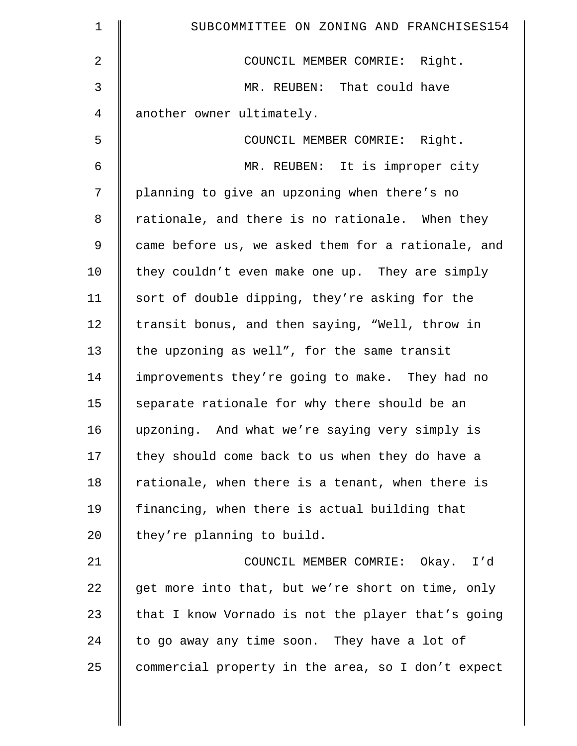| $\mathbf{1}$   | SUBCOMMITTEE ON ZONING AND FRANCHISES154           |
|----------------|----------------------------------------------------|
| $\overline{2}$ | COUNCIL MEMBER COMRIE: Right.                      |
| 3              | MR. REUBEN: That could have                        |
| 4              | another owner ultimately.                          |
| 5              | COUNCIL MEMBER COMRIE: Right.                      |
| 6              | MR. REUBEN: It is improper city                    |
| 7              | planning to give an upzoning when there's no       |
| 8              | rationale, and there is no rationale. When they    |
| $\mathsf 9$    | came before us, we asked them for a rationale, and |
| 10             | they couldn't even make one up. They are simply    |
| 11             | sort of double dipping, they're asking for the     |
| 12             | transit bonus, and then saying, "Well, throw in    |
| 13             | the upzoning as well", for the same transit        |
| 14             | improvements they're going to make. They had no    |
| 15             | separate rationale for why there should be an      |
| 16             | upzoning. And what we're saying very simply is     |
| 17             | they should come back to us when they do have a    |
| 18             | rationale, when there is a tenant, when there is   |
| 19             | financing, when there is actual building that      |
| 20             | they're planning to build.                         |
| 21             | COUNCIL MEMBER COMRIE: Okay. I'd                   |
| 22             | get more into that, but we're short on time, only  |
| 23             | that I know Vornado is not the player that's going |
| 24             | to go away any time soon. They have a lot of       |
| 25             | commercial property in the area, so I don't expect |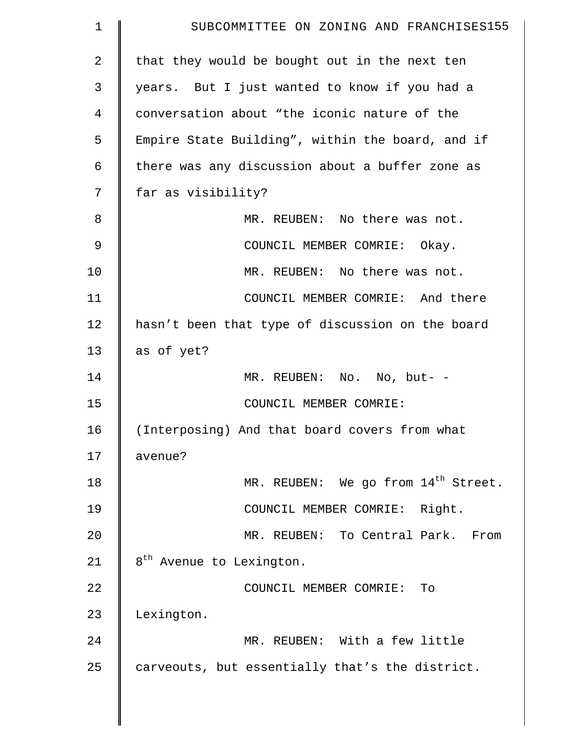| 1  | SUBCOMMITTEE ON ZONING AND FRANCHISES155         |
|----|--------------------------------------------------|
| 2  | that they would be bought out in the next ten    |
| 3  | years. But I just wanted to know if you had a    |
| 4  | conversation about "the iconic nature of the     |
| 5  | Empire State Building", within the board, and if |
| 6  | there was any discussion about a buffer zone as  |
| 7  | far as visibility?                               |
| 8  | MR. REUBEN: No there was not.                    |
| 9  | COUNCIL MEMBER COMRIE: Okay.                     |
| 10 | MR. REUBEN: No there was not.                    |
| 11 | COUNCIL MEMBER COMRIE: And there                 |
| 12 | hasn't been that type of discussion on the board |
| 13 | as of yet?                                       |
| 14 | MR. REUBEN: No. No, but- -                       |
| 15 | COUNCIL MEMBER COMRIE:                           |
| 16 | (Interposing) And that board covers from what    |
| 17 | avenue?                                          |
| 18 | MR. REUBEN: We go from 14 <sup>th</sup> Street.  |
| 19 | COUNCIL MEMBER COMRIE: Right.                    |
| 20 | MR. REUBEN: To Central Park.<br>From             |
| 21 | 8 <sup>th</sup> Avenue to Lexington.             |
| 22 | COUNCIL MEMBER COMRIE:<br>To                     |
| 23 | Lexington.                                       |
| 24 | MR. REUBEN: With a few little                    |
| 25 | carveouts, but essentially that's the district.  |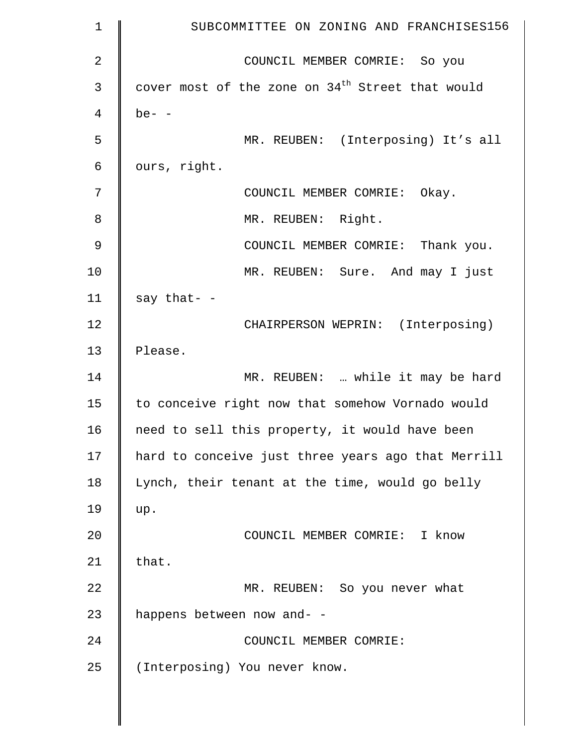| $\mathbf 1$    | SUBCOMMITTEE ON ZONING AND FRANCHISES156                     |
|----------------|--------------------------------------------------------------|
| $\overline{2}$ | COUNCIL MEMBER COMRIE: So you                                |
| 3              | cover most of the zone on 34 <sup>th</sup> Street that would |
| 4              | $be- -$                                                      |
| 5              | MR. REUBEN: (Interposing) It's all                           |
| 6              | ours, right.                                                 |
| 7              | COUNCIL MEMBER COMRIE: Okay.                                 |
| 8              | MR. REUBEN: Right.                                           |
| $\mathcal{G}$  | COUNCIL MEMBER COMRIE: Thank you.                            |
| 10             | MR. REUBEN: Sure. And may I just                             |
| 11             | say that- -                                                  |
| 12             | CHAIRPERSON WEPRIN: (Interposing)                            |
| 13             | Please.                                                      |
| 14             | MR. REUBEN:  while it may be hard                            |
| 15             | to conceive right now that somehow Vornado would             |
| 16             | need to sell this property, it would have been               |
| 17             | hard to conceive just three years ago that Merrill           |
| 18             | Lynch, their tenant at the time, would go belly              |
| 19             | up.                                                          |
| 20             | COUNCIL MEMBER COMRIE: I know                                |
| 21             | that.                                                        |
| 22             | MR. REUBEN: So you never what                                |
| 23             | happens between now and- -                                   |
| 24             | COUNCIL MEMBER COMRIE:                                       |
| 25             | (Interposing) You never know.                                |
|                |                                                              |

║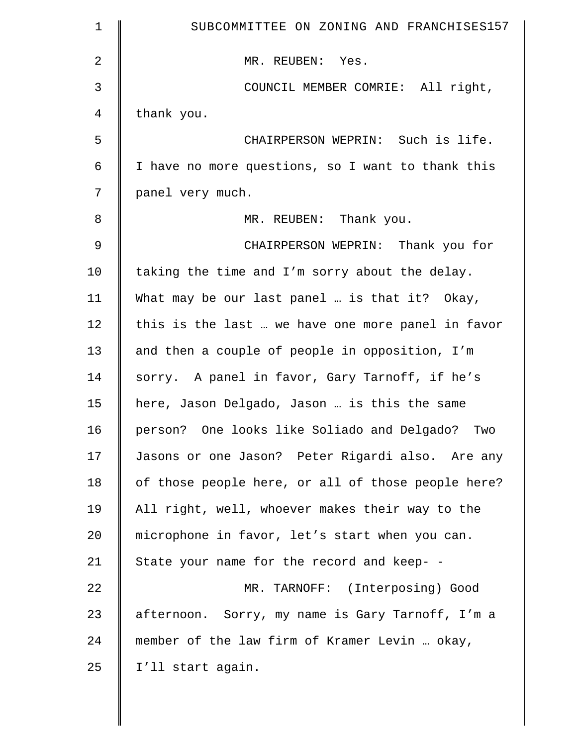| $\mathbf 1$    | SUBCOMMITTEE ON ZONING AND FRANCHISES157           |
|----------------|----------------------------------------------------|
| $\overline{2}$ | MR. REUBEN: Yes.                                   |
| 3              | COUNCIL MEMBER COMRIE: All right,                  |
| 4              | thank you.                                         |
| 5              | CHAIRPERSON WEPRIN: Such is life.                  |
| 6              | I have no more questions, so I want to thank this  |
| 7              | panel very much.                                   |
| 8              | MR. REUBEN: Thank you.                             |
| $\mathfrak{g}$ | CHAIRPERSON WEPRIN: Thank you for                  |
| 10             | taking the time and I'm sorry about the delay.     |
| 11             | What may be our last panel  is that it? Okay,      |
| 12             | this is the last  we have one more panel in favor  |
| 13             | and then a couple of people in opposition, I'm     |
| 14             | sorry. A panel in favor, Gary Tarnoff, if he's     |
| 15             | here, Jason Delgado, Jason  is this the same       |
| 16             | person? One looks like Soliado and Delgado? Two    |
| 17             | Jasons or one Jason? Peter Rigardi also. Are any   |
| 18             | of those people here, or all of those people here? |
| 19             | All right, well, whoever makes their way to the    |
| 20             | microphone in favor, let's start when you can.     |
| 21             | State your name for the record and keep- -         |
| 22             | MR. TARNOFF: (Interposing) Good                    |
| 23             | afternoon. Sorry, my name is Gary Tarnoff, I'm a   |
| 24             | member of the law firm of Kramer Levin  okay,      |
| 25             | I'll start again.                                  |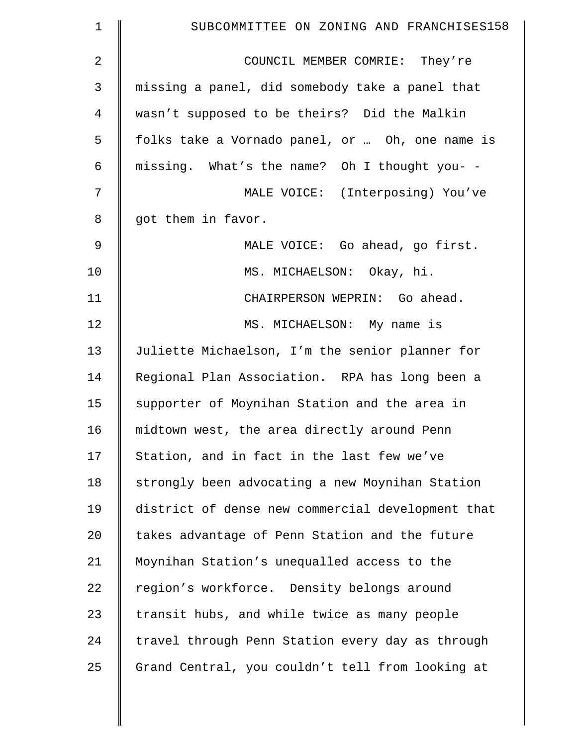| 1               | SUBCOMMITTEE ON ZONING AND FRANCHISES158          |
|-----------------|---------------------------------------------------|
| 2               | COUNCIL MEMBER COMRIE: They're                    |
| 3               | missing a panel, did somebody take a panel that   |
| 4               | wasn't supposed to be theirs? Did the Malkin      |
| 5               | folks take a Vornado panel, or  Oh, one name is   |
| 6               | missing. What's the name? Oh I thought you- -     |
| 7               | MALE VOICE: (Interposing) You've                  |
| 8               | got them in favor.                                |
| 9               | MALE VOICE: Go ahead, go first.                   |
| 10              | MS. MICHAELSON: Okay, hi.                         |
| 11              | CHAIRPERSON WEPRIN: Go ahead.                     |
| 12              | MS. MICHAELSON: My name is                        |
| 13              | Juliette Michaelson, I'm the senior planner for   |
| 14              | Regional Plan Association. RPA has long been a    |
| 15              | supporter of Moynihan Station and the area in     |
| 16              | midtown west, the area directly around Penn       |
| 17              | Station, and in fact in the last few we've        |
| 18              | strongly been advocating a new Moynihan Station   |
| 19              | district of dense new commercial development that |
| 20 <sub>o</sub> | takes advantage of Penn Station and the future    |
| 21              | Moynihan Station's unequalled access to the       |
| 22              | region's workforce. Density belongs around        |
| 23              | transit hubs, and while twice as many people      |
| 24              | travel through Penn Station every day as through  |
| 25              | Grand Central, you couldn't tell from looking at  |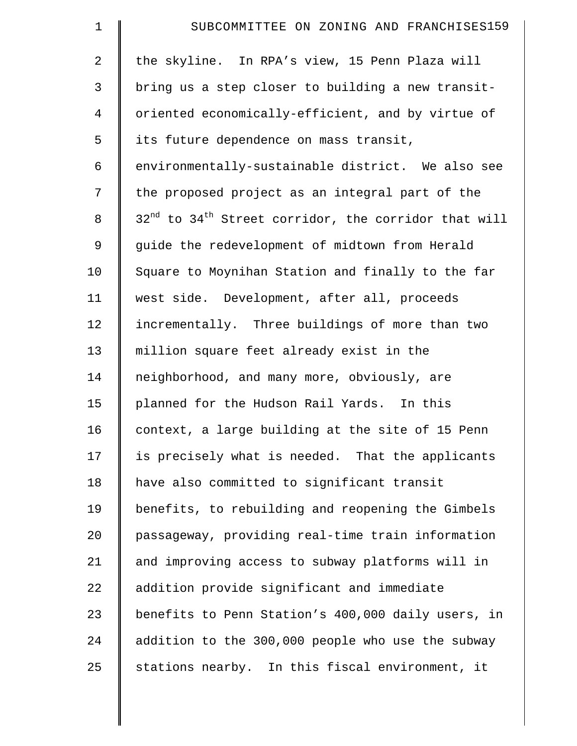| $\mathbf 1$    | SUBCOMMITTEE ON ZONING AND FRANCHISES159                       |
|----------------|----------------------------------------------------------------|
| $\overline{2}$ | the skyline. In RPA's view, 15 Penn Plaza will                 |
| 3              | bring us a step closer to building a new transit-              |
| $\overline{4}$ | oriented economically-efficient, and by virtue of              |
| 5              | its future dependence on mass transit,                         |
| 6              | environmentally-sustainable district. We also see              |
| 7              | the proposed project as an integral part of the                |
| $\,8\,$        | $32^{nd}$ to $34^{th}$ Street corridor, the corridor that will |
| 9              | guide the redevelopment of midtown from Herald                 |
| 10             | Square to Moynihan Station and finally to the far              |
| 11             | west side. Development, after all, proceeds                    |
| 12             | incrementally. Three buildings of more than two                |
| 13             | million square feet already exist in the                       |
| 14             | neighborhood, and many more, obviously, are                    |
| 15             | planned for the Hudson Rail Yards. In this                     |
| 16             | context, a large building at the site of 15 Penn               |
| 17             | is precisely what is needed. That the applicants               |
| 18             | have also committed to significant transit                     |
| 19             | benefits, to rebuilding and reopening the Gimbels              |
| 20             | passageway, providing real-time train information              |
| 21             | and improving access to subway platforms will in               |
| 22             | addition provide significant and immediate                     |
| 23             | benefits to Penn Station's 400,000 daily users, in             |
| 24             | addition to the 300,000 people who use the subway              |
| 25             | stations nearby. In this fiscal environment, it                |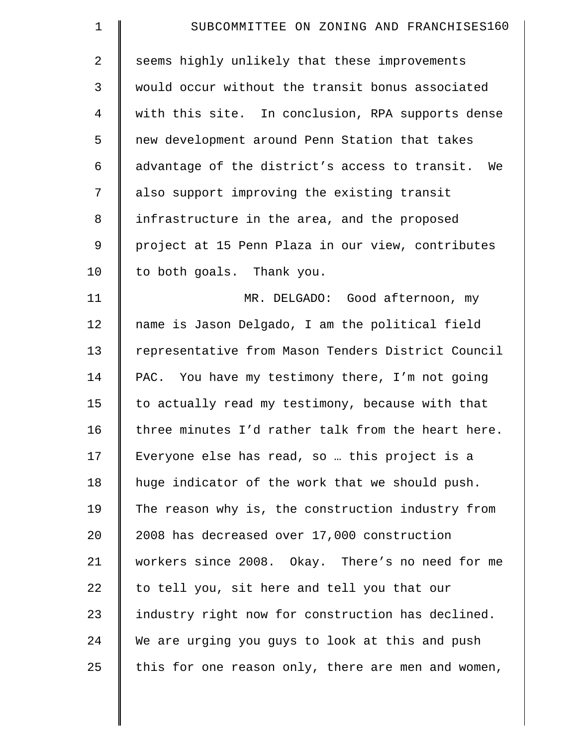| $\mathbf 1$    | SUBCOMMITTEE ON ZONING AND FRANCHISES160           |
|----------------|----------------------------------------------------|
| $\overline{2}$ | seems highly unlikely that these improvements      |
| 3              | would occur without the transit bonus associated   |
| 4              | with this site. In conclusion, RPA supports dense  |
| 5              | new development around Penn Station that takes     |
| 6              | advantage of the district's access to transit. We  |
| 7              | also support improving the existing transit        |
| 8              | infrastructure in the area, and the proposed       |
| 9              | project at 15 Penn Plaza in our view, contributes  |
| 10             | to both goals. Thank you.                          |
| 11             | MR. DELGADO: Good afternoon, my                    |
| 12             | name is Jason Delgado, I am the political field    |
| 13             | representative from Mason Tenders District Council |
| 14             | PAC. You have my testimony there, I'm not going    |
| 15             | to actually read my testimony, because with that   |
| 16             | three minutes I'd rather talk from the heart here. |
| 17             | Everyone else has read, so  this project is a      |
| 18             | huge indicator of the work that we should push.    |
| 19             | The reason why is, the construction industry from  |
| 20             | 2008 has decreased over 17,000 construction        |
| 21             | workers since 2008. Okay. There's no need for me   |
| 22             | to tell you, sit here and tell you that our        |
| 23             | industry right now for construction has declined.  |
| 24             | We are urging you guys to look at this and push    |
| 25             | this for one reason only, there are men and women, |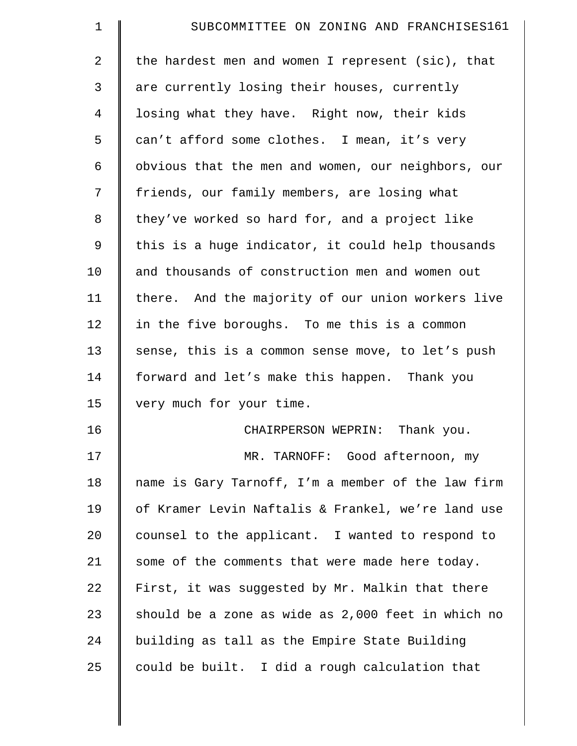| $\mathbf 1$    | SUBCOMMITTEE ON ZONING AND FRANCHISES161           |
|----------------|----------------------------------------------------|
| $\overline{2}$ | the hardest men and women I represent (sic), that  |
| 3              | are currently losing their houses, currently       |
| 4              | losing what they have. Right now, their kids       |
| 5              | can't afford some clothes. I mean, it's very       |
| 6              | obvious that the men and women, our neighbors, our |
| 7              | friends, our family members, are losing what       |
| 8              | they've worked so hard for, and a project like     |
| 9              | this is a huge indicator, it could help thousands  |
| 10             | and thousands of construction men and women out    |
| 11             | there. And the majority of our union workers live  |
| 12             | in the five boroughs. To me this is a common       |
| 13             | sense, this is a common sense move, to let's push  |
| 14             | forward and let's make this happen. Thank you      |
| 15             | very much for your time.                           |
| 16             | CHAIRPERSON WEPRIN: Thank you.                     |
| 17             | MR. TARNOFF: Good afternoon, my                    |
| 18             | name is Gary Tarnoff, I'm a member of the law firm |
| 19             | of Kramer Levin Naftalis & Frankel, we're land use |
| 20             | counsel to the applicant. I wanted to respond to   |
| 21             | some of the comments that were made here today.    |
| 22             | First, it was suggested by Mr. Malkin that there   |
| 23             | should be a zone as wide as 2,000 feet in which no |
| 24             | building as tall as the Empire State Building      |
| 25             | could be built. I did a rough calculation that     |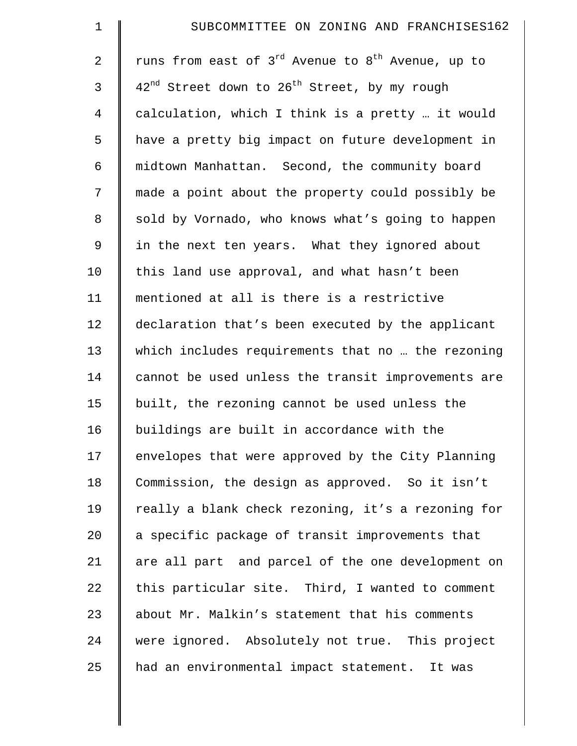| $\mathbf 1$    | SUBCOMMITTEE ON ZONING AND FRANCHISES162                             |
|----------------|----------------------------------------------------------------------|
| $\overline{2}$ | runs from east of $3^{rd}$ Avenue to $8^{th}$ Avenue, up to          |
| $\mathfrak{Z}$ | 42 <sup>nd</sup> Street down to 26 <sup>th</sup> Street, by my rough |
| $\overline{4}$ | calculation, which I think is a pretty  it would                     |
| 5              | have a pretty big impact on future development in                    |
| 6              | midtown Manhattan. Second, the community board                       |
| 7              | made a point about the property could possibly be                    |
| 8              | sold by Vornado, who knows what's going to happen                    |
| $\mathsf 9$    | in the next ten years. What they ignored about                       |
| 10             | this land use approval, and what hasn't been                         |
| 11             | mentioned at all is there is a restrictive                           |
| 12             | declaration that's been executed by the applicant                    |
| 13             | which includes requirements that no  the rezoning                    |
| 14             | cannot be used unless the transit improvements are                   |
| 15             | built, the rezoning cannot be used unless the                        |
| 16             | buildings are built in accordance with the                           |
| 17             | envelopes that were approved by the City Planning                    |
| 18             | Commission, the design as approved. So it isn't                      |
| 19             | really a blank check rezoning, it's a rezoning for                   |
| 20             | a specific package of transit improvements that                      |
| 21             | are all part and parcel of the one development on                    |
| 22             | this particular site. Third, I wanted to comment                     |
| 23             | about Mr. Malkin's statement that his comments                       |
| 24             | were ignored. Absolutely not true. This project                      |
| 25             | had an environmental impact statement. It was                        |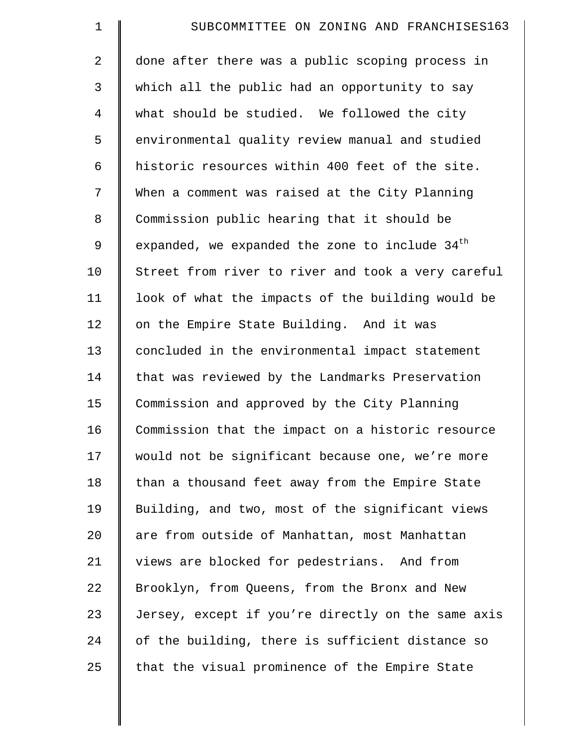| $\mathbf 1$    | SUBCOMMITTEE ON ZONING AND FRANCHISES163                   |
|----------------|------------------------------------------------------------|
| $\overline{a}$ | done after there was a public scoping process in           |
| 3              | which all the public had an opportunity to say             |
| $\overline{4}$ | what should be studied. We followed the city               |
| 5              | environmental quality review manual and studied            |
| 6              | historic resources within 400 feet of the site.            |
| 7              | When a comment was raised at the City Planning             |
| 8              | Commission public hearing that it should be                |
| 9              | expanded, we expanded the zone to include 34 <sup>th</sup> |
| 10             | Street from river to river and took a very careful         |
| 11             | look of what the impacts of the building would be          |
| 12             | on the Empire State Building. And it was                   |
| 13             | concluded in the environmental impact statement            |
| 14             | that was reviewed by the Landmarks Preservation            |
| 15             | Commission and approved by the City Planning               |
| 16             | Commission that the impact on a historic resource          |
| 17             | would not be significant because one, we're more           |
| 18             | than a thousand feet away from the Empire State            |
| 19             | Building, and two, most of the significant views           |
| 20             | are from outside of Manhattan, most Manhattan              |
| 21             | views are blocked for pedestrians. And from                |
| 22             | Brooklyn, from Queens, from the Bronx and New              |
| 23             | Jersey, except if you're directly on the same axis         |
| 24             | of the building, there is sufficient distance so           |
| 25             | that the visual prominence of the Empire State             |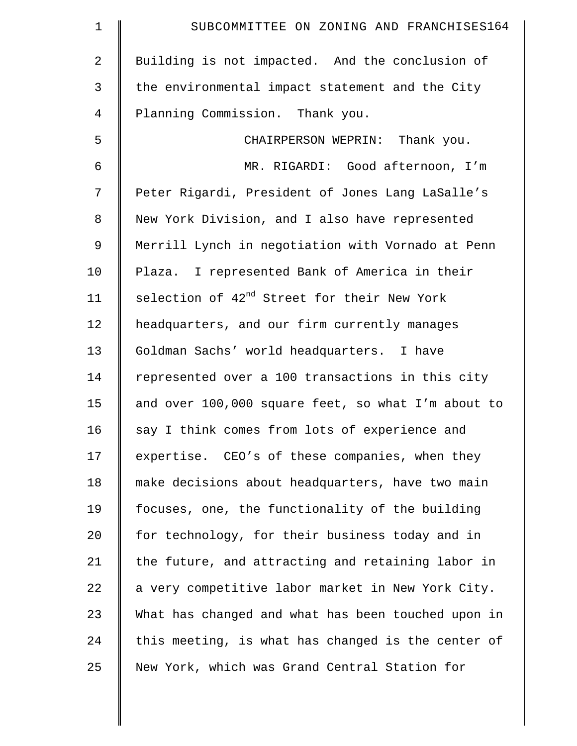| $\mathbf 1$ | SUBCOMMITTEE ON ZONING AND FRANCHISES164                |
|-------------|---------------------------------------------------------|
| 2           | Building is not impacted. And the conclusion of         |
| 3           | the environmental impact statement and the City         |
| 4           | Planning Commission. Thank you.                         |
| 5           | CHAIRPERSON WEPRIN: Thank you.                          |
| 6           | MR. RIGARDI: Good afternoon, I'm                        |
| 7           | Peter Rigardi, President of Jones Lang LaSalle's        |
| 8           | New York Division, and I also have represented          |
| 9           | Merrill Lynch in negotiation with Vornado at Penn       |
| 10          | Plaza. I represented Bank of America in their           |
| 11          | selection of 42 <sup>nd</sup> Street for their New York |
| 12          | headquarters, and our firm currently manages            |
| 13          | Goldman Sachs' world headquarters. I have               |
| 14          | represented over a 100 transactions in this city        |
| 15          | and over 100,000 square feet, so what I'm about to      |
| 16          | say I think comes from lots of experience and           |
| 17          | expertise. CEO's of these companies, when they          |
| 18          | make decisions about headquarters, have two main        |
| 19          | focuses, one, the functionality of the building         |
| 20          | for technology, for their business today and in         |
| 21          | the future, and attracting and retaining labor in       |
| 22          | a very competitive labor market in New York City.       |
| 23          | What has changed and what has been touched upon in      |
| 24          | this meeting, is what has changed is the center of      |
| 25          | New York, which was Grand Central Station for           |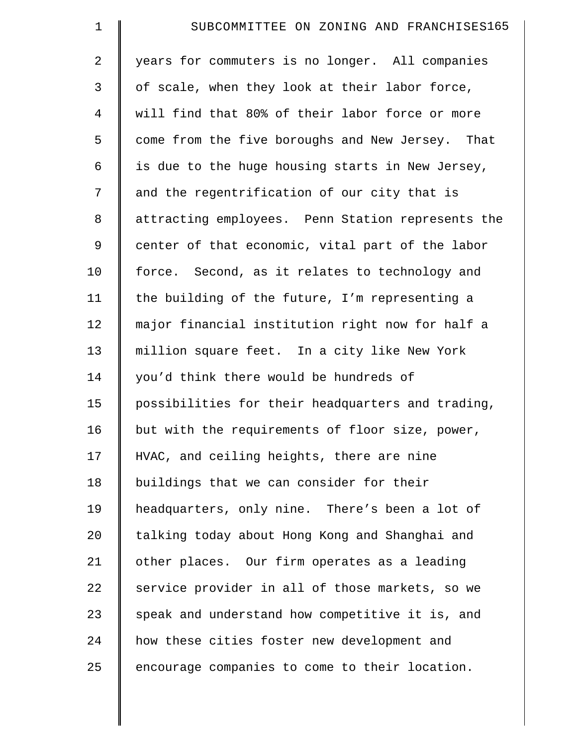| $\mathbf 1$    | SUBCOMMITTEE ON ZONING AND FRANCHISES165          |
|----------------|---------------------------------------------------|
| $\overline{2}$ | years for commuters is no longer. All companies   |
| 3              | of scale, when they look at their labor force,    |
| $\overline{4}$ | will find that 80% of their labor force or more   |
| 5              | come from the five boroughs and New Jersey. That  |
| 6              | is due to the huge housing starts in New Jersey,  |
| 7              | and the regentrification of our city that is      |
| 8              | attracting employees. Penn Station represents the |
| 9              | center of that economic, vital part of the labor  |
| 10             | force. Second, as it relates to technology and    |
| 11             | the building of the future, I'm representing a    |
| 12             | major financial institution right now for half a  |
| 13             | million square feet. In a city like New York      |
| 14             | you'd think there would be hundreds of            |
| 15             | possibilities for their headquarters and trading, |
| 16             | but with the requirements of floor size, power,   |
| 17             | HVAC, and ceiling heights, there are nine         |
| 18             | buildings that we can consider for their          |
| 19             | headquarters, only nine. There's been a lot of    |
| 20             | talking today about Hong Kong and Shanghai and    |
| 21             | other places. Our firm operates as a leading      |
| 22             | service provider in all of those markets, so we   |
| 23             | speak and understand how competitive it is, and   |
| 24             | how these cities foster new development and       |
| 25             | encourage companies to come to their location.    |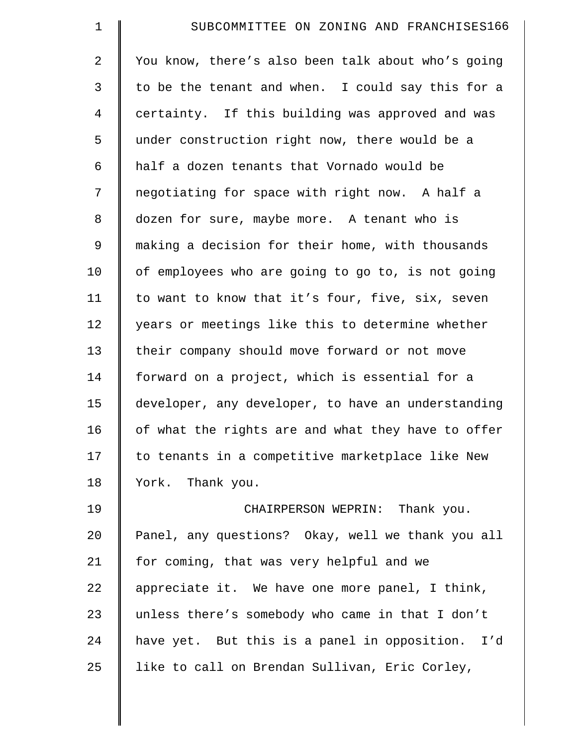| $\mathbf 1$    | SUBCOMMITTEE ON ZONING AND FRANCHISES166           |
|----------------|----------------------------------------------------|
| $\overline{a}$ | You know, there's also been talk about who's going |
| 3              | to be the tenant and when. I could say this for a  |
| $\overline{4}$ | certainty. If this building was approved and was   |
| 5              | under construction right now, there would be a     |
| 6              | half a dozen tenants that Vornado would be         |
| 7              | negotiating for space with right now. A half a     |
| 8              | dozen for sure, maybe more. A tenant who is        |
| 9              | making a decision for their home, with thousands   |
| 10             | of employees who are going to go to, is not going  |
| 11             | to want to know that it's four, five, six, seven   |
| 12             | years or meetings like this to determine whether   |
| 13             | their company should move forward or not move      |
| 14             | forward on a project, which is essential for a     |
| 15             | developer, any developer, to have an understanding |
| 16             | of what the rights are and what they have to offer |
| 17             | to tenants in a competitive marketplace like New   |
| 18             | York. Thank you.                                   |
| 19             | CHAIRPERSON WEPRIN: Thank you.                     |
| 20             | Panel, any questions? Okay, well we thank you all  |
| 21             | for coming, that was very helpful and we           |
| 22             | appreciate it. We have one more panel, I think,    |
| 23             | unless there's somebody who came in that I don't   |
| 24             | have yet. But this is a panel in opposition. I'd   |
| 25             | like to call on Brendan Sullivan, Eric Corley,     |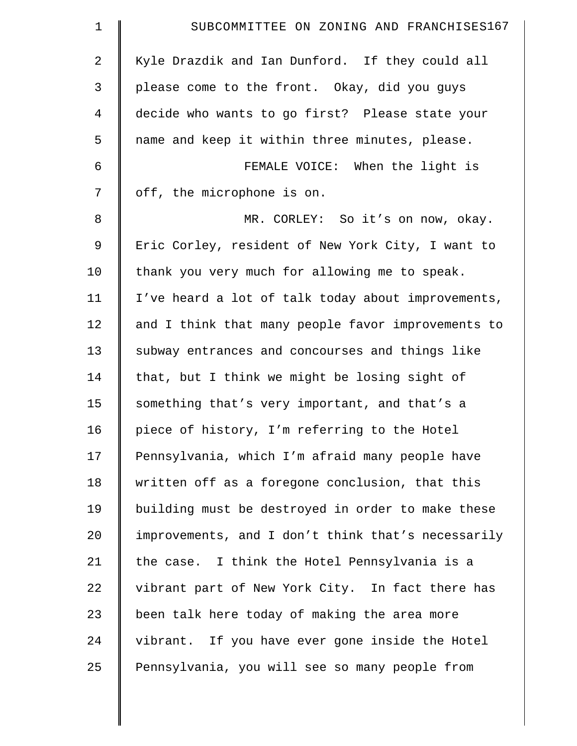| $\mathbf 1$    | SUBCOMMITTEE ON ZONING AND FRANCHISES167           |
|----------------|----------------------------------------------------|
| $\overline{2}$ | Kyle Drazdik and Ian Dunford. If they could all    |
| 3              | please come to the front. Okay, did you guys       |
| $\overline{4}$ | decide who wants to go first? Please state your    |
| 5              | name and keep it within three minutes, please.     |
| 6              | FEMALE VOICE: When the light is                    |
| 7              | off, the microphone is on.                         |
| $\,8\,$        | MR. CORLEY: So it's on now, okay.                  |
| 9              | Eric Corley, resident of New York City, I want to  |
| 10             | thank you very much for allowing me to speak.      |
| 11             | I've heard a lot of talk today about improvements, |
| 12             | and I think that many people favor improvements to |
| 13             | subway entrances and concourses and things like    |
| 14             | that, but I think we might be losing sight of      |
| 15             | something that's very important, and that's a      |
| 16             | piece of history, I'm referring to the Hotel       |
| 17             | Pennsylvania, which I'm afraid many people have    |
| 18             | written off as a foregone conclusion, that this    |
| 19             | building must be destroyed in order to make these  |
| 20             | improvements, and I don't think that's necessarily |
| 21             | the case. I think the Hotel Pennsylvania is a      |
| 22             | vibrant part of New York City. In fact there has   |
| 23             | been talk here today of making the area more       |
| 24             | vibrant. If you have ever gone inside the Hotel    |
| 25             | Pennsylvania, you will see so many people from     |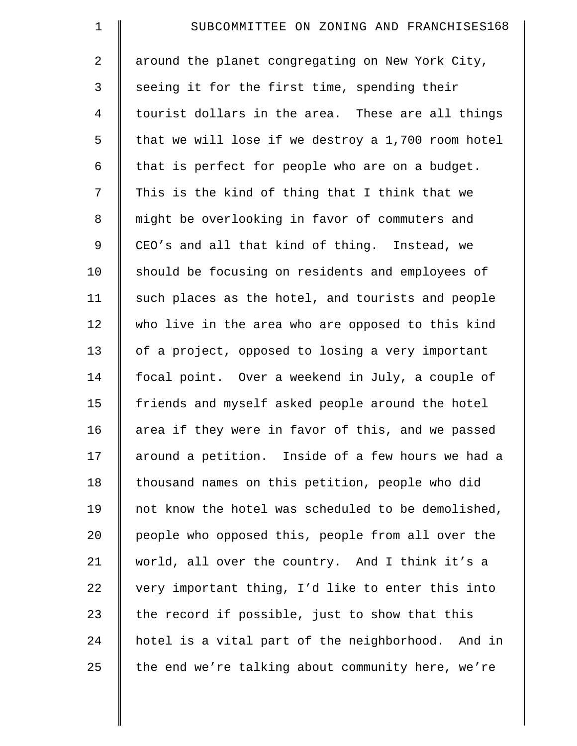| $\mathbf 1$    | SUBCOMMITTEE ON ZONING AND FRANCHISES168           |
|----------------|----------------------------------------------------|
| 2              | around the planet congregating on New York City,   |
| 3              | seeing it for the first time, spending their       |
| $\overline{4}$ | tourist dollars in the area. These are all things  |
| 5              | that we will lose if we destroy a 1,700 room hotel |
| 6              | that is perfect for people who are on a budget.    |
| 7              | This is the kind of thing that I think that we     |
| 8              | might be overlooking in favor of commuters and     |
| 9              | CEO's and all that kind of thing. Instead, we      |
| 10             | should be focusing on residents and employees of   |
| 11             | such places as the hotel, and tourists and people  |
| 12             | who live in the area who are opposed to this kind  |
| 13             | of a project, opposed to losing a very important   |
| 14             | focal point. Over a weekend in July, a couple of   |
| 15             | friends and myself asked people around the hotel   |
| 16             | area if they were in favor of this, and we passed  |
| 17             | around a petition. Inside of a few hours we had a  |
| 18             | thousand names on this petition, people who did    |
| 19             | not know the hotel was scheduled to be demolished, |
| 20             | people who opposed this, people from all over the  |
| 21             | world, all over the country. And I think it's a    |
| 22             | very important thing, I'd like to enter this into  |
| 23             | the record if possible, just to show that this     |
| 24             | hotel is a vital part of the neighborhood. And in  |
| 25             | the end we're talking about community here, we're  |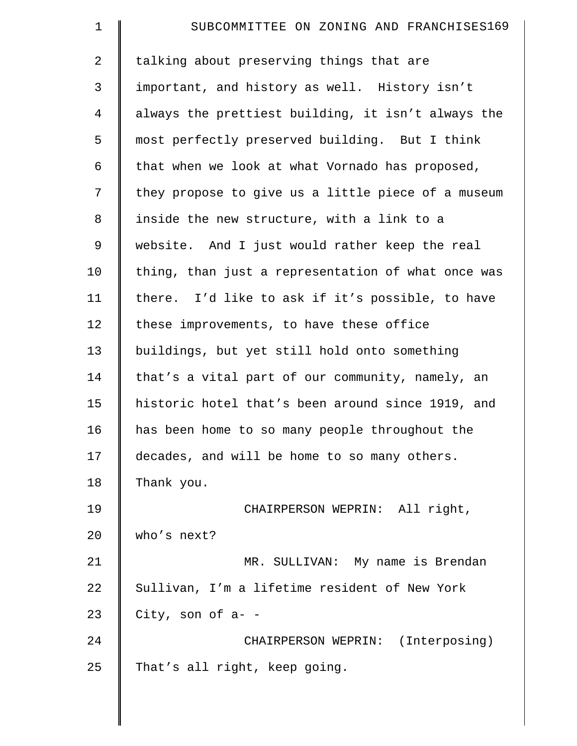| $\mathbf 1$    | SUBCOMMITTEE ON ZONING AND FRANCHISES169           |
|----------------|----------------------------------------------------|
| 2              | talking about preserving things that are           |
| 3              | important, and history as well. History isn't      |
| $\overline{4}$ | always the prettiest building, it isn't always the |
| 5              | most perfectly preserved building. But I think     |
| 6              | that when we look at what Vornado has proposed,    |
| 7              | they propose to give us a little piece of a museum |
| 8              | inside the new structure, with a link to a         |
| 9              | website. And I just would rather keep the real     |
| 10             | thing, than just a representation of what once was |
| 11             | there. I'd like to ask if it's possible, to have   |
| 12             | these improvements, to have these office           |
| 13             | buildings, but yet still hold onto something       |
| 14             | that's a vital part of our community, namely, an   |
| 15             | historic hotel that's been around since 1919, and  |
| 16             | has been home to so many people throughout the     |
| 17             | decades, and will be home to so many others.       |
| 18             | Thank you.                                         |
| 19             | CHAIRPERSON WEPRIN: All right,                     |
| 20             | who's next?                                        |
| 21             | MR. SULLIVAN: My name is Brendan                   |
| 22             | Sullivan, I'm a lifetime resident of New York      |
| 23             | City, son of $a-$                                  |
| 24             | CHAIRPERSON WEPRIN: (Interposing)                  |
| 25             | That's all right, keep going.                      |
|                |                                                    |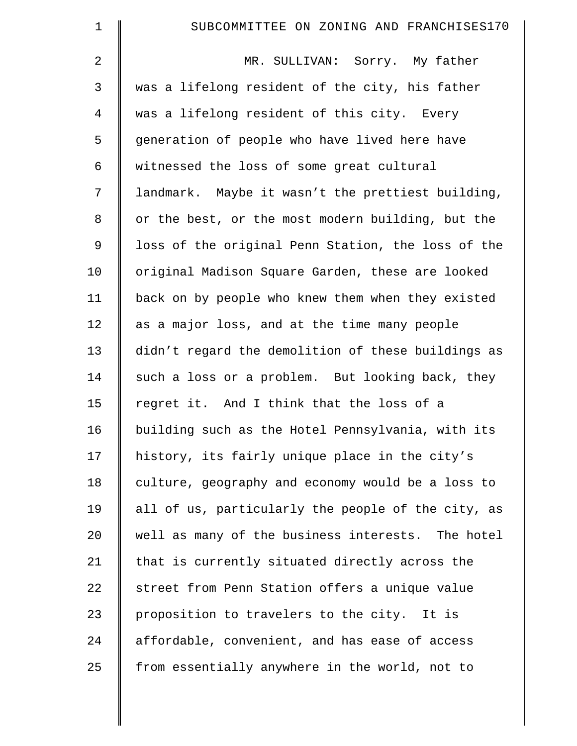| $\mathbf 1$    | SUBCOMMITTEE ON ZONING AND FRANCHISES170           |
|----------------|----------------------------------------------------|
| $\overline{2}$ | MR. SULLIVAN: Sorry. My father                     |
| 3              | was a lifelong resident of the city, his father    |
| 4              | was a lifelong resident of this city. Every        |
| 5              | generation of people who have lived here have      |
| 6              | witnessed the loss of some great cultural          |
| 7              | landmark. Maybe it wasn't the prettiest building,  |
| $8\,$          | or the best, or the most modern building, but the  |
| 9              | loss of the original Penn Station, the loss of the |
| 10             | original Madison Square Garden, these are looked   |
| 11             | back on by people who knew them when they existed  |
| 12             | as a major loss, and at the time many people       |
| 13             | didn't regard the demolition of these buildings as |
| 14             | such a loss or a problem. But looking back, they   |
| 15             | regret it. And I think that the loss of a          |
| 16             | building such as the Hotel Pennsylvania, with its  |
| 17             | history, its fairly unique place in the city's     |
| 18             | culture, geography and economy would be a loss to  |
| 19             | all of us, particularly the people of the city, as |
| 20             | well as many of the business interests. The hotel  |
| 21             | that is currently situated directly across the     |
| 22             | street from Penn Station offers a unique value     |
| 23             | proposition to travelers to the city. It is        |
| 24             | affordable, convenient, and has ease of access     |
| 25             | from essentially anywhere in the world, not to     |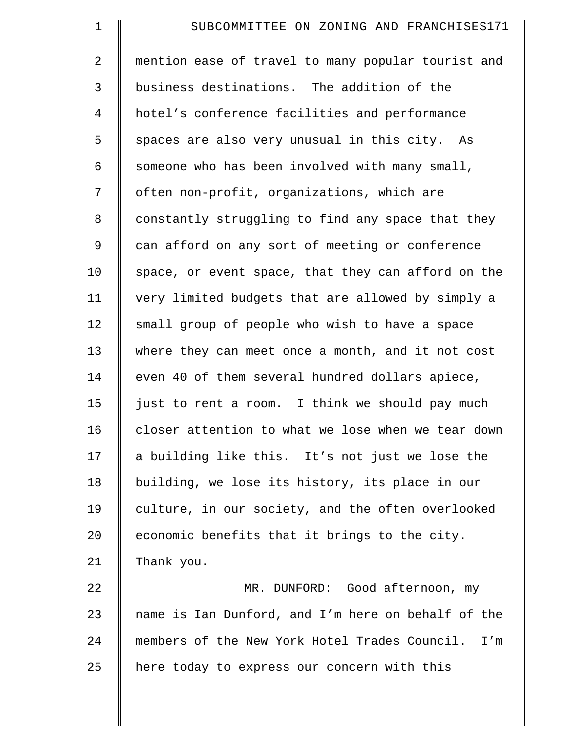| $\mathbf 1$    | SUBCOMMITTEE ON ZONING AND FRANCHISES171             |
|----------------|------------------------------------------------------|
| $\overline{a}$ | mention ease of travel to many popular tourist and   |
| 3              | business destinations. The addition of the           |
| $\overline{4}$ | hotel's conference facilities and performance        |
| 5              | spaces are also very unusual in this city. As        |
| 6              | someone who has been involved with many small,       |
| 7              | often non-profit, organizations, which are           |
| 8              | constantly struggling to find any space that they    |
| 9              | can afford on any sort of meeting or conference      |
| 10             | space, or event space, that they can afford on the   |
| 11             | very limited budgets that are allowed by simply a    |
| 12             | small group of people who wish to have a space       |
| 13             | where they can meet once a month, and it not cost    |
| 14             | even 40 of them several hundred dollars apiece,      |
| 15             | just to rent a room. I think we should pay much      |
| 16             | closer attention to what we lose when we tear down   |
| 17             | a building like this. It's not just we lose the      |
| 18             | building, we lose its history, its place in our      |
| 19             | culture, in our society, and the often overlooked    |
| 20             | economic benefits that it brings to the city.        |
| 21             | Thank you.                                           |
| 22             | MR. DUNFORD: Good afternoon, my                      |
| 23             | name is Ian Dunford, and I'm here on behalf of the   |
| 24             | members of the New York Hotel Trades Council.<br>I'm |
| 25             | here today to express our concern with this          |
|                |                                                      |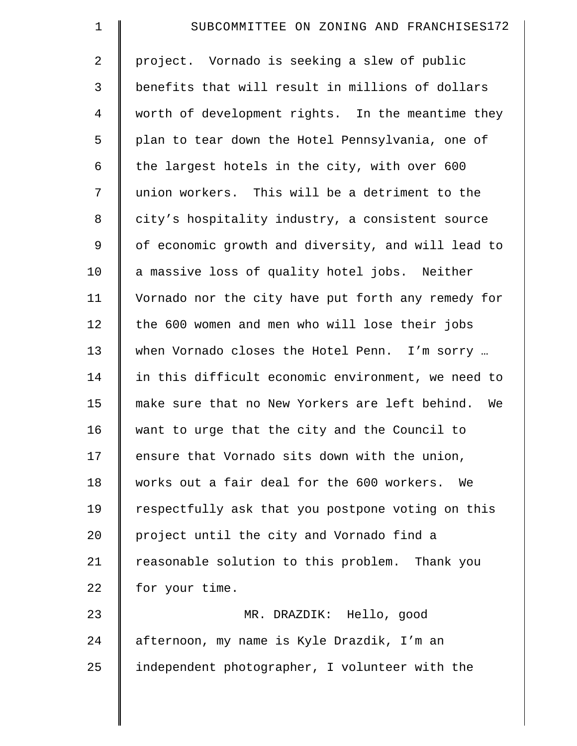| $\mathbf 1$    | SUBCOMMITTEE ON ZONING AND FRANCHISES172             |
|----------------|------------------------------------------------------|
| 2              | project. Vornado is seeking a slew of public         |
| 3              | benefits that will result in millions of dollars     |
| $\overline{4}$ | worth of development rights. In the meantime they    |
| 5              | plan to tear down the Hotel Pennsylvania, one of     |
| 6              | the largest hotels in the city, with over 600        |
| 7              | union workers. This will be a detriment to the       |
| 8              | city's hospitality industry, a consistent source     |
| 9              | of economic growth and diversity, and will lead to   |
| 10             | a massive loss of quality hotel jobs. Neither        |
| 11             | Vornado nor the city have put forth any remedy for   |
| 12             | the 600 women and men who will lose their jobs       |
| 13             | when Vornado closes the Hotel Penn. I'm sorry        |
| 14             | in this difficult economic environment, we need to   |
| 15             | make sure that no New Yorkers are left behind.<br>We |
| 16             | want to urge that the city and the Council to        |
| 17             | ensure that Vornado sits down with the union,        |
| 18             | works out a fair deal for the 600 workers. We        |
| 19             | respectfully ask that you postpone voting on this    |
| 20             | project until the city and Vornado find a            |
| 21             | reasonable solution to this problem. Thank you       |
| 22             | for your time.                                       |
| 23             | MR. DRAZDIK: Hello, good                             |
| 24             | afternoon, my name is Kyle Drazdik, I'm an           |
| 25             | independent photographer, I volunteer with the       |
|                |                                                      |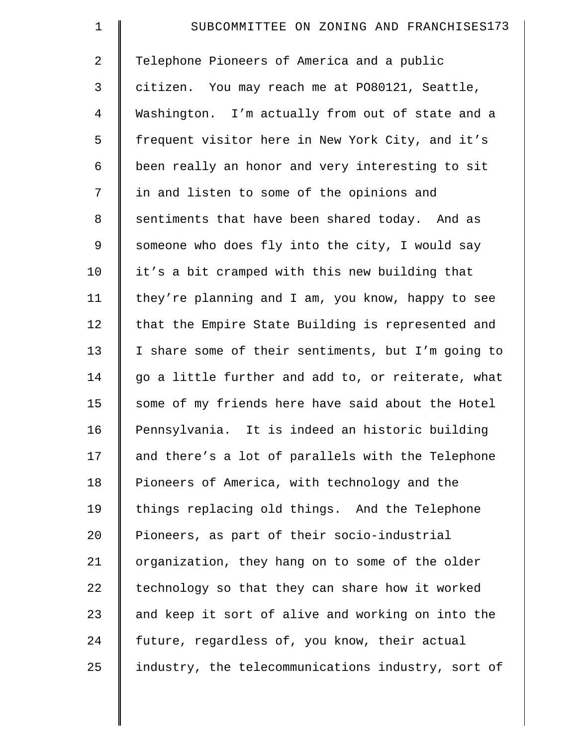| $\mathbf 1$    | SUBCOMMITTEE ON ZONING AND FRANCHISES173           |
|----------------|----------------------------------------------------|
| $\overline{2}$ | Telephone Pioneers of America and a public         |
| 3              | citizen. You may reach me at PO80121, Seattle,     |
| $\overline{4}$ | Washington. I'm actually from out of state and a   |
| 5              | frequent visitor here in New York City, and it's   |
| 6              | been really an honor and very interesting to sit   |
| 7              | in and listen to some of the opinions and          |
| 8              | sentiments that have been shared today. And as     |
| $\mathsf 9$    | someone who does fly into the city, I would say    |
| 10             | it's a bit cramped with this new building that     |
| 11             | they're planning and I am, you know, happy to see  |
| 12             | that the Empire State Building is represented and  |
| 13             | I share some of their sentiments, but I'm going to |
| 14             | go a little further and add to, or reiterate, what |
| 15             | some of my friends here have said about the Hotel  |
| 16             | Pennsylvania. It is indeed an historic building    |
| 17             | and there's a lot of parallels with the Telephone  |
| 18             | Pioneers of America, with technology and the       |
| 19             | things replacing old things. And the Telephone     |
| 20             | Pioneers, as part of their socio-industrial        |
| 21             | organization, they hang on to some of the older    |
| 22             | technology so that they can share how it worked    |
| 23             | and keep it sort of alive and working on into the  |
| 24             | future, regardless of, you know, their actual      |
| 25             | industry, the telecommunications industry, sort of |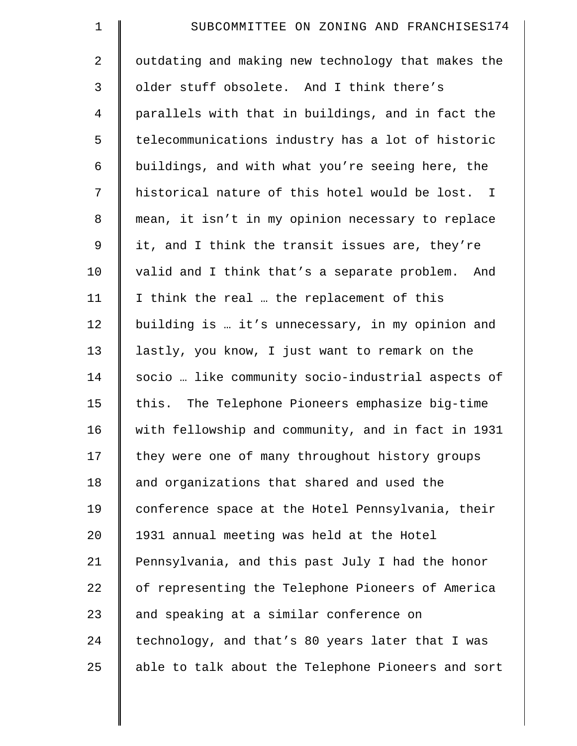| $\mathbf 1$    | SUBCOMMITTEE ON ZONING AND FRANCHISES174           |
|----------------|----------------------------------------------------|
| $\overline{2}$ | outdating and making new technology that makes the |
| 3              | older stuff obsolete. And I think there's          |
| $\overline{4}$ | parallels with that in buildings, and in fact the  |
| 5              | telecommunications industry has a lot of historic  |
| 6              | buildings, and with what you're seeing here, the   |
| 7              | historical nature of this hotel would be lost. I   |
| 8              | mean, it isn't in my opinion necessary to replace  |
| $\mathsf 9$    | it, and I think the transit issues are, they're    |
| 10             | valid and I think that's a separate problem. And   |
| 11             | I think the real  the replacement of this          |
| 12             | building is  it's unnecessary, in my opinion and   |
| 13             | lastly, you know, I just want to remark on the     |
| 14             | socio  like community socio-industrial aspects of  |
| 15             | this. The Telephone Pioneers emphasize big-time    |
| 16             | with fellowship and community, and in fact in 1931 |
| 17             | they were one of many throughout history groups    |
| 18             | and organizations that shared and used the         |
| 19             | conference space at the Hotel Pennsylvania, their  |
| 20             | 1931 annual meeting was held at the Hotel          |
| 21             | Pennsylvania, and this past July I had the honor   |
| 22             | of representing the Telephone Pioneers of America  |
| 23             | and speaking at a similar conference on            |
| 24             | technology, and that's 80 years later that I was   |
| 25             | able to talk about the Telephone Pioneers and sort |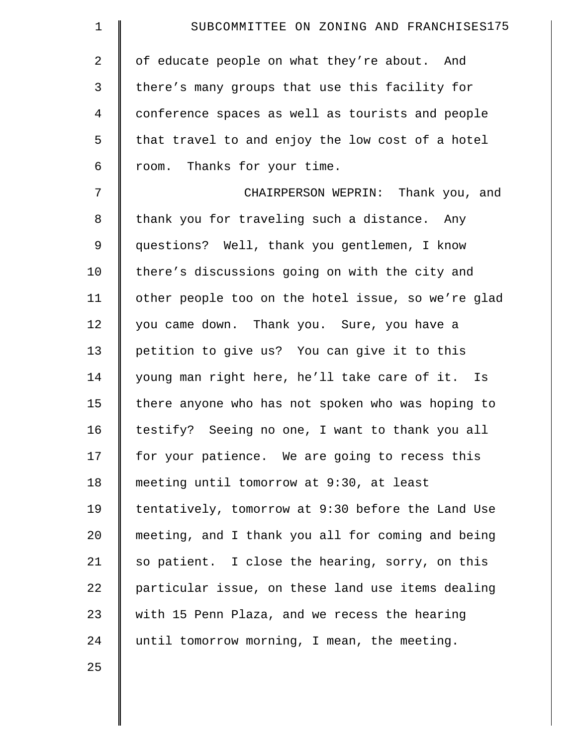| $\mathbf 1$    | SUBCOMMITTEE ON ZONING AND FRANCHISES175           |
|----------------|----------------------------------------------------|
| 2              | of educate people on what they're about. And       |
| $\mathfrak{Z}$ | there's many groups that use this facility for     |
| 4              | conference spaces as well as tourists and people   |
| 5              | that travel to and enjoy the low cost of a hotel   |
| 6              | room. Thanks for your time.                        |
| 7              | CHAIRPERSON WEPRIN: Thank you, and                 |
| 8              | thank you for traveling such a distance. Any       |
| $\mathsf 9$    | questions? Well, thank you gentlemen, I know       |
| 10             | there's discussions going on with the city and     |
| 11             | other people too on the hotel issue, so we're glad |
| 12             | you came down. Thank you. Sure, you have a         |
| 13             | petition to give us? You can give it to this       |
| 14             | young man right here, he'll take care of it. Is    |
| 15             | there anyone who has not spoken who was hoping to  |
| 16             | testify? Seeing no one, I want to thank you all    |
| 17             | for your patience. We are going to recess this     |
| 18             | meeting until tomorrow at 9:30, at least           |
| 19             | tentatively, tomorrow at 9:30 before the Land Use  |
| 20             | meeting, and I thank you all for coming and being  |
| 21             | so patient. I close the hearing, sorry, on this    |
| 22             | particular issue, on these land use items dealing  |
| 23             | with 15 Penn Plaza, and we recess the hearing      |
| 24             | until tomorrow morning, I mean, the meeting.       |
| 25             |                                                    |